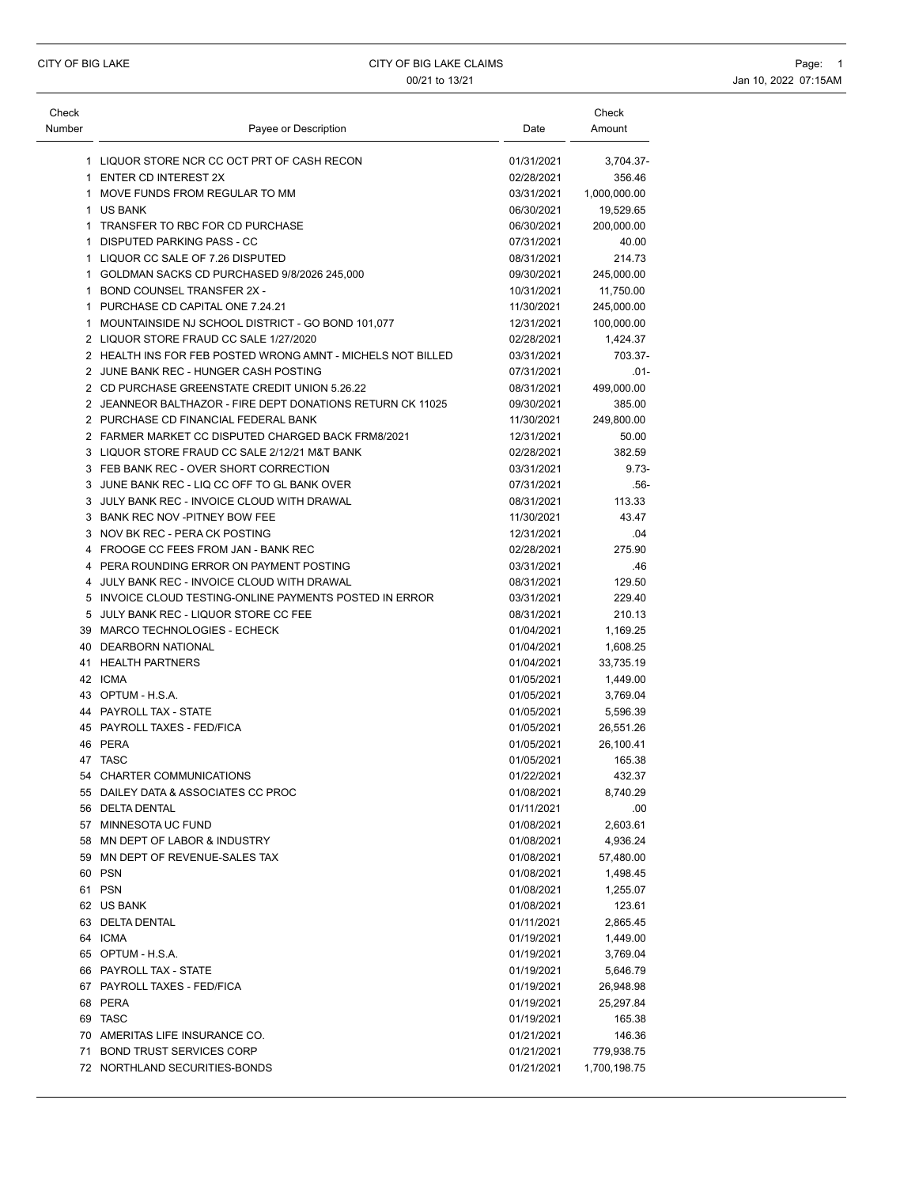| 1 LIQUOR STORE NCR CC OCT PRT OF CASH RECON<br>01/31/2021<br>3,704.37-<br>1 ENTER CD INTEREST 2X<br>02/28/2021<br>356.46<br>1 MOVE FUNDS FROM REGULAR TO MM<br>03/31/2021<br>1,000,000.00<br>1 US BANK<br>06/30/2021<br>19,529.65<br>1 TRANSFER TO RBC FOR CD PURCHASE<br>06/30/2021<br>200,000.00<br>1 DISPUTED PARKING PASS - CC<br>07/31/2021<br>40.00<br>1 LIQUOR CC SALE OF 7.26 DISPUTED<br>08/31/2021<br>214.73<br>1 GOLDMAN SACKS CD PURCHASED 9/8/2026 245,000<br>09/30/2021<br>245,000.00<br>1 BOND COUNSEL TRANSFER 2X -<br>10/31/2021<br>11,750.00<br>1 PURCHASE CD CAPITAL ONE 7.24.21<br>11/30/2021<br>245,000.00<br>1 MOUNTAINSIDE NJ SCHOOL DISTRICT - GO BOND 101,077<br>12/31/2021<br>100,000.00<br>2 LIQUOR STORE FRAUD CC SALE 1/27/2020<br>02/28/2021<br>1,424.37<br>2 HEALTH INS FOR FEB POSTED WRONG AMNT - MICHELS NOT BILLED<br>03/31/2021<br>2 JUNE BANK REC - HUNGER CASH POSTING<br>07/31/2021<br>2 CD PURCHASE GREENSTATE CREDIT UNION 5.26.22<br>08/31/2021<br>499,000.00<br>2 JEANNEOR BALTHAZOR - FIRE DEPT DONATIONS RETURN CK 11025<br>09/30/2021<br>385.00<br>2 PURCHASE CD FINANCIAL FEDERAL BANK<br>11/30/2021<br>249,800.00<br>2 FARMER MARKET CC DISPUTED CHARGED BACK FRM8/2021<br>12/31/2021<br>50.00<br>3 LIQUOR STORE FRAUD CC SALE 2/12/21 M&T BANK<br>02/28/2021<br>382.59<br>3 FEB BANK REC - OVER SHORT CORRECTION<br>03/31/2021<br>3 JUNE BANK REC - LIQ CC OFF TO GL BANK OVER<br>07/31/2021<br>3 JULY BANK REC - INVOICE CLOUD WITH DRAWAL<br>08/31/2021<br>113.33<br>3 BANK REC NOV - PITNEY BOW FEE<br>11/30/2021<br>43.47<br>3 NOV BK REC - PERA CK POSTING<br>12/31/2021<br>.04<br>4 FROOGE CC FEES FROM JAN - BANK REC<br>02/28/2021<br>275.90<br>4 PERA ROUNDING ERROR ON PAYMENT POSTING<br>03/31/2021<br>4 JULY BANK REC - INVOICE CLOUD WITH DRAWAL<br>08/31/2021<br>129.50<br>5 INVOICE CLOUD TESTING-ONLINE PAYMENTS POSTED IN ERROR<br>229.40<br>03/31/2021<br>5 JULY BANK REC - LIQUOR STORE CC FEE<br>210.13<br>08/31/2021<br>39 MARCO TECHNOLOGIES - ECHECK<br>01/04/2021<br>1,169.25<br>40 DEARBORN NATIONAL<br>01/04/2021<br>1,608.25<br>41 HEALTH PARTNERS<br>01/04/2021<br>33,735.19<br>42 ICMA<br>01/05/2021<br>1,449.00<br>43 OPTUM - H.S.A.<br>01/05/2021<br>3,769.04<br>44 PAYROLL TAX - STATE<br>01/05/2021<br>5,596.39<br>45 PAYROLL TAXES - FED/FICA<br>01/05/2021<br>26,551.26<br>46 PERA<br>01/05/2021<br>26,100.41<br>47 TASC<br>01/05/2021<br>165.38<br>54<br>CHARTER COMMUNICATIONS<br>01/22/2021<br>432.37<br>55 DAILEY DATA & ASSOCIATES CC PROC<br>01/08/2021<br>8,740.29<br>56 DELTA DENTAL<br>01/11/2021<br>.00<br>57 MINNESOTA UC FUND<br>01/08/2021<br>2,603.61<br>58 MN DEPT OF LABOR & INDUSTRY<br>01/08/2021<br>4,936.24<br>59 MN DEPT OF REVENUE-SALES TAX<br>01/08/2021<br>57,480.00<br>60 PSN<br>01/08/2021<br>1,498.45<br>61 PSN<br>01/08/2021<br>1,255.07<br>62 US BANK<br>01/08/2021<br>123.61<br>63 DELTA DENTAL<br>01/11/2021<br>2,865.45<br>64 ICMA<br>01/19/2021<br>1,449.00<br>65 OPTUM - H.S.A.<br>01/19/2021<br>3,769.04<br>66 PAYROLL TAX - STATE<br>01/19/2021<br>5,646.79<br>67 PAYROLL TAXES - FED/FICA<br>01/19/2021<br>26,948.98<br>68 PERA<br>01/19/2021<br>25,297.84<br>69 TASC<br>01/19/2021<br>165.38<br>70 AMERITAS LIFE INSURANCE CO.<br>01/21/2021<br>146.36<br>71 BOND TRUST SERVICES CORP<br>01/21/2021<br>779,938.75 | Check<br>Number | Payee or Description          | Date       | Check<br>Amount |
|----------------------------------------------------------------------------------------------------------------------------------------------------------------------------------------------------------------------------------------------------------------------------------------------------------------------------------------------------------------------------------------------------------------------------------------------------------------------------------------------------------------------------------------------------------------------------------------------------------------------------------------------------------------------------------------------------------------------------------------------------------------------------------------------------------------------------------------------------------------------------------------------------------------------------------------------------------------------------------------------------------------------------------------------------------------------------------------------------------------------------------------------------------------------------------------------------------------------------------------------------------------------------------------------------------------------------------------------------------------------------------------------------------------------------------------------------------------------------------------------------------------------------------------------------------------------------------------------------------------------------------------------------------------------------------------------------------------------------------------------------------------------------------------------------------------------------------------------------------------------------------------------------------------------------------------------------------------------------------------------------------------------------------------------------------------------------------------------------------------------------------------------------------------------------------------------------------------------------------------------------------------------------------------------------------------------------------------------------------------------------------------------------------------------------------------------------------------------------------------------------------------------------------------------------------------------------------------------------------------------------------------------------------------------------------------------------------------------------------------------------------------------------------------------------------------------------------------------------------------------------------------------------------------------------------------------------------------------------------------------------------------------------------------------------------------------------------------------------------------------------------------------------------------------------------------------------------------------------------------------------------------------------------------------------------------------------------------------|-----------------|-------------------------------|------------|-----------------|
|                                                                                                                                                                                                                                                                                                                                                                                                                                                                                                                                                                                                                                                                                                                                                                                                                                                                                                                                                                                                                                                                                                                                                                                                                                                                                                                                                                                                                                                                                                                                                                                                                                                                                                                                                                                                                                                                                                                                                                                                                                                                                                                                                                                                                                                                                                                                                                                                                                                                                                                                                                                                                                                                                                                                                                                                                                                                                                                                                                                                                                                                                                                                                                                                                                                                                                                                              |                 |                               |            |                 |
|                                                                                                                                                                                                                                                                                                                                                                                                                                                                                                                                                                                                                                                                                                                                                                                                                                                                                                                                                                                                                                                                                                                                                                                                                                                                                                                                                                                                                                                                                                                                                                                                                                                                                                                                                                                                                                                                                                                                                                                                                                                                                                                                                                                                                                                                                                                                                                                                                                                                                                                                                                                                                                                                                                                                                                                                                                                                                                                                                                                                                                                                                                                                                                                                                                                                                                                                              |                 |                               |            |                 |
|                                                                                                                                                                                                                                                                                                                                                                                                                                                                                                                                                                                                                                                                                                                                                                                                                                                                                                                                                                                                                                                                                                                                                                                                                                                                                                                                                                                                                                                                                                                                                                                                                                                                                                                                                                                                                                                                                                                                                                                                                                                                                                                                                                                                                                                                                                                                                                                                                                                                                                                                                                                                                                                                                                                                                                                                                                                                                                                                                                                                                                                                                                                                                                                                                                                                                                                                              |                 |                               |            |                 |
|                                                                                                                                                                                                                                                                                                                                                                                                                                                                                                                                                                                                                                                                                                                                                                                                                                                                                                                                                                                                                                                                                                                                                                                                                                                                                                                                                                                                                                                                                                                                                                                                                                                                                                                                                                                                                                                                                                                                                                                                                                                                                                                                                                                                                                                                                                                                                                                                                                                                                                                                                                                                                                                                                                                                                                                                                                                                                                                                                                                                                                                                                                                                                                                                                                                                                                                                              |                 |                               |            |                 |
|                                                                                                                                                                                                                                                                                                                                                                                                                                                                                                                                                                                                                                                                                                                                                                                                                                                                                                                                                                                                                                                                                                                                                                                                                                                                                                                                                                                                                                                                                                                                                                                                                                                                                                                                                                                                                                                                                                                                                                                                                                                                                                                                                                                                                                                                                                                                                                                                                                                                                                                                                                                                                                                                                                                                                                                                                                                                                                                                                                                                                                                                                                                                                                                                                                                                                                                                              |                 |                               |            |                 |
|                                                                                                                                                                                                                                                                                                                                                                                                                                                                                                                                                                                                                                                                                                                                                                                                                                                                                                                                                                                                                                                                                                                                                                                                                                                                                                                                                                                                                                                                                                                                                                                                                                                                                                                                                                                                                                                                                                                                                                                                                                                                                                                                                                                                                                                                                                                                                                                                                                                                                                                                                                                                                                                                                                                                                                                                                                                                                                                                                                                                                                                                                                                                                                                                                                                                                                                                              |                 |                               |            |                 |
|                                                                                                                                                                                                                                                                                                                                                                                                                                                                                                                                                                                                                                                                                                                                                                                                                                                                                                                                                                                                                                                                                                                                                                                                                                                                                                                                                                                                                                                                                                                                                                                                                                                                                                                                                                                                                                                                                                                                                                                                                                                                                                                                                                                                                                                                                                                                                                                                                                                                                                                                                                                                                                                                                                                                                                                                                                                                                                                                                                                                                                                                                                                                                                                                                                                                                                                                              |                 |                               |            |                 |
|                                                                                                                                                                                                                                                                                                                                                                                                                                                                                                                                                                                                                                                                                                                                                                                                                                                                                                                                                                                                                                                                                                                                                                                                                                                                                                                                                                                                                                                                                                                                                                                                                                                                                                                                                                                                                                                                                                                                                                                                                                                                                                                                                                                                                                                                                                                                                                                                                                                                                                                                                                                                                                                                                                                                                                                                                                                                                                                                                                                                                                                                                                                                                                                                                                                                                                                                              |                 |                               |            |                 |
|                                                                                                                                                                                                                                                                                                                                                                                                                                                                                                                                                                                                                                                                                                                                                                                                                                                                                                                                                                                                                                                                                                                                                                                                                                                                                                                                                                                                                                                                                                                                                                                                                                                                                                                                                                                                                                                                                                                                                                                                                                                                                                                                                                                                                                                                                                                                                                                                                                                                                                                                                                                                                                                                                                                                                                                                                                                                                                                                                                                                                                                                                                                                                                                                                                                                                                                                              |                 |                               |            |                 |
|                                                                                                                                                                                                                                                                                                                                                                                                                                                                                                                                                                                                                                                                                                                                                                                                                                                                                                                                                                                                                                                                                                                                                                                                                                                                                                                                                                                                                                                                                                                                                                                                                                                                                                                                                                                                                                                                                                                                                                                                                                                                                                                                                                                                                                                                                                                                                                                                                                                                                                                                                                                                                                                                                                                                                                                                                                                                                                                                                                                                                                                                                                                                                                                                                                                                                                                                              |                 |                               |            |                 |
|                                                                                                                                                                                                                                                                                                                                                                                                                                                                                                                                                                                                                                                                                                                                                                                                                                                                                                                                                                                                                                                                                                                                                                                                                                                                                                                                                                                                                                                                                                                                                                                                                                                                                                                                                                                                                                                                                                                                                                                                                                                                                                                                                                                                                                                                                                                                                                                                                                                                                                                                                                                                                                                                                                                                                                                                                                                                                                                                                                                                                                                                                                                                                                                                                                                                                                                                              |                 |                               |            |                 |
|                                                                                                                                                                                                                                                                                                                                                                                                                                                                                                                                                                                                                                                                                                                                                                                                                                                                                                                                                                                                                                                                                                                                                                                                                                                                                                                                                                                                                                                                                                                                                                                                                                                                                                                                                                                                                                                                                                                                                                                                                                                                                                                                                                                                                                                                                                                                                                                                                                                                                                                                                                                                                                                                                                                                                                                                                                                                                                                                                                                                                                                                                                                                                                                                                                                                                                                                              |                 |                               |            |                 |
|                                                                                                                                                                                                                                                                                                                                                                                                                                                                                                                                                                                                                                                                                                                                                                                                                                                                                                                                                                                                                                                                                                                                                                                                                                                                                                                                                                                                                                                                                                                                                                                                                                                                                                                                                                                                                                                                                                                                                                                                                                                                                                                                                                                                                                                                                                                                                                                                                                                                                                                                                                                                                                                                                                                                                                                                                                                                                                                                                                                                                                                                                                                                                                                                                                                                                                                                              |                 |                               |            | 703.37-         |
|                                                                                                                                                                                                                                                                                                                                                                                                                                                                                                                                                                                                                                                                                                                                                                                                                                                                                                                                                                                                                                                                                                                                                                                                                                                                                                                                                                                                                                                                                                                                                                                                                                                                                                                                                                                                                                                                                                                                                                                                                                                                                                                                                                                                                                                                                                                                                                                                                                                                                                                                                                                                                                                                                                                                                                                                                                                                                                                                                                                                                                                                                                                                                                                                                                                                                                                                              |                 |                               |            | $.01 -$         |
|                                                                                                                                                                                                                                                                                                                                                                                                                                                                                                                                                                                                                                                                                                                                                                                                                                                                                                                                                                                                                                                                                                                                                                                                                                                                                                                                                                                                                                                                                                                                                                                                                                                                                                                                                                                                                                                                                                                                                                                                                                                                                                                                                                                                                                                                                                                                                                                                                                                                                                                                                                                                                                                                                                                                                                                                                                                                                                                                                                                                                                                                                                                                                                                                                                                                                                                                              |                 |                               |            |                 |
|                                                                                                                                                                                                                                                                                                                                                                                                                                                                                                                                                                                                                                                                                                                                                                                                                                                                                                                                                                                                                                                                                                                                                                                                                                                                                                                                                                                                                                                                                                                                                                                                                                                                                                                                                                                                                                                                                                                                                                                                                                                                                                                                                                                                                                                                                                                                                                                                                                                                                                                                                                                                                                                                                                                                                                                                                                                                                                                                                                                                                                                                                                                                                                                                                                                                                                                                              |                 |                               |            |                 |
|                                                                                                                                                                                                                                                                                                                                                                                                                                                                                                                                                                                                                                                                                                                                                                                                                                                                                                                                                                                                                                                                                                                                                                                                                                                                                                                                                                                                                                                                                                                                                                                                                                                                                                                                                                                                                                                                                                                                                                                                                                                                                                                                                                                                                                                                                                                                                                                                                                                                                                                                                                                                                                                                                                                                                                                                                                                                                                                                                                                                                                                                                                                                                                                                                                                                                                                                              |                 |                               |            |                 |
|                                                                                                                                                                                                                                                                                                                                                                                                                                                                                                                                                                                                                                                                                                                                                                                                                                                                                                                                                                                                                                                                                                                                                                                                                                                                                                                                                                                                                                                                                                                                                                                                                                                                                                                                                                                                                                                                                                                                                                                                                                                                                                                                                                                                                                                                                                                                                                                                                                                                                                                                                                                                                                                                                                                                                                                                                                                                                                                                                                                                                                                                                                                                                                                                                                                                                                                                              |                 |                               |            |                 |
|                                                                                                                                                                                                                                                                                                                                                                                                                                                                                                                                                                                                                                                                                                                                                                                                                                                                                                                                                                                                                                                                                                                                                                                                                                                                                                                                                                                                                                                                                                                                                                                                                                                                                                                                                                                                                                                                                                                                                                                                                                                                                                                                                                                                                                                                                                                                                                                                                                                                                                                                                                                                                                                                                                                                                                                                                                                                                                                                                                                                                                                                                                                                                                                                                                                                                                                                              |                 |                               |            |                 |
|                                                                                                                                                                                                                                                                                                                                                                                                                                                                                                                                                                                                                                                                                                                                                                                                                                                                                                                                                                                                                                                                                                                                                                                                                                                                                                                                                                                                                                                                                                                                                                                                                                                                                                                                                                                                                                                                                                                                                                                                                                                                                                                                                                                                                                                                                                                                                                                                                                                                                                                                                                                                                                                                                                                                                                                                                                                                                                                                                                                                                                                                                                                                                                                                                                                                                                                                              |                 |                               |            | $9.73 -$        |
|                                                                                                                                                                                                                                                                                                                                                                                                                                                                                                                                                                                                                                                                                                                                                                                                                                                                                                                                                                                                                                                                                                                                                                                                                                                                                                                                                                                                                                                                                                                                                                                                                                                                                                                                                                                                                                                                                                                                                                                                                                                                                                                                                                                                                                                                                                                                                                                                                                                                                                                                                                                                                                                                                                                                                                                                                                                                                                                                                                                                                                                                                                                                                                                                                                                                                                                                              |                 |                               |            | $.56-$          |
|                                                                                                                                                                                                                                                                                                                                                                                                                                                                                                                                                                                                                                                                                                                                                                                                                                                                                                                                                                                                                                                                                                                                                                                                                                                                                                                                                                                                                                                                                                                                                                                                                                                                                                                                                                                                                                                                                                                                                                                                                                                                                                                                                                                                                                                                                                                                                                                                                                                                                                                                                                                                                                                                                                                                                                                                                                                                                                                                                                                                                                                                                                                                                                                                                                                                                                                                              |                 |                               |            |                 |
|                                                                                                                                                                                                                                                                                                                                                                                                                                                                                                                                                                                                                                                                                                                                                                                                                                                                                                                                                                                                                                                                                                                                                                                                                                                                                                                                                                                                                                                                                                                                                                                                                                                                                                                                                                                                                                                                                                                                                                                                                                                                                                                                                                                                                                                                                                                                                                                                                                                                                                                                                                                                                                                                                                                                                                                                                                                                                                                                                                                                                                                                                                                                                                                                                                                                                                                                              |                 |                               |            |                 |
|                                                                                                                                                                                                                                                                                                                                                                                                                                                                                                                                                                                                                                                                                                                                                                                                                                                                                                                                                                                                                                                                                                                                                                                                                                                                                                                                                                                                                                                                                                                                                                                                                                                                                                                                                                                                                                                                                                                                                                                                                                                                                                                                                                                                                                                                                                                                                                                                                                                                                                                                                                                                                                                                                                                                                                                                                                                                                                                                                                                                                                                                                                                                                                                                                                                                                                                                              |                 |                               |            |                 |
|                                                                                                                                                                                                                                                                                                                                                                                                                                                                                                                                                                                                                                                                                                                                                                                                                                                                                                                                                                                                                                                                                                                                                                                                                                                                                                                                                                                                                                                                                                                                                                                                                                                                                                                                                                                                                                                                                                                                                                                                                                                                                                                                                                                                                                                                                                                                                                                                                                                                                                                                                                                                                                                                                                                                                                                                                                                                                                                                                                                                                                                                                                                                                                                                                                                                                                                                              |                 |                               |            |                 |
|                                                                                                                                                                                                                                                                                                                                                                                                                                                                                                                                                                                                                                                                                                                                                                                                                                                                                                                                                                                                                                                                                                                                                                                                                                                                                                                                                                                                                                                                                                                                                                                                                                                                                                                                                                                                                                                                                                                                                                                                                                                                                                                                                                                                                                                                                                                                                                                                                                                                                                                                                                                                                                                                                                                                                                                                                                                                                                                                                                                                                                                                                                                                                                                                                                                                                                                                              |                 |                               |            | .46             |
|                                                                                                                                                                                                                                                                                                                                                                                                                                                                                                                                                                                                                                                                                                                                                                                                                                                                                                                                                                                                                                                                                                                                                                                                                                                                                                                                                                                                                                                                                                                                                                                                                                                                                                                                                                                                                                                                                                                                                                                                                                                                                                                                                                                                                                                                                                                                                                                                                                                                                                                                                                                                                                                                                                                                                                                                                                                                                                                                                                                                                                                                                                                                                                                                                                                                                                                                              |                 |                               |            |                 |
|                                                                                                                                                                                                                                                                                                                                                                                                                                                                                                                                                                                                                                                                                                                                                                                                                                                                                                                                                                                                                                                                                                                                                                                                                                                                                                                                                                                                                                                                                                                                                                                                                                                                                                                                                                                                                                                                                                                                                                                                                                                                                                                                                                                                                                                                                                                                                                                                                                                                                                                                                                                                                                                                                                                                                                                                                                                                                                                                                                                                                                                                                                                                                                                                                                                                                                                                              |                 |                               |            |                 |
|                                                                                                                                                                                                                                                                                                                                                                                                                                                                                                                                                                                                                                                                                                                                                                                                                                                                                                                                                                                                                                                                                                                                                                                                                                                                                                                                                                                                                                                                                                                                                                                                                                                                                                                                                                                                                                                                                                                                                                                                                                                                                                                                                                                                                                                                                                                                                                                                                                                                                                                                                                                                                                                                                                                                                                                                                                                                                                                                                                                                                                                                                                                                                                                                                                                                                                                                              |                 |                               |            |                 |
|                                                                                                                                                                                                                                                                                                                                                                                                                                                                                                                                                                                                                                                                                                                                                                                                                                                                                                                                                                                                                                                                                                                                                                                                                                                                                                                                                                                                                                                                                                                                                                                                                                                                                                                                                                                                                                                                                                                                                                                                                                                                                                                                                                                                                                                                                                                                                                                                                                                                                                                                                                                                                                                                                                                                                                                                                                                                                                                                                                                                                                                                                                                                                                                                                                                                                                                                              |                 |                               |            |                 |
|                                                                                                                                                                                                                                                                                                                                                                                                                                                                                                                                                                                                                                                                                                                                                                                                                                                                                                                                                                                                                                                                                                                                                                                                                                                                                                                                                                                                                                                                                                                                                                                                                                                                                                                                                                                                                                                                                                                                                                                                                                                                                                                                                                                                                                                                                                                                                                                                                                                                                                                                                                                                                                                                                                                                                                                                                                                                                                                                                                                                                                                                                                                                                                                                                                                                                                                                              |                 |                               |            |                 |
|                                                                                                                                                                                                                                                                                                                                                                                                                                                                                                                                                                                                                                                                                                                                                                                                                                                                                                                                                                                                                                                                                                                                                                                                                                                                                                                                                                                                                                                                                                                                                                                                                                                                                                                                                                                                                                                                                                                                                                                                                                                                                                                                                                                                                                                                                                                                                                                                                                                                                                                                                                                                                                                                                                                                                                                                                                                                                                                                                                                                                                                                                                                                                                                                                                                                                                                                              |                 |                               |            |                 |
|                                                                                                                                                                                                                                                                                                                                                                                                                                                                                                                                                                                                                                                                                                                                                                                                                                                                                                                                                                                                                                                                                                                                                                                                                                                                                                                                                                                                                                                                                                                                                                                                                                                                                                                                                                                                                                                                                                                                                                                                                                                                                                                                                                                                                                                                                                                                                                                                                                                                                                                                                                                                                                                                                                                                                                                                                                                                                                                                                                                                                                                                                                                                                                                                                                                                                                                                              |                 |                               |            |                 |
|                                                                                                                                                                                                                                                                                                                                                                                                                                                                                                                                                                                                                                                                                                                                                                                                                                                                                                                                                                                                                                                                                                                                                                                                                                                                                                                                                                                                                                                                                                                                                                                                                                                                                                                                                                                                                                                                                                                                                                                                                                                                                                                                                                                                                                                                                                                                                                                                                                                                                                                                                                                                                                                                                                                                                                                                                                                                                                                                                                                                                                                                                                                                                                                                                                                                                                                                              |                 |                               |            |                 |
|                                                                                                                                                                                                                                                                                                                                                                                                                                                                                                                                                                                                                                                                                                                                                                                                                                                                                                                                                                                                                                                                                                                                                                                                                                                                                                                                                                                                                                                                                                                                                                                                                                                                                                                                                                                                                                                                                                                                                                                                                                                                                                                                                                                                                                                                                                                                                                                                                                                                                                                                                                                                                                                                                                                                                                                                                                                                                                                                                                                                                                                                                                                                                                                                                                                                                                                                              |                 |                               |            |                 |
|                                                                                                                                                                                                                                                                                                                                                                                                                                                                                                                                                                                                                                                                                                                                                                                                                                                                                                                                                                                                                                                                                                                                                                                                                                                                                                                                                                                                                                                                                                                                                                                                                                                                                                                                                                                                                                                                                                                                                                                                                                                                                                                                                                                                                                                                                                                                                                                                                                                                                                                                                                                                                                                                                                                                                                                                                                                                                                                                                                                                                                                                                                                                                                                                                                                                                                                                              |                 |                               |            |                 |
|                                                                                                                                                                                                                                                                                                                                                                                                                                                                                                                                                                                                                                                                                                                                                                                                                                                                                                                                                                                                                                                                                                                                                                                                                                                                                                                                                                                                                                                                                                                                                                                                                                                                                                                                                                                                                                                                                                                                                                                                                                                                                                                                                                                                                                                                                                                                                                                                                                                                                                                                                                                                                                                                                                                                                                                                                                                                                                                                                                                                                                                                                                                                                                                                                                                                                                                                              |                 |                               |            |                 |
|                                                                                                                                                                                                                                                                                                                                                                                                                                                                                                                                                                                                                                                                                                                                                                                                                                                                                                                                                                                                                                                                                                                                                                                                                                                                                                                                                                                                                                                                                                                                                                                                                                                                                                                                                                                                                                                                                                                                                                                                                                                                                                                                                                                                                                                                                                                                                                                                                                                                                                                                                                                                                                                                                                                                                                                                                                                                                                                                                                                                                                                                                                                                                                                                                                                                                                                                              |                 |                               |            |                 |
|                                                                                                                                                                                                                                                                                                                                                                                                                                                                                                                                                                                                                                                                                                                                                                                                                                                                                                                                                                                                                                                                                                                                                                                                                                                                                                                                                                                                                                                                                                                                                                                                                                                                                                                                                                                                                                                                                                                                                                                                                                                                                                                                                                                                                                                                                                                                                                                                                                                                                                                                                                                                                                                                                                                                                                                                                                                                                                                                                                                                                                                                                                                                                                                                                                                                                                                                              |                 |                               |            |                 |
|                                                                                                                                                                                                                                                                                                                                                                                                                                                                                                                                                                                                                                                                                                                                                                                                                                                                                                                                                                                                                                                                                                                                                                                                                                                                                                                                                                                                                                                                                                                                                                                                                                                                                                                                                                                                                                                                                                                                                                                                                                                                                                                                                                                                                                                                                                                                                                                                                                                                                                                                                                                                                                                                                                                                                                                                                                                                                                                                                                                                                                                                                                                                                                                                                                                                                                                                              |                 |                               |            |                 |
|                                                                                                                                                                                                                                                                                                                                                                                                                                                                                                                                                                                                                                                                                                                                                                                                                                                                                                                                                                                                                                                                                                                                                                                                                                                                                                                                                                                                                                                                                                                                                                                                                                                                                                                                                                                                                                                                                                                                                                                                                                                                                                                                                                                                                                                                                                                                                                                                                                                                                                                                                                                                                                                                                                                                                                                                                                                                                                                                                                                                                                                                                                                                                                                                                                                                                                                                              |                 |                               |            |                 |
|                                                                                                                                                                                                                                                                                                                                                                                                                                                                                                                                                                                                                                                                                                                                                                                                                                                                                                                                                                                                                                                                                                                                                                                                                                                                                                                                                                                                                                                                                                                                                                                                                                                                                                                                                                                                                                                                                                                                                                                                                                                                                                                                                                                                                                                                                                                                                                                                                                                                                                                                                                                                                                                                                                                                                                                                                                                                                                                                                                                                                                                                                                                                                                                                                                                                                                                                              |                 |                               |            |                 |
|                                                                                                                                                                                                                                                                                                                                                                                                                                                                                                                                                                                                                                                                                                                                                                                                                                                                                                                                                                                                                                                                                                                                                                                                                                                                                                                                                                                                                                                                                                                                                                                                                                                                                                                                                                                                                                                                                                                                                                                                                                                                                                                                                                                                                                                                                                                                                                                                                                                                                                                                                                                                                                                                                                                                                                                                                                                                                                                                                                                                                                                                                                                                                                                                                                                                                                                                              |                 |                               |            |                 |
|                                                                                                                                                                                                                                                                                                                                                                                                                                                                                                                                                                                                                                                                                                                                                                                                                                                                                                                                                                                                                                                                                                                                                                                                                                                                                                                                                                                                                                                                                                                                                                                                                                                                                                                                                                                                                                                                                                                                                                                                                                                                                                                                                                                                                                                                                                                                                                                                                                                                                                                                                                                                                                                                                                                                                                                                                                                                                                                                                                                                                                                                                                                                                                                                                                                                                                                                              |                 |                               |            |                 |
|                                                                                                                                                                                                                                                                                                                                                                                                                                                                                                                                                                                                                                                                                                                                                                                                                                                                                                                                                                                                                                                                                                                                                                                                                                                                                                                                                                                                                                                                                                                                                                                                                                                                                                                                                                                                                                                                                                                                                                                                                                                                                                                                                                                                                                                                                                                                                                                                                                                                                                                                                                                                                                                                                                                                                                                                                                                                                                                                                                                                                                                                                                                                                                                                                                                                                                                                              |                 |                               |            |                 |
|                                                                                                                                                                                                                                                                                                                                                                                                                                                                                                                                                                                                                                                                                                                                                                                                                                                                                                                                                                                                                                                                                                                                                                                                                                                                                                                                                                                                                                                                                                                                                                                                                                                                                                                                                                                                                                                                                                                                                                                                                                                                                                                                                                                                                                                                                                                                                                                                                                                                                                                                                                                                                                                                                                                                                                                                                                                                                                                                                                                                                                                                                                                                                                                                                                                                                                                                              |                 |                               |            |                 |
|                                                                                                                                                                                                                                                                                                                                                                                                                                                                                                                                                                                                                                                                                                                                                                                                                                                                                                                                                                                                                                                                                                                                                                                                                                                                                                                                                                                                                                                                                                                                                                                                                                                                                                                                                                                                                                                                                                                                                                                                                                                                                                                                                                                                                                                                                                                                                                                                                                                                                                                                                                                                                                                                                                                                                                                                                                                                                                                                                                                                                                                                                                                                                                                                                                                                                                                                              |                 |                               |            |                 |
|                                                                                                                                                                                                                                                                                                                                                                                                                                                                                                                                                                                                                                                                                                                                                                                                                                                                                                                                                                                                                                                                                                                                                                                                                                                                                                                                                                                                                                                                                                                                                                                                                                                                                                                                                                                                                                                                                                                                                                                                                                                                                                                                                                                                                                                                                                                                                                                                                                                                                                                                                                                                                                                                                                                                                                                                                                                                                                                                                                                                                                                                                                                                                                                                                                                                                                                                              |                 |                               |            |                 |
|                                                                                                                                                                                                                                                                                                                                                                                                                                                                                                                                                                                                                                                                                                                                                                                                                                                                                                                                                                                                                                                                                                                                                                                                                                                                                                                                                                                                                                                                                                                                                                                                                                                                                                                                                                                                                                                                                                                                                                                                                                                                                                                                                                                                                                                                                                                                                                                                                                                                                                                                                                                                                                                                                                                                                                                                                                                                                                                                                                                                                                                                                                                                                                                                                                                                                                                                              |                 |                               |            |                 |
|                                                                                                                                                                                                                                                                                                                                                                                                                                                                                                                                                                                                                                                                                                                                                                                                                                                                                                                                                                                                                                                                                                                                                                                                                                                                                                                                                                                                                                                                                                                                                                                                                                                                                                                                                                                                                                                                                                                                                                                                                                                                                                                                                                                                                                                                                                                                                                                                                                                                                                                                                                                                                                                                                                                                                                                                                                                                                                                                                                                                                                                                                                                                                                                                                                                                                                                                              |                 |                               |            |                 |
|                                                                                                                                                                                                                                                                                                                                                                                                                                                                                                                                                                                                                                                                                                                                                                                                                                                                                                                                                                                                                                                                                                                                                                                                                                                                                                                                                                                                                                                                                                                                                                                                                                                                                                                                                                                                                                                                                                                                                                                                                                                                                                                                                                                                                                                                                                                                                                                                                                                                                                                                                                                                                                                                                                                                                                                                                                                                                                                                                                                                                                                                                                                                                                                                                                                                                                                                              |                 |                               |            |                 |
|                                                                                                                                                                                                                                                                                                                                                                                                                                                                                                                                                                                                                                                                                                                                                                                                                                                                                                                                                                                                                                                                                                                                                                                                                                                                                                                                                                                                                                                                                                                                                                                                                                                                                                                                                                                                                                                                                                                                                                                                                                                                                                                                                                                                                                                                                                                                                                                                                                                                                                                                                                                                                                                                                                                                                                                                                                                                                                                                                                                                                                                                                                                                                                                                                                                                                                                                              |                 |                               |            |                 |
|                                                                                                                                                                                                                                                                                                                                                                                                                                                                                                                                                                                                                                                                                                                                                                                                                                                                                                                                                                                                                                                                                                                                                                                                                                                                                                                                                                                                                                                                                                                                                                                                                                                                                                                                                                                                                                                                                                                                                                                                                                                                                                                                                                                                                                                                                                                                                                                                                                                                                                                                                                                                                                                                                                                                                                                                                                                                                                                                                                                                                                                                                                                                                                                                                                                                                                                                              |                 |                               |            |                 |
|                                                                                                                                                                                                                                                                                                                                                                                                                                                                                                                                                                                                                                                                                                                                                                                                                                                                                                                                                                                                                                                                                                                                                                                                                                                                                                                                                                                                                                                                                                                                                                                                                                                                                                                                                                                                                                                                                                                                                                                                                                                                                                                                                                                                                                                                                                                                                                                                                                                                                                                                                                                                                                                                                                                                                                                                                                                                                                                                                                                                                                                                                                                                                                                                                                                                                                                                              |                 |                               |            |                 |
|                                                                                                                                                                                                                                                                                                                                                                                                                                                                                                                                                                                                                                                                                                                                                                                                                                                                                                                                                                                                                                                                                                                                                                                                                                                                                                                                                                                                                                                                                                                                                                                                                                                                                                                                                                                                                                                                                                                                                                                                                                                                                                                                                                                                                                                                                                                                                                                                                                                                                                                                                                                                                                                                                                                                                                                                                                                                                                                                                                                                                                                                                                                                                                                                                                                                                                                                              |                 |                               |            |                 |
|                                                                                                                                                                                                                                                                                                                                                                                                                                                                                                                                                                                                                                                                                                                                                                                                                                                                                                                                                                                                                                                                                                                                                                                                                                                                                                                                                                                                                                                                                                                                                                                                                                                                                                                                                                                                                                                                                                                                                                                                                                                                                                                                                                                                                                                                                                                                                                                                                                                                                                                                                                                                                                                                                                                                                                                                                                                                                                                                                                                                                                                                                                                                                                                                                                                                                                                                              |                 |                               |            |                 |
|                                                                                                                                                                                                                                                                                                                                                                                                                                                                                                                                                                                                                                                                                                                                                                                                                                                                                                                                                                                                                                                                                                                                                                                                                                                                                                                                                                                                                                                                                                                                                                                                                                                                                                                                                                                                                                                                                                                                                                                                                                                                                                                                                                                                                                                                                                                                                                                                                                                                                                                                                                                                                                                                                                                                                                                                                                                                                                                                                                                                                                                                                                                                                                                                                                                                                                                                              |                 | 72 NORTHLAND SECURITIES-BONDS | 01/21/2021 | 1,700,198.75    |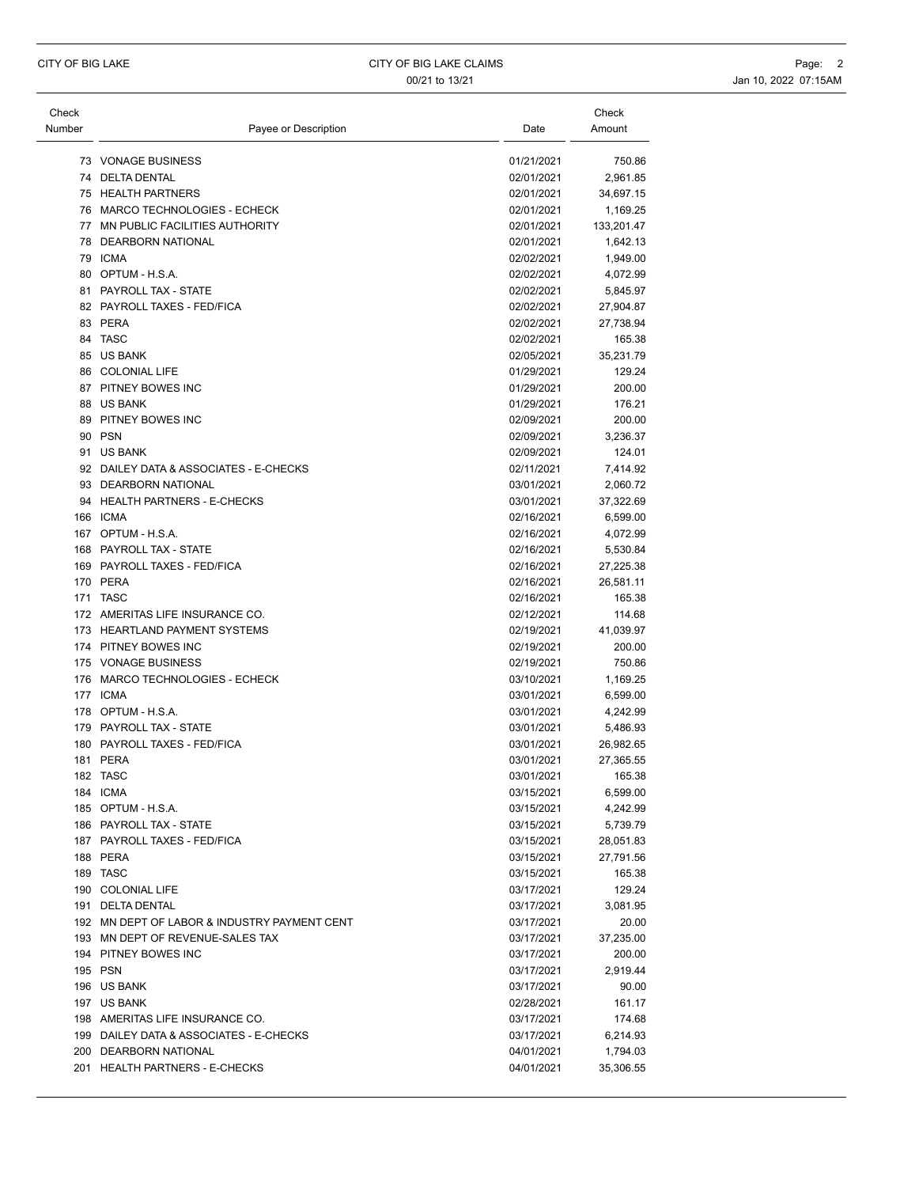| Check  |                                              |            | Check      |
|--------|----------------------------------------------|------------|------------|
| Number | Payee or Description                         | Date       | Amount     |
|        |                                              |            |            |
|        | 73 VONAGE BUSINESS                           | 01/21/2021 | 750.86     |
|        | 74 DELTA DENTAL                              | 02/01/2021 | 2,961.85   |
|        | 75 HEALTH PARTNERS                           | 02/01/2021 | 34,697.15  |
|        | 76 MARCO TECHNOLOGIES - ECHECK               | 02/01/2021 | 1,169.25   |
|        | 77 MN PUBLIC FACILITIES AUTHORITY            | 02/01/2021 | 133,201.47 |
|        | 78 DEARBORN NATIONAL                         | 02/01/2021 | 1,642.13   |
|        | 79 ICMA                                      | 02/02/2021 | 1,949.00   |
|        | 80 OPTUM - H.S.A.                            | 02/02/2021 | 4,072.99   |
|        | 81 PAYROLL TAX - STATE                       | 02/02/2021 | 5,845.97   |
|        | 82 PAYROLL TAXES - FED/FICA                  | 02/02/2021 | 27,904.87  |
|        | 83 PERA                                      | 02/02/2021 | 27,738.94  |
|        | 84 TASC                                      | 02/02/2021 | 165.38     |
|        | 85 US BANK                                   | 02/05/2021 | 35,231.79  |
|        | 86 COLONIAL LIFE                             | 01/29/2021 | 129.24     |
|        | 87 PITNEY BOWES INC                          | 01/29/2021 | 200.00     |
|        | 88 US BANK                                   | 01/29/2021 | 176.21     |
|        | 89 PITNEY BOWES INC                          | 02/09/2021 | 200.00     |
|        | 90 PSN                                       |            |            |
|        |                                              | 02/09/2021 | 3,236.37   |
|        | 91 US BANK                                   | 02/09/2021 | 124.01     |
|        | 92 DAILEY DATA & ASSOCIATES - E-CHECKS       | 02/11/2021 | 7,414.92   |
|        | 93 DEARBORN NATIONAL                         | 03/01/2021 | 2,060.72   |
|        | 94 HEALTH PARTNERS - E-CHECKS                | 03/01/2021 | 37,322.69  |
|        | 166 ICMA                                     | 02/16/2021 | 6,599.00   |
|        | 167 OPTUM - H.S.A.                           | 02/16/2021 | 4,072.99   |
|        | 168 PAYROLL TAX - STATE                      | 02/16/2021 | 5,530.84   |
|        | 169 PAYROLL TAXES - FED/FICA                 | 02/16/2021 | 27,225.38  |
|        | 170 PERA                                     | 02/16/2021 | 26,581.11  |
|        | 171 TASC                                     | 02/16/2021 | 165.38     |
|        | 172 AMERITAS LIFE INSURANCE CO.              | 02/12/2021 | 114.68     |
|        | 173 HEARTLAND PAYMENT SYSTEMS                | 02/19/2021 | 41,039.97  |
|        | 174 PITNEY BOWES INC                         | 02/19/2021 | 200.00     |
|        | 175 VONAGE BUSINESS                          | 02/19/2021 | 750.86     |
|        | 176 MARCO TECHNOLOGIES - ECHECK              | 03/10/2021 | 1,169.25   |
|        | 177 ICMA                                     | 03/01/2021 | 6,599.00   |
|        | 178 OPTUM - H.S.A.                           | 03/01/2021 |            |
|        |                                              |            | 4,242.99   |
|        | 179 PAYROLL TAX - STATE                      | 03/01/2021 | 5,486.93   |
|        | 180 PAYROLL TAXES - FED/FICA                 | 03/01/2021 | 26,982.65  |
|        | 181 PERA                                     | 03/01/2021 | 27,365.55  |
| 182    | TASC                                         | 03/01/2021 | 165.38     |
|        | 184 ICMA                                     | 03/15/2021 | 6,599.00   |
|        | 185 OPTUM - H.S.A.                           | 03/15/2021 | 4,242.99   |
|        | 186 PAYROLL TAX - STATE                      | 03/15/2021 | 5,739.79   |
|        | 187 PAYROLL TAXES - FED/FICA                 | 03/15/2021 | 28,051.83  |
|        | 188 PERA                                     | 03/15/2021 | 27,791.56  |
|        | 189 TASC                                     | 03/15/2021 | 165.38     |
|        | 190 COLONIAL LIFE                            | 03/17/2021 | 129.24     |
|        | 191 DELTA DENTAL                             | 03/17/2021 | 3,081.95   |
|        | 192 MN DEPT OF LABOR & INDUSTRY PAYMENT CENT | 03/17/2021 | 20.00      |
|        | 193 MN DEPT OF REVENUE-SALES TAX             | 03/17/2021 | 37,235.00  |
|        | 194 PITNEY BOWES INC                         | 03/17/2021 | 200.00     |
|        | 195 PSN                                      | 03/17/2021 |            |
|        |                                              |            | 2,919.44   |
|        | 196 US BANK                                  | 03/17/2021 | 90.00      |
|        | 197 US BANK                                  | 02/28/2021 | 161.17     |
|        | 198 AMERITAS LIFE INSURANCE CO.              | 03/17/2021 | 174.68     |
|        | 199 DAILEY DATA & ASSOCIATES - E-CHECKS      | 03/17/2021 | 6,214.93   |
|        |                                              |            |            |
|        | 200 DEARBORN NATIONAL                        | 04/01/2021 | 1,794.03   |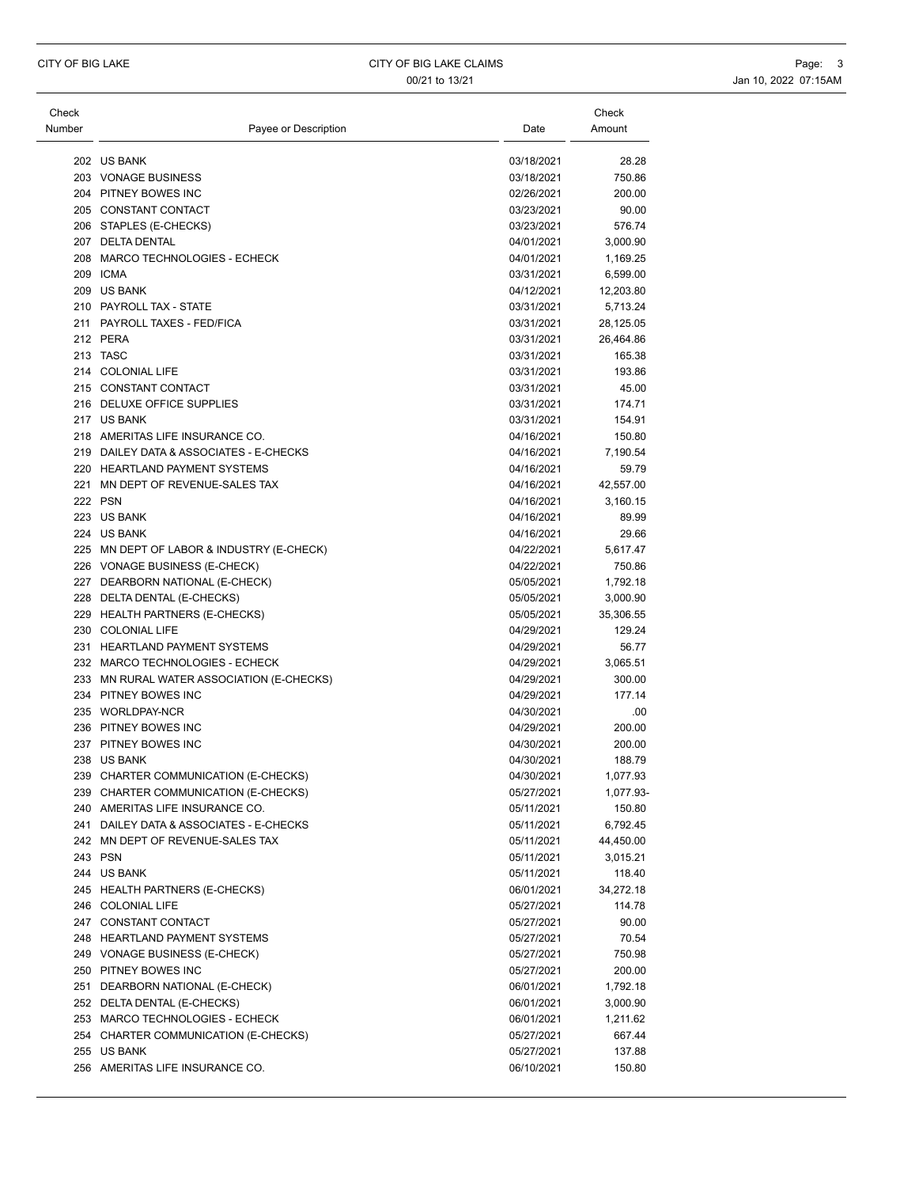| Check  |                                           |            | Check     |
|--------|-------------------------------------------|------------|-----------|
| Number | Payee or Description                      | Date       | Amount    |
|        | 202 US BANK                               | 03/18/2021 | 28.28     |
|        | 203 VONAGE BUSINESS                       | 03/18/2021 | 750.86    |
|        | 204 PITNEY BOWES INC                      | 02/26/2021 | 200.00    |
|        | 205 CONSTANT CONTACT                      | 03/23/2021 | 90.00     |
|        | 206 STAPLES (E-CHECKS)                    | 03/23/2021 | 576.74    |
|        | 207 DELTA DENTAL                          | 04/01/2021 | 3,000.90  |
|        | 208 MARCO TECHNOLOGIES - ECHECK           | 04/01/2021 | 1,169.25  |
|        | 209 ICMA                                  | 03/31/2021 | 6,599.00  |
|        | 209 US BANK                               | 04/12/2021 | 12,203.80 |
|        | 210 PAYROLL TAX - STATE                   | 03/31/2021 | 5,713.24  |
|        | 211 PAYROLL TAXES - FED/FICA              | 03/31/2021 | 28,125.05 |
|        | 212 PERA                                  | 03/31/2021 | 26,464.86 |
|        | 213 TASC                                  | 03/31/2021 | 165.38    |
|        | 214 COLONIAL LIFE                         | 03/31/2021 | 193.86    |
|        | 215 CONSTANT CONTACT                      | 03/31/2021 | 45.00     |
|        | 216 DELUXE OFFICE SUPPLIES                | 03/31/2021 | 174.71    |
|        | 217 US BANK                               | 03/31/2021 | 154.91    |
|        | 218 AMERITAS LIFE INSURANCE CO.           | 04/16/2021 | 150.80    |
|        | 219 DAILEY DATA & ASSOCIATES - E-CHECKS   | 04/16/2021 | 7,190.54  |
|        | 220 HEARTLAND PAYMENT SYSTEMS             | 04/16/2021 | 59.79     |
|        | 221 MN DEPT OF REVENUE-SALES TAX          | 04/16/2021 | 42,557.00 |
|        | 222 PSN                                   | 04/16/2021 | 3,160.15  |
|        | 223 US BANK                               | 04/16/2021 | 89.99     |
|        | 224 US BANK                               | 04/16/2021 | 29.66     |
|        | 225 MN DEPT OF LABOR & INDUSTRY (E-CHECK) | 04/22/2021 | 5,617.47  |
|        | 226 VONAGE BUSINESS (E-CHECK)             | 04/22/2021 | 750.86    |
|        | 227 DEARBORN NATIONAL (E-CHECK)           | 05/05/2021 | 1,792.18  |
|        | 228 DELTA DENTAL (E-CHECKS)               | 05/05/2021 | 3,000.90  |
|        | 229 HEALTH PARTNERS (E-CHECKS)            | 05/05/2021 | 35,306.55 |
|        | 230 COLONIAL LIFE                         | 04/29/2021 | 129.24    |
|        | 231 HEARTLAND PAYMENT SYSTEMS             | 04/29/2021 | 56.77     |
|        | 232 MARCO TECHNOLOGIES - ECHECK           | 04/29/2021 | 3,065.51  |
|        | 233 MN RURAL WATER ASSOCIATION (E-CHECKS) | 04/29/2021 | 300.00    |
|        | 234 PITNEY BOWES INC                      | 04/29/2021 | 177.14    |
|        | 235 WORLDPAY-NCR                          | 04/30/2021 | .00       |
|        | 236 PITNEY BOWES INC                      | 04/29/2021 | 200.00    |
|        | 237 PITNEY BOWES INC                      | 04/30/2021 | 200.00    |
|        | 238 US BANK                               | 04/30/2021 | 188.79    |
|        | 239 CHARTER COMMUNICATION (E-CHECKS)      | 04/30/2021 | 1,077.93  |
|        | 239 CHARTER COMMUNICATION (E-CHECKS)      | 05/27/2021 | 1,077.93- |
|        | 240 AMERITAS LIFE INSURANCE CO.           | 05/11/2021 | 150.80    |
|        | 241 DAILEY DATA & ASSOCIATES - E-CHECKS   | 05/11/2021 | 6,792.45  |
|        | 242 MN DEPT OF REVENUE-SALES TAX          | 05/11/2021 | 44,450.00 |
|        | 243 PSN                                   | 05/11/2021 | 3,015.21  |
|        | 244 US BANK                               | 05/11/2021 | 118.40    |
|        | 245 HEALTH PARTNERS (E-CHECKS)            | 06/01/2021 | 34,272.18 |
|        | 246 COLONIAL LIFE                         | 05/27/2021 | 114.78    |
|        | 247 CONSTANT CONTACT                      | 05/27/2021 | 90.00     |
|        | 248 HEARTLAND PAYMENT SYSTEMS             | 05/27/2021 | 70.54     |
|        | 249 VONAGE BUSINESS (E-CHECK)             | 05/27/2021 | 750.98    |
|        | 250 PITNEY BOWES INC                      | 05/27/2021 | 200.00    |
|        | 251 DEARBORN NATIONAL (E-CHECK)           | 06/01/2021 | 1,792.18  |
|        | 252 DELTA DENTAL (E-CHECKS)               | 06/01/2021 | 3,000.90  |
|        | 253 MARCO TECHNOLOGIES - ECHECK           | 06/01/2021 | 1,211.62  |
|        | 254 CHARTER COMMUNICATION (E-CHECKS)      | 05/27/2021 | 667.44    |
|        | 255 US BANK                               | 05/27/2021 | 137.88    |
|        | 256 AMERITAS LIFE INSURANCE CO.           | 06/10/2021 | 150.80    |
|        |                                           |            |           |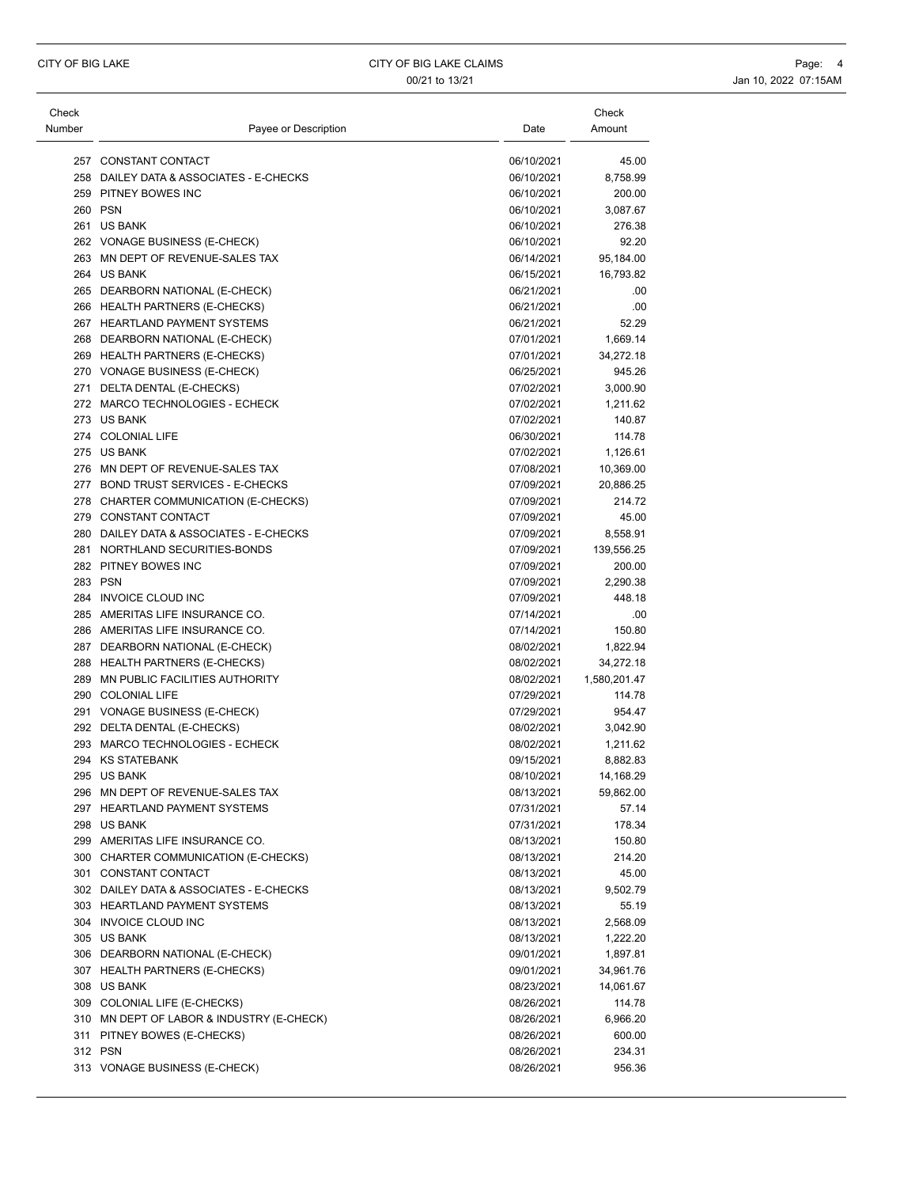| Check  |                                                     |                          | Check                 |
|--------|-----------------------------------------------------|--------------------------|-----------------------|
| Number | Payee or Description                                | Date                     | Amount                |
|        | 257 CONSTANT CONTACT                                | 06/10/2021               | 45.00                 |
|        | 258 DAILEY DATA & ASSOCIATES - E-CHECKS             | 06/10/2021               | 8,758.99              |
|        | 259 PITNEY BOWES INC                                | 06/10/2021               | 200.00                |
|        | 260 PSN                                             | 06/10/2021               | 3,087.67              |
|        | 261 US BANK                                         | 06/10/2021               | 276.38                |
|        | 262 VONAGE BUSINESS (E-CHECK)                       | 06/10/2021               | 92.20                 |
|        | 263 MN DEPT OF REVENUE-SALES TAX                    | 06/14/2021               | 95,184.00             |
|        | 264 US BANK                                         | 06/15/2021               | 16,793.82             |
|        | 265 DEARBORN NATIONAL (E-CHECK)                     | 06/21/2021               | .00                   |
|        | 266 HEALTH PARTNERS (E-CHECKS)                      | 06/21/2021               | .00                   |
|        | 267 HEARTLAND PAYMENT SYSTEMS                       | 06/21/2021               | 52.29                 |
|        | 268 DEARBORN NATIONAL (E-CHECK)                     | 07/01/2021               | 1,669.14              |
|        | 269 HEALTH PARTNERS (E-CHECKS)                      | 07/01/2021               | 34,272.18             |
|        | 270 VONAGE BUSINESS (E-CHECK)                       | 06/25/2021               | 945.26                |
|        | 271 DELTA DENTAL (E-CHECKS)                         | 07/02/2021               | 3,000.90              |
|        | 272 MARCO TECHNOLOGIES - ECHECK                     | 07/02/2021               | 1,211.62              |
|        | 273 US BANK                                         | 07/02/2021               | 140.87                |
|        | 274 COLONIAL LIFE                                   | 06/30/2021               | 114.78                |
|        | 275 US BANK                                         | 07/02/2021               | 1,126.61              |
|        | 276 MN DEPT OF REVENUE-SALES TAX                    | 07/08/2021               | 10,369.00             |
|        | 277 BOND TRUST SERVICES - E-CHECKS                  | 07/09/2021               | 20,886.25             |
|        | 278 CHARTER COMMUNICATION (E-CHECKS)                | 07/09/2021               | 214.72                |
|        | 279 CONSTANT CONTACT                                | 07/09/2021               | 45.00                 |
|        | 280 DAILEY DATA & ASSOCIATES - E-CHECKS             | 07/09/2021               | 8,558.91              |
|        | 281 NORTHLAND SECURITIES-BONDS                      | 07/09/2021               | 139,556.25            |
|        | 282 PITNEY BOWES INC                                | 07/09/2021               | 200.00                |
|        | 283 PSN                                             | 07/09/2021               | 2,290.38              |
|        | 284 INVOICE CLOUD INC                               | 07/09/2021               | 448.18                |
|        | 285 AMERITAS LIFE INSURANCE CO.                     | 07/14/2021               | .00                   |
|        | 286 AMERITAS LIFE INSURANCE CO.                     | 07/14/2021               | 150.80                |
|        | 287 DEARBORN NATIONAL (E-CHECK)                     | 08/02/2021               | 1,822.94              |
|        | 288 HEALTH PARTNERS (E-CHECKS)                      | 08/02/2021               | 34,272.18             |
|        | 289 MN PUBLIC FACILITIES AUTHORITY                  | 08/02/2021               | 1,580,201.47          |
|        | 290 COLONIAL LIFE                                   | 07/29/2021               | 114.78                |
|        | 291 VONAGE BUSINESS (E-CHECK)                       | 07/29/2021               | 954.47                |
|        |                                                     | 08/02/2021               |                       |
|        | 292 DELTA DENTAL (E-CHECKS)                         |                          | 3,042.90              |
|        | 293 MARCO TECHNOLOGIES - ECHECK<br>294 KS STATEBANK | 08/02/2021<br>09/15/2021 | 1,211.62              |
|        | 295 US BANK                                         | 08/10/2021               | 8,882.83<br>14,168.29 |
|        | 296 MN DEPT OF REVENUE-SALES TAX                    |                          |                       |
|        | 297 HEARTLAND PAYMENT SYSTEMS                       | 08/13/2021<br>07/31/2021 | 59,862.00             |
|        | 298 US BANK                                         |                          | 57.14                 |
|        |                                                     | 07/31/2021               | 178.34                |
|        | 299 AMERITAS LIFE INSURANCE CO.                     | 08/13/2021               | 150.80                |
|        | 300 CHARTER COMMUNICATION (E-CHECKS)                | 08/13/2021               | 214.20                |
|        | 301 CONSTANT CONTACT                                | 08/13/2021               | 45.00                 |
|        | 302 DAILEY DATA & ASSOCIATES - E-CHECKS             | 08/13/2021               | 9,502.79              |
|        | 303 HEARTLAND PAYMENT SYSTEMS                       | 08/13/2021               | 55.19                 |
|        | 304 INVOICE CLOUD INC                               | 08/13/2021               | 2,568.09              |
|        | 305 US BANK                                         | 08/13/2021               | 1,222.20              |
|        | 306 DEARBORN NATIONAL (E-CHECK)                     | 09/01/2021               | 1,897.81              |
|        | 307 HEALTH PARTNERS (E-CHECKS)                      | 09/01/2021               | 34,961.76             |
|        | 308 US BANK                                         | 08/23/2021               | 14,061.67             |
|        | 309 COLONIAL LIFE (E-CHECKS)                        | 08/26/2021               | 114.78                |
|        | 310 MN DEPT OF LABOR & INDUSTRY (E-CHECK)           | 08/26/2021               | 6,966.20              |
|        | 311 PITNEY BOWES (E-CHECKS)                         | 08/26/2021               | 600.00                |
|        | 312 PSN                                             | 08/26/2021               | 234.31                |
|        | 313 VONAGE BUSINESS (E-CHECK)                       | 08/26/2021               | 956.36                |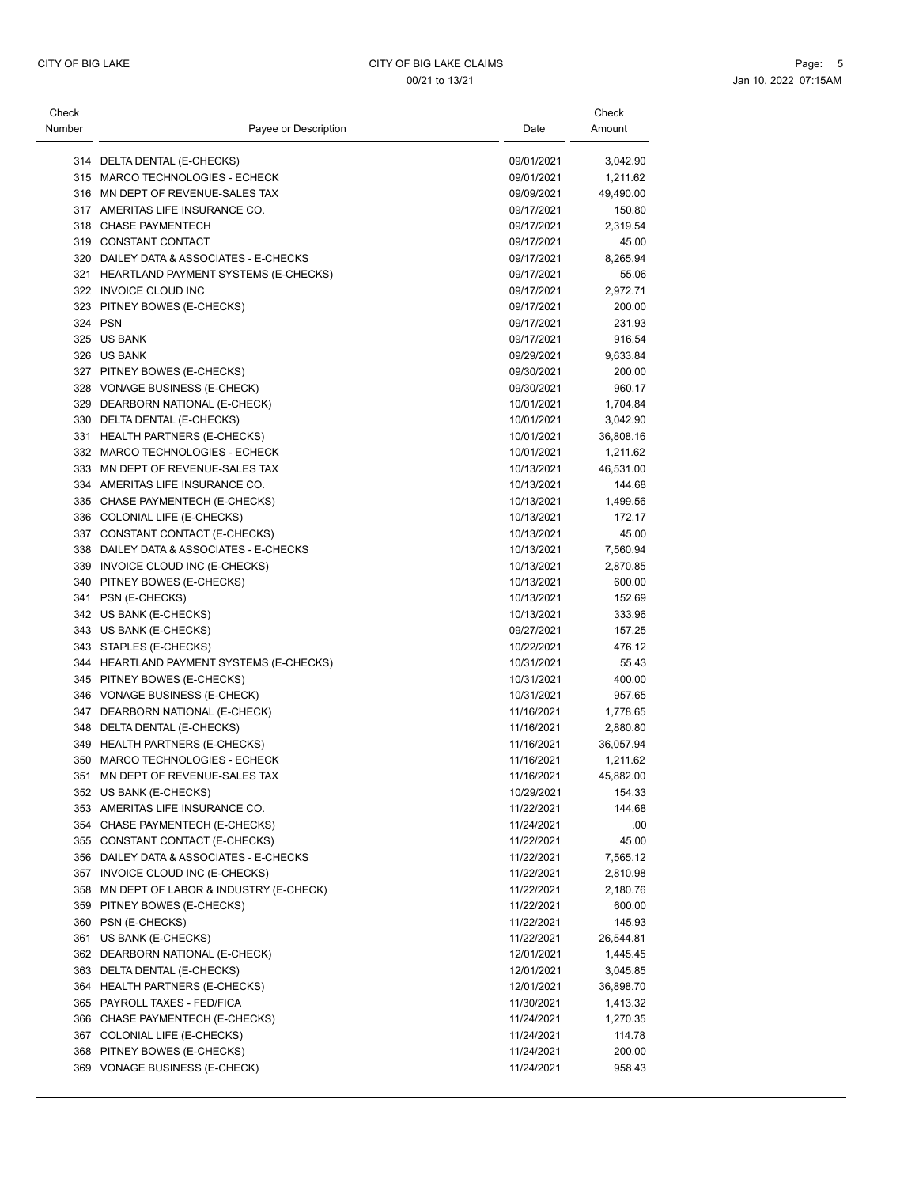| Check  |                                                                    |            | Check                 |
|--------|--------------------------------------------------------------------|------------|-----------------------|
| Number | Payee or Description                                               | Date       | Amount                |
|        | 314 DELTA DENTAL (E-CHECKS)                                        | 09/01/2021 | 3,042.90              |
|        | 315 MARCO TECHNOLOGIES - ECHECK                                    | 09/01/2021 | 1,211.62              |
|        | 316 MN DEPT OF REVENUE-SALES TAX                                   | 09/09/2021 | 49,490.00             |
|        | 317 AMERITAS LIFE INSURANCE CO.                                    | 09/17/2021 | 150.80                |
|        | 318 CHASE PAYMENTECH                                               | 09/17/2021 | 2,319.54              |
|        | 319 CONSTANT CONTACT                                               | 09/17/2021 | 45.00                 |
|        | 320 DAILEY DATA & ASSOCIATES - E-CHECKS                            | 09/17/2021 | 8,265.94              |
|        | 321 HEARTLAND PAYMENT SYSTEMS (E-CHECKS)                           | 09/17/2021 | 55.06                 |
|        | 322 INVOICE CLOUD INC                                              | 09/17/2021 | 2,972.71              |
|        | 323 PITNEY BOWES (E-CHECKS)                                        | 09/17/2021 | 200.00                |
|        | 324 PSN                                                            | 09/17/2021 | 231.93                |
|        | 325 US BANK                                                        | 09/17/2021 | 916.54                |
|        | 326 US BANK                                                        | 09/29/2021 | 9,633.84              |
|        | 327 PITNEY BOWES (E-CHECKS)                                        | 09/30/2021 | 200.00                |
|        | 328 VONAGE BUSINESS (E-CHECK)                                      | 09/30/2021 | 960.17                |
|        | 329 DEARBORN NATIONAL (E-CHECK)                                    | 10/01/2021 | 1,704.84              |
|        | 330 DELTA DENTAL (E-CHECKS)                                        | 10/01/2021 | 3,042.90              |
|        | 331 HEALTH PARTNERS (E-CHECKS)                                     | 10/01/2021 | 36,808.16             |
|        | 332 MARCO TECHNOLOGIES - ECHECK                                    | 10/01/2021 | 1,211.62              |
|        | 333 MN DEPT OF REVENUE-SALES TAX                                   | 10/13/2021 | 46,531.00             |
|        | 334 AMERITAS LIFE INSURANCE CO.                                    | 10/13/2021 | 144.68                |
|        | 335 CHASE PAYMENTECH (E-CHECKS)                                    | 10/13/2021 | 1,499.56              |
|        | 336 COLONIAL LIFE (E-CHECKS)                                       | 10/13/2021 | 172.17                |
|        | 337 CONSTANT CONTACT (E-CHECKS)                                    | 10/13/2021 | 45.00                 |
|        | 338 DAILEY DATA & ASSOCIATES - E-CHECKS                            | 10/13/2021 | 7,560.94              |
|        | 339 INVOICE CLOUD INC (E-CHECKS)                                   | 10/13/2021 | 2,870.85              |
|        | 340 PITNEY BOWES (E-CHECKS)                                        | 10/13/2021 | 600.00                |
|        | 341 PSN (E-CHECKS)                                                 | 10/13/2021 | 152.69                |
|        | 342 US BANK (E-CHECKS)                                             | 10/13/2021 | 333.96                |
|        | 343 US BANK (E-CHECKS)                                             | 09/27/2021 | 157.25                |
|        | 343 STAPLES (E-CHECKS)                                             | 10/22/2021 | 476.12                |
|        | 344 HEARTLAND PAYMENT SYSTEMS (E-CHECKS)                           | 10/31/2021 | 55.43                 |
|        | 345 PITNEY BOWES (E-CHECKS)                                        | 10/31/2021 | 400.00                |
|        | 346 VONAGE BUSINESS (E-CHECK)                                      | 10/31/2021 | 957.65                |
|        | 347 DEARBORN NATIONAL (E-CHECK)                                    | 11/16/2021 | 1,778.65              |
|        |                                                                    | 11/16/2021 |                       |
|        | 348 DELTA DENTAL (E-CHECKS)                                        | 11/16/2021 | 2,880.80              |
|        | 349 HEALTH PARTNERS (E-CHECKS)                                     | 11/16/2021 | 36,057.94<br>1,211.62 |
| 351    | 350 MARCO TECHNOLOGIES - ECHECK<br>MN DEPT OF REVENUE-SALES TAX    | 11/16/2021 | 45,882.00             |
|        |                                                                    |            |                       |
|        | 352 US BANK (E-CHECKS)                                             | 10/29/2021 | 154.33                |
|        | 353 AMERITAS LIFE INSURANCE CO.<br>354 CHASE PAYMENTECH (E-CHECKS) | 11/22/2021 | 144.68                |
|        |                                                                    | 11/24/2021 | .00                   |
|        | 355 CONSTANT CONTACT (E-CHECKS)                                    | 11/22/2021 | 45.00                 |
|        | 356 DAILEY DATA & ASSOCIATES - E-CHECKS                            | 11/22/2021 | 7,565.12              |
|        | 357 INVOICE CLOUD INC (E-CHECKS)                                   | 11/22/2021 | 2,810.98              |
|        | 358 MN DEPT OF LABOR & INDUSTRY (E-CHECK)                          | 11/22/2021 | 2,180.76              |
|        | 359 PITNEY BOWES (E-CHECKS)                                        | 11/22/2021 | 600.00                |
|        | 360 PSN (E-CHECKS)                                                 | 11/22/2021 | 145.93                |
|        | 361 US BANK (E-CHECKS)                                             | 11/22/2021 | 26,544.81             |
|        | 362 DEARBORN NATIONAL (E-CHECK)                                    | 12/01/2021 | 1,445.45              |
|        | 363 DELTA DENTAL (E-CHECKS)                                        | 12/01/2021 | 3,045.85              |
|        | 364 HEALTH PARTNERS (E-CHECKS)                                     | 12/01/2021 | 36,898.70             |
|        | 365 PAYROLL TAXES - FED/FICA                                       | 11/30/2021 | 1,413.32              |
|        | 366 CHASE PAYMENTECH (E-CHECKS)                                    | 11/24/2021 | 1,270.35              |
|        | 367 COLONIAL LIFE (E-CHECKS)                                       | 11/24/2021 | 114.78                |
|        | 368 PITNEY BOWES (E-CHECKS)                                        | 11/24/2021 | 200.00                |
|        | 369 VONAGE BUSINESS (E-CHECK)                                      | 11/24/2021 | 958.43                |
|        |                                                                    |            |                       |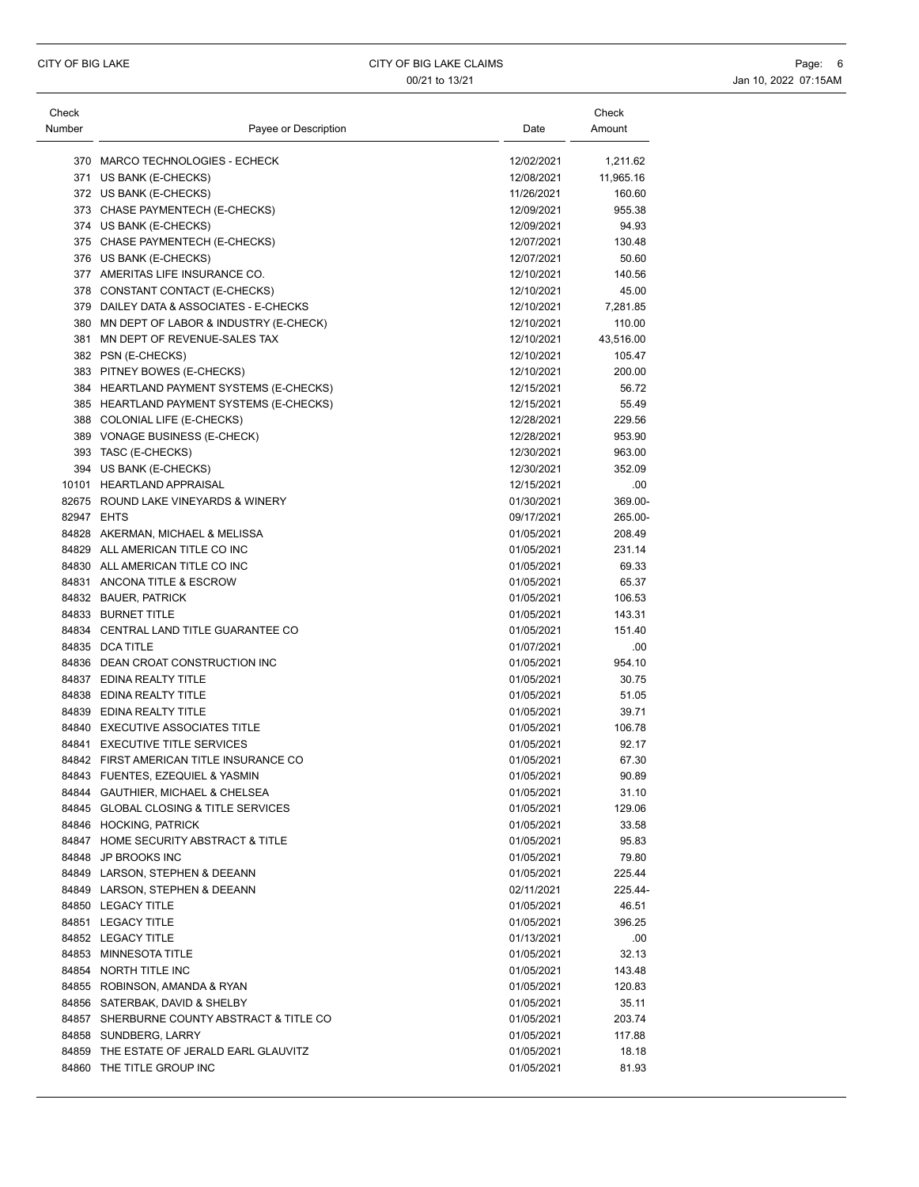| Check  |                                                             |                          | Check     |
|--------|-------------------------------------------------------------|--------------------------|-----------|
| Number | Payee or Description                                        | Date                     | Amount    |
|        | 370 MARCO TECHNOLOGIES - ECHECK                             | 12/02/2021               | 1,211.62  |
|        | 371 US BANK (E-CHECKS)                                      | 12/08/2021               | 11,965.16 |
|        | 372 US BANK (E-CHECKS)                                      | 11/26/2021               | 160.60    |
|        | 373 CHASE PAYMENTECH (E-CHECKS)                             | 12/09/2021               | 955.38    |
|        | 374 US BANK (E-CHECKS)                                      | 12/09/2021               | 94.93     |
|        | 375 CHASE PAYMENTECH (E-CHECKS)                             | 12/07/2021               | 130.48    |
|        | 376 US BANK (E-CHECKS)                                      | 12/07/2021               | 50.60     |
|        | 377 AMERITAS LIFE INSURANCE CO.                             | 12/10/2021               | 140.56    |
|        | 378 CONSTANT CONTACT (E-CHECKS)                             | 12/10/2021               | 45.00     |
|        | 379 DAILEY DATA & ASSOCIATES - E-CHECKS                     | 12/10/2021               | 7,281.85  |
|        | 380 MN DEPT OF LABOR & INDUSTRY (E-CHECK)                   | 12/10/2021               | 110.00    |
|        | 381 MN DEPT OF REVENUE-SALES TAX                            | 12/10/2021               | 43,516.00 |
|        | 382 PSN (E-CHECKS)                                          | 12/10/2021               | 105.47    |
|        | 383 PITNEY BOWES (E-CHECKS)                                 | 12/10/2021               | 200.00    |
|        | 384 HEARTLAND PAYMENT SYSTEMS (E-CHECKS)                    | 12/15/2021               | 56.72     |
|        | 385 HEARTLAND PAYMENT SYSTEMS (E-CHECKS)                    | 12/15/2021               | 55.49     |
|        | 388 COLONIAL LIFE (E-CHECKS)                                | 12/28/2021               | 229.56    |
|        | 389 VONAGE BUSINESS (E-CHECK)                               | 12/28/2021               | 953.90    |
|        | 393 TASC (E-CHECKS)                                         | 12/30/2021               | 963.00    |
|        | 394 US BANK (E-CHECKS)                                      | 12/30/2021               | 352.09    |
|        | 10101 HEARTLAND APPRAISAL                                   | 12/15/2021               | .00       |
|        | 82675 ROUND LAKE VINEYARDS & WINERY                         | 01/30/2021               | 369.00-   |
|        | 82947 EHTS                                                  | 09/17/2021               | 265.00-   |
|        | 84828 AKERMAN, MICHAEL & MELISSA                            | 01/05/2021               | 208.49    |
|        | 84829 ALL AMERICAN TITLE CO INC                             | 01/05/2021               | 231.14    |
|        | 84830 ALL AMERICAN TITLE CO INC                             | 01/05/2021               | 69.33     |
|        | 84831 ANCONA TITLE & ESCROW                                 | 01/05/2021               | 65.37     |
|        | 84832 BAUER, PATRICK                                        | 01/05/2021               | 106.53    |
|        | 84833 BURNET TITLE                                          | 01/05/2021               | 143.31    |
|        | 84834 CENTRAL LAND TITLE GUARANTEE CO                       | 01/05/2021               | 151.40    |
|        | 84835 DCA TITLE                                             | 01/07/2021               | .00       |
|        | 84836 DEAN CROAT CONSTRUCTION INC                           | 01/05/2021               | 954.10    |
|        | 84837 EDINA REALTY TITLE                                    | 01/05/2021               | 30.75     |
|        | 84838 EDINA REALTY TITLE                                    | 01/05/2021               | 51.05     |
|        | 84839 EDINA REALTY TITLE                                    | 01/05/2021               | 39.71     |
|        | 84840 EXECUTIVE ASSOCIATES TITLE                            | 01/05/2021               | 106.78    |
|        | 84841 EXECUTIVE TITLE SERVICES                              |                          | 92.17     |
|        | 84842 FIRST AMERICAN TITLE INSURANCE CO                     | 01/05/2021<br>01/05/2021 | 67.30     |
|        | 84843 FUENTES, EZEQUIEL & YASMIN                            | 01/05/2021               | 90.89     |
|        | 84844 GAUTHIER, MICHAEL & CHELSEA                           |                          | 31.10     |
|        | 84845 GLOBAL CLOSING & TITLE SERVICES                       | 01/05/2021               |           |
|        |                                                             | 01/05/2021<br>01/05/2021 | 129.06    |
|        | 84846 HOCKING, PATRICK                                      |                          | 33.58     |
|        | 84847 HOME SECURITY ABSTRACT & TITLE<br>84848 JP BROOKS INC | 01/05/2021               | 95.83     |
|        |                                                             | 01/05/2021<br>01/05/2021 | 79.80     |
|        | 84849 LARSON, STEPHEN & DEEANN                              |                          | 225.44    |
|        | 84849 LARSON, STEPHEN & DEEANN                              | 02/11/2021               | 225.44-   |
|        | 84850 LEGACY TITLE                                          | 01/05/2021               | 46.51     |
|        | 84851 LEGACY TITLE                                          | 01/05/2021               | 396.25    |
|        | 84852 LEGACY TITLE                                          | 01/13/2021               | .00.      |
|        | 84853 MINNESOTA TITLE                                       | 01/05/2021               | 32.13     |
|        | 84854 NORTH TITLE INC                                       | 01/05/2021               | 143.48    |
|        | 84855 ROBINSON, AMANDA & RYAN                               | 01/05/2021               | 120.83    |
|        | 84856 SATERBAK, DAVID & SHELBY                              | 01/05/2021               | 35.11     |
|        | 84857 SHERBURNE COUNTY ABSTRACT & TITLE CO                  | 01/05/2021               | 203.74    |
|        | 84858 SUNDBERG, LARRY                                       | 01/05/2021               | 117.88    |
|        | 84859 THE ESTATE OF JERALD EARL GLAUVITZ                    | 01/05/2021               | 18.18     |
|        | 84860 THE TITLE GROUP INC                                   | 01/05/2021               | 81.93     |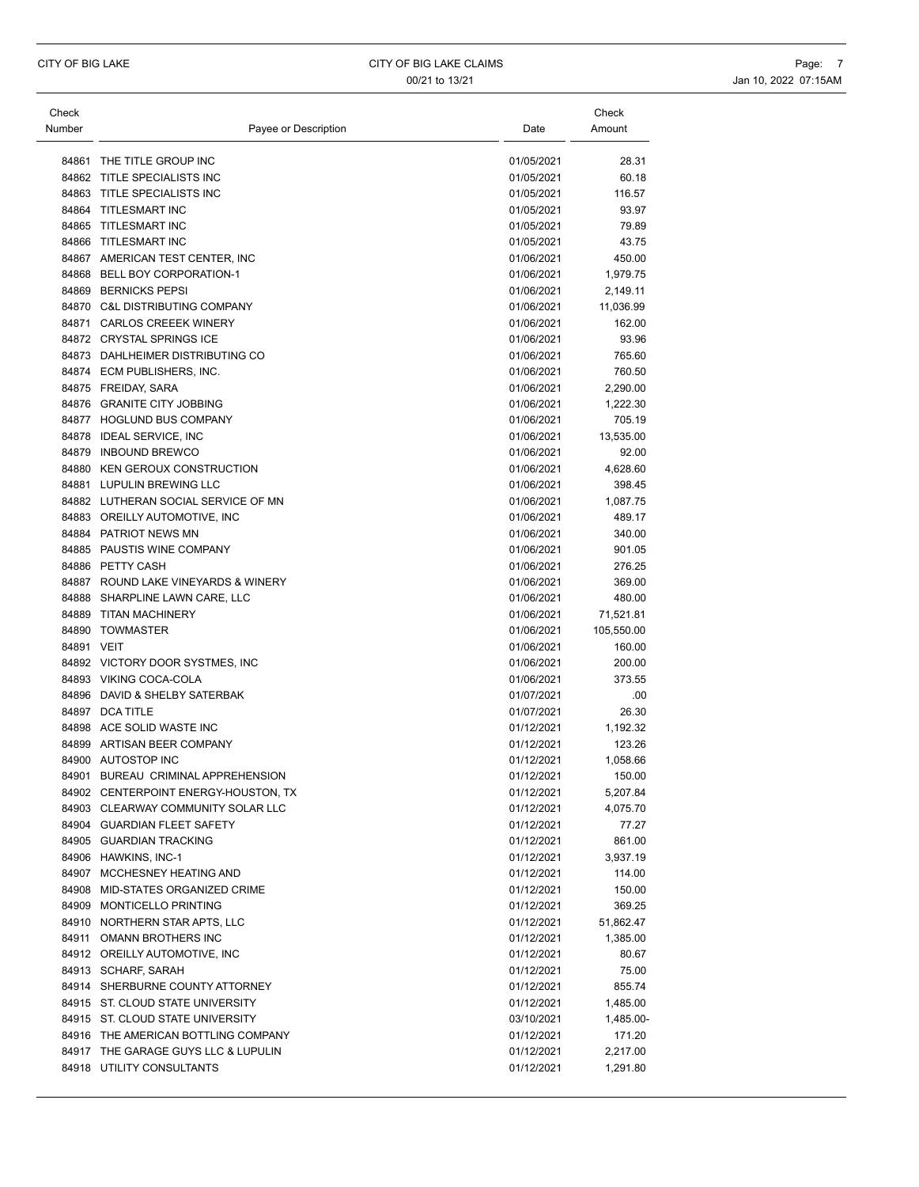00/21 to 13/21 1000 1000 10000 10000 10000 10000 10000 10000 10000 10000 10000 10000 10000 10000 10000 10000 1

| Check<br>Number |                             | Payee or Description | Date       | Check<br>Amount |
|-----------------|-----------------------------|----------------------|------------|-----------------|
|                 | 84861 THE TITLE GROUP INC   |                      | 01/05/2021 | $\overline{2}$  |
|                 | 84862 TITLE SPECIALISTS INC |                      | 01/05/2021 | 6               |

|            | 84861 THE TITLE GROUP INC            | 01/05/2021 | 28.31      |
|------------|--------------------------------------|------------|------------|
|            | 84862 TITLE SPECIALISTS INC          | 01/05/2021 | 60.18      |
|            | 84863 TITLE SPECIALISTS INC          | 01/05/2021 | 116.57     |
|            | 84864 TITLESMART INC                 | 01/05/2021 | 93.97      |
|            | 84865 TITLESMART INC                 | 01/05/2021 | 79.89      |
|            | 84866 TITLESMART INC                 | 01/05/2021 | 43.75      |
|            | 84867 AMERICAN TEST CENTER, INC      | 01/06/2021 | 450.00     |
|            | 84868 BELL BOY CORPORATION-1         | 01/06/2021 | 1,979.75   |
|            | 84869 BERNICKS PEPSI                 | 01/06/2021 | 2,149.11   |
|            | 84870 C&L DISTRIBUTING COMPANY       | 01/06/2021 | 11,036.99  |
|            | 84871 CARLOS CREEEK WINERY           | 01/06/2021 | 162.00     |
|            | 84872 CRYSTAL SPRINGS ICE            | 01/06/2021 | 93.96      |
|            | 84873 DAHLHEIMER DISTRIBUTING CO     | 01/06/2021 | 765.60     |
|            | 84874 ECM PUBLISHERS, INC.           | 01/06/2021 | 760.50     |
|            | 84875 FREIDAY, SARA                  | 01/06/2021 | 2,290.00   |
|            | 84876 GRANITE CITY JOBBING           | 01/06/2021 | 1,222.30   |
|            | 84877 HOGLUND BUS COMPANY            | 01/06/2021 | 705.19     |
|            | 84878 IDEAL SERVICE, INC             | 01/06/2021 | 13,535.00  |
|            | 84879 INBOUND BREWCO                 | 01/06/2021 | 92.00      |
|            | 84880 KEN GEROUX CONSTRUCTION        | 01/06/2021 | 4,628.60   |
|            | 84881 LUPULIN BREWING LLC            | 01/06/2021 | 398.45     |
|            | 84882 LUTHERAN SOCIAL SERVICE OF MN  | 01/06/2021 | 1,087.75   |
|            | 84883 OREILLY AUTOMOTIVE, INC        | 01/06/2021 | 489.17     |
|            | 84884 PATRIOT NEWS MN                | 01/06/2021 | 340.00     |
|            | 84885 PAUSTIS WINE COMPANY           | 01/06/2021 | 901.05     |
|            | 84886 PETTY CASH                     | 01/06/2021 | 276.25     |
|            | 84887 ROUND LAKE VINEYARDS & WINERY  | 01/06/2021 | 369.00     |
|            | 84888 SHARPLINE LAWN CARE, LLC       | 01/06/2021 | 480.00     |
|            | 84889 TITAN MACHINERY                | 01/06/2021 | 71,521.81  |
|            | 84890 TOWMASTER                      | 01/06/2021 | 105,550.00 |
| 84891 VEIT |                                      | 01/06/2021 | 160.00     |
|            | 84892 VICTORY DOOR SYSTMES, INC      | 01/06/2021 | 200.00     |
|            | 84893 VIKING COCA-COLA               | 01/06/2021 | 373.55     |
|            | 84896 DAVID & SHELBY SATERBAK        | 01/07/2021 | .00        |
|            | 84897 DCA TITLE                      | 01/07/2021 | 26.30      |
|            | 84898 ACE SOLID WASTE INC            | 01/12/2021 | 1,192.32   |
|            | 84899 ARTISAN BEER COMPANY           | 01/12/2021 | 123.26     |
|            | 84900 AUTOSTOP INC                   | 01/12/2021 | 1,058.66   |
|            | 84901 BUREAU CRIMINAL APPREHENSION   | 01/12/2021 | 150.00     |
|            | 84902 CENTERPOINT ENERGY-HOUSTON, TX | 01/12/2021 | 5,207.84   |
|            | 84903 CLEARWAY COMMUNITY SOLAR LLC   | 01/12/2021 | 4,075.70   |
|            | 84904 GUARDIAN FLEET SAFETY          | 01/12/2021 | 77.27      |
|            | 84905 GUARDIAN TRACKING              | 01/12/2021 | 861.00     |
|            | 84906 HAWKINS, INC-1                 | 01/12/2021 | 3,937.19   |
|            | 84907 MCCHESNEY HEATING AND          | 01/12/2021 | 114.00     |
|            | 84908 MID-STATES ORGANIZED CRIME     | 01/12/2021 | 150.00     |
|            | 84909 MONTICELLO PRINTING            | 01/12/2021 | 369.25     |
|            | 84910 NORTHERN STAR APTS, LLC        | 01/12/2021 | 51,862.47  |
|            | 84911 OMANN BROTHERS INC             | 01/12/2021 | 1,385.00   |
|            | 84912 OREILLY AUTOMOTIVE, INC        | 01/12/2021 | 80.67      |
|            | 84913 SCHARF, SARAH                  | 01/12/2021 | 75.00      |
|            | 84914 SHERBURNE COUNTY ATTORNEY      | 01/12/2021 | 855.74     |
|            | 84915 ST. CLOUD STATE UNIVERSITY     | 01/12/2021 | 1,485.00   |
|            | 84915 ST. CLOUD STATE UNIVERSITY     | 03/10/2021 | 1,485.00-  |
|            | 84916 THE AMERICAN BOTTLING COMPANY  | 01/12/2021 | 171.20     |
|            | 84917 THE GARAGE GUYS LLC & LUPULIN  | 01/12/2021 | 2,217.00   |
|            | 84918 UTILITY CONSULTANTS            | 01/12/2021 | 1,291.80   |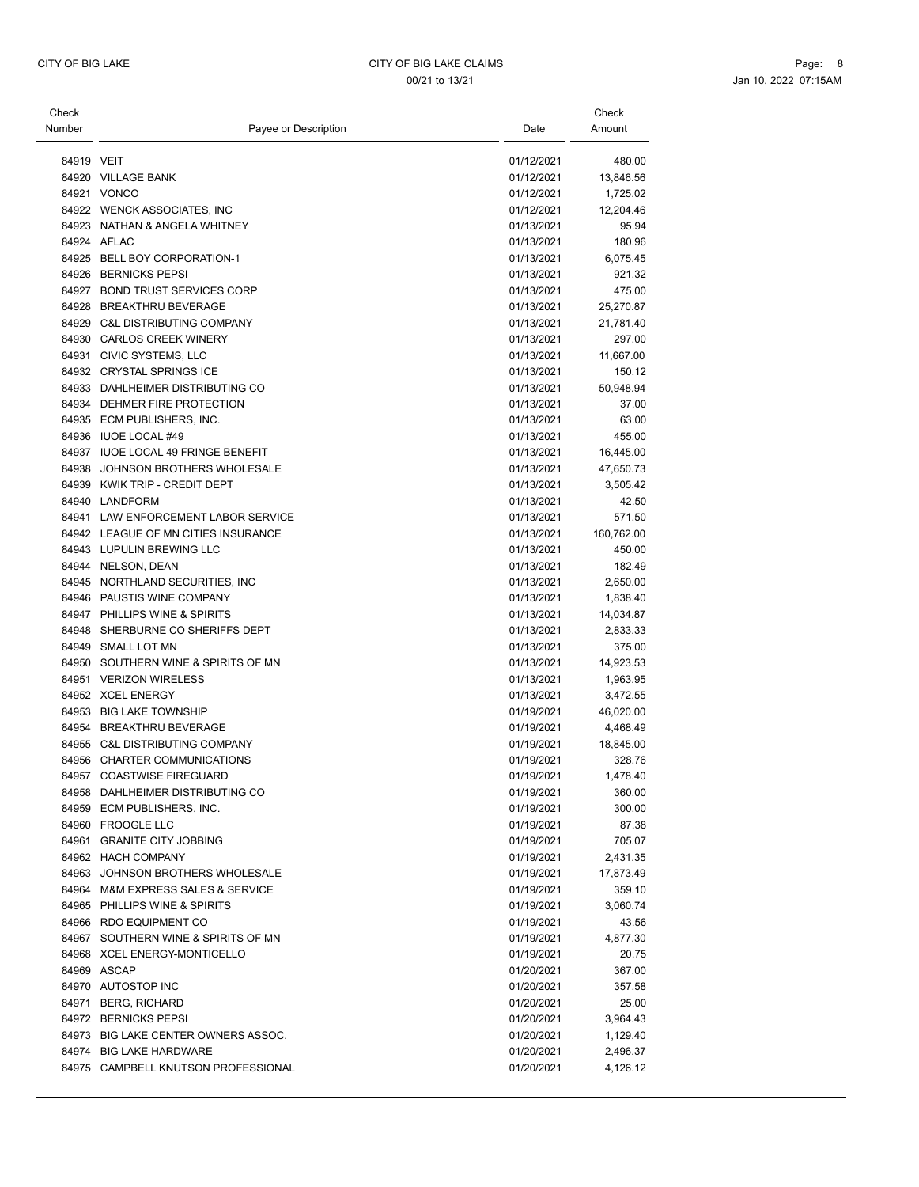| Check<br>Number | Payee or Description                            | Date                     | Check<br>Amount  |
|-----------------|-------------------------------------------------|--------------------------|------------------|
| 84919 VEIT      |                                                 | 01/12/2021               | 480.00           |
|                 | 84920 VILLAGE BANK                              | 01/12/2021               | 13,846.56        |
|                 | 84921 VONCO                                     | 01/12/2021               | 1,725.02         |
|                 | 84922 WENCK ASSOCIATES, INC                     | 01/12/2021               | 12,204.46        |
|                 | 84923 NATHAN & ANGELA WHITNEY                   | 01/13/2021               | 95.94            |
|                 | 84924 AFLAC                                     | 01/13/2021               | 180.96           |
|                 | 84925 BELL BOY CORPORATION-1                    | 01/13/2021               | 6,075.45         |
|                 | 84926 BERNICKS PEPSI                            | 01/13/2021               | 921.32           |
|                 | 84927 BOND TRUST SERVICES CORP                  | 01/13/2021               | 475.00           |
|                 | 84928 BREAKTHRU BEVERAGE                        | 01/13/2021               | 25,270.87        |
|                 | 84929 C&L DISTRIBUTING COMPANY                  | 01/13/2021               | 21,781.40        |
|                 | 84930 CARLOS CREEK WINERY                       | 01/13/2021               | 297.00           |
|                 | 84931 CIVIC SYSTEMS, LLC                        | 01/13/2021               | 11,667.00        |
|                 | 84932 CRYSTAL SPRINGS ICE                       | 01/13/2021               | 150.12           |
|                 | 84933 DAHLHEIMER DISTRIBUTING CO                | 01/13/2021               | 50,948.94        |
|                 | 84934 DEHMER FIRE PROTECTION                    | 01/13/2021               | 37.00            |
|                 | 84935 ECM PUBLISHERS, INC.                      | 01/13/2021               | 63.00            |
|                 | 84936 IUOE LOCAL #49                            | 01/13/2021               | 455.00           |
|                 | 84937 IUOE LOCAL 49 FRINGE BENEFIT              | 01/13/2021               | 16,445.00        |
|                 | 84938 JOHNSON BROTHERS WHOLESALE                | 01/13/2021               | 47,650.73        |
|                 | 84939 KWIK TRIP - CREDIT DEPT                   | 01/13/2021               | 3,505.42         |
|                 | 84940 LANDFORM                                  | 01/13/2021               | 42.50            |
|                 | 84941 LAW ENFORCEMENT LABOR SERVICE             | 01/13/2021               | 571.50           |
|                 | 84942 LEAGUE OF MN CITIES INSURANCE             | 01/13/2021               | 160,762.00       |
|                 | 84943 LUPULIN BREWING LLC<br>84944 NELSON, DEAN | 01/13/2021<br>01/13/2021 | 450.00<br>182.49 |
|                 | 84945 NORTHLAND SECURITIES, INC                 | 01/13/2021               | 2,650.00         |
|                 | 84946 PAUSTIS WINE COMPANY                      | 01/13/2021               | 1,838.40         |
|                 | 84947 PHILLIPS WINE & SPIRITS                   | 01/13/2021               | 14,034.87        |
|                 | 84948 SHERBURNE CO SHERIFFS DEPT                | 01/13/2021               | 2,833.33         |
| 84949           | <b>SMALL LOT MN</b>                             | 01/13/2021               | 375.00           |
|                 | 84950 SOUTHERN WINE & SPIRITS OF MN             | 01/13/2021               | 14,923.53        |
|                 | 84951 VERIZON WIRELESS                          | 01/13/2021               | 1,963.95         |
|                 | 84952 XCEL ENERGY                               | 01/13/2021               | 3,472.55         |
|                 | 84953 BIG LAKE TOWNSHIP                         | 01/19/2021               | 46,020.00        |
|                 | 84954 BREAKTHRU BEVERAGE                        | 01/19/2021               | 4,468.49         |
|                 | 84955 C&L DISTRIBUTING COMPANY                  | 01/19/2021               | 18,845.00        |
|                 | 84956 CHARTER COMMUNICATIONS                    | 01/19/2021               | 328.76           |
| 84957           | <b>COASTWISE FIREGUARD</b>                      | 01/19/2021               | 1.478.40         |
|                 | 84958 DAHLHEIMER DISTRIBUTING CO                | 01/19/2021               | 360.00           |
|                 | 84959 ECM PUBLISHERS, INC.                      | 01/19/2021               | 300.00           |
|                 | 84960 FROOGLE LLC                               | 01/19/2021               | 87.38            |
|                 | 84961 GRANITE CITY JOBBING                      | 01/19/2021               | 705.07           |
|                 | 84962 HACH COMPANY                              | 01/19/2021               | 2,431.35         |
|                 | 84963 JOHNSON BROTHERS WHOLESALE                | 01/19/2021               | 17,873.49        |
|                 | 84964 M&M EXPRESS SALES & SERVICE               | 01/19/2021               | 359.10           |
|                 | 84965 PHILLIPS WINE & SPIRITS                   | 01/19/2021               | 3,060.74         |
|                 | 84966 RDO EQUIPMENT CO                          | 01/19/2021               | 43.56            |
|                 | 84967 SOUTHERN WINE & SPIRITS OF MN             | 01/19/2021               | 4,877.30         |
|                 | 84968 XCEL ENERGY-MONTICELLO                    | 01/19/2021               | 20.75            |
|                 | 84969 ASCAP                                     | 01/20/2021               | 367.00           |
|                 | 84970 AUTOSTOP INC                              | 01/20/2021               | 357.58           |
|                 | 84971 BERG, RICHARD                             | 01/20/2021               | 25.00            |
|                 | 84972 BERNICKS PEPSI                            | 01/20/2021               | 3,964.43         |
|                 | 84973 BIG LAKE CENTER OWNERS ASSOC.             | 01/20/2021               | 1,129.40         |
|                 | 84974 BIG LAKE HARDWARE                         | 01/20/2021               | 2,496.37         |
|                 | 84975 CAMPBELL KNUTSON PROFESSIONAL             | 01/20/2021               | 4,126.12         |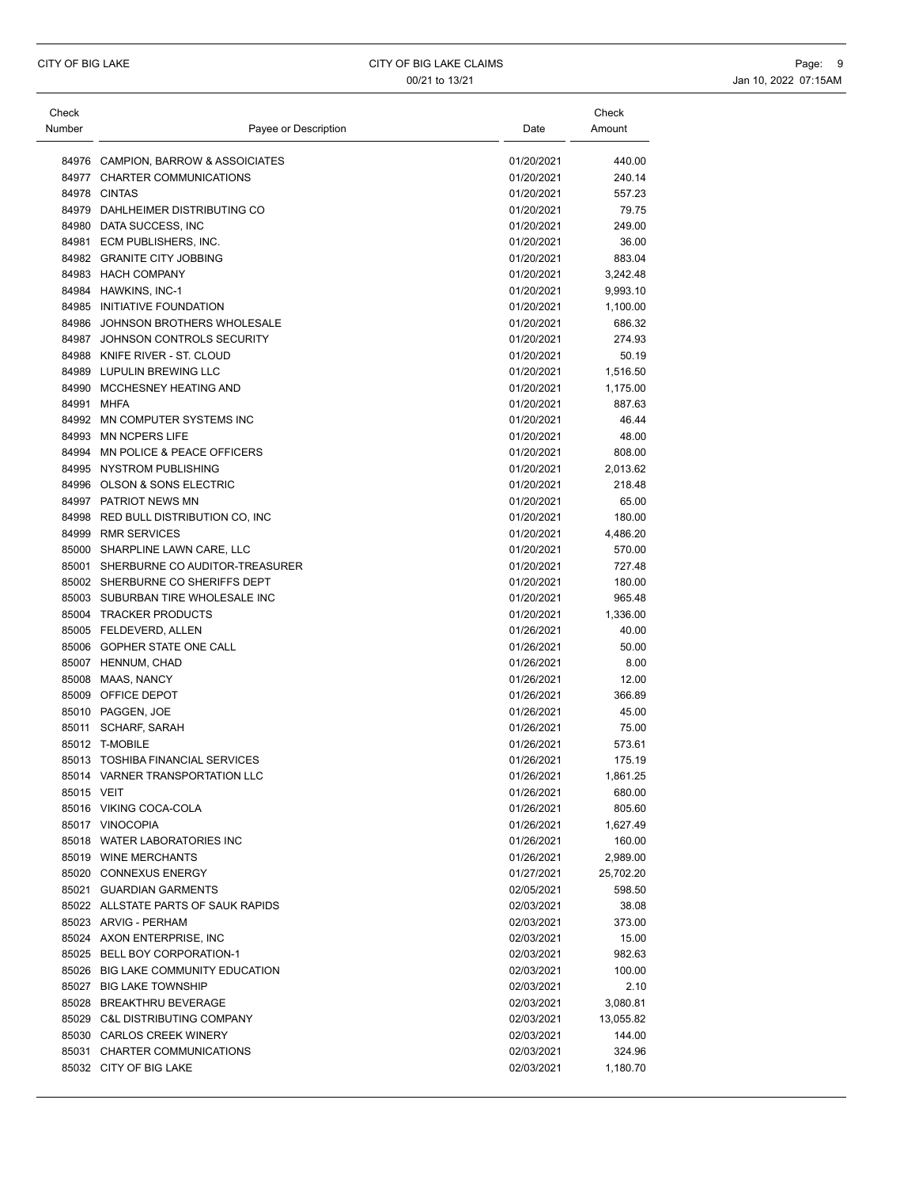| Check      |                                      |            | Check     |
|------------|--------------------------------------|------------|-----------|
| Number     | Payee or Description                 | Date       | Amount    |
|            |                                      |            |           |
|            | 84976 CAMPION, BARROW & ASSOICIATES  | 01/20/2021 | 440.00    |
|            | 84977 CHARTER COMMUNICATIONS         | 01/20/2021 | 240.14    |
|            | 84978 CINTAS                         | 01/20/2021 | 557.23    |
|            | 84979 DAHLHEIMER DISTRIBUTING CO     | 01/20/2021 | 79.75     |
|            | 84980 DATA SUCCESS, INC              | 01/20/2021 | 249.00    |
|            | 84981 ECM PUBLISHERS, INC.           | 01/20/2021 | 36.00     |
|            | 84982 GRANITE CITY JOBBING           | 01/20/2021 | 883.04    |
|            | 84983 HACH COMPANY                   | 01/20/2021 | 3,242.48  |
|            | 84984 HAWKINS, INC-1                 | 01/20/2021 | 9,993.10  |
|            | 84985 INITIATIVE FOUNDATION          | 01/20/2021 | 1,100.00  |
|            | 84986 JOHNSON BROTHERS WHOLESALE     | 01/20/2021 | 686.32    |
|            | 84987 JOHNSON CONTROLS SECURITY      | 01/20/2021 | 274.93    |
|            | 84988 KNIFE RIVER - ST. CLOUD        | 01/20/2021 | 50.19     |
|            | 84989 LUPULIN BREWING LLC            | 01/20/2021 | 1,516.50  |
|            | 84990 MCCHESNEY HEATING AND          | 01/20/2021 | 1,175.00  |
|            | 84991 MHFA                           | 01/20/2021 | 887.63    |
|            | 84992 MN COMPUTER SYSTEMS INC        | 01/20/2021 | 46.44     |
|            | 84993 MN NCPERS LIFE                 | 01/20/2021 | 48.00     |
|            | 84994 MN POLICE & PEACE OFFICERS     | 01/20/2021 | 808.00    |
|            | 84995 NYSTROM PUBLISHING             | 01/20/2021 | 2,013.62  |
|            | 84996 OLSON & SONS ELECTRIC          | 01/20/2021 | 218.48    |
|            | 84997 PATRIOT NEWS MN                | 01/20/2021 | 65.00     |
|            | 84998 RED BULL DISTRIBUTION CO, INC  | 01/20/2021 | 180.00    |
|            | 84999 RMR SERVICES                   | 01/20/2021 | 4,486.20  |
|            | 85000 SHARPLINE LAWN CARE, LLC       | 01/20/2021 | 570.00    |
|            | 85001 SHERBURNE CO AUDITOR-TREASURER | 01/20/2021 | 727.48    |
|            | 85002 SHERBURNE CO SHERIFFS DEPT     | 01/20/2021 | 180.00    |
|            | 85003 SUBURBAN TIRE WHOLESALE INC    | 01/20/2021 | 965.48    |
|            | 85004 TRACKER PRODUCTS               | 01/20/2021 | 1,336.00  |
|            | 85005 FELDEVERD, ALLEN               | 01/26/2021 | 40.00     |
|            | 85006 GOPHER STATE ONE CALL          | 01/26/2021 | 50.00     |
|            | 85007 HENNUM, CHAD                   | 01/26/2021 | 8.00      |
|            | 85008 MAAS, NANCY                    | 01/26/2021 | 12.00     |
|            | 85009 OFFICE DEPOT                   | 01/26/2021 | 366.89    |
|            | 85010 PAGGEN, JOE                    | 01/26/2021 | 45.00     |
|            | 85011 SCHARF, SARAH                  | 01/26/2021 | 75.00     |
|            | 85012 T-MOBILE                       | 01/26/2021 | 573.61    |
|            | 85013 TOSHIBA FINANCIAL SERVICES     | 01/26/2021 | 175.19    |
|            | 85014 VARNER TRANSPORTATION LLC      | 01/26/2021 | 1,861.25  |
| 85015 VEIT |                                      | 01/26/2021 | 680.00    |
|            | 85016 VIKING COCA-COLA               | 01/26/2021 | 805.60    |
|            | 85017 VINOCOPIA                      | 01/26/2021 | 1,627.49  |
|            | 85018 WATER LABORATORIES INC         | 01/26/2021 | 160.00    |
|            | 85019 WINE MERCHANTS                 | 01/26/2021 | 2,989.00  |
|            | 85020 CONNEXUS ENERGY                | 01/27/2021 | 25,702.20 |
|            | 85021 GUARDIAN GARMENTS              | 02/05/2021 | 598.50    |
|            | 85022 ALLSTATE PARTS OF SAUK RAPIDS  | 02/03/2021 | 38.08     |
|            | 85023 ARVIG - PERHAM                 | 02/03/2021 | 373.00    |
|            | 85024 AXON ENTERPRISE. INC           | 02/03/2021 | 15.00     |
|            | 85025 BELL BOY CORPORATION-1         | 02/03/2021 | 982.63    |
|            | 85026 BIG LAKE COMMUNITY EDUCATION   | 02/03/2021 | 100.00    |
|            | 85027 BIG LAKE TOWNSHIP              | 02/03/2021 | 2.10      |
|            | 85028 BREAKTHRU BEVERAGE             | 02/03/2021 | 3,080.81  |
|            | 85029 C&L DISTRIBUTING COMPANY       | 02/03/2021 | 13,055.82 |
|            | 85030 CARLOS CREEK WINERY            | 02/03/2021 | 144.00    |
|            | 85031 CHARTER COMMUNICATIONS         | 02/03/2021 | 324.96    |
|            | 85032 CITY OF BIG LAKE               | 02/03/2021 | 1,180.70  |
|            |                                      |            |           |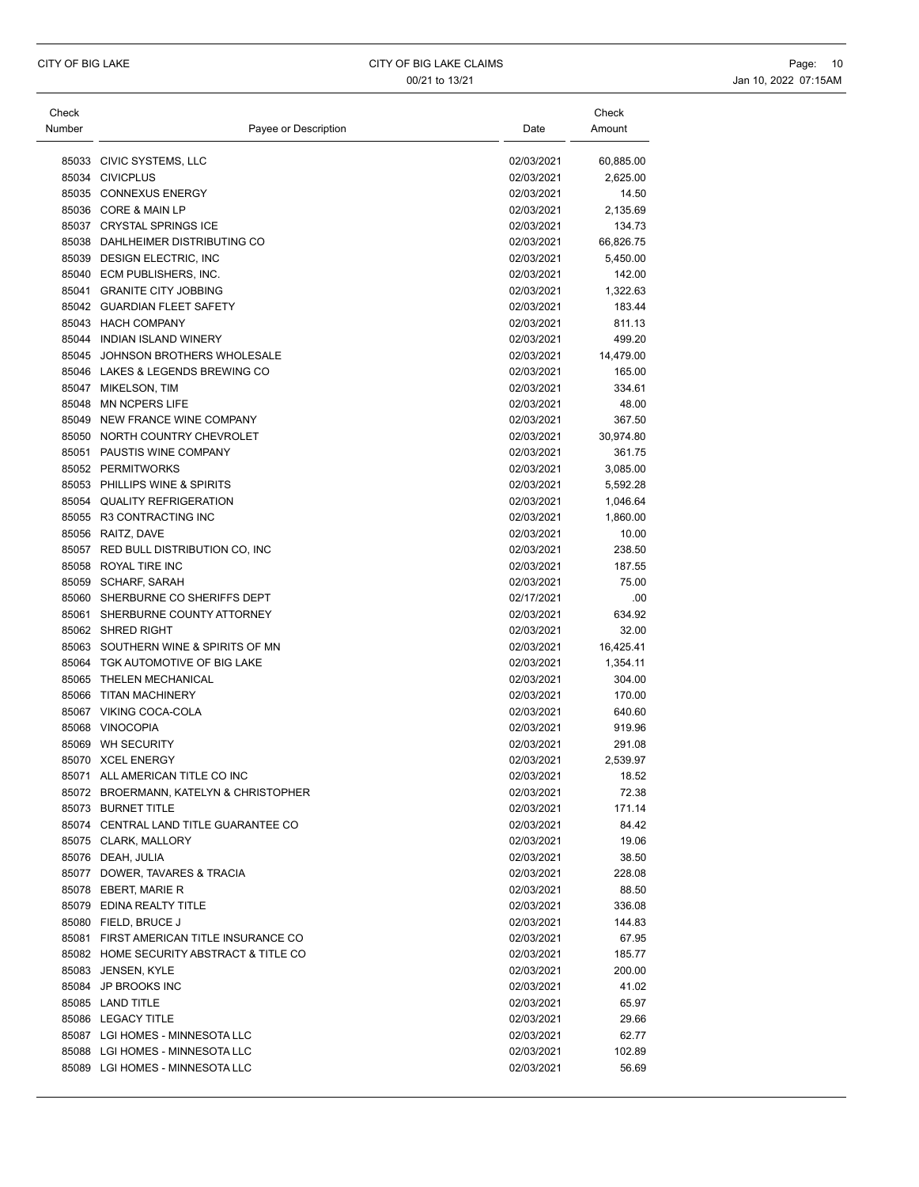| Check  |                                         |                          | Check            |
|--------|-----------------------------------------|--------------------------|------------------|
| Number | Payee or Description                    | Date                     | Amount           |
|        |                                         |                          |                  |
|        | 85033 CIVIC SYSTEMS, LLC                | 02/03/2021               | 60,885.00        |
|        | 85034 CIVICPLUS                         | 02/03/2021               | 2,625.00         |
|        | 85035 CONNEXUS ENERGY                   | 02/03/2021               | 14.50            |
|        | 85036 CORE & MAIN LP                    | 02/03/2021               | 2,135.69         |
|        | 85037 CRYSTAL SPRINGS ICE               | 02/03/2021               | 134.73           |
|        | 85038 DAHLHEIMER DISTRIBUTING CO        | 02/03/2021               | 66,826.75        |
|        | 85039 DESIGN ELECTRIC, INC              | 02/03/2021               | 5,450.00         |
|        | 85040 ECM PUBLISHERS, INC.              | 02/03/2021               | 142.00           |
|        | 85041 GRANITE CITY JOBBING              | 02/03/2021               | 1,322.63         |
|        | 85042 GUARDIAN FLEET SAFETY             | 02/03/2021               | 183.44           |
|        | 85043 HACH COMPANY                      | 02/03/2021               | 811.13           |
|        | 85044 INDIAN ISLAND WINERY              | 02/03/2021               | 499.20           |
|        | 85045 JOHNSON BROTHERS WHOLESALE        | 02/03/2021               | 14,479.00        |
|        | 85046 LAKES & LEGENDS BREWING CO        | 02/03/2021               | 165.00           |
|        | 85047 MIKELSON, TIM                     | 02/03/2021               | 334.61           |
|        | 85048 MN NCPERS LIFE                    | 02/03/2021               | 48.00            |
|        | 85049 NEW FRANCE WINE COMPANY           | 02/03/2021               | 367.50           |
|        | 85050 NORTH COUNTRY CHEVROLET           | 02/03/2021               | 30,974.80        |
|        | 85051 PAUSTIS WINE COMPANY              | 02/03/2021               | 361.75           |
|        | 85052 PERMITWORKS                       | 02/03/2021               | 3,085.00         |
|        | 85053 PHILLIPS WINE & SPIRITS           | 02/03/2021               | 5,592.28         |
|        | 85054 QUALITY REFRIGERATION             | 02/03/2021               | 1,046.64         |
|        | 85055 R3 CONTRACTING INC                | 02/03/2021               | 1,860.00         |
|        | 85056 RAITZ, DAVE                       | 02/03/2021               | 10.00            |
|        | 85057 RED BULL DISTRIBUTION CO, INC     | 02/03/2021               | 238.50           |
|        | 85058 ROYAL TIRE INC                    | 02/03/2021               | 187.55           |
|        | 85059 SCHARF, SARAH                     | 02/03/2021               | 75.00            |
|        | 85060 SHERBURNE CO SHERIFFS DEPT        | 02/17/2021               | .00              |
|        | 85061 SHERBURNE COUNTY ATTORNEY         | 02/03/2021               | 634.92           |
|        | 85062 SHRED RIGHT                       | 02/03/2021               | 32.00            |
|        | 85063 SOUTHERN WINE & SPIRITS OF MN     | 02/03/2021               | 16,425.41        |
|        | 85064 TGK AUTOMOTIVE OF BIG LAKE        | 02/03/2021               | 1,354.11         |
|        | 85065 THELEN MECHANICAL                 | 02/03/2021               | 304.00           |
|        | 85066 TITAN MACHINERY                   | 02/03/2021               | 170.00           |
|        | 85067 VIKING COCA-COLA                  | 02/03/2021               | 640.60           |
|        | 85068 VINOCOPIA                         | 02/03/2021               | 919.96           |
|        | 85069 WH SECURITY                       | 02/03/2021               | 291.08           |
|        | 85070 XCEL ENERGY                       | 02/03/2021               | 2,539.97         |
|        | 85071 ALL AMERICAN TITLE CO INC         | 02/03/2021               | 18.52            |
|        | 85072 BROERMANN, KATELYN & CHRISTOPHER  | 02/03/2021               | 72.38            |
|        | 85073 BURNET TITLE                      | 02/03/2021               | 171.14           |
|        | 85074 CENTRAL LAND TITLE GUARANTEE CO   | 02/03/2021               | 84.42            |
|        | 85075 CLARK, MALLORY                    | 02/03/2021               | 19.06            |
|        | 85076 DEAH, JULIA                       | 02/03/2021               | 38.50            |
|        | 85077 DOWER, TAVARES & TRACIA           | 02/03/2021               | 228.08           |
|        | 85078 EBERT, MARIE R                    | 02/03/2021               | 88.50            |
|        | 85079 EDINA REALTY TITLE                | 02/03/2021               | 336.08           |
|        | 85080 FIELD, BRUCE J                    | 02/03/2021               | 144.83           |
|        | 85081 FIRST AMERICAN TITLE INSURANCE CO | 02/03/2021               | 67.95            |
|        | 85082 HOME SECURITY ABSTRACT & TITLE CO |                          |                  |
|        | 85083 JENSEN, KYLE                      | 02/03/2021<br>02/03/2021 | 185.77<br>200.00 |
|        | 85084 JP BROOKS INC                     | 02/03/2021               |                  |
|        |                                         |                          | 41.02            |
|        | 85085 LAND TITLE                        | 02/03/2021               | 65.97            |
|        | 85086 LEGACY TITLE                      | 02/03/2021               | 29.66            |
|        | 85087 LGI HOMES - MINNESOTA LLC         | 02/03/2021               | 62.77            |
|        | 85088 LGI HOMES - MINNESOTA LLC         | 02/03/2021               | 102.89           |
|        | 85089 LGI HOMES - MINNESOTA LLC         | 02/03/2021               | 56.69            |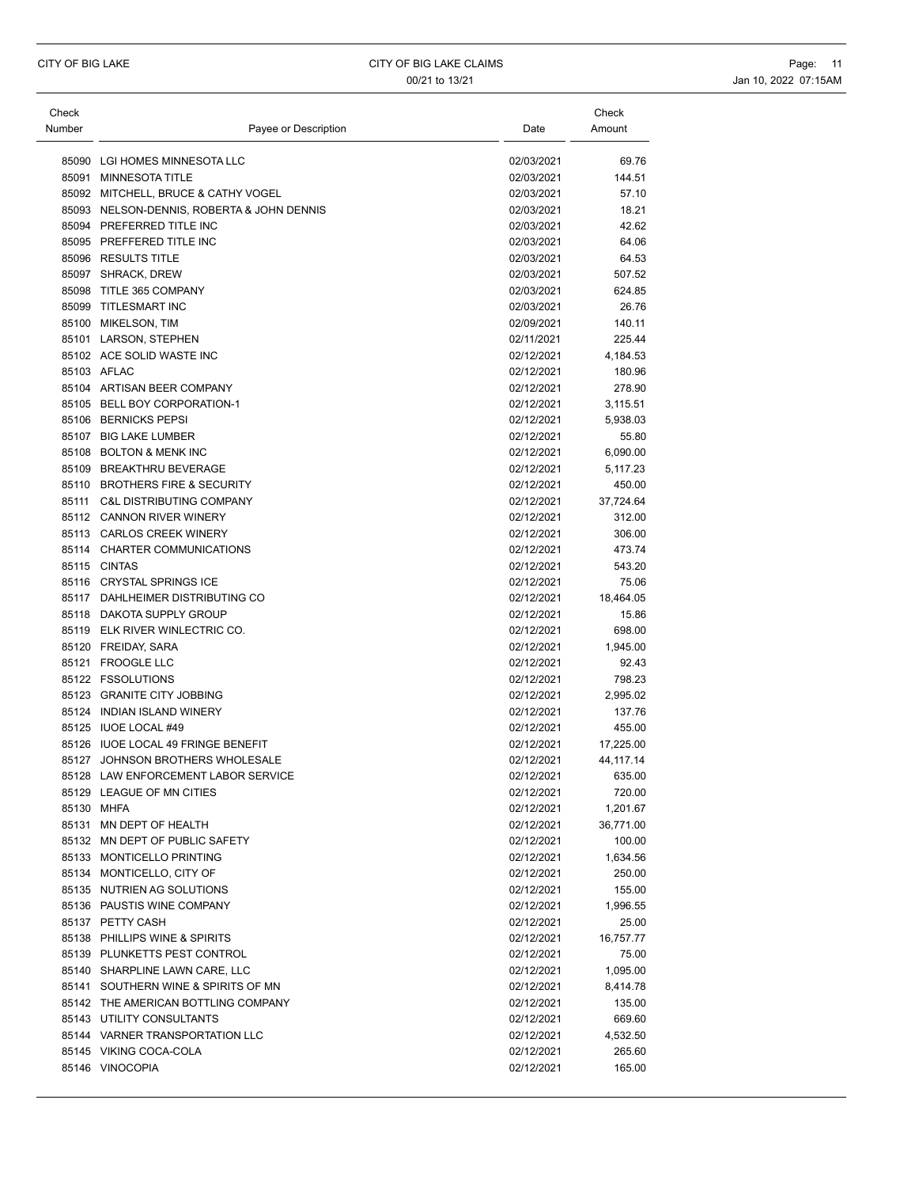| Check  |                                            |            | Check       |
|--------|--------------------------------------------|------------|-------------|
| Number | Payee or Description                       | Date       | Amount      |
|        |                                            |            |             |
|        | 85090 LGI HOMES MINNESOTA LLC              | 02/03/2021 | 69.76       |
|        | 85091 MINNESOTA TITLE                      | 02/03/2021 | 144.51      |
|        | 85092 MITCHELL, BRUCE & CATHY VOGEL        | 02/03/2021 | 57.10       |
|        | 85093 NELSON-DENNIS, ROBERTA & JOHN DENNIS | 02/03/2021 | 18.21       |
|        | 85094 PREFERRED TITLE INC                  | 02/03/2021 | 42.62       |
|        | 85095 PREFFERED TITLE INC                  | 02/03/2021 | 64.06       |
|        | 85096 RESULTS TITLE                        | 02/03/2021 | 64.53       |
|        | 85097 SHRACK, DREW                         | 02/03/2021 | 507.52      |
|        | 85098 TITLE 365 COMPANY                    | 02/03/2021 | 624.85      |
|        | 85099 TITLESMART INC                       | 02/03/2021 | 26.76       |
|        | 85100 MIKELSON, TIM                        | 02/09/2021 | 140.11      |
|        | 85101 LARSON, STEPHEN                      | 02/11/2021 | 225.44      |
|        | 85102 ACE SOLID WASTE INC                  | 02/12/2021 | 4,184.53    |
|        | 85103 AFLAC                                | 02/12/2021 | 180.96      |
|        | 85104 ARTISAN BEER COMPANY                 | 02/12/2021 | 278.90      |
|        | 85105 BELL BOY CORPORATION-1               | 02/12/2021 | 3,115.51    |
|        | 85106 BERNICKS PEPSI                       | 02/12/2021 |             |
|        |                                            |            | 5,938.03    |
|        | 85107 BIG LAKE LUMBER                      | 02/12/2021 | 55.80       |
|        | 85108 BOLTON & MENK INC                    | 02/12/2021 | 6,090.00    |
|        | 85109 BREAKTHRU BEVERAGE                   | 02/12/2021 | 5,117.23    |
|        | 85110 BROTHERS FIRE & SECURITY             | 02/12/2021 | 450.00      |
|        | 85111 C&L DISTRIBUTING COMPANY             | 02/12/2021 | 37,724.64   |
|        | 85112 CANNON RIVER WINERY                  | 02/12/2021 | 312.00      |
|        | 85113 CARLOS CREEK WINERY                  | 02/12/2021 | 306.00      |
|        | 85114 CHARTER COMMUNICATIONS               | 02/12/2021 | 473.74      |
|        | 85115 CINTAS                               | 02/12/2021 | 543.20      |
|        | 85116 CRYSTAL SPRINGS ICE                  | 02/12/2021 | 75.06       |
|        | 85117 DAHLHEIMER DISTRIBUTING CO           | 02/12/2021 | 18,464.05   |
|        | 85118 DAKOTA SUPPLY GROUP                  | 02/12/2021 | 15.86       |
|        | 85119 ELK RIVER WINLECTRIC CO.             | 02/12/2021 | 698.00      |
|        | 85120 FREIDAY, SARA                        | 02/12/2021 | 1,945.00    |
|        | 85121 FROOGLE LLC                          | 02/12/2021 | 92.43       |
|        | 85122 FSSOLUTIONS                          | 02/12/2021 | 798.23      |
|        | 85123 GRANITE CITY JOBBING                 | 02/12/2021 | 2,995.02    |
|        | 85124 INDIAN ISLAND WINERY                 | 02/12/2021 | 137.76      |
|        | 85125 IUOE LOCAL #49                       | 02/12/2021 | 455.00      |
|        | 85126 IUOE LOCAL 49 FRINGE BENEFIT         | 02/12/2021 | 17,225.00   |
|        | 85127 JOHNSON BROTHERS WHOLESALE           | 02/12/2021 | 44, 117. 14 |
|        | 85128 LAW ENFORCEMENT LABOR SERVICE        | 02/12/2021 | 635.00      |
|        | 85129 LEAGUE OF MN CITIES                  | 02/12/2021 | 720.00      |
|        | 85130 MHFA                                 | 02/12/2021 | 1,201.67    |
|        | 85131 MN DEPT OF HEALTH                    | 02/12/2021 | 36,771.00   |
|        | 85132 MN DEPT OF PUBLIC SAFETY             | 02/12/2021 | 100.00      |
|        | 85133 MONTICELLO PRINTING                  | 02/12/2021 | 1,634.56    |
|        | 85134 MONTICELLO, CITY OF                  | 02/12/2021 | 250.00      |
|        | 85135 NUTRIEN AG SOLUTIONS                 | 02/12/2021 | 155.00      |
|        | 85136 PAUSTIS WINE COMPANY                 | 02/12/2021 | 1,996.55    |
|        | 85137 PETTY CASH                           | 02/12/2021 | 25.00       |
|        | 85138 PHILLIPS WINE & SPIRITS              | 02/12/2021 | 16,757.77   |
|        | 85139 PLUNKETTS PEST CONTROL               | 02/12/2021 | 75.00       |
|        | 85140 SHARPLINE LAWN CARE, LLC             |            |             |
|        |                                            | 02/12/2021 | 1,095.00    |
|        | 85141 SOUTHERN WINE & SPIRITS OF MN        | 02/12/2021 | 8,414.78    |
|        | 85142 THE AMERICAN BOTTLING COMPANY        | 02/12/2021 | 135.00      |
|        | 85143 UTILITY CONSULTANTS                  | 02/12/2021 | 669.60      |
|        | 85144 VARNER TRANSPORTATION LLC            | 02/12/2021 | 4,532.50    |
|        | 85145 VIKING COCA-COLA                     | 02/12/2021 | 265.60      |
|        | 85146 VINOCOPIA                            | 02/12/2021 | 165.00      |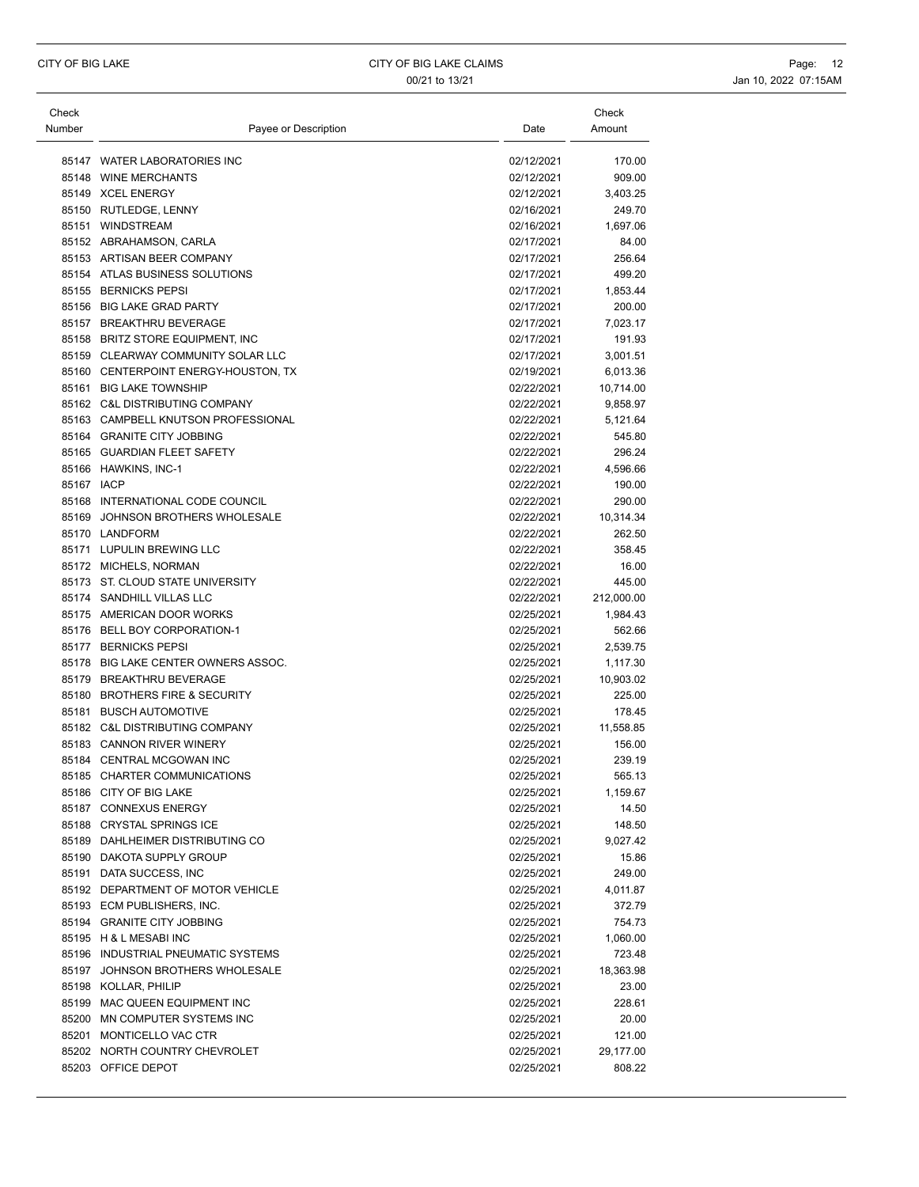| Check      |                                      |            | Check      |
|------------|--------------------------------------|------------|------------|
| Number     | Payee or Description                 | Date       | Amount     |
|            |                                      |            |            |
|            | 85147 WATER LABORATORIES INC         | 02/12/2021 | 170.00     |
|            | 85148 WINE MERCHANTS                 | 02/12/2021 | 909.00     |
|            | 85149 XCEL ENERGY                    | 02/12/2021 | 3,403.25   |
|            | 85150 RUTLEDGE, LENNY                | 02/16/2021 | 249.70     |
|            | 85151 WINDSTREAM                     | 02/16/2021 | 1,697.06   |
|            | 85152 ABRAHAMSON, CARLA              | 02/17/2021 | 84.00      |
|            | 85153 ARTISAN BEER COMPANY           | 02/17/2021 | 256.64     |
|            | 85154 ATLAS BUSINESS SOLUTIONS       | 02/17/2021 | 499.20     |
|            | 85155 BERNICKS PEPSI                 | 02/17/2021 | 1,853.44   |
|            | 85156 BIG LAKE GRAD PARTY            | 02/17/2021 | 200.00     |
|            | 85157 BREAKTHRU BEVERAGE             | 02/17/2021 | 7,023.17   |
|            | 85158 BRITZ STORE EQUIPMENT, INC     | 02/17/2021 | 191.93     |
|            | 85159 CLEARWAY COMMUNITY SOLAR LLC   | 02/17/2021 | 3,001.51   |
|            | 85160 CENTERPOINT ENERGY-HOUSTON, TX | 02/19/2021 | 6,013.36   |
|            | 85161 BIG LAKE TOWNSHIP              | 02/22/2021 | 10,714.00  |
|            | 85162 C&L DISTRIBUTING COMPANY       | 02/22/2021 | 9,858.97   |
|            | 85163 CAMPBELL KNUTSON PROFESSIONAL  | 02/22/2021 | 5,121.64   |
|            | 85164 GRANITE CITY JOBBING           | 02/22/2021 | 545.80     |
|            | 85165 GUARDIAN FLEET SAFETY          | 02/22/2021 | 296.24     |
|            | 85166 HAWKINS, INC-1                 | 02/22/2021 | 4,596.66   |
| 85167 IACP |                                      | 02/22/2021 | 190.00     |
|            | 85168 INTERNATIONAL CODE COUNCIL     | 02/22/2021 | 290.00     |
|            | 85169 JOHNSON BROTHERS WHOLESALE     | 02/22/2021 | 10,314.34  |
|            | 85170 LANDFORM                       | 02/22/2021 | 262.50     |
|            | 85171 LUPULIN BREWING LLC            | 02/22/2021 | 358.45     |
|            | 85172 MICHELS, NORMAN                | 02/22/2021 | 16.00      |
|            | 85173 ST. CLOUD STATE UNIVERSITY     | 02/22/2021 | 445.00     |
|            | 85174 SANDHILL VILLAS LLC            | 02/22/2021 | 212,000.00 |
|            | 85175 AMERICAN DOOR WORKS            | 02/25/2021 | 1,984.43   |
|            | 85176 BELL BOY CORPORATION-1         | 02/25/2021 | 562.66     |
|            | 85177 BERNICKS PEPSI                 | 02/25/2021 | 2,539.75   |
|            | 85178 BIG LAKE CENTER OWNERS ASSOC.  | 02/25/2021 | 1,117.30   |
|            | 85179 BREAKTHRU BEVERAGE             | 02/25/2021 | 10,903.02  |
|            | 85180 BROTHERS FIRE & SECURITY       | 02/25/2021 | 225.00     |
|            | 85181 BUSCH AUTOMOTIVE               | 02/25/2021 | 178.45     |
|            | 85182 C&L DISTRIBUTING COMPANY       | 02/25/2021 | 11,558.85  |
|            | 85183 CANNON RIVER WINERY            | 02/25/2021 | 156.00     |
|            | 85184 CENTRAL MCGOWAN INC            | 02/25/2021 | 239.19     |
|            | 85185 CHARTER COMMUNICATIONS         | 02/25/2021 | 565.13     |
|            | 85186 CITY OF BIG LAKE               | 02/25/2021 | 1,159.67   |
|            | 85187 CONNEXUS ENERGY                | 02/25/2021 | 14.50      |
|            | 85188 CRYSTAL SPRINGS ICE            | 02/25/2021 | 148.50     |
|            | 85189 DAHLHEIMER DISTRIBUTING CO     | 02/25/2021 | 9,027.42   |
|            | 85190 DAKOTA SUPPLY GROUP            | 02/25/2021 | 15.86      |
|            | 85191 DATA SUCCESS, INC              | 02/25/2021 | 249.00     |
|            | 85192 DEPARTMENT OF MOTOR VEHICLE    | 02/25/2021 | 4,011.87   |
|            | 85193 ECM PUBLISHERS, INC.           | 02/25/2021 | 372.79     |
|            | 85194 GRANITE CITY JOBBING           | 02/25/2021 | 754.73     |
|            | 85195 H & L MESABI INC               | 02/25/2021 | 1,060.00   |
|            | 85196 INDUSTRIAL PNEUMATIC SYSTEMS   | 02/25/2021 | 723.48     |
|            | 85197 JOHNSON BROTHERS WHOLESALE     | 02/25/2021 | 18,363.98  |
|            | 85198 KOLLAR, PHILIP                 | 02/25/2021 | 23.00      |
|            | 85199 MAC QUEEN EQUIPMENT INC        | 02/25/2021 | 228.61     |
|            | 85200 MN COMPUTER SYSTEMS INC        | 02/25/2021 | 20.00      |
|            | 85201 MONTICELLO VAC CTR             | 02/25/2021 | 121.00     |
|            | 85202 NORTH COUNTRY CHEVROLET        | 02/25/2021 | 29,177.00  |
|            | 85203 OFFICE DEPOT                   | 02/25/2021 | 808.22     |
|            |                                      |            |            |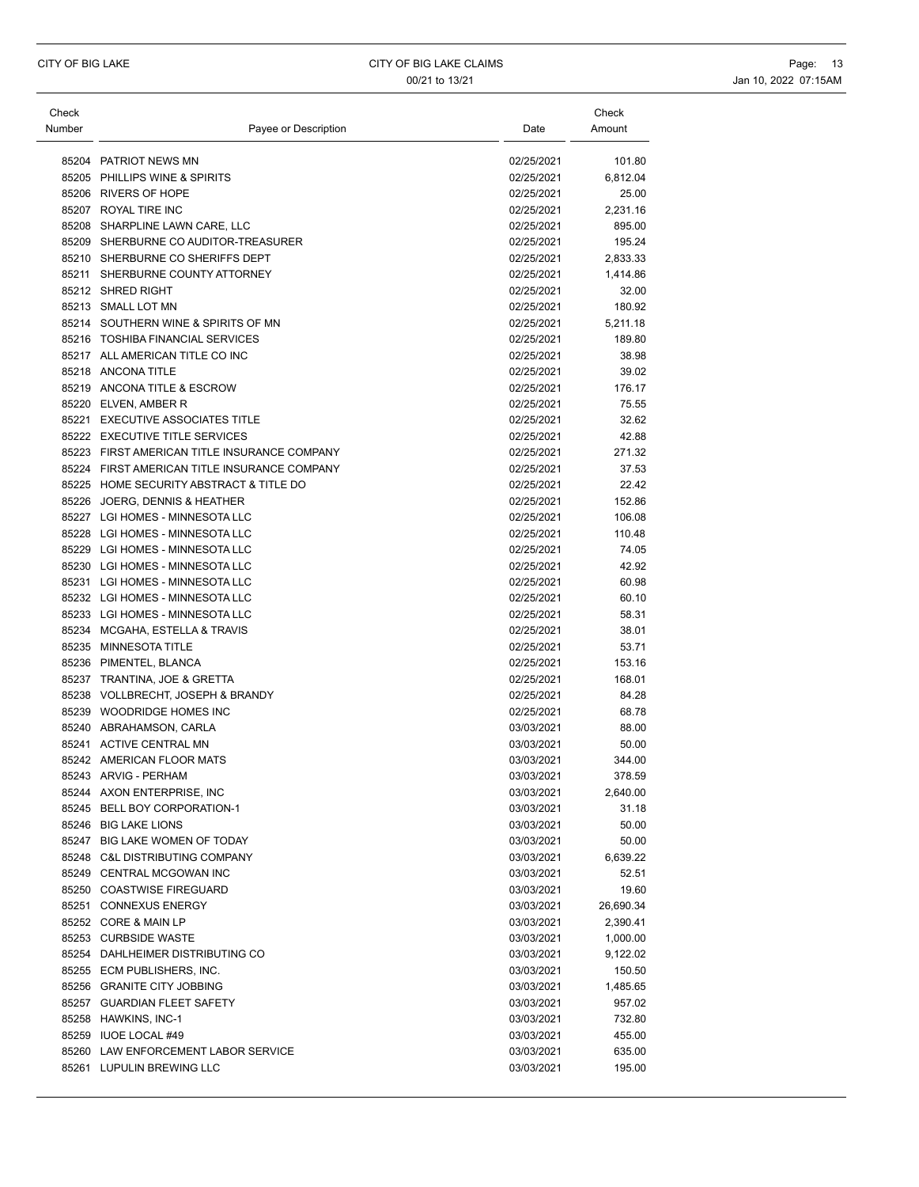| Check<br>Number | Payee or Description                         | Date       | Check<br>Amount |
|-----------------|----------------------------------------------|------------|-----------------|
|                 | 85204 PATRIOT NEWS MN                        | 02/25/2021 | 101.80          |
|                 | 85205 PHILLIPS WINE & SPIRITS                | 02/25/2021 | 6,812.04        |
|                 | 85206 RIVERS OF HOPE                         | 02/25/2021 | 25.00           |
|                 | 85207 ROYAL TIRE INC                         | 02/25/2021 | 2,231.16        |
|                 | 85208 SHARPLINE LAWN CARE, LLC               | 02/25/2021 | 895.00          |
|                 | 85209 SHERBURNE CO AUDITOR-TREASURER         | 02/25/2021 | 195.24          |
|                 | 85210 SHERBURNE CO SHERIFFS DEPT             | 02/25/2021 | 2,833.33        |
|                 | 85211 SHERBURNE COUNTY ATTORNEY              | 02/25/2021 | 1,414.86        |
|                 | 85212 SHRED RIGHT                            | 02/25/2021 | 32.00           |
|                 | 85213 SMALL LOT MN                           | 02/25/2021 | 180.92          |
|                 | 85214 SOUTHERN WINE & SPIRITS OF MN          | 02/25/2021 | 5,211.18        |
|                 | 85216 TOSHIBA FINANCIAL SERVICES             | 02/25/2021 | 189.80          |
|                 | 85217 ALL AMERICAN TITLE CO INC              | 02/25/2021 | 38.98           |
|                 | 85218 ANCONA TITLE                           | 02/25/2021 | 39.02           |
|                 | 85219 ANCONA TITLE & ESCROW                  | 02/25/2021 | 176.17          |
|                 | 85220 ELVEN, AMBER R                         | 02/25/2021 | 75.55           |
|                 | 85221 EXECUTIVE ASSOCIATES TITLE             | 02/25/2021 | 32.62           |
|                 | 85222 EXECUTIVE TITLE SERVICES               | 02/25/2021 | 42.88           |
|                 | 85223 FIRST AMERICAN TITLE INSURANCE COMPANY | 02/25/2021 | 271.32          |
|                 | 85224 FIRST AMERICAN TITLE INSURANCE COMPANY | 02/25/2021 | 37.53           |
|                 | 85225 HOME SECURITY ABSTRACT & TITLE DO      | 02/25/2021 | 22.42           |
|                 | 85226 JOERG, DENNIS & HEATHER                | 02/25/2021 | 152.86          |
|                 | 85227 LGI HOMES - MINNESOTA LLC              | 02/25/2021 | 106.08          |
|                 | 85228 LGI HOMES - MINNESOTA LLC              | 02/25/2021 | 110.48          |
|                 | 85229 LGI HOMES - MINNESOTA LLC              | 02/25/2021 | 74.05           |
|                 | 85230 LGI HOMES - MINNESOTA LLC              | 02/25/2021 | 42.92           |
|                 | 85231 LGI HOMES - MINNESOTA LLC              | 02/25/2021 | 60.98           |
|                 | 85232 LGI HOMES - MINNESOTA LLC              | 02/25/2021 | 60.10           |
|                 | 85233 LGI HOMES - MINNESOTA LLC              | 02/25/2021 | 58.31           |
|                 | 85234 MCGAHA, ESTELLA & TRAVIS               | 02/25/2021 | 38.01           |
|                 | 85235 MINNESOTA TITLE                        | 02/25/2021 | 53.71           |
|                 | 85236 PIMENTEL, BLANCA                       | 02/25/2021 | 153.16          |
|                 | 85237 TRANTINA, JOE & GRETTA                 | 02/25/2021 | 168.01          |
|                 | 85238 VOLLBRECHT, JOSEPH & BRANDY            | 02/25/2021 | 84.28           |
|                 | 85239 WOODRIDGE HOMES INC                    | 02/25/2021 | 68.78           |
|                 | 85240 ABRAHAMSON, CARLA                      | 03/03/2021 | 88.00           |
|                 | 85241 ACTIVE CENTRAL MN                      | 03/03/2021 | 50.00           |
|                 | 85242 AMERICAN FLOOR MATS                    | 03/03/2021 | 344.00          |
|                 | 85243 ARVIG - PERHAM                         | 03/03/2021 | 378.59          |
|                 | 85244 AXON ENTERPRISE, INC                   | 03/03/2021 | 2,640.00        |
|                 | 85245 BELL BOY CORPORATION-1                 | 03/03/2021 | 31.18           |
|                 | 85246 BIG LAKE LIONS                         | 03/03/2021 | 50.00           |
|                 | 85247 BIG LAKE WOMEN OF TODAY                | 03/03/2021 | 50.00           |
|                 | 85248 C&L DISTRIBUTING COMPANY               | 03/03/2021 | 6,639.22        |
|                 | 85249 CENTRAL MCGOWAN INC                    | 03/03/2021 | 52.51           |
|                 | 85250 COASTWISE FIREGUARD                    | 03/03/2021 | 19.60           |
|                 | 85251 CONNEXUS ENERGY                        | 03/03/2021 | 26,690.34       |
|                 | 85252 CORE & MAIN LP                         | 03/03/2021 | 2,390.41        |
|                 | 85253 CURBSIDE WASTE                         | 03/03/2021 | 1,000.00        |
|                 | 85254 DAHLHEIMER DISTRIBUTING CO             | 03/03/2021 | 9,122.02        |
|                 | 85255 ECM PUBLISHERS, INC.                   | 03/03/2021 | 150.50          |
|                 | 85256 GRANITE CITY JOBBING                   | 03/03/2021 | 1,485.65        |
|                 | 85257 GUARDIAN FLEET SAFETY                  | 03/03/2021 | 957.02          |
|                 | 85258 HAWKINS, INC-1                         | 03/03/2021 | 732.80          |
|                 | 85259 IUOE LOCAL #49                         | 03/03/2021 | 455.00          |
|                 | 85260 LAW ENFORCEMENT LABOR SERVICE          | 03/03/2021 | 635.00          |
|                 | 85261 LUPULIN BREWING LLC                    | 03/03/2021 | 195.00          |
|                 |                                              |            |                 |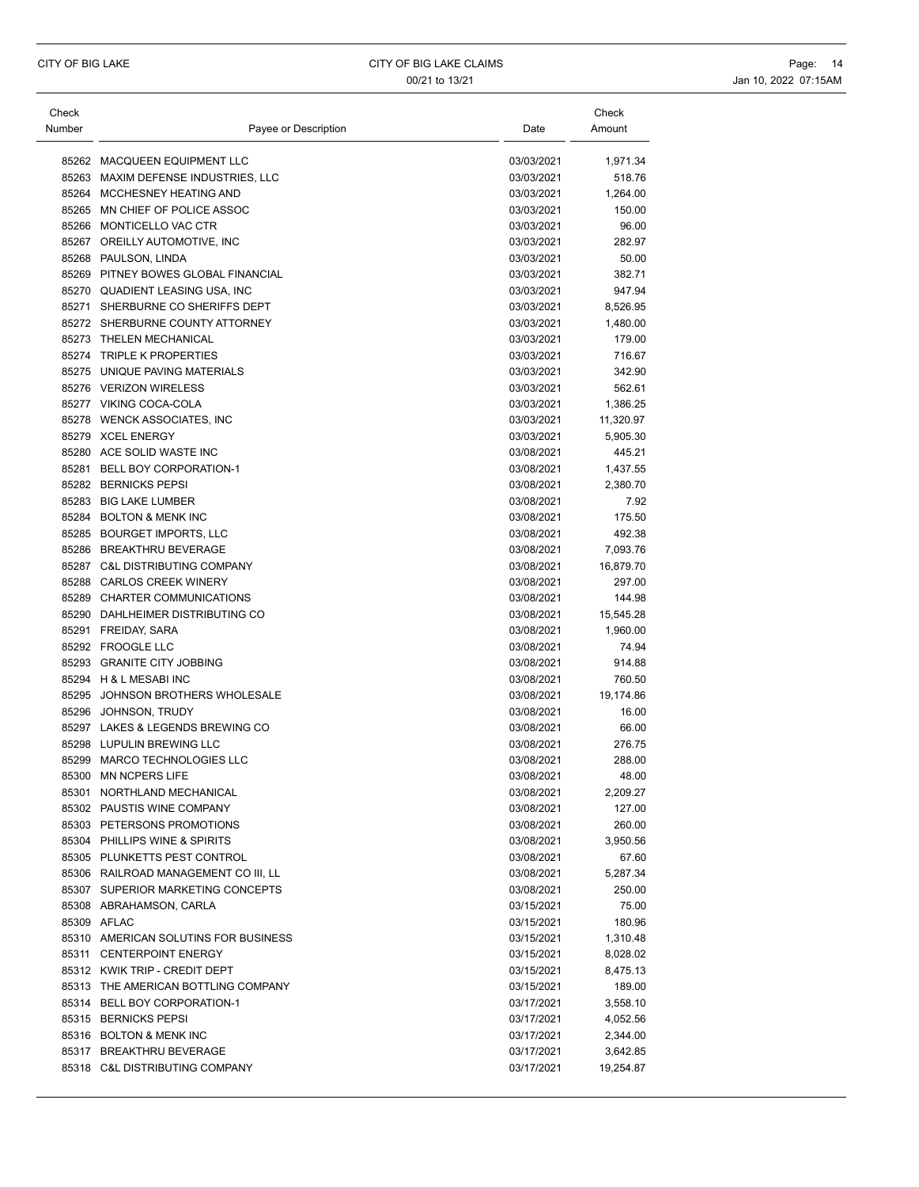| Check<br>Number | Payee or Description                 | Date       | Check<br>Amount |
|-----------------|--------------------------------------|------------|-----------------|
|                 | 85262 MACQUEEN EQUIPMENT LLC         | 03/03/2021 | 1,971.34        |
|                 | 85263 MAXIM DEFENSE INDUSTRIES, LLC  | 03/03/2021 | 518.76          |
|                 | 85264 MCCHESNEY HEATING AND          | 03/03/2021 | 1,264.00        |
|                 | 85265 MN CHIEF OF POLICE ASSOC       | 03/03/2021 | 150.00          |
|                 | 85266 MONTICELLO VAC CTR             | 03/03/2021 | 96.00           |
|                 | 85267 OREILLY AUTOMOTIVE, INC        | 03/03/2021 | 282.97          |
|                 | 85268 PAULSON, LINDA                 | 03/03/2021 | 50.00           |
|                 | 85269 PITNEY BOWES GLOBAL FINANCIAL  | 03/03/2021 | 382.71          |
|                 | 85270 QUADIENT LEASING USA, INC      | 03/03/2021 | 947.94          |
|                 | 85271 SHERBURNE CO SHERIFFS DEPT     | 03/03/2021 | 8,526.95        |
|                 | 85272 SHERBURNE COUNTY ATTORNEY      | 03/03/2021 | 1,480.00        |
|                 | 85273 THELEN MECHANICAL              | 03/03/2021 | 179.00          |
|                 | 85274 TRIPLE K PROPERTIES            | 03/03/2021 | 716.67          |
|                 | 85275 UNIQUE PAVING MATERIALS        | 03/03/2021 | 342.90          |
|                 | 85276 VERIZON WIRELESS               | 03/03/2021 | 562.61          |
|                 | 85277 VIKING COCA-COLA               | 03/03/2021 | 1,386.25        |
|                 | 85278 WENCK ASSOCIATES, INC          | 03/03/2021 | 11,320.97       |
|                 | 85279 XCEL ENERGY                    | 03/03/2021 | 5,905.30        |
|                 | 85280 ACE SOLID WASTE INC            | 03/08/2021 | 445.21          |
|                 | 85281 BELL BOY CORPORATION-1         | 03/08/2021 | 1,437.55        |
|                 | 85282 BERNICKS PEPSI                 | 03/08/2021 | 2,380.70        |
|                 | 85283 BIG LAKE LUMBER                | 03/08/2021 | 7.92            |
|                 | 85284 BOLTON & MENK INC              | 03/08/2021 | 175.50          |
|                 | 85285 BOURGET IMPORTS, LLC           | 03/08/2021 | 492.38          |
|                 | 85286 BREAKTHRU BEVERAGE             | 03/08/2021 | 7,093.76        |
|                 | 85287 C&L DISTRIBUTING COMPANY       | 03/08/2021 | 16,879.70       |
|                 | 85288 CARLOS CREEK WINERY            | 03/08/2021 | 297.00          |
|                 | 85289 CHARTER COMMUNICATIONS         | 03/08/2021 | 144.98          |
|                 | 85290 DAHLHEIMER DISTRIBUTING CO     | 03/08/2021 | 15,545.28       |
|                 | 85291 FREIDAY, SARA                  | 03/08/2021 | 1,960.00        |
|                 | 85292 FROOGLE LLC                    | 03/08/2021 | 74.94           |
|                 | 85293 GRANITE CITY JOBBING           | 03/08/2021 | 914.88          |
|                 | 85294 H & L MESABI INC               | 03/08/2021 | 760.50          |
|                 | 85295 JOHNSON BROTHERS WHOLESALE     | 03/08/2021 | 19,174.86       |
|                 | 85296 JOHNSON, TRUDY                 | 03/08/2021 | 16.00           |
|                 | 85297 LAKES & LEGENDS BREWING CO     | 03/08/2021 | 66.00           |
|                 | 85298 LUPULIN BREWING LLC            | 03/08/2021 | 276.75          |
|                 | 85299 MARCO TECHNOLOGIES LLC         | 03/08/2021 | 288.00          |
|                 | 85300 MN NCPERS LIFE                 | 03/08/2021 | 48.00           |
|                 | 85301 NORTHLAND MECHANICAL           | 03/08/2021 | 2,209.27        |
|                 | 85302 PAUSTIS WINE COMPANY           | 03/08/2021 | 127.00          |
|                 | 85303 PETERSONS PROMOTIONS           | 03/08/2021 | 260.00          |
|                 | 85304 PHILLIPS WINE & SPIRITS        | 03/08/2021 | 3,950.56        |
|                 | 85305 PLUNKETTS PEST CONTROL         | 03/08/2021 | 67.60           |
|                 | 85306 RAILROAD MANAGEMENT CO III, LL | 03/08/2021 | 5,287.34        |
|                 | 85307 SUPERIOR MARKETING CONCEPTS    | 03/08/2021 | 250.00          |
|                 | 85308 ABRAHAMSON, CARLA              | 03/15/2021 | 75.00           |
|                 | 85309 AFLAC                          | 03/15/2021 | 180.96          |
|                 | 85310 AMERICAN SOLUTINS FOR BUSINESS | 03/15/2021 | 1,310.48        |
|                 | 85311 CENTERPOINT ENERGY             | 03/15/2021 | 8,028.02        |
|                 | 85312 KWIK TRIP - CREDIT DEPT        | 03/15/2021 | 8,475.13        |
|                 | 85313 THE AMERICAN BOTTLING COMPANY  | 03/15/2021 | 189.00          |
|                 | 85314 BELL BOY CORPORATION-1         | 03/17/2021 | 3,558.10        |
|                 | 85315 BERNICKS PEPSI                 | 03/17/2021 | 4,052.56        |
|                 | 85316 BOLTON & MENK INC              | 03/17/2021 | 2,344.00        |
|                 | 85317 BREAKTHRU BEVERAGE             | 03/17/2021 | 3,642.85        |
|                 | 85318 C&L DISTRIBUTING COMPANY       | 03/17/2021 | 19,254.87       |
|                 |                                      |            |                 |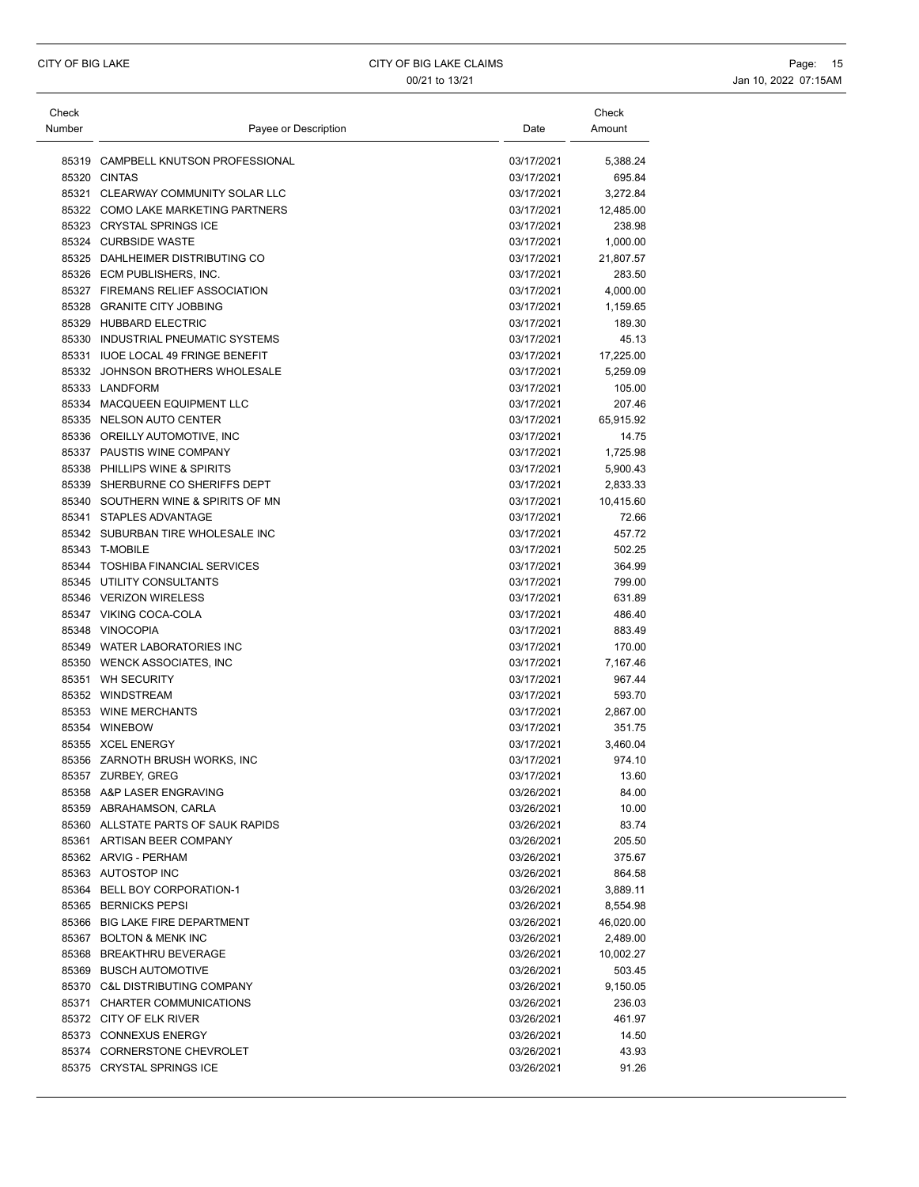| Check  |                                     |            | Check     |
|--------|-------------------------------------|------------|-----------|
| Number | Payee or Description                | Date       | Amount    |
|        | 85319 CAMPBELL KNUTSON PROFESSIONAL | 03/17/2021 | 5,388.24  |
|        | 85320 CINTAS                        | 03/17/2021 | 695.84    |
|        | 85321 CLEARWAY COMMUNITY SOLAR LLC  | 03/17/2021 | 3,272.84  |
|        | 85322 COMO LAKE MARKETING PARTNERS  | 03/17/2021 | 12,485.00 |
|        | 85323 CRYSTAL SPRINGS ICE           | 03/17/2021 | 238.98    |
|        | 85324 CURBSIDE WASTE                | 03/17/2021 | 1,000.00  |
|        | 85325 DAHLHEIMER DISTRIBUTING CO    | 03/17/2021 | 21,807.57 |
|        | 85326 ECM PUBLISHERS, INC.          | 03/17/2021 | 283.50    |
|        | 85327 FIREMANS RELIEF ASSOCIATION   | 03/17/2021 | 4,000.00  |
|        | 85328 GRANITE CITY JOBBING          | 03/17/2021 | 1,159.65  |
|        | 85329 HUBBARD ELECTRIC              | 03/17/2021 | 189.30    |
|        | 85330 INDUSTRIAL PNEUMATIC SYSTEMS  | 03/17/2021 | 45.13     |
|        | 85331 IUOE LOCAL 49 FRINGE BENEFIT  | 03/17/2021 | 17,225.00 |
|        | 85332 JOHNSON BROTHERS WHOLESALE    | 03/17/2021 | 5,259.09  |
|        | 85333 LANDFORM                      | 03/17/2021 | 105.00    |
|        | 85334 MACQUEEN EQUIPMENT LLC        | 03/17/2021 | 207.46    |
|        | 85335 NELSON AUTO CENTER            | 03/17/2021 | 65,915.92 |
|        | 85336 OREILLY AUTOMOTIVE, INC       | 03/17/2021 | 14.75     |
|        | 85337 PAUSTIS WINE COMPANY          | 03/17/2021 | 1,725.98  |
|        | 85338 PHILLIPS WINE & SPIRITS       | 03/17/2021 | 5,900.43  |
| 85339  | SHERBURNE CO SHERIFFS DEPT          | 03/17/2021 | 2,833.33  |
|        | 85340 SOUTHERN WINE & SPIRITS OF MN | 03/17/2021 | 10,415.60 |
|        | 85341 STAPLES ADVANTAGE             | 03/17/2021 | 72.66     |
|        | 85342 SUBURBAN TIRE WHOLESALE INC   | 03/17/2021 | 457.72    |
|        | 85343 T-MOBILE                      | 03/17/2021 | 502.25    |
|        | 85344 TOSHIBA FINANCIAL SERVICES    | 03/17/2021 | 364.99    |
|        | 85345 UTILITY CONSULTANTS           | 03/17/2021 | 799.00    |
|        | 85346 VERIZON WIRELESS              | 03/17/2021 | 631.89    |
|        | 85347 VIKING COCA-COLA              | 03/17/2021 | 486.40    |
|        | 85348 VINOCOPIA                     | 03/17/2021 | 883.49    |
|        | 85349 WATER LABORATORIES INC        | 03/17/2021 | 170.00    |
|        | 85350 WENCK ASSOCIATES, INC         | 03/17/2021 | 7,167.46  |
|        | 85351 WH SECURITY                   | 03/17/2021 | 967.44    |
|        | 85352 WINDSTREAM                    | 03/17/2021 | 593.70    |
|        | 85353 WINE MERCHANTS                | 03/17/2021 | 2,867.00  |
|        | 85354 WINEBOW                       | 03/17/2021 | 351.75    |
|        | 85355 XCEL ENERGY                   | 03/17/2021 | 3,460.04  |
|        | 85356 ZARNOTH BRUSH WORKS, INC      | 03/17/2021 | 974.10    |
|        | 85357 ZURBEY GREG                   | 03/17/2021 | 13.60     |
|        | 85358 A&P LASER ENGRAVING           | 03/26/2021 | 84.00     |
|        | 85359 ABRAHAMSON, CARLA             | 03/26/2021 | 10.00     |
|        | 85360 ALLSTATE PARTS OF SAUK RAPIDS | 03/26/2021 | 83.74     |
|        | 85361 ARTISAN BEER COMPANY          | 03/26/2021 | 205.50    |
|        | 85362 ARVIG - PERHAM                | 03/26/2021 | 375.67    |
|        | 85363 AUTOSTOP INC                  | 03/26/2021 | 864.58    |
|        | 85364 BELL BOY CORPORATION-1        | 03/26/2021 | 3,889.11  |
|        | 85365 BERNICKS PEPSI                | 03/26/2021 | 8,554.98  |
|        | 85366 BIG LAKE FIRE DEPARTMENT      | 03/26/2021 | 46,020.00 |
|        | 85367 BOLTON & MENK INC             | 03/26/2021 | 2,489.00  |
|        | 85368 BREAKTHRU BEVERAGE            | 03/26/2021 | 10,002.27 |
|        | 85369 BUSCH AUTOMOTIVE              | 03/26/2021 | 503.45    |
|        | 85370 C&L DISTRIBUTING COMPANY      | 03/26/2021 | 9,150.05  |
|        | 85371 CHARTER COMMUNICATIONS        | 03/26/2021 | 236.03    |
|        | 85372 CITY OF ELK RIVER             | 03/26/2021 | 461.97    |
|        | 85373 CONNEXUS ENERGY               | 03/26/2021 | 14.50     |
|        | 85374 CORNERSTONE CHEVROLET         | 03/26/2021 | 43.93     |
|        | 85375 CRYSTAL SPRINGS ICE           | 03/26/2021 | 91.26     |
|        |                                     |            |           |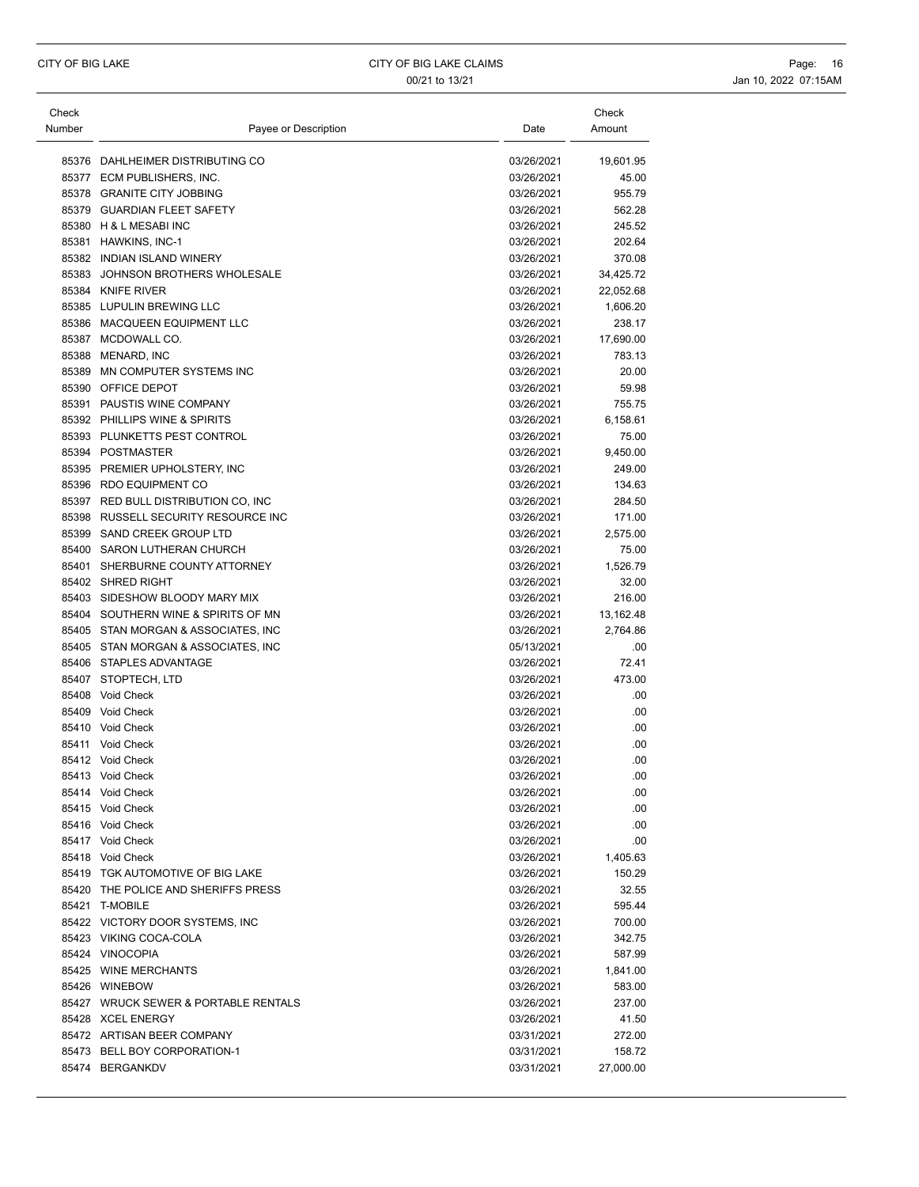| Check  |                                      |            | Check     |
|--------|--------------------------------------|------------|-----------|
| Number | Payee or Description                 | Date       | Amount    |
|        |                                      |            |           |
|        | 85376 DAHLHEIMER DISTRIBUTING CO     | 03/26/2021 | 19,601.95 |
|        | 85377 ECM PUBLISHERS, INC.           | 03/26/2021 | 45.00     |
|        | 85378 GRANITE CITY JOBBING           | 03/26/2021 | 955.79    |
|        | 85379 GUARDIAN FLEET SAFETY          | 03/26/2021 | 562.28    |
|        | 85380 H & L MESABI INC               | 03/26/2021 | 245.52    |
|        | 85381 HAWKINS, INC-1                 | 03/26/2021 | 202.64    |
|        | 85382 INDIAN ISLAND WINERY           | 03/26/2021 | 370.08    |
|        | 85383 JOHNSON BROTHERS WHOLESALE     | 03/26/2021 | 34,425.72 |
|        | 85384 KNIFE RIVER                    | 03/26/2021 | 22,052.68 |
|        | 85385 LUPULIN BREWING LLC            | 03/26/2021 | 1,606.20  |
|        | 85386 MACQUEEN EQUIPMENT LLC         | 03/26/2021 | 238.17    |
|        | 85387 MCDOWALL CO.                   | 03/26/2021 | 17,690.00 |
|        | 85388 MENARD, INC                    | 03/26/2021 | 783.13    |
|        | 85389 MN COMPUTER SYSTEMS INC        | 03/26/2021 | 20.00     |
|        | 85390 OFFICE DEPOT                   | 03/26/2021 | 59.98     |
|        | 85391 PAUSTIS WINE COMPANY           | 03/26/2021 | 755.75    |
|        | 85392 PHILLIPS WINE & SPIRITS        | 03/26/2021 | 6,158.61  |
|        | 85393 PLUNKETTS PEST CONTROL         | 03/26/2021 | 75.00     |
|        | 85394 POSTMASTER                     | 03/26/2021 | 9,450.00  |
|        | 85395 PREMIER UPHOLSTERY, INC        | 03/26/2021 | 249.00    |
|        | 85396 RDO EQUIPMENT CO               | 03/26/2021 | 134.63    |
|        | 85397 RED BULL DISTRIBUTION CO, INC  | 03/26/2021 | 284.50    |
|        | 85398 RUSSELL SECURITY RESOURCE INC  | 03/26/2021 | 171.00    |
|        | 85399 SAND CREEK GROUP LTD           | 03/26/2021 | 2,575.00  |
|        | 85400 SARON LUTHERAN CHURCH          | 03/26/2021 | 75.00     |
|        | 85401 SHERBURNE COUNTY ATTORNEY      | 03/26/2021 | 1,526.79  |
|        | 85402 SHRED RIGHT                    | 03/26/2021 | 32.00     |
|        | 85403 SIDESHOW BLOODY MARY MIX       | 03/26/2021 | 216.00    |
|        | 85404 SOUTHERN WINE & SPIRITS OF MN  | 03/26/2021 | 13,162.48 |
|        | 85405 STAN MORGAN & ASSOCIATES, INC  | 03/26/2021 | 2,764.86  |
|        | 85405 STAN MORGAN & ASSOCIATES, INC  | 05/13/2021 | .00       |
|        | 85406 STAPLES ADVANTAGE              | 03/26/2021 | 72.41     |
|        | 85407 STOPTECH, LTD                  | 03/26/2021 | 473.00    |
|        | 85408 Void Check                     | 03/26/2021 | .00       |
|        | 85409 Void Check                     | 03/26/2021 | .00       |
|        | 85410 Void Check                     | 03/26/2021 | .00       |
|        | 85411 Void Check                     | 03/26/2021 | .00       |
|        | 85412 Void Check                     | 03/26/2021 | .00       |
|        | 85413 Void Check                     | 03/26/2021 | .00       |
|        | 85414 Void Check                     | 03/26/2021 | .00       |
|        | 85415 Void Check                     | 03/26/2021 | .00       |
|        | 85416 Void Check                     | 03/26/2021 | .00.      |
|        | 85417 Void Check                     | 03/26/2021 | .00.      |
|        | 85418 Void Check                     | 03/26/2021 | 1,405.63  |
|        | 85419 TGK AUTOMOTIVE OF BIG LAKE     | 03/26/2021 | 150.29    |
|        | 85420 THE POLICE AND SHERIFFS PRESS  | 03/26/2021 | 32.55     |
|        | 85421 T-MOBILE                       | 03/26/2021 | 595.44    |
|        | 85422 VICTORY DOOR SYSTEMS, INC      | 03/26/2021 | 700.00    |
|        | 85423 VIKING COCA-COLA               | 03/26/2021 | 342.75    |
|        | 85424 VINOCOPIA                      | 03/26/2021 | 587.99    |
|        | 85425 WINE MERCHANTS                 | 03/26/2021 | 1,841.00  |
|        | 85426 WINEBOW                        | 03/26/2021 | 583.00    |
|        | 85427 WRUCK SEWER & PORTABLE RENTALS | 03/26/2021 | 237.00    |
|        | 85428 XCEL ENERGY                    | 03/26/2021 | 41.50     |
|        | 85472 ARTISAN BEER COMPANY           | 03/31/2021 | 272.00    |
|        | 85473 BELL BOY CORPORATION-1         | 03/31/2021 | 158.72    |
|        | 85474 BERGANKDV                      | 03/31/2021 | 27,000.00 |
|        |                                      |            |           |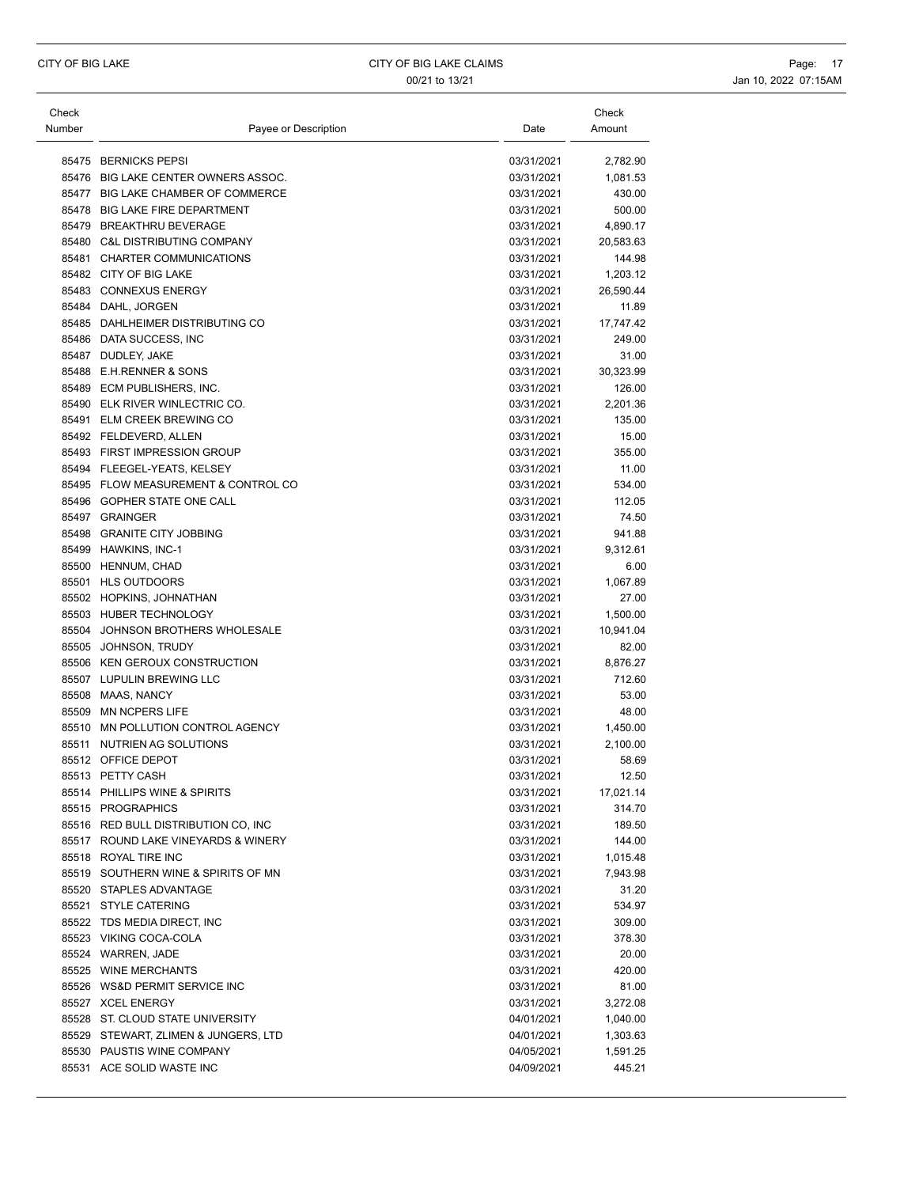| Check  |                                                    |                          | Check             |
|--------|----------------------------------------------------|--------------------------|-------------------|
| Number | Payee or Description                               | Date                     | Amount            |
|        |                                                    |                          |                   |
|        | 85475 BERNICKS PEPSI                               | 03/31/2021               | 2,782.90          |
|        | 85476 BIG LAKE CENTER OWNERS ASSOC.                | 03/31/2021               | 1,081.53          |
|        | 85477 BIG LAKE CHAMBER OF COMMERCE                 | 03/31/2021               | 430.00            |
|        | 85478 BIG LAKE FIRE DEPARTMENT                     | 03/31/2021               | 500.00            |
|        | 85479 BREAKTHRU BEVERAGE                           | 03/31/2021               | 4,890.17          |
|        | 85480 C&L DISTRIBUTING COMPANY                     | 03/31/2021               | 20,583.63         |
|        | 85481 CHARTER COMMUNICATIONS                       | 03/31/2021               | 144.98            |
|        | 85482 CITY OF BIG LAKE                             | 03/31/2021               | 1,203.12          |
|        | 85483 CONNEXUS ENERGY                              | 03/31/2021               | 26,590.44         |
|        | 85484 DAHL, JORGEN                                 | 03/31/2021               | 11.89             |
|        | 85485 DAHLHEIMER DISTRIBUTING CO                   | 03/31/2021               | 17,747.42         |
|        | 85486 DATA SUCCESS, INC                            | 03/31/2021               | 249.00            |
|        | 85487 DUDLEY, JAKE                                 | 03/31/2021               | 31.00             |
|        | 85488 E.H.RENNER & SONS                            | 03/31/2021               | 30,323.99         |
|        | 85489 ECM PUBLISHERS, INC.                         | 03/31/2021               | 126.00            |
|        | 85490 ELK RIVER WINLECTRIC CO.                     | 03/31/2021               | 2,201.36          |
|        | 85491 ELM CREEK BREWING CO                         | 03/31/2021               | 135.00            |
|        | 85492 FELDEVERD, ALLEN                             | 03/31/2021               | 15.00             |
|        | 85493 FIRST IMPRESSION GROUP                       | 03/31/2021               | 355.00            |
|        | 85494 FLEEGEL-YEATS, KELSEY                        | 03/31/2021               | 11.00             |
|        | 85495 FLOW MEASUREMENT & CONTROL CO                | 03/31/2021               | 534.00            |
|        | 85496 GOPHER STATE ONE CALL                        | 03/31/2021               | 112.05            |
|        | 85497 GRAINGER                                     | 03/31/2021               | 74.50             |
|        | 85498 GRANITE CITY JOBBING                         | 03/31/2021               | 941.88            |
|        | 85499 HAWKINS, INC-1                               | 03/31/2021               | 9,312.61          |
|        | 85500 HENNUM, CHAD                                 | 03/31/2021               | 6.00              |
|        | 85501 HLS OUTDOORS                                 | 03/31/2021               | 1,067.89          |
|        | 85502 HOPKINS, JOHNATHAN                           | 03/31/2021               | 27.00             |
|        | 85503 HUBER TECHNOLOGY                             | 03/31/2021               | 1,500.00          |
|        | 85504 JOHNSON BROTHERS WHOLESALE                   | 03/31/2021               | 10,941.04         |
|        | 85505 JOHNSON, TRUDY                               | 03/31/2021               | 82.00             |
|        | 85506 KEN GEROUX CONSTRUCTION                      | 03/31/2021               | 8,876.27          |
|        | 85507 LUPULIN BREWING LLC                          | 03/31/2021               | 712.60            |
|        | 85508 MAAS, NANCY                                  | 03/31/2021               | 53.00             |
|        | 85509 MN NCPERS LIFE                               | 03/31/2021               | 48.00             |
|        | 85510 MN POLLUTION CONTROL AGENCY                  | 03/31/2021               |                   |
|        | 85511 NUTRIEN AG SOLUTIONS                         |                          | 1,450.00          |
|        | 85512 OFFICE DEPOT                                 | 03/31/2021<br>03/31/2021 | 2,100.00<br>58.69 |
|        | 85513 PETTY CASH                                   | 03/31/2021               | 12.50             |
|        |                                                    | 03/31/2021               |                   |
|        | 85514 PHILLIPS WINE & SPIRITS<br>85515 PROGRAPHICS |                          | 17,021.14         |
|        |                                                    | 03/31/2021               | 314.70            |
|        | 85516 RED BULL DISTRIBUTION CO, INC                | 03/31/2021               | 189.50            |
|        | 85517 ROUND LAKE VINEYARDS & WINERY                | 03/31/2021               | 144.00            |
|        | 85518 ROYAL TIRE INC                               | 03/31/2021               | 1,015.48          |
|        | 85519 SOUTHERN WINE & SPIRITS OF MN                | 03/31/2021               | 7,943.98          |
|        | 85520 STAPLES ADVANTAGE                            | 03/31/2021               | 31.20             |
|        | 85521 STYLE CATERING                               | 03/31/2021               | 534.97            |
|        | 85522 TDS MEDIA DIRECT, INC                        | 03/31/2021               | 309.00            |
|        | 85523 VIKING COCA-COLA                             | 03/31/2021               | 378.30            |
|        | 85524 WARREN, JADE                                 | 03/31/2021               | 20.00             |
|        | 85525 WINE MERCHANTS                               | 03/31/2021               | 420.00            |
|        | 85526 WS&D PERMIT SERVICE INC                      | 03/31/2021               | 81.00             |
|        | 85527 XCEL ENERGY                                  | 03/31/2021               | 3,272.08          |
|        | 85528 ST. CLOUD STATE UNIVERSITY                   | 04/01/2021               | 1,040.00          |
|        | 85529 STEWART, ZLIMEN & JUNGERS, LTD               | 04/01/2021               | 1,303.63          |
|        | 85530 PAUSTIS WINE COMPANY                         | 04/05/2021               | 1,591.25          |
|        | 85531 ACE SOLID WASTE INC                          | 04/09/2021               | 445.21            |
|        |                                                    |                          |                   |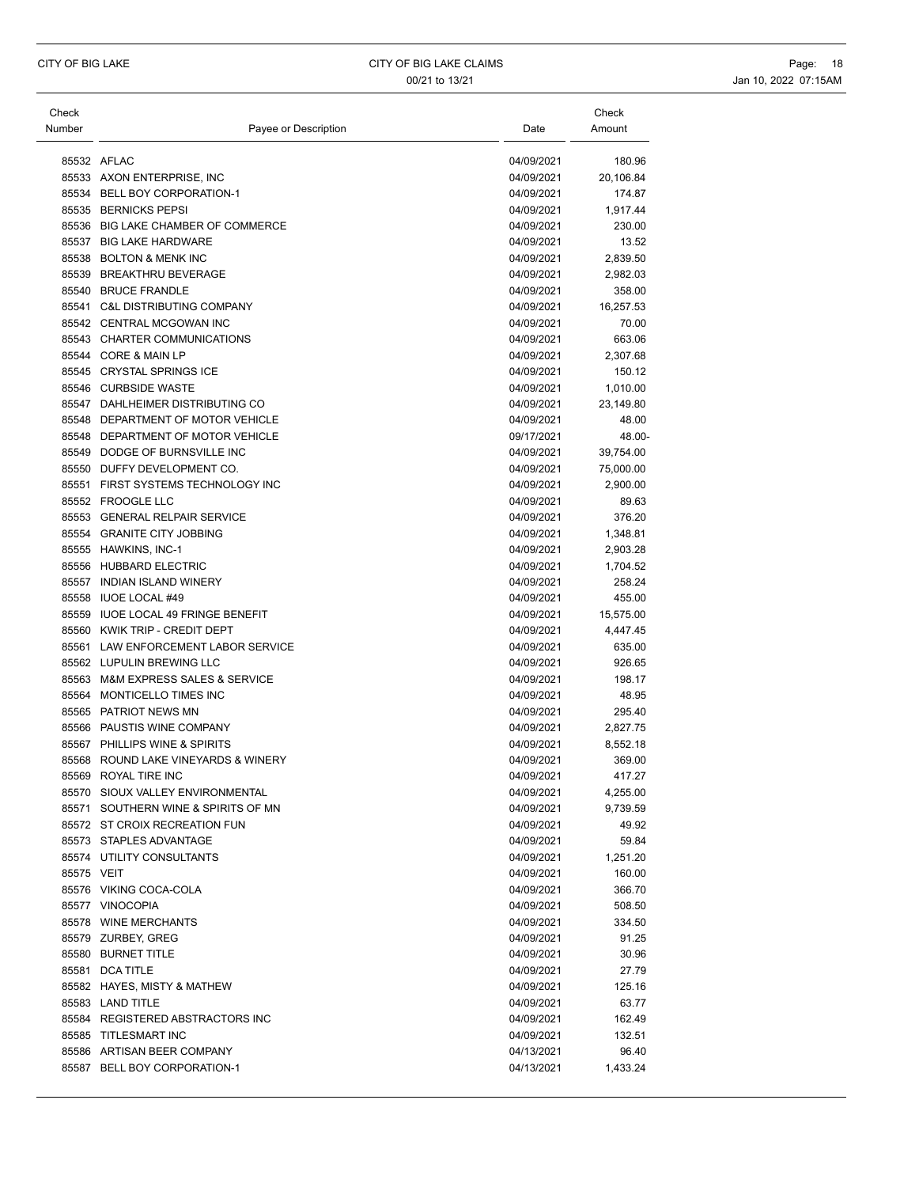| Check      |                                     |            | Check     |
|------------|-------------------------------------|------------|-----------|
| Number     | Payee or Description                | Date       | Amount    |
|            |                                     |            |           |
|            | 85532 AFLAC                         | 04/09/2021 | 180.96    |
|            | 85533 AXON ENTERPRISE, INC          | 04/09/2021 | 20,106.84 |
|            | 85534 BELL BOY CORPORATION-1        | 04/09/2021 | 174.87    |
| 85535      | <b>BERNICKS PEPSI</b>               | 04/09/2021 | 1,917.44  |
|            | 85536 BIG LAKE CHAMBER OF COMMERCE  | 04/09/2021 | 230.00    |
|            | 85537 BIG LAKE HARDWARE             | 04/09/2021 | 13.52     |
|            | 85538 BOLTON & MENK INC             | 04/09/2021 | 2,839.50  |
|            | 85539 BREAKTHRU BEVERAGE            | 04/09/2021 | 2,982.03  |
|            | 85540 BRUCE FRANDLE                 | 04/09/2021 | 358.00    |
|            | 85541 C&L DISTRIBUTING COMPANY      | 04/09/2021 | 16,257.53 |
|            | 85542 CENTRAL MCGOWAN INC           | 04/09/2021 | 70.00     |
|            | 85543 CHARTER COMMUNICATIONS        | 04/09/2021 | 663.06    |
|            | 85544 CORE & MAIN LP                | 04/09/2021 | 2,307.68  |
|            | 85545 CRYSTAL SPRINGS ICE           | 04/09/2021 | 150.12    |
|            | 85546 CURBSIDE WASTE                | 04/09/2021 | 1,010.00  |
|            | 85547 DAHLHEIMER DISTRIBUTING CO    | 04/09/2021 | 23,149.80 |
|            | 85548 DEPARTMENT OF MOTOR VEHICLE   | 04/09/2021 | 48.00     |
|            | 85548 DEPARTMENT OF MOTOR VEHICLE   | 09/17/2021 | 48.00-    |
|            | 85549 DODGE OF BURNSVILLE INC       | 04/09/2021 | 39,754.00 |
|            | 85550 DUFFY DEVELOPMENT CO.         | 04/09/2021 | 75,000.00 |
| 85551      | FIRST SYSTEMS TECHNOLOGY INC        | 04/09/2021 | 2,900.00  |
|            | 85552 FROOGLE LLC                   | 04/09/2021 | 89.63     |
|            | 85553 GENERAL RELPAIR SERVICE       | 04/09/2021 | 376.20    |
| 85554      | <b>GRANITE CITY JOBBING</b>         | 04/09/2021 | 1,348.81  |
|            | 85555 HAWKINS, INC-1                | 04/09/2021 | 2,903.28  |
|            | 85556 HUBBARD ELECTRIC              | 04/09/2021 | 1,704.52  |
|            | 85557 INDIAN ISLAND WINERY          | 04/09/2021 | 258.24    |
|            | 85558 IUOE LOCAL #49                | 04/09/2021 | 455.00    |
|            | 85559 IUOE LOCAL 49 FRINGE BENEFIT  | 04/09/2021 | 15,575.00 |
|            | 85560 KWIK TRIP - CREDIT DEPT       | 04/09/2021 | 4,447.45  |
|            | 85561 LAW ENFORCEMENT LABOR SERVICE | 04/09/2021 | 635.00    |
|            | 85562 LUPULIN BREWING LLC           | 04/09/2021 | 926.65    |
|            | 85563 M&M EXPRESS SALES & SERVICE   | 04/09/2021 | 198.17    |
| 85564      | MONTICELLO TIMES INC                | 04/09/2021 | 48.95     |
|            | 85565 PATRIOT NEWS MN               | 04/09/2021 | 295.40    |
|            | 85566 PAUSTIS WINE COMPANY          | 04/09/2021 | 2,827.75  |
|            | 85567 PHILLIPS WINE & SPIRITS       | 04/09/2021 | 8,552.18  |
|            | 85568 ROUND LAKE VINEYARDS & WINERY | 04/09/2021 | 369.00    |
|            | 85569 ROYAL TIRE INC                | 04/09/2021 | 417.27    |
|            | 85570 SIOUX VALLEY ENVIRONMENTAL    | 04/09/2021 | 4,255.00  |
|            | 85571 SOUTHERN WINE & SPIRITS OF MN | 04/09/2021 | 9,739.59  |
|            | 85572 ST CROIX RECREATION FUN       | 04/09/2021 | 49.92     |
|            | 85573 STAPLES ADVANTAGE             | 04/09/2021 | 59.84     |
|            | 85574 UTILITY CONSULTANTS           | 04/09/2021 | 1,251.20  |
| 85575 VEIT |                                     | 04/09/2021 | 160.00    |
|            | 85576 VIKING COCA-COLA              | 04/09/2021 | 366.70    |
|            | 85577 VINOCOPIA                     | 04/09/2021 | 508.50    |
|            | 85578 WINE MERCHANTS                | 04/09/2021 | 334.50    |
|            | 85579 ZURBEY, GREG                  | 04/09/2021 | 91.25     |
|            | 85580 BURNET TITLE                  | 04/09/2021 | 30.96     |
|            | 85581 DCA TITLE                     | 04/09/2021 | 27.79     |
|            | 85582 HAYES, MISTY & MATHEW         | 04/09/2021 | 125.16    |
|            | 85583 LAND TITLE                    | 04/09/2021 | 63.77     |
|            | 85584 REGISTERED ABSTRACTORS INC    | 04/09/2021 | 162.49    |
|            | 85585 TITLESMART INC                | 04/09/2021 | 132.51    |
|            | 85586 ARTISAN BEER COMPANY          | 04/13/2021 | 96.40     |
|            | 85587 BELL BOY CORPORATION-1        | 04/13/2021 | 1,433.24  |
|            |                                     |            |           |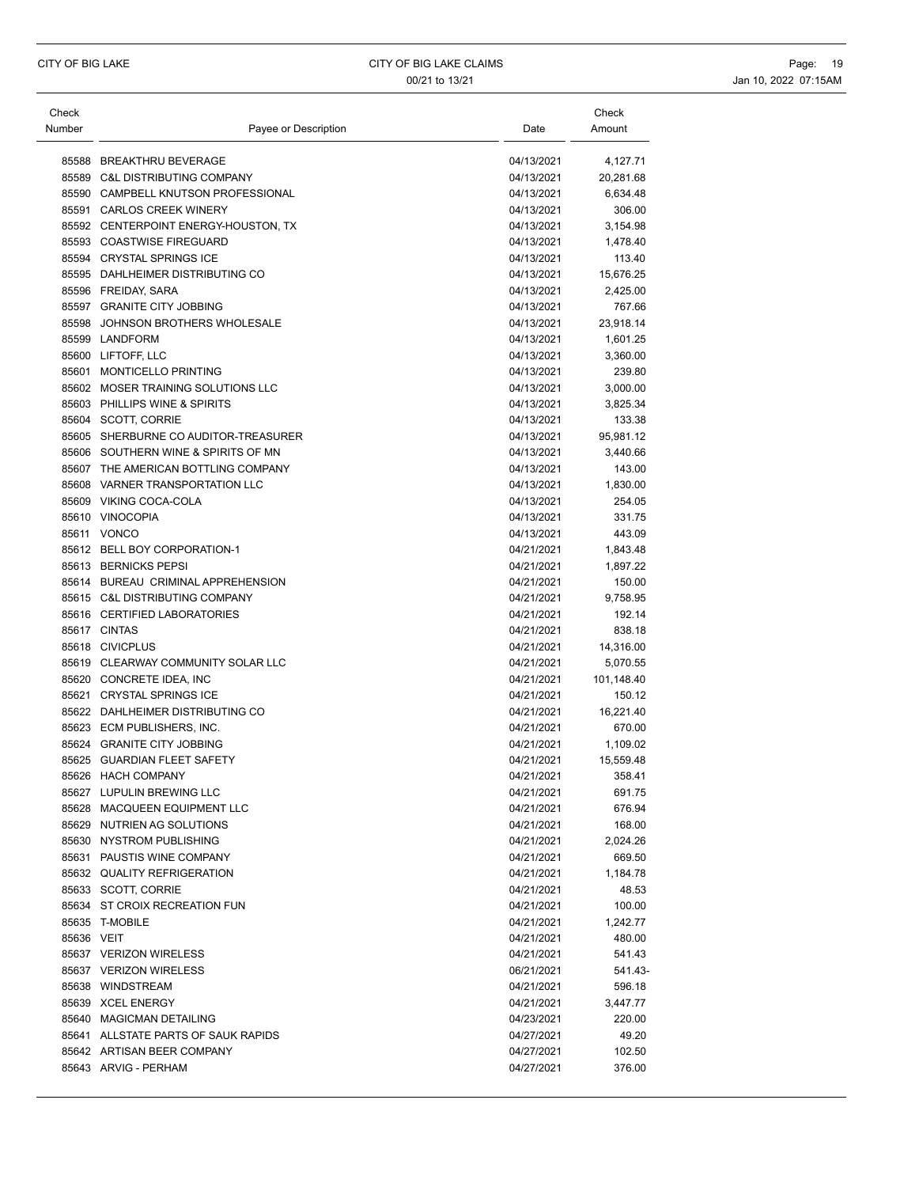| Check      |                                                                             |                          | Check                 |
|------------|-----------------------------------------------------------------------------|--------------------------|-----------------------|
| Number     | Payee or Description                                                        | Date                     | Amount                |
|            |                                                                             |                          |                       |
|            | 85588 BREAKTHRU BEVERAGE                                                    | 04/13/2021               | 4,127.71              |
|            | 85589 C&L DISTRIBUTING COMPANY                                              | 04/13/2021               | 20,281.68             |
|            | 85590 CAMPBELL KNUTSON PROFESSIONAL                                         | 04/13/2021               | 6,634.48              |
|            | 85591 CARLOS CREEK WINERY                                                   | 04/13/2021               | 306.00                |
|            | 85592 CENTERPOINT ENERGY-HOUSTON, TX                                        | 04/13/2021               | 3,154.98              |
|            | 85593 COASTWISE FIREGUARD                                                   | 04/13/2021               | 1,478.40              |
|            | 85594 CRYSTAL SPRINGS ICE                                                   | 04/13/2021               | 113.40                |
|            | 85595 DAHLHEIMER DISTRIBUTING CO                                            | 04/13/2021               | 15,676.25             |
|            | 85596 FREIDAY, SARA                                                         | 04/13/2021               | 2,425.00              |
|            | 85597 GRANITE CITY JOBBING                                                  | 04/13/2021               | 767.66                |
|            | 85598 JOHNSON BROTHERS WHOLESALE                                            | 04/13/2021               | 23,918.14             |
|            | 85599 LANDFORM                                                              | 04/13/2021               | 1,601.25              |
|            | 85600 LIFTOFF, LLC                                                          | 04/13/2021               | 3,360.00              |
|            | 85601 MONTICELLO PRINTING<br>85602 MOSER TRAINING SOLUTIONS LLC             | 04/13/2021               | 239.80                |
|            |                                                                             | 04/13/2021               | 3,000.00              |
|            | 85603 PHILLIPS WINE & SPIRITS                                               | 04/13/2021<br>04/13/2021 | 3,825.34              |
|            | 85604 SCOTT, CORRIE                                                         |                          | 133.38                |
|            | 85605 SHERBURNE CO AUDITOR-TREASURER<br>85606 SOUTHERN WINE & SPIRITS OF MN | 04/13/2021               | 95,981.12             |
|            |                                                                             | 04/13/2021               | 3,440.66              |
|            | 85607 THE AMERICAN BOTTLING COMPANY                                         | 04/13/2021               | 143.00                |
|            | 85608 VARNER TRANSPORTATION LLC<br>85609 VIKING COCA-COLA                   | 04/13/2021               | 1,830.00              |
|            |                                                                             | 04/13/2021               | 254.05                |
|            | 85610 VINOCOPIA                                                             | 04/13/2021               | 331.75                |
|            | 85611 VONCO                                                                 | 04/13/2021               | 443.09                |
|            | 85612 BELL BOY CORPORATION-1                                                | 04/21/2021               | 1,843.48              |
|            | 85613 BERNICKS PEPSI                                                        | 04/21/2021               | 1,897.22              |
|            | 85614 BUREAU CRIMINAL APPREHENSION                                          | 04/21/2021               | 150.00                |
|            | 85615 C&L DISTRIBUTING COMPANY                                              | 04/21/2021               | 9,758.95              |
|            | 85616 CERTIFIED LABORATORIES<br>85617 CINTAS                                | 04/21/2021               | 192.14                |
|            |                                                                             | 04/21/2021               | 838.18                |
|            | 85618 CIVICPLUS                                                             | 04/21/2021               | 14,316.00             |
|            | 85619 CLEARWAY COMMUNITY SOLAR LLC                                          | 04/21/2021               | 5,070.55              |
|            | 85620 CONCRETE IDEA, INC<br>85621 CRYSTAL SPRINGS ICE                       | 04/21/2021<br>04/21/2021 | 101,148.40<br>150.12  |
|            | 85622 DAHLHEIMER DISTRIBUTING CO                                            | 04/21/2021               | 16,221.40             |
|            | 85623 ECM PUBLISHERS. INC.                                                  | 04/21/2021               | 670.00                |
|            |                                                                             |                          |                       |
|            | 85624 GRANITE CITY JOBBING<br>85625 GUARDIAN FLEET SAFETY                   | 04/21/2021<br>04/21/2021 | 1,109.02<br>15,559.48 |
|            | 85626 HACH COMPANY                                                          | 04/21/2021               |                       |
|            | 85627 LUPULIN BREWING LLC                                                   |                          | 358.41                |
|            | 85628 MACQUEEN EQUIPMENT LLC                                                | 04/21/2021               | 691.75                |
|            | 85629 NUTRIEN AG SOLUTIONS                                                  | 04/21/2021               | 676.94                |
|            | 85630 NYSTROM PUBLISHING                                                    | 04/21/2021<br>04/21/2021 | 168.00<br>2,024.26    |
|            | 85631 PAUSTIS WINE COMPANY                                                  |                          | 669.50                |
|            | 85632 QUALITY REFRIGERATION                                                 | 04/21/2021               |                       |
|            | 85633 SCOTT, CORRIE                                                         | 04/21/2021               | 1,184.78              |
|            |                                                                             | 04/21/2021               | 48.53                 |
|            | 85634 ST CROIX RECREATION FUN                                               | 04/21/2021               | 100.00                |
|            | 85635 T-MOBILE                                                              | 04/21/2021               | 1,242.77              |
| 85636 VEIT |                                                                             | 04/21/2021               | 480.00                |
|            | 85637 VERIZON WIRELESS<br>85637 VERIZON WIRELESS                            | 04/21/2021               | 541.43                |
|            |                                                                             | 06/21/2021               | 541.43-               |
|            | 85638 WINDSTREAM                                                            | 04/21/2021               | 596.18                |
|            | 85639 XCEL ENERGY                                                           | 04/21/2021               | 3,447.77              |
|            | 85640 MAGICMAN DETAILING                                                    | 04/23/2021               | 220.00                |
|            | 85641 ALLSTATE PARTS OF SAUK RAPIDS                                         | 04/27/2021               | 49.20                 |
|            | 85642 ARTISAN BEER COMPANY                                                  | 04/27/2021               | 102.50                |
|            | 85643 ARVIG - PERHAM                                                        | 04/27/2021               | 376.00                |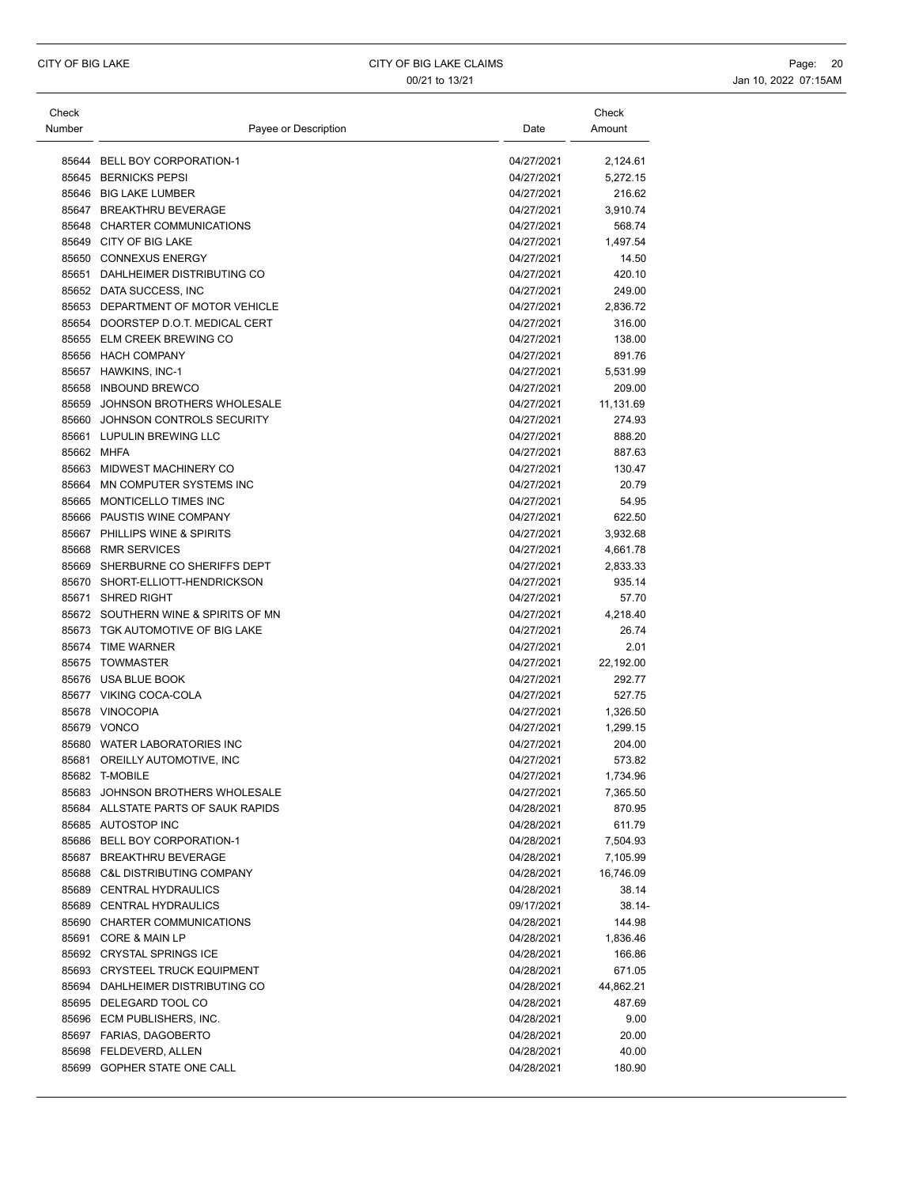| Check<br>Number | Payee or Description                | Date       | Check<br>Amount |
|-----------------|-------------------------------------|------------|-----------------|
|                 |                                     |            |                 |
|                 | 85644 BELL BOY CORPORATION-1        | 04/27/2021 | 2,124.61        |
|                 | 85645 BERNICKS PEPSI                | 04/27/2021 | 5,272.15        |
|                 | 85646 BIG LAKE LUMBER               | 04/27/2021 | 216.62          |
|                 | 85647 BREAKTHRU BEVERAGE            | 04/27/2021 | 3,910.74        |
|                 | 85648 CHARTER COMMUNICATIONS        | 04/27/2021 | 568.74          |
|                 | 85649 CITY OF BIG LAKE              | 04/27/2021 | 1,497.54        |
|                 | 85650 CONNEXUS ENERGY               | 04/27/2021 | 14.50           |
|                 | 85651 DAHLHEIMER DISTRIBUTING CO    | 04/27/2021 | 420.10          |
|                 | 85652 DATA SUCCESS, INC             | 04/27/2021 | 249.00          |
|                 | 85653 DEPARTMENT OF MOTOR VEHICLE   | 04/27/2021 | 2,836.72        |
|                 | 85654 DOORSTEP D.O.T. MEDICAL CERT  | 04/27/2021 | 316.00          |
|                 | 85655 ELM CREEK BREWING CO          | 04/27/2021 | 138.00          |
|                 | 85656 HACH COMPANY                  | 04/27/2021 | 891.76          |
|                 | 85657 HAWKINS, INC-1                | 04/27/2021 | 5,531.99        |
|                 | 85658 INBOUND BREWCO                | 04/27/2021 | 209.00          |
| 85659           | JOHNSON BROTHERS WHOLESALE          | 04/27/2021 | 11,131.69       |
| 85660           | JOHNSON CONTROLS SECURITY           | 04/27/2021 | 274.93          |
|                 | 85661 LUPULIN BREWING LLC           | 04/27/2021 | 888.20          |
|                 | 85662 MHFA                          | 04/27/2021 | 887.63          |
|                 | 85663 MIDWEST MACHINERY CO          | 04/27/2021 | 130.47          |
| 85664           | MN COMPUTER SYSTEMS INC             | 04/27/2021 | 20.79           |
|                 | 85665 MONTICELLO TIMES INC          | 04/27/2021 | 54.95           |
|                 | 85666 PAUSTIS WINE COMPANY          | 04/27/2021 | 622.50          |
|                 | 85667 PHILLIPS WINE & SPIRITS       | 04/27/2021 | 3,932.68        |
|                 | 85668 RMR SERVICES                  | 04/27/2021 | 4,661.78        |
|                 | 85669 SHERBURNE CO SHERIFFS DEPT    | 04/27/2021 | 2,833.33        |
|                 | 85670 SHORT-ELLIOTT-HENDRICKSON     | 04/27/2021 | 935.14          |
| 85671           | <b>SHRED RIGHT</b>                  | 04/27/2021 | 57.70           |
|                 | 85672 SOUTHERN WINE & SPIRITS OF MN | 04/27/2021 | 4,218.40        |
|                 | 85673 TGK AUTOMOTIVE OF BIG LAKE    | 04/27/2021 | 26.74           |
|                 | 85674 TIME WARNER                   | 04/27/2021 | 2.01            |
|                 | 85675 TOWMASTER                     | 04/27/2021 | 22,192.00       |
|                 | 85676 USA BLUE BOOK                 | 04/27/2021 | 292.77          |
|                 | 85677 VIKING COCA-COLA              | 04/27/2021 | 527.75          |
|                 | 85678 VINOCOPIA                     | 04/27/2021 | 1,326.50        |
|                 | 85679 VONCO                         | 04/27/2021 | 1,299.15        |
|                 | 85680 WATER LABORATORIES INC        | 04/27/2021 | 204.00          |
|                 | 85681 OREILLY AUTOMOTIVE, INC       | 04/27/2021 | 573.82          |
|                 | 85682 T-MOBILE                      | 04/27/2021 | 1,734.96        |
|                 | 85683 JOHNSON BROTHERS WHOLESALE    | 04/27/2021 | 7,365.50        |
|                 | 85684 ALLSTATE PARTS OF SAUK RAPIDS | 04/28/2021 | 870.95          |
|                 | 85685 AUTOSTOP INC                  | 04/28/2021 | 611.79          |
|                 | 85686 BELL BOY CORPORATION-1        | 04/28/2021 | 7,504.93        |
|                 | 85687 BREAKTHRU BEVERAGE            | 04/28/2021 | 7,105.99        |
|                 | 85688 C&L DISTRIBUTING COMPANY      | 04/28/2021 | 16,746.09       |
|                 | 85689 CENTRAL HYDRAULICS            | 04/28/2021 | 38.14           |
|                 | 85689 CENTRAL HYDRAULICS            | 09/17/2021 | 38.14-          |
|                 | 85690 CHARTER COMMUNICATIONS        | 04/28/2021 | 144.98          |
|                 | 85691 CORE & MAIN LP                | 04/28/2021 | 1,836.46        |
|                 | 85692 CRYSTAL SPRINGS ICE           | 04/28/2021 | 166.86          |
|                 | 85693 CRYSTEEL TRUCK EQUIPMENT      | 04/28/2021 | 671.05          |
|                 | 85694 DAHLHEIMER DISTRIBUTING CO    | 04/28/2021 | 44,862.21       |
|                 | 85695 DELEGARD TOOL CO              | 04/28/2021 | 487.69          |
|                 | 85696 ECM PUBLISHERS, INC.          | 04/28/2021 | 9.00            |
|                 | 85697 FARIAS, DAGOBERTO             | 04/28/2021 | 20.00           |
|                 | 85698 FELDEVERD, ALLEN              | 04/28/2021 | 40.00           |
|                 | 85699 GOPHER STATE ONE CALL         | 04/28/2021 | 180.90          |
|                 |                                     |            |                 |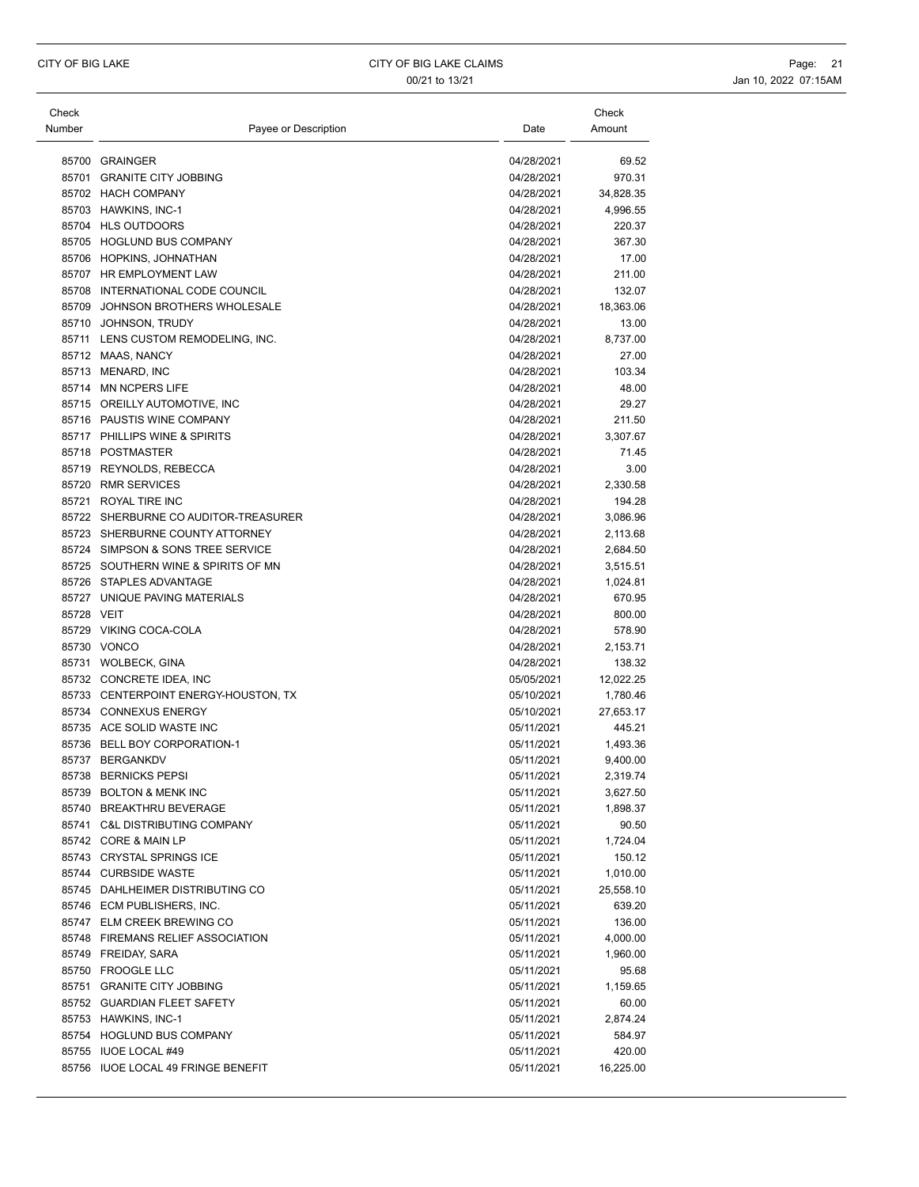| Check<br>Number | Payee or Description                 | Date       | Check<br>Amount |
|-----------------|--------------------------------------|------------|-----------------|
|                 |                                      |            |                 |
|                 | 85700 GRAINGER                       | 04/28/2021 | 69.52           |
|                 | 85701 GRANITE CITY JOBBING           | 04/28/2021 | 970.31          |
|                 | 85702 HACH COMPANY                   | 04/28/2021 | 34,828.35       |
|                 | 85703 HAWKINS, INC-1                 | 04/28/2021 | 4,996.55        |
|                 | 85704 HLS OUTDOORS                   | 04/28/2021 | 220.37          |
|                 | 85705 HOGLUND BUS COMPANY            | 04/28/2021 | 367.30          |
|                 | 85706 HOPKINS, JOHNATHAN             | 04/28/2021 | 17.00           |
|                 | 85707 HR EMPLOYMENT LAW              | 04/28/2021 | 211.00          |
|                 | 85708 INTERNATIONAL CODE COUNCIL     | 04/28/2021 | 132.07          |
|                 | 85709 JOHNSON BROTHERS WHOLESALE     | 04/28/2021 | 18,363.06       |
|                 | 85710 JOHNSON, TRUDY                 | 04/28/2021 | 13.00           |
|                 | 85711 LENS CUSTOM REMODELING, INC.   | 04/28/2021 | 8,737.00        |
|                 | 85712 MAAS, NANCY                    | 04/28/2021 | 27.00           |
|                 | 85713 MENARD, INC                    | 04/28/2021 | 103.34          |
|                 | 85714 MN NCPERS LIFE                 | 04/28/2021 | 48.00           |
|                 | 85715 OREILLY AUTOMOTIVE. INC        | 04/28/2021 | 29.27           |
|                 | 85716 PAUSTIS WINE COMPANY           | 04/28/2021 | 211.50          |
|                 | 85717 PHILLIPS WINE & SPIRITS        | 04/28/2021 | 3,307.67        |
|                 | 85718 POSTMASTER                     | 04/28/2021 | 71.45           |
|                 | 85719 REYNOLDS, REBECCA              | 04/28/2021 | 3.00            |
|                 | 85720 RMR SERVICES                   | 04/28/2021 | 2,330.58        |
|                 | 85721 ROYAL TIRE INC                 | 04/28/2021 | 194.28          |
|                 | 85722 SHERBURNE CO AUDITOR-TREASURER | 04/28/2021 | 3,086.96        |
|                 | 85723 SHERBURNE COUNTY ATTORNEY      | 04/28/2021 | 2,113.68        |
|                 | 85724 SIMPSON & SONS TREE SERVICE    | 04/28/2021 | 2,684.50        |
|                 | 85725 SOUTHERN WINE & SPIRITS OF MN  | 04/28/2021 | 3,515.51        |
|                 | 85726 STAPLES ADVANTAGE              | 04/28/2021 | 1,024.81        |
|                 | 85727 UNIQUE PAVING MATERIALS        | 04/28/2021 | 670.95          |
| 85728 VEIT      |                                      | 04/28/2021 | 800.00          |
|                 | 85729 VIKING COCA-COLA               | 04/28/2021 | 578.90          |
|                 | 85730 VONCO                          | 04/28/2021 | 2,153.71        |
|                 | 85731 WOLBECK, GINA                  | 04/28/2021 | 138.32          |
|                 | 85732 CONCRETE IDEA, INC             | 05/05/2021 | 12,022.25       |
|                 | 85733 CENTERPOINT ENERGY-HOUSTON, TX | 05/10/2021 | 1,780.46        |
|                 | 85734 CONNEXUS ENERGY                | 05/10/2021 | 27,653.17       |
|                 | 85735 ACE SOLID WASTE INC            | 05/11/2021 | 445.21          |
|                 | 85736 BELL BOY CORPORATION-1         | 05/11/2021 | 1,493.36        |
|                 | 85737 BERGANKDV                      | 05/11/2021 | 9.400.00        |
|                 | 85738 BERNICKS PEPSI                 | 05/11/2021 | 2,319.74        |
|                 | 85739 BOLTON & MENK INC              | 05/11/2021 | 3,627.50        |
|                 | 85740 BREAKTHRU BEVERAGE             | 05/11/2021 | 1,898.37        |
|                 | 85741 C&L DISTRIBUTING COMPANY       | 05/11/2021 | 90.50           |
|                 | 85742 CORE & MAIN LP                 | 05/11/2021 | 1,724.04        |
|                 | 85743 CRYSTAL SPRINGS ICE            | 05/11/2021 | 150.12          |
|                 | 85744 CURBSIDE WASTE                 | 05/11/2021 | 1,010.00        |
|                 | 85745 DAHLHEIMER DISTRIBUTING CO     | 05/11/2021 | 25,558.10       |
|                 | 85746 ECM PUBLISHERS, INC.           | 05/11/2021 | 639.20          |
|                 | 85747 ELM CREEK BREWING CO           | 05/11/2021 | 136.00          |
|                 | 85748 FIREMANS RELIEF ASSOCIATION    | 05/11/2021 | 4,000.00        |
|                 | 85749 FREIDAY, SARA                  | 05/11/2021 | 1,960.00        |
|                 | 85750 FROOGLE LLC                    | 05/11/2021 | 95.68           |
|                 | 85751 GRANITE CITY JOBBING           | 05/11/2021 | 1,159.65        |
|                 | 85752 GUARDIAN FLEET SAFETY          | 05/11/2021 | 60.00           |
|                 | 85753 HAWKINS, INC-1                 | 05/11/2021 | 2,874.24        |
|                 | 85754 HOGLUND BUS COMPANY            | 05/11/2021 | 584.97          |
|                 | 85755 IUOE LOCAL #49                 | 05/11/2021 | 420.00          |
|                 | 85756 IUOE LOCAL 49 FRINGE BENEFIT   | 05/11/2021 | 16,225.00       |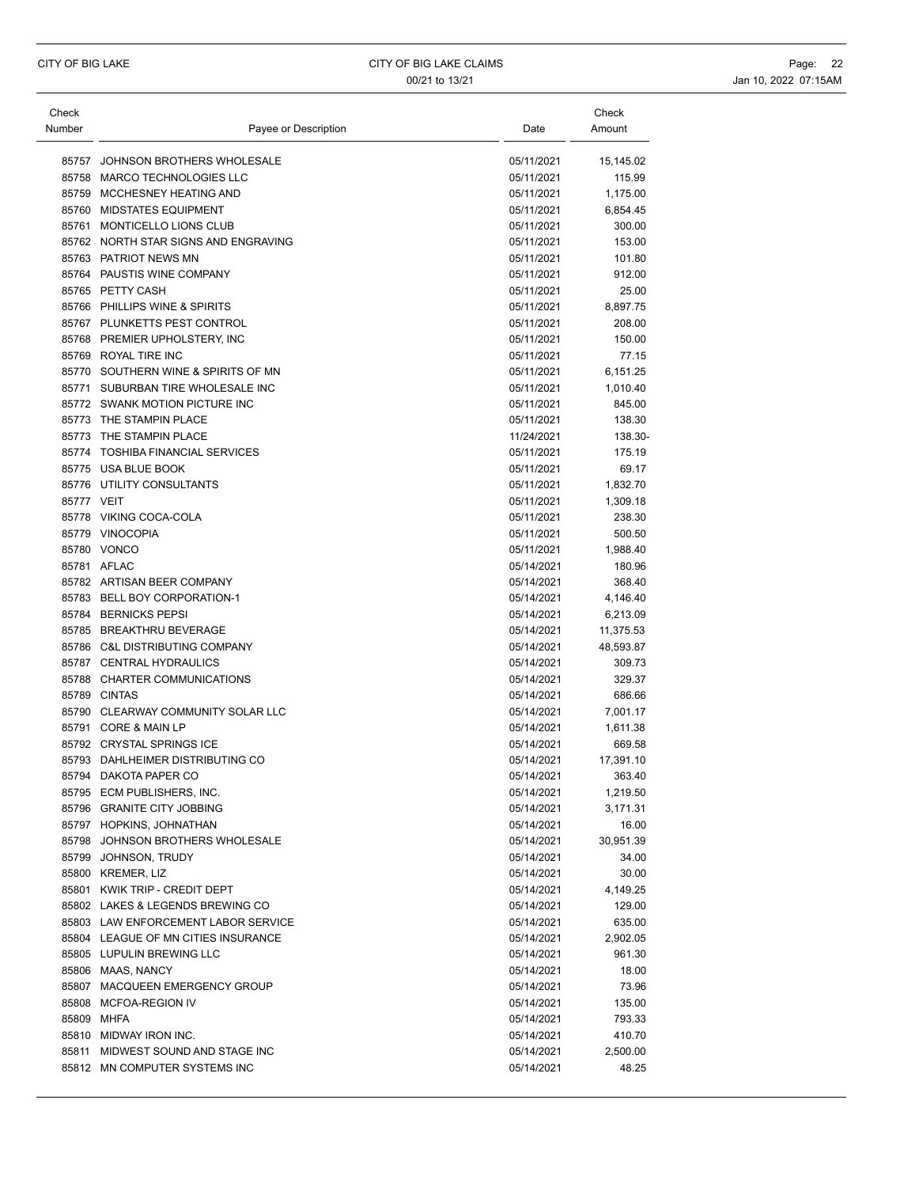| Check      |                                      |                          | Check              |
|------------|--------------------------------------|--------------------------|--------------------|
| Number     | Payee or Description                 | Date                     | Amount             |
|            |                                      |                          |                    |
| 85757      | JOHNSON BROTHERS WHOLESALE           | 05/11/2021               | 15,145.02          |
|            | 85758 MARCO TECHNOLOGIES LLC         | 05/11/2021               | 115.99             |
|            | 85759 MCCHESNEY HEATING AND          | 05/11/2021               | 1,175.00           |
| 85760      | <b>MIDSTATES EQUIPMENT</b>           | 05/11/2021               | 6,854.45           |
|            | 85761 MONTICELLO LIONS CLUB          | 05/11/2021               | 300.00             |
|            | 85762 NORTH STAR SIGNS AND ENGRAVING | 05/11/2021               | 153.00             |
|            | 85763 PATRIOT NEWS MN                | 05/11/2021               | 101.80             |
|            | 85764 PAUSTIS WINE COMPANY           | 05/11/2021               | 912.00             |
|            | 85765 PETTY CASH                     | 05/11/2021               | 25.00              |
|            | 85766 PHILLIPS WINE & SPIRITS        | 05/11/2021               | 8,897.75           |
|            | 85767 PLUNKETTS PEST CONTROL         | 05/11/2021               | 208.00             |
|            | 85768 PREMIER UPHOLSTERY, INC        | 05/11/2021               | 150.00             |
|            | 85769 ROYAL TIRE INC                 | 05/11/2021               | 77.15              |
|            | 85770 SOUTHERN WINE & SPIRITS OF MN  | 05/11/2021               | 6,151.25           |
|            | 85771 SUBURBAN TIRE WHOLESALE INC    | 05/11/2021               | 1,010.40           |
|            | 85772 SWANK MOTION PICTURE INC       | 05/11/2021               | 845.00             |
|            | 85773 THE STAMPIN PLACE              | 05/11/2021               | 138.30             |
|            | 85773 THE STAMPIN PLACE              | 11/24/2021               | 138.30-            |
|            | 85774 TOSHIBA FINANCIAL SERVICES     | 05/11/2021               | 175.19             |
|            | 85775 USA BLUE BOOK                  | 05/11/2021               | 69.17              |
|            | 85776 UTILITY CONSULTANTS            | 05/11/2021               | 1,832.70           |
| 85777 VEIT |                                      | 05/11/2021               | 1,309.18           |
|            | 85778 VIKING COCA-COLA               | 05/11/2021               | 238.30             |
|            | 85779 VINOCOPIA                      | 05/11/2021               | 500.50             |
|            | 85780 VONCO                          |                          |                    |
|            | 85781 AFLAC                          | 05/11/2021<br>05/14/2021 | 1,988.40<br>180.96 |
|            |                                      |                          |                    |
|            | 85782 ARTISAN BEER COMPANY           | 05/14/2021               | 368.40             |
|            | 85783 BELL BOY CORPORATION-1         | 05/14/2021               | 4,146.40           |
|            | 85784 BERNICKS PEPSI                 | 05/14/2021               | 6,213.09           |
|            | 85785 BREAKTHRU BEVERAGE             | 05/14/2021               | 11,375.53          |
|            | 85786 C&L DISTRIBUTING COMPANY       | 05/14/2021               | 48,593.87          |
|            | 85787 CENTRAL HYDRAULICS             | 05/14/2021               | 309.73             |
|            | 85788 CHARTER COMMUNICATIONS         | 05/14/2021               | 329.37             |
|            | 85789 CINTAS                         | 05/14/2021               | 686.66             |
|            | 85790 CLEARWAY COMMUNITY SOLAR LLC   | 05/14/2021               | 7,001.17           |
| 85791      | <b>CORE &amp; MAIN LP</b>            | 05/14/2021               | 1,611.38           |
|            | 85792 CRYSTAL SPRINGS ICE            | 05/14/2021               | 669.58             |
|            | 85793 DAHLHEIMER DISTRIBUTING CO     | 05/14/2021               | 17,391.10          |
|            | 85794 DAKOTA PAPER CO                | 05/14/2021               | 363.40             |
|            | 85795 ECM PUBLISHERS, INC.           | 05/14/2021               | 1,219.50           |
|            | 85796 GRANITE CITY JOBBING           | 05/14/2021               | 3,171.31           |
|            | 85797 HOPKINS, JOHNATHAN             | 05/14/2021               | 16.00              |
|            | 85798 JOHNSON BROTHERS WHOLESALE     | 05/14/2021               | 30,951.39          |
|            | 85799 JOHNSON, TRUDY                 | 05/14/2021               | 34.00              |
|            | 85800 KREMER, LIZ                    | 05/14/2021               | 30.00              |
|            | 85801 KWIK TRIP - CREDIT DEPT        | 05/14/2021               | 4,149.25           |
|            | 85802 LAKES & LEGENDS BREWING CO     | 05/14/2021               | 129.00             |
|            | 85803 LAW ENFORCEMENT LABOR SERVICE  | 05/14/2021               | 635.00             |
|            | 85804 LEAGUE OF MN CITIES INSURANCE  | 05/14/2021               | 2,902.05           |
|            | 85805 LUPULIN BREWING LLC            | 05/14/2021               | 961.30             |
|            | 85806 MAAS, NANCY                    | 05/14/2021               | 18.00              |
|            | 85807 MACQUEEN EMERGENCY GROUP       | 05/14/2021               | 73.96              |
|            | 85808 MCFOA-REGION IV                | 05/14/2021               | 135.00             |
|            | 85809 MHFA                           | 05/14/2021               | 793.33             |
|            | 85810 MIDWAY IRON INC.               | 05/14/2021               | 410.70             |
|            | 85811 MIDWEST SOUND AND STAGE INC    | 05/14/2021               | 2,500.00           |
|            | 85812 MN COMPUTER SYSTEMS INC        | 05/14/2021               | 48.25              |
|            |                                      |                          |                    |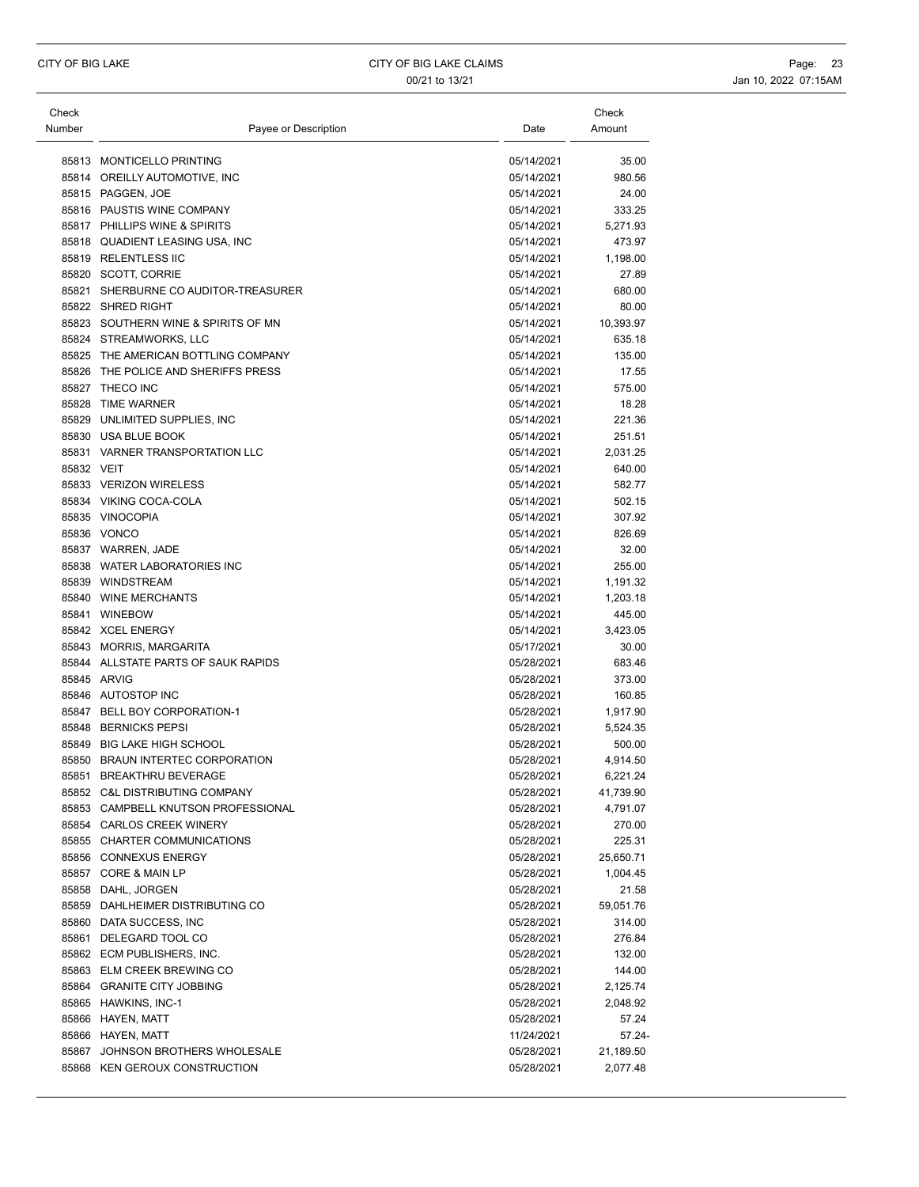| Check<br>Number | Payee or Description                 | Date       | Check<br>Amount |
|-----------------|--------------------------------------|------------|-----------------|
|                 | 85813 MONTICELLO PRINTING            | 05/14/2021 | 35.00           |
|                 | 85814 OREILLY AUTOMOTIVE, INC        | 05/14/2021 | 980.56          |
|                 | 85815 PAGGEN, JOE                    | 05/14/2021 | 24.00           |
|                 | 85816 PAUSTIS WINE COMPANY           | 05/14/2021 | 333.25          |
|                 | 85817 PHILLIPS WINE & SPIRITS        | 05/14/2021 | 5,271.93        |
|                 | 85818 QUADIENT LEASING USA, INC      | 05/14/2021 | 473.97          |
|                 | 85819 RELENTLESS IIC                 | 05/14/2021 | 1,198.00        |
|                 | 85820 SCOTT, CORRIE                  | 05/14/2021 | 27.89           |
|                 | 85821 SHERBURNE CO AUDITOR-TREASURER | 05/14/2021 | 680.00          |
|                 | 85822 SHRED RIGHT                    | 05/14/2021 | 80.00           |
|                 | 85823 SOUTHERN WINE & SPIRITS OF MN  | 05/14/2021 | 10,393.97       |
|                 | 85824 STREAMWORKS, LLC               | 05/14/2021 | 635.18          |
|                 | 85825 THE AMERICAN BOTTLING COMPANY  | 05/14/2021 | 135.00          |
|                 | 85826 THE POLICE AND SHERIFFS PRESS  | 05/14/2021 | 17.55           |
|                 | 85827 THECO INC                      | 05/14/2021 | 575.00          |
|                 | 85828 TIME WARNER                    | 05/14/2021 | 18.28           |
|                 | 85829 UNLIMITED SUPPLIES, INC        | 05/14/2021 | 221.36          |
|                 | 85830 USA BLUE BOOK                  | 05/14/2021 | 251.51          |
|                 | 85831 VARNER TRANSPORTATION LLC      | 05/14/2021 | 2,031.25        |
| 85832 VEIT      |                                      | 05/14/2021 | 640.00          |
|                 | 85833 VERIZON WIRELESS               | 05/14/2021 | 582.77          |
|                 | 85834 VIKING COCA-COLA               | 05/14/2021 | 502.15          |
|                 | 85835 VINOCOPIA                      | 05/14/2021 | 307.92          |
|                 | 85836 VONCO                          | 05/14/2021 | 826.69          |
|                 | 85837 WARREN, JADE                   | 05/14/2021 | 32.00           |
|                 | 85838 WATER LABORATORIES INC         | 05/14/2021 | 255.00          |
|                 | 85839 WINDSTREAM                     | 05/14/2021 | 1,191.32        |
|                 | 85840 WINE MERCHANTS                 | 05/14/2021 | 1,203.18        |
|                 | 85841 WINEBOW                        | 05/14/2021 | 445.00          |
|                 | 85842 XCEL ENERGY                    | 05/14/2021 | 3,423.05        |
|                 | 85843 MORRIS, MARGARITA              | 05/17/2021 | 30.00           |
|                 | 85844 ALLSTATE PARTS OF SAUK RAPIDS  | 05/28/2021 | 683.46          |
|                 | 85845 ARVIG                          | 05/28/2021 | 373.00          |
|                 | 85846 AUTOSTOP INC                   | 05/28/2021 | 160.85          |
|                 | 85847 BELL BOY CORPORATION-1         | 05/28/2021 | 1,917.90        |
|                 | 85848 BERNICKS PEPSI                 | 05/28/2021 | 5,524.35        |
|                 | 85849 BIG LAKE HIGH SCHOOL           | 05/28/2021 | 500.00          |
|                 | 85850 BRAUN INTERTEC CORPORATION     | 05/28/2021 | 4,914.50        |
|                 | 85851 BREAKTHRU BEVERAGE             | 05/28/2021 | 6,221.24        |
|                 | 85852 C&L DISTRIBUTING COMPANY       | 05/28/2021 | 41,739.90       |
|                 | 85853 CAMPBELL KNUTSON PROFESSIONAL  | 05/28/2021 | 4,791.07        |
|                 | 85854 CARLOS CREEK WINERY            | 05/28/2021 | 270.00          |
|                 | 85855 CHARTER COMMUNICATIONS         | 05/28/2021 | 225.31          |
|                 | 85856 CONNEXUS ENERGY                | 05/28/2021 | 25,650.71       |
|                 | 85857 CORE & MAIN LP                 | 05/28/2021 | 1,004.45        |
|                 | 85858 DAHL, JORGEN                   | 05/28/2021 | 21.58           |
|                 | 85859 DAHLHEIMER DISTRIBUTING CO     | 05/28/2021 | 59,051.76       |
|                 | 85860 DATA SUCCESS, INC              | 05/28/2021 | 314.00          |
|                 | 85861 DELEGARD TOOL CO               | 05/28/2021 | 276.84          |
|                 | 85862 ECM PUBLISHERS, INC.           | 05/28/2021 | 132.00          |
|                 | 85863 ELM CREEK BREWING CO           | 05/28/2021 | 144.00          |
|                 | 85864 GRANITE CITY JOBBING           | 05/28/2021 | 2,125.74        |
|                 | 85865 HAWKINS, INC-1                 | 05/28/2021 | 2,048.92        |
|                 | 85866 HAYEN, MATT                    | 05/28/2021 | 57.24           |
|                 | 85866 HAYEN, MATT                    | 11/24/2021 | 57.24-          |
|                 | 85867 JOHNSON BROTHERS WHOLESALE     | 05/28/2021 | 21,189.50       |
|                 | 85868 KEN GEROUX CONSTRUCTION        | 05/28/2021 | 2,077.48        |
|                 |                                      |            |                 |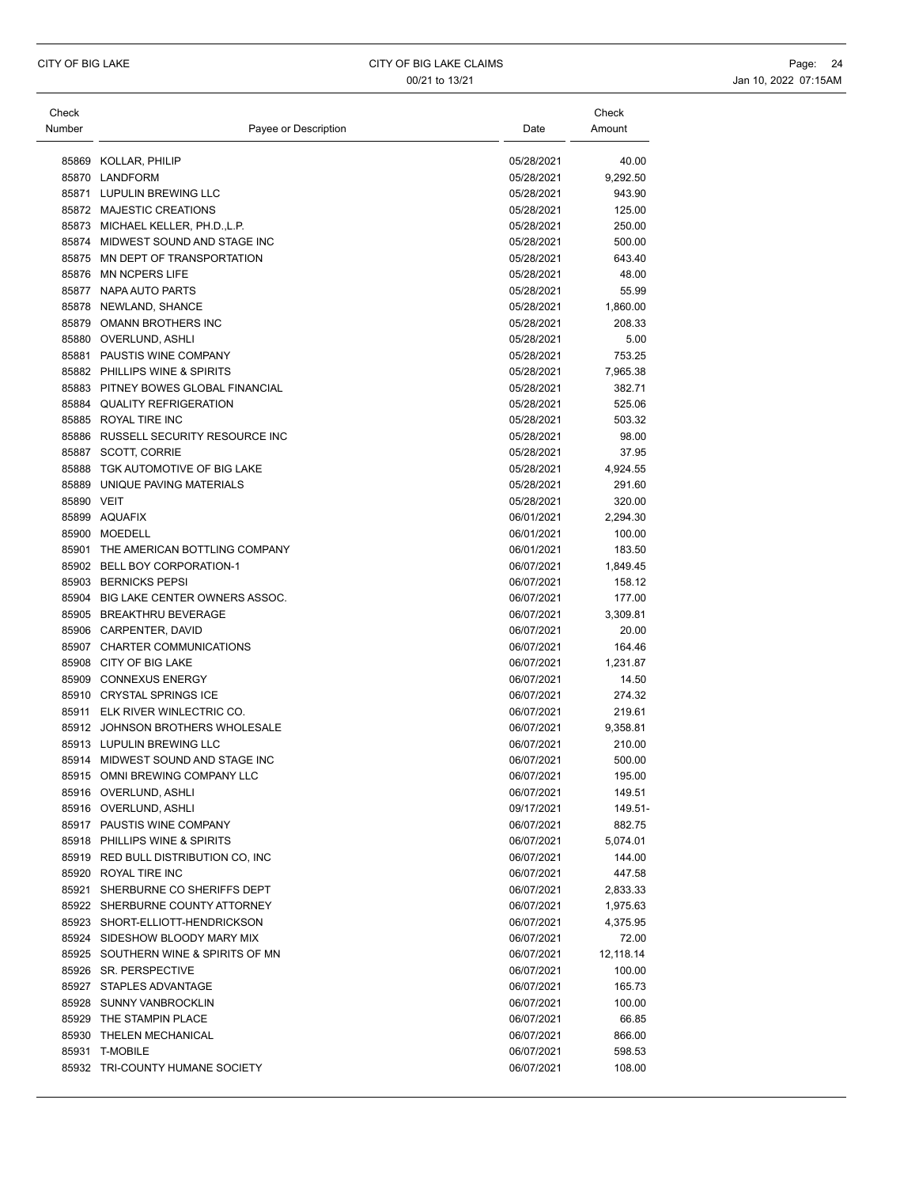| Check<br>Number | Payee or Description                | Date       | Check<br>Amount |
|-----------------|-------------------------------------|------------|-----------------|
|                 | 85869 KOLLAR, PHILIP                | 05/28/2021 | 40.00           |
|                 | 85870 LANDFORM                      | 05/28/2021 | 9,292.50        |
|                 | 85871 LUPULIN BREWING LLC           | 05/28/2021 | 943.90          |
|                 | 85872 MAJESTIC CREATIONS            | 05/28/2021 | 125.00          |
|                 | 85873 MICHAEL KELLER, PH.D., L.P.   | 05/28/2021 | 250.00          |
|                 | 85874 MIDWEST SOUND AND STAGE INC   | 05/28/2021 | 500.00          |
|                 | 85875 MN DEPT OF TRANSPORTATION     | 05/28/2021 | 643.40          |
|                 | 85876 MN NCPERS LIFE                | 05/28/2021 | 48.00           |
|                 | 85877 NAPA AUTO PARTS               | 05/28/2021 | 55.99           |
|                 | 85878 NEWLAND, SHANCE               | 05/28/2021 | 1,860.00        |
|                 | 85879 OMANN BROTHERS INC            | 05/28/2021 | 208.33          |
|                 | 85880 OVERLUND, ASHLI               | 05/28/2021 | 5.00            |
|                 | 85881 PAUSTIS WINE COMPANY          | 05/28/2021 | 753.25          |
|                 | 85882 PHILLIPS WINE & SPIRITS       | 05/28/2021 | 7,965.38        |
|                 | 85883 PITNEY BOWES GLOBAL FINANCIAL | 05/28/2021 | 382.71          |
|                 | 85884 QUALITY REFRIGERATION         | 05/28/2021 | 525.06          |
|                 | 85885 ROYAL TIRE INC                | 05/28/2021 | 503.32          |
|                 | 85886 RUSSELL SECURITY RESOURCE INC | 05/28/2021 | 98.00           |
|                 | 85887 SCOTT, CORRIE                 | 05/28/2021 | 37.95           |
|                 | 85888 TGK AUTOMOTIVE OF BIG LAKE    | 05/28/2021 | 4,924.55        |
|                 | 85889 UNIQUE PAVING MATERIALS       | 05/28/2021 | 291.60          |
| 85890 VEIT      |                                     | 05/28/2021 | 320.00          |
|                 | 85899 AQUAFIX                       | 06/01/2021 | 2,294.30        |
|                 | 85900 MOEDELL                       | 06/01/2021 | 100.00          |
|                 | 85901 THE AMERICAN BOTTLING COMPANY | 06/01/2021 | 183.50          |
|                 | 85902 BELL BOY CORPORATION-1        | 06/07/2021 | 1,849.45        |
|                 | 85903 BERNICKS PEPSI                | 06/07/2021 | 158.12          |
|                 | 85904 BIG LAKE CENTER OWNERS ASSOC. | 06/07/2021 | 177.00          |
|                 | 85905 BREAKTHRU BEVERAGE            | 06/07/2021 | 3,309.81        |
|                 | 85906 CARPENTER, DAVID              | 06/07/2021 | 20.00           |
|                 | 85907 CHARTER COMMUNICATIONS        | 06/07/2021 | 164.46          |
|                 | 85908 CITY OF BIG LAKE              | 06/07/2021 | 1,231.87        |
|                 | 85909 CONNEXUS ENERGY               | 06/07/2021 | 14.50           |
|                 | 85910 CRYSTAL SPRINGS ICE           | 06/07/2021 | 274.32          |
|                 | 85911 ELK RIVER WINLECTRIC CO.      | 06/07/2021 | 219.61          |
|                 | 85912 JOHNSON BROTHERS WHOLESALE    | 06/07/2021 | 9,358.81        |
|                 | 85913 LUPULIN BREWING LLC           | 06/07/2021 | 210.00          |
|                 | 85914 MIDWEST SOUND AND STAGE INC   | 06/07/2021 | 500.00          |
|                 | 85915 OMNI BREWING COMPANY LLC      | 06/07/2021 | 195.00          |
|                 | 85916 OVERLUND, ASHLI               | 06/07/2021 | 149.51          |
|                 | 85916 OVERLUND, ASHLI               | 09/17/2021 | 149.51-         |
|                 | 85917 PAUSTIS WINE COMPANY          | 06/07/2021 | 882.75          |
|                 | 85918 PHILLIPS WINE & SPIRITS       | 06/07/2021 | 5,074.01        |
|                 | 85919 RED BULL DISTRIBUTION CO, INC | 06/07/2021 | 144.00          |
|                 | 85920 ROYAL TIRE INC                | 06/07/2021 | 447.58          |
|                 | 85921 SHERBURNE CO SHERIFFS DEPT    | 06/07/2021 | 2,833.33        |
|                 | 85922 SHERBURNE COUNTY ATTORNEY     | 06/07/2021 | 1,975.63        |
|                 | 85923 SHORT-ELLIOTT-HENDRICKSON     | 06/07/2021 | 4,375.95        |
|                 | 85924 SIDESHOW BLOODY MARY MIX      | 06/07/2021 | 72.00           |
|                 | 85925 SOUTHERN WINE & SPIRITS OF MN | 06/07/2021 | 12,118.14       |
|                 | 85926 SR. PERSPECTIVE               | 06/07/2021 | 100.00          |
|                 | 85927 STAPLES ADVANTAGE             | 06/07/2021 | 165.73          |
|                 | 85928 SUNNY VANBROCKLIN             | 06/07/2021 | 100.00          |
|                 | 85929 THE STAMPIN PLACE             | 06/07/2021 | 66.85           |
|                 | 85930 THELEN MECHANICAL             | 06/07/2021 | 866.00          |
|                 | 85931 T-MOBILE                      | 06/07/2021 | 598.53          |
|                 | 85932 TRI-COUNTY HUMANE SOCIETY     | 06/07/2021 | 108.00          |
|                 |                                     |            |                 |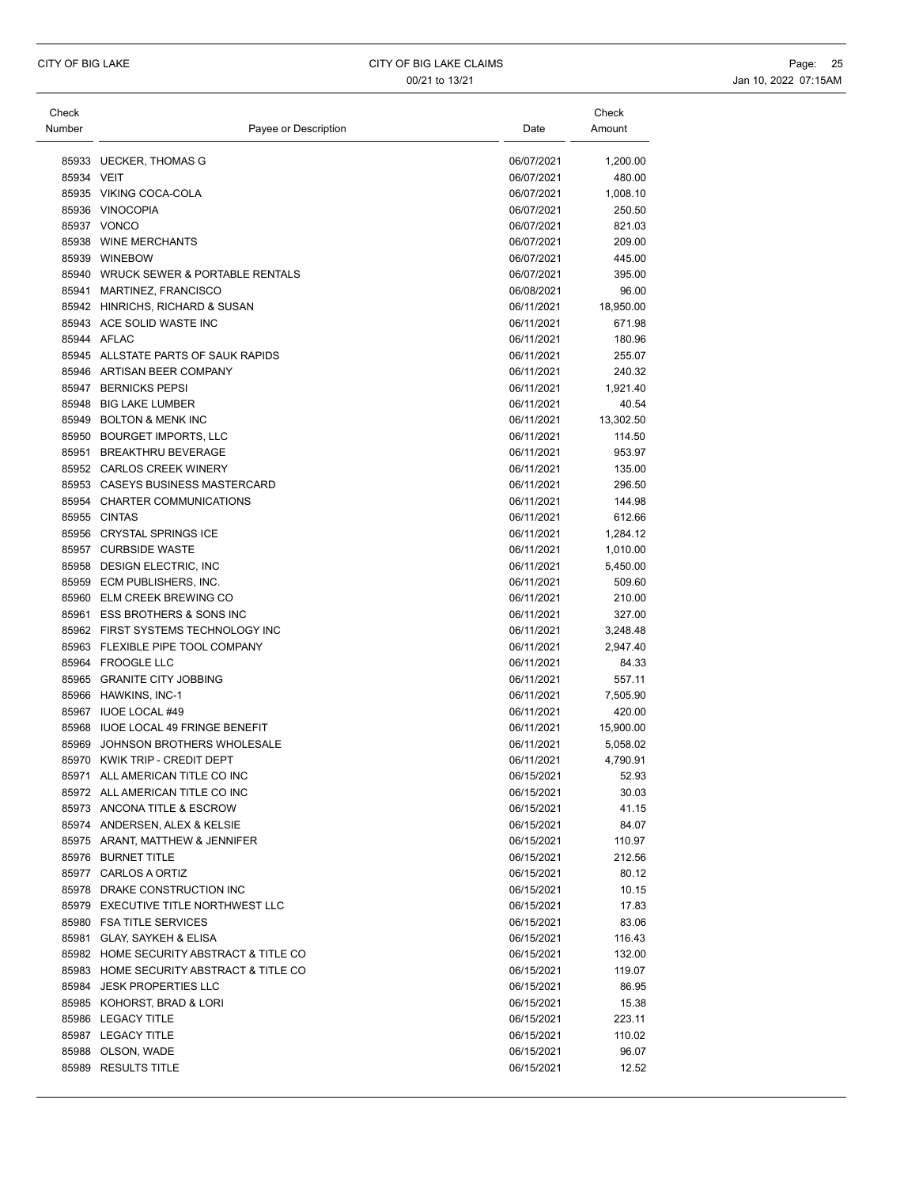| Check      |                                                              |                          | Check               |
|------------|--------------------------------------------------------------|--------------------------|---------------------|
| Number     | Payee or Description                                         | Date                     | Amount              |
|            |                                                              |                          |                     |
|            | 85933 UECKER, THOMAS G                                       | 06/07/2021               | 1,200.00            |
| 85934 VEIT |                                                              | 06/07/2021               | 480.00              |
|            | 85935 VIKING COCA-COLA                                       | 06/07/2021               | 1,008.10            |
|            | 85936 VINOCOPIA                                              | 06/07/2021               | 250.50              |
|            | 85937 VONCO                                                  | 06/07/2021               | 821.03              |
|            | 85938 WINE MERCHANTS                                         | 06/07/2021               | 209.00              |
|            | 85939 WINEBOW                                                | 06/07/2021               | 445.00              |
|            | 85940 WRUCK SEWER & PORTABLE RENTALS                         | 06/07/2021               | 395.00              |
|            | 85941 MARTINEZ, FRANCISCO                                    | 06/08/2021               | 96.00               |
|            | 85942 HINRICHS, RICHARD & SUSAN<br>85943 ACE SOLID WASTE INC | 06/11/2021<br>06/11/2021 | 18,950.00<br>671.98 |
|            | 85944 AFLAC                                                  | 06/11/2021               |                     |
|            | 85945 ALLSTATE PARTS OF SAUK RAPIDS                          | 06/11/2021               | 180.96<br>255.07    |
|            | 85946 ARTISAN BEER COMPANY                                   | 06/11/2021               | 240.32              |
|            | 85947 BERNICKS PEPSI                                         | 06/11/2021               | 1,921.40            |
|            | 85948 BIG LAKE LUMBER                                        | 06/11/2021               | 40.54               |
|            | 85949 BOLTON & MENK INC                                      | 06/11/2021               | 13,302.50           |
|            | 85950 BOURGET IMPORTS, LLC                                   | 06/11/2021               | 114.50              |
|            | 85951 BREAKTHRU BEVERAGE                                     | 06/11/2021               | 953.97              |
|            | 85952 CARLOS CREEK WINERY                                    | 06/11/2021               | 135.00              |
|            | 85953 CASEYS BUSINESS MASTERCARD                             | 06/11/2021               | 296.50              |
|            | 85954 CHARTER COMMUNICATIONS                                 | 06/11/2021               | 144.98              |
|            | 85955 CINTAS                                                 | 06/11/2021               | 612.66              |
|            | 85956 CRYSTAL SPRINGS ICE                                    | 06/11/2021               | 1,284.12            |
|            | 85957 CURBSIDE WASTE                                         | 06/11/2021               | 1,010.00            |
|            | 85958 DESIGN ELECTRIC, INC                                   | 06/11/2021               | 5,450.00            |
|            | 85959 ECM PUBLISHERS, INC.                                   | 06/11/2021               | 509.60              |
|            | 85960 ELM CREEK BREWING CO                                   | 06/11/2021               | 210.00              |
|            | 85961 ESS BROTHERS & SONS INC                                | 06/11/2021               | 327.00              |
|            | 85962 FIRST SYSTEMS TECHNOLOGY INC                           | 06/11/2021               | 3,248.48            |
|            | 85963 FLEXIBLE PIPE TOOL COMPANY                             | 06/11/2021               | 2,947.40            |
|            | 85964 FROOGLE LLC                                            | 06/11/2021               | 84.33               |
|            | 85965 GRANITE CITY JOBBING                                   | 06/11/2021               | 557.11              |
|            | 85966 HAWKINS, INC-1                                         | 06/11/2021               | 7,505.90            |
|            | 85967 IUOE LOCAL #49                                         | 06/11/2021               | 420.00              |
|            | 85968 IUOE LOCAL 49 FRINGE BENEFIT                           | 06/11/2021               | 15,900.00           |
|            | 85969 JOHNSON BROTHERS WHOLESALE                             | 06/11/2021               | 5,058.02            |
|            | 85970 KWIK TRIP - CREDIT DEPT                                | 06/11/2021               | 4,790.91            |
|            | 85971 ALL AMERICAN TITLE CO INC                              | 06/15/2021               | 52.93               |
|            | 85972 ALL AMERICAN TITLE CO INC                              | 06/15/2021               | 30.03               |
|            | 85973 ANCONA TITLE & ESCROW                                  | 06/15/2021               | 41.15               |
|            | 85974 ANDERSEN, ALEX & KELSIE                                | 06/15/2021               | 84.07               |
|            | 85975 ARANT, MATTHEW & JENNIFER                              | 06/15/2021               | 110.97              |
|            | 85976 BURNET TITLE                                           | 06/15/2021               | 212.56              |
|            | 85977 CARLOS A ORTIZ                                         | 06/15/2021               | 80.12               |
|            | 85978 DRAKE CONSTRUCTION INC                                 | 06/15/2021               | 10.15               |
|            | 85979 EXECUTIVE TITLE NORTHWEST LLC                          | 06/15/2021               | 17.83               |
|            | 85980 FSA TITLE SERVICES                                     | 06/15/2021               | 83.06               |
|            | 85981 GLAY, SAYKEH & ELISA                                   | 06/15/2021               | 116.43              |
|            | 85982 HOME SECURITY ABSTRACT & TITLE CO                      | 06/15/2021               |                     |
|            | 85983 HOME SECURITY ABSTRACT & TITLE CO                      | 06/15/2021               | 132.00<br>119.07    |
|            | 85984 JESK PROPERTIES LLC                                    | 06/15/2021               | 86.95               |
|            |                                                              |                          |                     |
|            | 85985 KOHORST, BRAD & LORI                                   | 06/15/2021               | 15.38               |
|            | 85986 LEGACY TITLE                                           | 06/15/2021               | 223.11              |
|            | 85987 LEGACY TITLE                                           | 06/15/2021               | 110.02              |
|            | 85988 OLSON, WADE                                            | 06/15/2021               | 96.07               |
|            | 85989 RESULTS TITLE                                          | 06/15/2021               | 12.52               |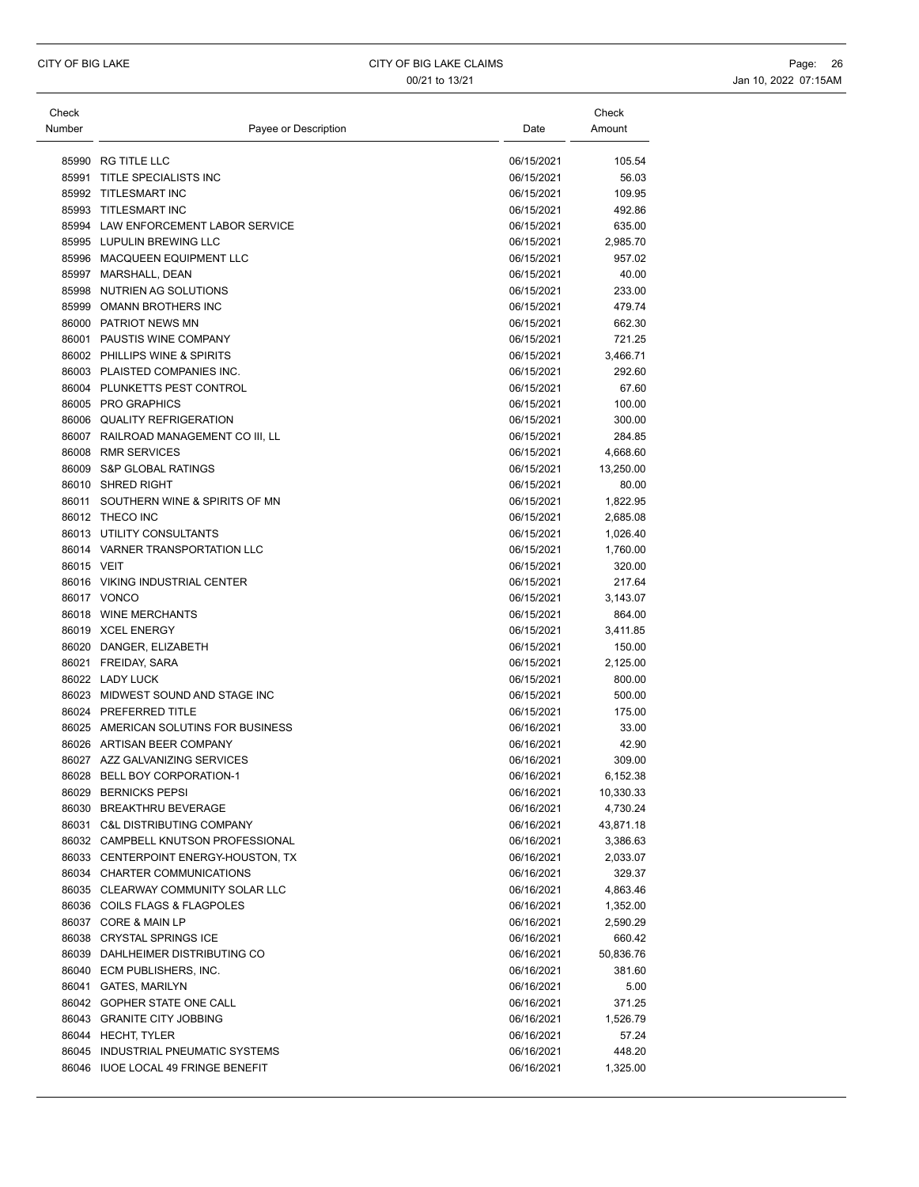| Check      |                                        |            | Check     |
|------------|----------------------------------------|------------|-----------|
| Number     | Payee or Description                   | Date       | Amount    |
|            |                                        |            |           |
|            | 85990 RG TITLE LLC                     | 06/15/2021 | 105.54    |
| 85991      | TITLE SPECIALISTS INC                  | 06/15/2021 | 56.03     |
|            | 85992 TITLESMART INC                   | 06/15/2021 | 109.95    |
|            | 85993 TITLESMART INC                   | 06/15/2021 | 492.86    |
|            | 85994 LAW ENFORCEMENT LABOR SERVICE    | 06/15/2021 | 635.00    |
|            | 85995 LUPULIN BREWING LLC              | 06/15/2021 | 2,985.70  |
|            | 85996 MACQUEEN EQUIPMENT LLC           | 06/15/2021 | 957.02    |
|            | 85997 MARSHALL, DEAN                   | 06/15/2021 | 40.00     |
|            | 85998 NUTRIEN AG SOLUTIONS             | 06/15/2021 | 233.00    |
|            | 85999 OMANN BROTHERS INC               | 06/15/2021 | 479.74    |
|            | 86000 PATRIOT NEWS MN                  | 06/15/2021 | 662.30    |
|            | 86001 PAUSTIS WINE COMPANY             | 06/15/2021 | 721.25    |
|            | 86002 PHILLIPS WINE & SPIRITS          | 06/15/2021 | 3,466.71  |
|            | 86003 PLAISTED COMPANIES INC.          | 06/15/2021 | 292.60    |
|            | 86004 PLUNKETTS PEST CONTROL           | 06/15/2021 | 67.60     |
|            | 86005 PRO GRAPHICS                     | 06/15/2021 | 100.00    |
|            | 86006 QUALITY REFRIGERATION            | 06/15/2021 | 300.00    |
|            | 86007 RAILROAD MANAGEMENT CO III, LL   | 06/15/2021 | 284.85    |
|            | 86008 RMR SERVICES                     | 06/15/2021 | 4,668.60  |
|            | 86009 S&P GLOBAL RATINGS               | 06/15/2021 | 13,250.00 |
|            | 86010 SHRED RIGHT                      | 06/15/2021 | 80.00     |
|            | 86011 SOUTHERN WINE & SPIRITS OF MN    | 06/15/2021 | 1,822.95  |
|            | 86012 THECO INC                        | 06/15/2021 | 2,685.08  |
|            | 86013 UTILITY CONSULTANTS              | 06/15/2021 | 1,026.40  |
|            | 86014 VARNER TRANSPORTATION LLC        | 06/15/2021 | 1,760.00  |
| 86015 VEIT |                                        | 06/15/2021 | 320.00    |
|            | 86016 VIKING INDUSTRIAL CENTER         | 06/15/2021 | 217.64    |
|            | 86017 VONCO                            | 06/15/2021 | 3,143.07  |
|            | 86018 WINE MERCHANTS                   | 06/15/2021 | 864.00    |
|            | 86019 XCEL ENERGY                      | 06/15/2021 | 3,411.85  |
|            | 86020 DANGER, ELIZABETH                | 06/15/2021 | 150.00    |
|            |                                        | 06/15/2021 |           |
|            | 86021 FREIDAY, SARA<br>86022 LADY LUCK |            | 2,125.00  |
|            | 86023 MIDWEST SOUND AND STAGE INC      | 06/15/2021 | 800.00    |
|            |                                        | 06/15/2021 | 500.00    |
|            | 86024 PREFERRED TITLE                  | 06/15/2021 | 175.00    |
|            | 86025 AMERICAN SOLUTINS FOR BUSINESS   | 06/16/2021 | 33.00     |
|            | 86026 ARTISAN BEER COMPANY             | 06/16/2021 | 42.90     |
|            | 86027 AZZ GALVANIZING SERVICES         | 06/16/2021 | 309.00    |
|            | 86028 BELL BOY CORPORATION-1           | 06/16/2021 | 6,152.38  |
|            | 86029 BERNICKS PEPSI                   | 06/16/2021 | 10,330.33 |
|            | 86030 BREAKTHRU BEVERAGE               | 06/16/2021 | 4,730.24  |
|            | 86031 C&L DISTRIBUTING COMPANY         | 06/16/2021 | 43,871.18 |
|            | 86032 CAMPBELL KNUTSON PROFESSIONAL    | 06/16/2021 | 3,386.63  |
|            | 86033 CENTERPOINT ENERGY-HOUSTON, TX   | 06/16/2021 | 2,033.07  |
|            | 86034 CHARTER COMMUNICATIONS           | 06/16/2021 | 329.37    |
|            | 86035 CLEARWAY COMMUNITY SOLAR LLC     | 06/16/2021 | 4,863.46  |
|            | 86036 COILS FLAGS & FLAGPOLES          | 06/16/2021 | 1,352.00  |
|            | 86037 CORE & MAIN LP                   | 06/16/2021 | 2,590.29  |
|            | 86038 CRYSTAL SPRINGS ICE              | 06/16/2021 | 660.42    |
|            | 86039 DAHLHEIMER DISTRIBUTING CO       | 06/16/2021 | 50,836.76 |
|            | 86040 ECM PUBLISHERS, INC.             | 06/16/2021 | 381.60    |
|            | 86041 GATES, MARILYN                   | 06/16/2021 | 5.00      |
|            | 86042 GOPHER STATE ONE CALL            | 06/16/2021 | 371.25    |
|            | 86043 GRANITE CITY JOBBING             | 06/16/2021 | 1,526.79  |
|            | 86044 HECHT, TYLER                     | 06/16/2021 | 57.24     |
|            | 86045 INDUSTRIAL PNEUMATIC SYSTEMS     | 06/16/2021 | 448.20    |
|            | 86046 IUOE LOCAL 49 FRINGE BENEFIT     | 06/16/2021 | 1,325.00  |
|            |                                        |            |           |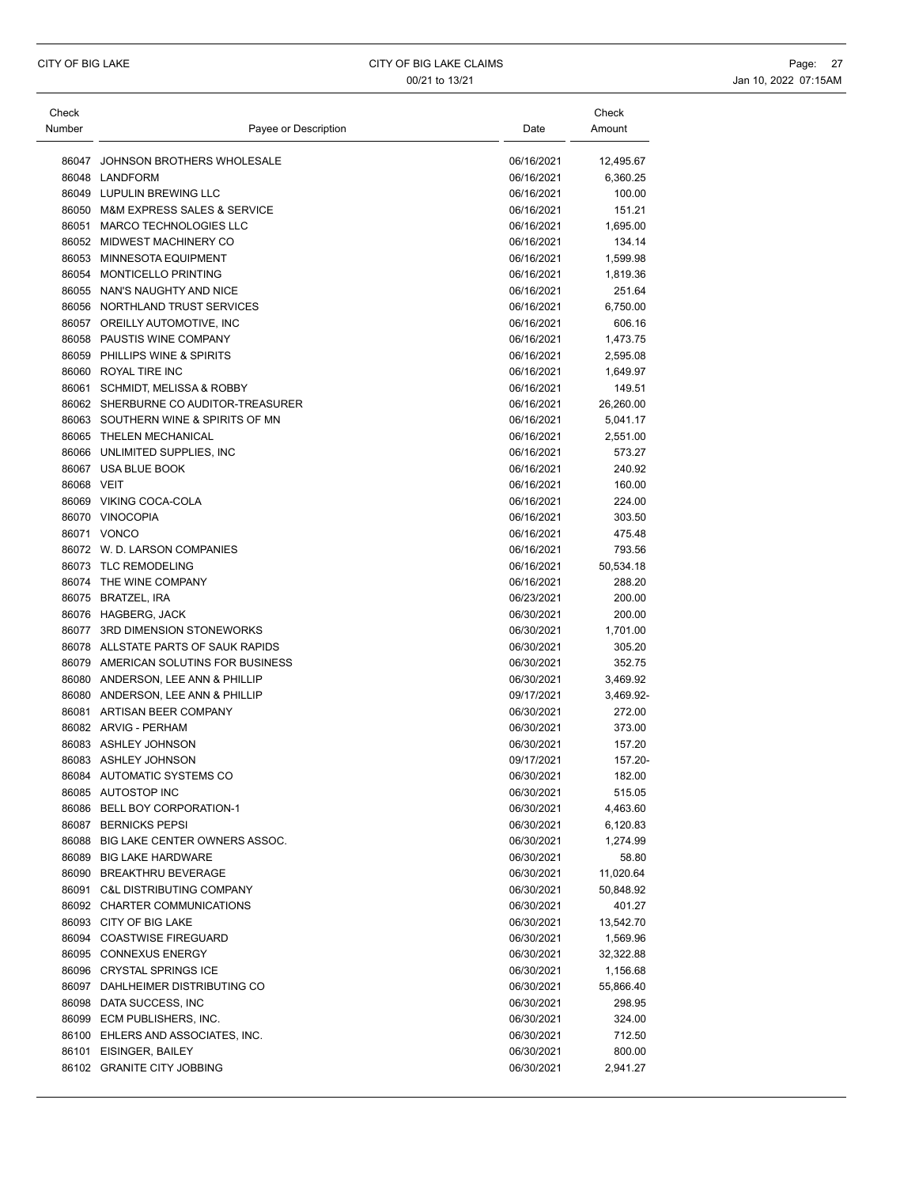| Check      |                                      |            | Check            |
|------------|--------------------------------------|------------|------------------|
| Number     | Payee or Description                 | Date       | Amount           |
|            | 86047 JOHNSON BROTHERS WHOLESALE     | 06/16/2021 | 12,495.67        |
|            | 86048 LANDFORM                       | 06/16/2021 | 6,360.25         |
|            | 86049 LUPULIN BREWING LLC            | 06/16/2021 | 100.00           |
|            | 86050 M&M EXPRESS SALES & SERVICE    | 06/16/2021 | 151.21           |
|            | 86051 MARCO TECHNOLOGIES LLC         | 06/16/2021 | 1,695.00         |
|            | 86052 MIDWEST MACHINERY CO           | 06/16/2021 | 134.14           |
|            | 86053 MINNESOTA EQUIPMENT            | 06/16/2021 | 1,599.98         |
|            | 86054 MONTICELLO PRINTING            | 06/16/2021 | 1,819.36         |
|            | 86055 NAN'S NAUGHTY AND NICE         | 06/16/2021 | 251.64           |
|            | 86056 NORTHLAND TRUST SERVICES       | 06/16/2021 | 6,750.00         |
|            | 86057 OREILLY AUTOMOTIVE, INC        | 06/16/2021 | 606.16           |
|            | 86058 PAUSTIS WINE COMPANY           | 06/16/2021 | 1,473.75         |
|            | 86059 PHILLIPS WINE & SPIRITS        | 06/16/2021 | 2,595.08         |
|            | 86060 ROYAL TIRE INC                 | 06/16/2021 | 1,649.97         |
|            | 86061 SCHMIDT, MELISSA & ROBBY       | 06/16/2021 | 149.51           |
|            | 86062 SHERBURNE CO AUDITOR-TREASURER | 06/16/2021 | 26,260.00        |
|            | 86063 SOUTHERN WINE & SPIRITS OF MN  | 06/16/2021 | 5,041.17         |
|            | 86065 THELEN MECHANICAL              | 06/16/2021 | 2,551.00         |
|            | 86066 UNLIMITED SUPPLIES. INC        | 06/16/2021 | 573.27           |
|            | 86067 USA BLUE BOOK                  | 06/16/2021 | 240.92           |
| 86068 VEIT |                                      | 06/16/2021 | 160.00           |
|            | 86069 VIKING COCA-COLA               | 06/16/2021 | 224.00           |
|            | 86070 VINOCOPIA                      | 06/16/2021 | 303.50           |
|            | 86071 VONCO                          | 06/16/2021 | 475.48           |
|            | 86072 W. D. LARSON COMPANIES         | 06/16/2021 | 793.56           |
|            | 86073 TLC REMODELING                 | 06/16/2021 | 50,534.18        |
|            | 86074 THE WINE COMPANY               | 06/16/2021 | 288.20           |
|            | 86075 BRATZEL, IRA                   | 06/23/2021 | 200.00           |
|            | 86076 HAGBERG, JACK                  | 06/30/2021 | 200.00           |
|            | 86077 3RD DIMENSION STONEWORKS       | 06/30/2021 | 1,701.00         |
|            | 86078 ALLSTATE PARTS OF SAUK RAPIDS  | 06/30/2021 | 305.20           |
|            | 86079 AMERICAN SOLUTINS FOR BUSINESS | 06/30/2021 | 352.75           |
|            | 86080 ANDERSON, LEE ANN & PHILLIP    | 06/30/2021 | 3,469.92         |
|            | 86080 ANDERSON, LEE ANN & PHILLIP    | 09/17/2021 | 3,469.92-        |
|            | 86081 ARTISAN BEER COMPANY           | 06/30/2021 | 272.00           |
|            | 86082 ARVIG - PERHAM                 | 06/30/2021 | 373.00           |
|            | 86083 ASHLEY JOHNSON                 | 06/30/2021 | 157.20           |
|            | 86083 ASHLEY JOHNSON                 | 09/17/2021 | 157.20-          |
|            | 86084 AUTOMATIC SYSTEMS CO           | 06/30/2021 | 182.00           |
|            | 86085 AUTOSTOP INC                   | 06/30/2021 | 515.05           |
|            | 86086 BELL BOY CORPORATION-1         | 06/30/2021 | 4,463.60         |
|            | 86087 BERNICKS PEPSI                 | 06/30/2021 | 6,120.83         |
|            | 86088 BIG LAKE CENTER OWNERS ASSOC.  | 06/30/2021 | 1,274.99         |
|            | 86089 BIG LAKE HARDWARE              | 06/30/2021 | 58.80            |
|            | 86090 BREAKTHRU BEVERAGE             | 06/30/2021 | 11,020.64        |
|            | 86091 C&L DISTRIBUTING COMPANY       | 06/30/2021 | 50,848.92        |
|            | 86092 CHARTER COMMUNICATIONS         | 06/30/2021 | 401.27           |
|            | 86093 CITY OF BIG LAKE               | 06/30/2021 | 13,542.70        |
|            | 86094 COASTWISE FIREGUARD            | 06/30/2021 | 1,569.96         |
|            | 86095 CONNEXUS ENERGY                | 06/30/2021 | 32,322.88        |
|            | 86096 CRYSTAL SPRINGS ICE            | 06/30/2021 | 1,156.68         |
|            | 86097 DAHLHEIMER DISTRIBUTING CO     | 06/30/2021 | 55,866.40        |
|            | 86098 DATA SUCCESS, INC              | 06/30/2021 | 298.95           |
|            | 86099 ECM PUBLISHERS, INC.           | 06/30/2021 |                  |
|            | 86100 EHLERS AND ASSOCIATES, INC.    | 06/30/2021 | 324.00<br>712.50 |
|            |                                      |            |                  |
|            | 86101 EISINGER, BAILEY               | 06/30/2021 | 800.00           |
|            | 86102 GRANITE CITY JOBBING           | 06/30/2021 | 2,941.27         |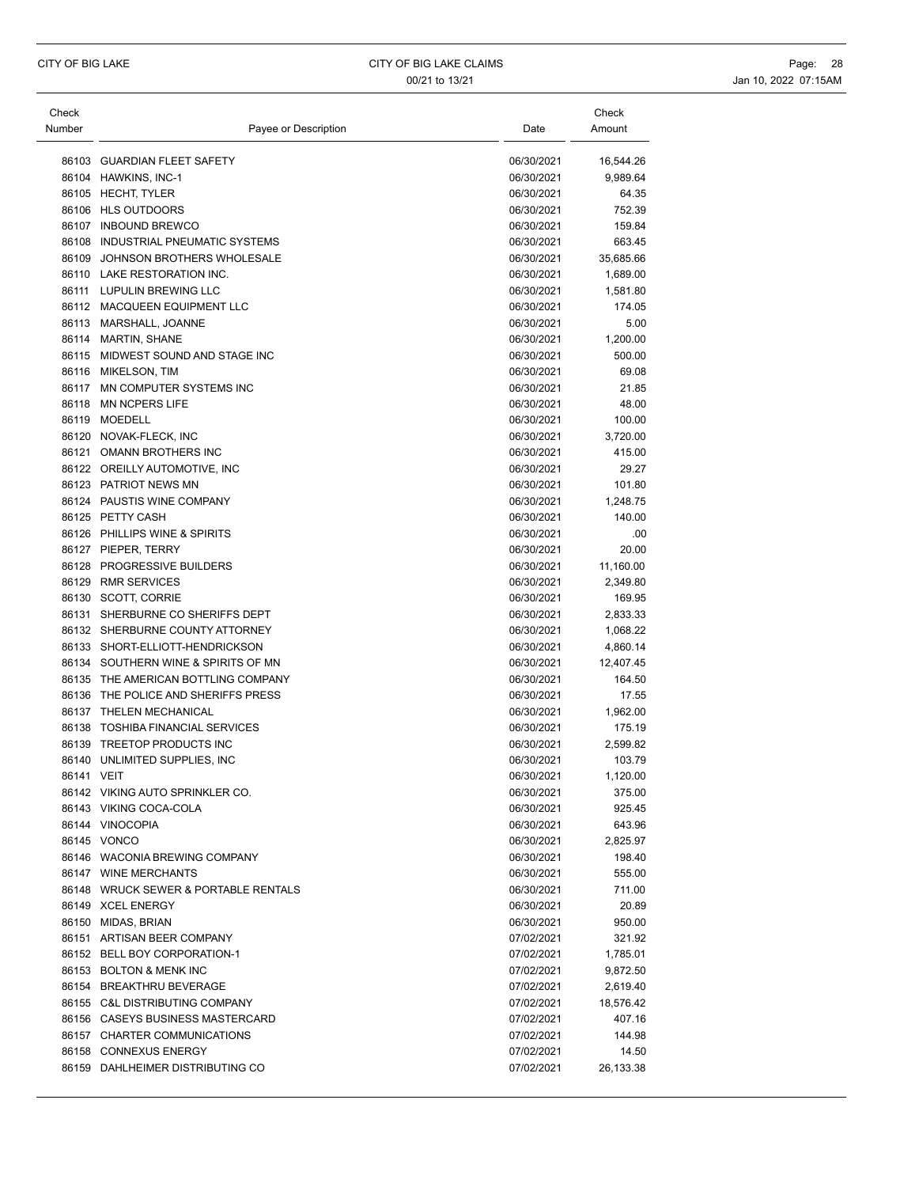| Check<br>Number | Payee or Description                 | Date       | Check<br>Amount |
|-----------------|--------------------------------------|------------|-----------------|
|                 |                                      |            |                 |
|                 | 86103 GUARDIAN FLEET SAFETY          | 06/30/2021 | 16,544.26       |
|                 | 86104 HAWKINS, INC-1                 | 06/30/2021 | 9,989.64        |
|                 | 86105 HECHT, TYLER                   | 06/30/2021 | 64.35           |
|                 | 86106 HLS OUTDOORS                   | 06/30/2021 | 752.39          |
|                 | 86107 INBOUND BREWCO                 | 06/30/2021 | 159.84          |
|                 | 86108 INDUSTRIAL PNEUMATIC SYSTEMS   | 06/30/2021 | 663.45          |
|                 | 86109 JOHNSON BROTHERS WHOLESALE     | 06/30/2021 | 35,685.66       |
|                 | 86110 LAKE RESTORATION INC.          | 06/30/2021 | 1,689.00        |
|                 | 86111 LUPULIN BREWING LLC            | 06/30/2021 | 1,581.80        |
|                 | 86112 MACQUEEN EQUIPMENT LLC         | 06/30/2021 | 174.05          |
|                 | 86113 MARSHALL, JOANNE               | 06/30/2021 | 5.00            |
|                 | 86114 MARTIN, SHANE                  | 06/30/2021 | 1,200.00        |
|                 | 86115 MIDWEST SOUND AND STAGE INC    | 06/30/2021 | 500.00          |
|                 | 86116 MIKELSON, TIM                  | 06/30/2021 | 69.08           |
| 86117           | MN COMPUTER SYSTEMS INC              | 06/30/2021 | 21.85           |
| 86118           | <b>MN NCPERS LIFE</b>                | 06/30/2021 | 48.00           |
|                 | 86119 MOEDELL                        | 06/30/2021 | 100.00          |
|                 | 86120 NOVAK-FLECK, INC               | 06/30/2021 | 3,720.00        |
|                 | 86121 OMANN BROTHERS INC             | 06/30/2021 | 415.00          |
|                 | 86122 OREILLY AUTOMOTIVE, INC        | 06/30/2021 | 29.27           |
|                 | 86123 PATRIOT NEWS MN                | 06/30/2021 | 101.80          |
|                 | 86124 PAUSTIS WINE COMPANY           | 06/30/2021 | 1,248.75        |
|                 | 86125 PETTY CASH                     | 06/30/2021 | 140.00          |
|                 | 86126 PHILLIPS WINE & SPIRITS        | 06/30/2021 | .00             |
|                 | 86127 PIEPER, TERRY                  | 06/30/2021 | 20.00           |
|                 | 86128 PROGRESSIVE BUILDERS           | 06/30/2021 | 11,160.00       |
|                 | 86129 RMR SERVICES                   | 06/30/2021 | 2,349.80        |
|                 | 86130 SCOTT, CORRIE                  | 06/30/2021 | 169.95          |
|                 | 86131 SHERBURNE CO SHERIFFS DEPT     | 06/30/2021 | 2,833.33        |
|                 | 86132 SHERBURNE COUNTY ATTORNEY      | 06/30/2021 | 1,068.22        |
|                 | 86133 SHORT-ELLIOTT-HENDRICKSON      | 06/30/2021 | 4,860.14        |
|                 | 86134 SOUTHERN WINE & SPIRITS OF MN  | 06/30/2021 | 12,407.45       |
|                 | 86135 THE AMERICAN BOTTLING COMPANY  | 06/30/2021 | 164.50          |
|                 | 86136 THE POLICE AND SHERIFFS PRESS  | 06/30/2021 | 17.55           |
|                 | 86137 THELEN MECHANICAL              | 06/30/2021 | 1,962.00        |
|                 | 86138 TOSHIBA FINANCIAL SERVICES     | 06/30/2021 | 175.19          |
|                 | 86139 TREETOP PRODUCTS INC           | 06/30/2021 | 2,599.82        |
|                 | 86140 UNLIMITED SUPPLIES, INC        | 06/30/2021 | 103.79          |
|                 |                                      | 06/30/2021 |                 |
| 86141 VEIT      |                                      |            | 1,120.00        |
|                 | 86142 VIKING AUTO SPRINKLER CO.      | 06/30/2021 | 375.00          |
|                 | 86143 VIKING COCA-COLA               | 06/30/2021 | 925.45          |
|                 | 86144 VINOCOPIA                      | 06/30/2021 | 643.96          |
|                 | 86145 VONCO                          | 06/30/2021 | 2,825.97        |
|                 | 86146 WACONIA BREWING COMPANY        | 06/30/2021 | 198.40          |
|                 | 86147 WINE MERCHANTS                 | 06/30/2021 | 555.00          |
|                 | 86148 WRUCK SEWER & PORTABLE RENTALS | 06/30/2021 | 711.00          |
|                 | 86149 XCEL ENERGY                    | 06/30/2021 | 20.89           |
|                 | 86150 MIDAS, BRIAN                   | 06/30/2021 | 950.00          |
|                 | 86151 ARTISAN BEER COMPANY           | 07/02/2021 | 321.92          |
|                 | 86152 BELL BOY CORPORATION-1         | 07/02/2021 | 1,785.01        |
|                 | 86153 BOLTON & MENK INC              | 07/02/2021 | 9,872.50        |
|                 | 86154 BREAKTHRU BEVERAGE             | 07/02/2021 | 2,619.40        |
|                 | 86155 C&L DISTRIBUTING COMPANY       | 07/02/2021 | 18,576.42       |
|                 | 86156 CASEYS BUSINESS MASTERCARD     | 07/02/2021 | 407.16          |
|                 | 86157 CHARTER COMMUNICATIONS         | 07/02/2021 | 144.98          |
|                 | 86158 CONNEXUS ENERGY                | 07/02/2021 | 14.50           |
|                 | 86159 DAHLHEIMER DISTRIBUTING CO     | 07/02/2021 | 26,133.38       |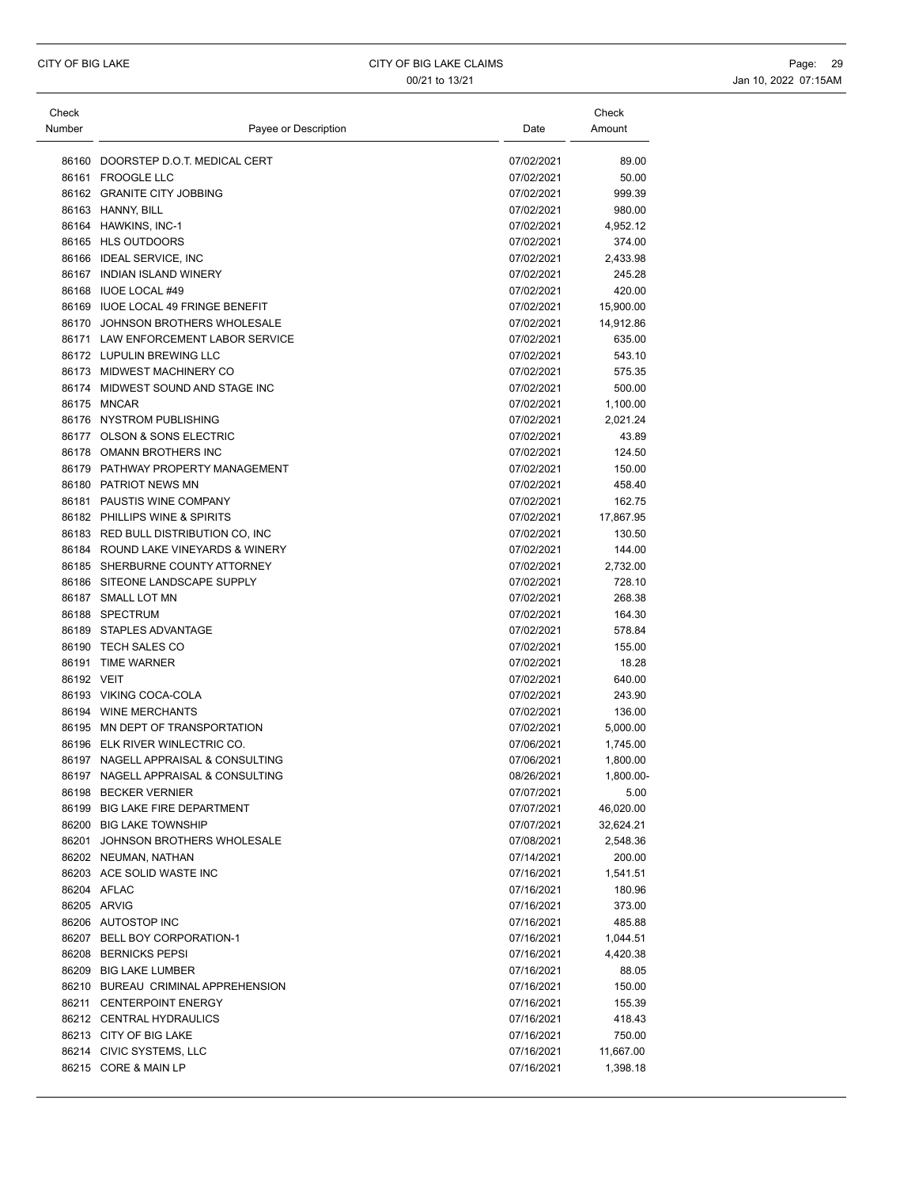| Check      |                                     |            | Check     |
|------------|-------------------------------------|------------|-----------|
| Number     | Payee or Description                | Date       | Amount    |
|            |                                     |            |           |
|            | 86160 DOORSTEP D.O.T. MEDICAL CERT  | 07/02/2021 | 89.00     |
|            | 86161 FROOGLE LLC                   | 07/02/2021 | 50.00     |
|            | 86162 GRANITE CITY JOBBING          | 07/02/2021 | 999.39    |
|            | 86163 HANNY, BILL                   | 07/02/2021 | 980.00    |
|            | 86164 HAWKINS, INC-1                | 07/02/2021 | 4,952.12  |
|            | 86165 HLS OUTDOORS                  | 07/02/2021 | 374.00    |
|            | 86166 IDEAL SERVICE, INC            | 07/02/2021 | 2,433.98  |
|            | 86167 INDIAN ISLAND WINERY          | 07/02/2021 | 245.28    |
|            | 86168 IUOE LOCAL #49                | 07/02/2021 | 420.00    |
|            | 86169 IUOE LOCAL 49 FRINGE BENEFIT  | 07/02/2021 | 15,900.00 |
|            | 86170 JOHNSON BROTHERS WHOLESALE    | 07/02/2021 | 14,912.86 |
|            | 86171 LAW ENFORCEMENT LABOR SERVICE | 07/02/2021 | 635.00    |
|            | 86172 LUPULIN BREWING LLC           | 07/02/2021 | 543.10    |
|            | 86173 MIDWEST MACHINERY CO          | 07/02/2021 | 575.35    |
|            | 86174 MIDWEST SOUND AND STAGE INC   | 07/02/2021 | 500.00    |
|            | 86175 MNCAR                         | 07/02/2021 | 1,100.00  |
|            | 86176 NYSTROM PUBLISHING            | 07/02/2021 | 2,021.24  |
|            | 86177 OLSON & SONS ELECTRIC         | 07/02/2021 | 43.89     |
|            |                                     |            |           |
|            | 86178 OMANN BROTHERS INC            | 07/02/2021 | 124.50    |
|            | 86179 PATHWAY PROPERTY MANAGEMENT   | 07/02/2021 | 150.00    |
|            | 86180 PATRIOT NEWS MN               | 07/02/2021 | 458.40    |
|            | 86181 PAUSTIS WINE COMPANY          | 07/02/2021 | 162.75    |
|            | 86182 PHILLIPS WINE & SPIRITS       | 07/02/2021 | 17,867.95 |
|            | 86183 RED BULL DISTRIBUTION CO, INC | 07/02/2021 | 130.50    |
|            | 86184 ROUND LAKE VINEYARDS & WINERY | 07/02/2021 | 144.00    |
|            | 86185 SHERBURNE COUNTY ATTORNEY     | 07/02/2021 | 2,732.00  |
|            | 86186 SITEONE LANDSCAPE SUPPLY      | 07/02/2021 | 728.10    |
|            | 86187 SMALL LOT MN                  | 07/02/2021 | 268.38    |
|            | 86188 SPECTRUM                      | 07/02/2021 | 164.30    |
|            | 86189 STAPLES ADVANTAGE             | 07/02/2021 | 578.84    |
|            | 86190 TECH SALES CO                 | 07/02/2021 | 155.00    |
|            | 86191 TIME WARNER                   | 07/02/2021 | 18.28     |
| 86192 VEIT |                                     | 07/02/2021 | 640.00    |
|            | 86193 VIKING COCA-COLA              | 07/02/2021 | 243.90    |
|            | 86194 WINE MERCHANTS                | 07/02/2021 | 136.00    |
|            | 86195 MN DEPT OF TRANSPORTATION     | 07/02/2021 | 5,000.00  |
|            | 86196 ELK RIVER WINLECTRIC CO.      | 07/06/2021 | 1,745.00  |
|            | 86197 NAGELL APPRAISAL & CONSULTING | 07/06/2021 | 1,800.00  |
|            | 86197 NAGELL APPRAISAL & CONSULTING | 08/26/2021 | 1,800.00- |
|            | 86198 BECKER VERNIER                | 07/07/2021 | 5.00      |
|            | 86199 BIG LAKE FIRE DEPARTMENT      | 07/07/2021 | 46,020.00 |
|            | 86200 BIG LAKE TOWNSHIP             | 07/07/2021 | 32,624.21 |
|            | 86201 JOHNSON BROTHERS WHOLESALE    | 07/08/2021 | 2,548.36  |
|            | 86202 NEUMAN, NATHAN                | 07/14/2021 | 200.00    |
|            | 86203 ACE SOLID WASTE INC           | 07/16/2021 | 1,541.51  |
|            | 86204 AFLAC                         | 07/16/2021 | 180.96    |
|            | 86205 ARVIG                         | 07/16/2021 | 373.00    |
|            | 86206 AUTOSTOP INC                  | 07/16/2021 | 485.88    |
|            | 86207 BELL BOY CORPORATION-1        | 07/16/2021 | 1,044.51  |
|            | 86208 BERNICKS PEPSI                | 07/16/2021 | 4,420.38  |
|            | 86209 BIG LAKE LUMBER               | 07/16/2021 | 88.05     |
|            | 86210 BUREAU CRIMINAL APPREHENSION  | 07/16/2021 | 150.00    |
|            | 86211 CENTERPOINT ENERGY            | 07/16/2021 | 155.39    |
|            | 86212 CENTRAL HYDRAULICS            | 07/16/2021 | 418.43    |
|            |                                     |            |           |
|            | 86213 CITY OF BIG LAKE              | 07/16/2021 | 750.00    |
|            | 86214 CIVIC SYSTEMS, LLC            | 07/16/2021 | 11,667.00 |
|            | 86215 CORE & MAIN LP                | 07/16/2021 | 1,398.18  |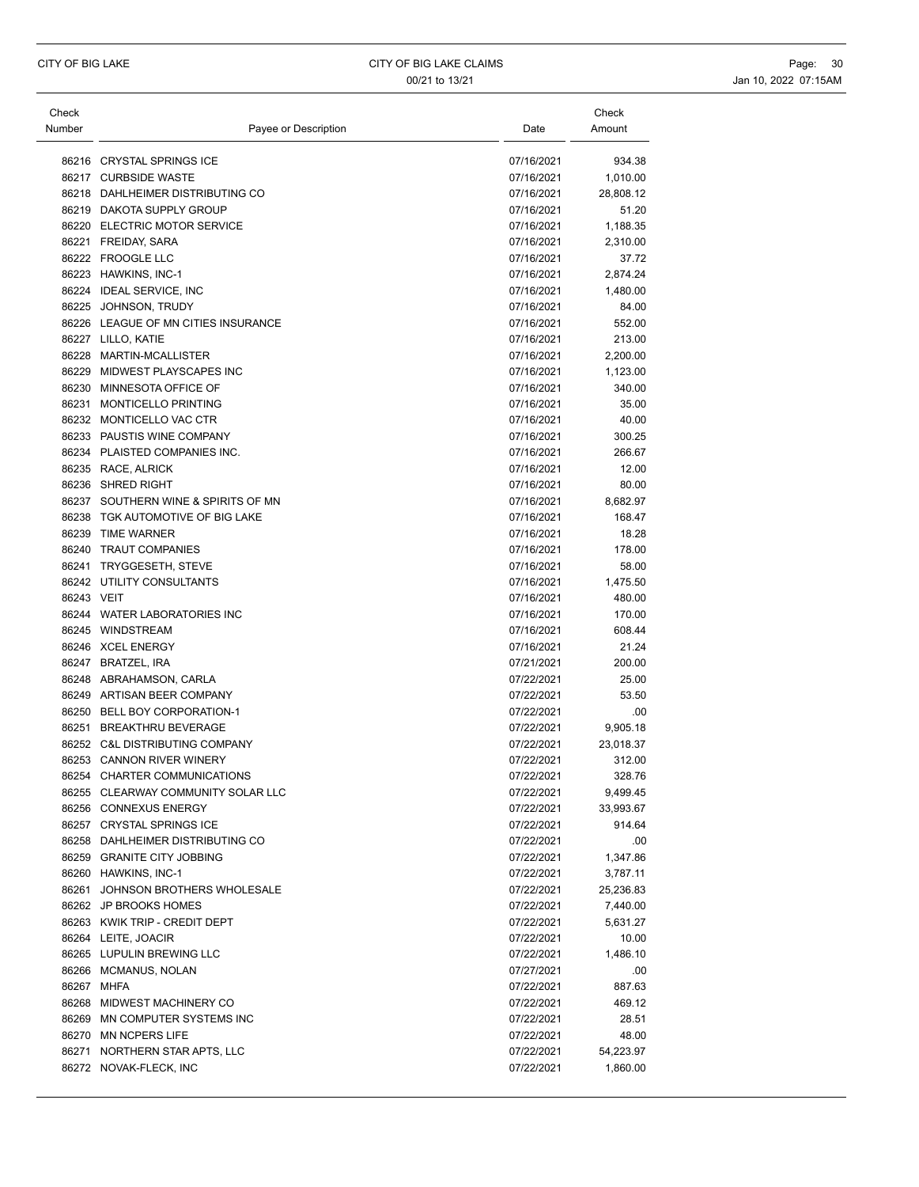| Check<br>Number | Payee or Description                                  | Date                     | Check<br>Amount       |
|-----------------|-------------------------------------------------------|--------------------------|-----------------------|
|                 |                                                       |                          |                       |
|                 | 86216 CRYSTAL SPRINGS ICE                             | 07/16/2021               | 934.38                |
|                 | 86217 CURBSIDE WASTE                                  | 07/16/2021               | 1,010.00              |
|                 | 86218 DAHLHEIMER DISTRIBUTING CO                      | 07/16/2021               | 28,808.12             |
|                 | 86219 DAKOTA SUPPLY GROUP                             | 07/16/2021               | 51.20                 |
|                 | 86220 ELECTRIC MOTOR SERVICE                          | 07/16/2021               | 1,188.35              |
|                 | 86221 FREIDAY, SARA                                   | 07/16/2021               | 2,310.00              |
|                 | 86222 FROOGLE LLC                                     | 07/16/2021               | 37.72                 |
|                 | 86223 HAWKINS, INC-1                                  | 07/16/2021               | 2,874.24              |
|                 | 86224 IDEAL SERVICE, INC                              | 07/16/2021               | 1,480.00              |
|                 | 86225 JOHNSON, TRUDY                                  | 07/16/2021               | 84.00                 |
|                 | 86226 LEAGUE OF MN CITIES INSURANCE                   | 07/16/2021               | 552.00                |
|                 | 86227 LILLO, KATIE                                    | 07/16/2021               | 213.00                |
|                 | 86228 MARTIN-MCALLISTER                               | 07/16/2021               | 2,200.00              |
|                 | 86229 MIDWEST PLAYSCAPES INC                          | 07/16/2021               | 1,123.00              |
|                 | 86230 MINNESOTA OFFICE OF                             | 07/16/2021               | 340.00                |
|                 | 86231 MONTICELLO PRINTING                             | 07/16/2021               | 35.00                 |
|                 | 86232 MONTICELLO VAC CTR                              | 07/16/2021               | 40.00                 |
|                 | 86233 PAUSTIS WINE COMPANY                            | 07/16/2021               | 300.25                |
|                 | 86234 PLAISTED COMPANIES INC.                         | 07/16/2021               | 266.67                |
|                 | 86235 RACE, ALRICK                                    | 07/16/2021               | 12.00                 |
|                 | 86236 SHRED RIGHT                                     | 07/16/2021               | 80.00                 |
|                 | 86237 SOUTHERN WINE & SPIRITS OF MN                   | 07/16/2021               | 8,682.97              |
|                 | 86238 TGK AUTOMOTIVE OF BIG LAKE                      | 07/16/2021               | 168.47                |
|                 | 86239 TIME WARNER                                     | 07/16/2021               | 18.28                 |
|                 | 86240 TRAUT COMPANIES                                 | 07/16/2021               | 178.00                |
|                 | 86241 TRYGGESETH, STEVE                               | 07/16/2021               | 58.00                 |
|                 | 86242 UTILITY CONSULTANTS                             | 07/16/2021               | 1,475.50              |
| 86243 VEIT      |                                                       | 07/16/2021               | 480.00                |
|                 | 86244 WATER LABORATORIES INC                          | 07/16/2021               | 170.00                |
|                 | 86245 WINDSTREAM                                      | 07/16/2021               | 608.44                |
|                 | 86246 XCEL ENERGY                                     | 07/16/2021               | 21.24                 |
|                 | 86247 BRATZEL, IRA                                    | 07/21/2021               | 200.00                |
|                 | 86248 ABRAHAMSON, CARLA<br>86249 ARTISAN BEER COMPANY | 07/22/2021<br>07/22/2021 | 25.00<br>53.50        |
|                 | 86250 BELL BOY CORPORATION-1                          | 07/22/2021               |                       |
|                 | 86251 BREAKTHRU BEVERAGE                              | 07/22/2021               | .00                   |
|                 | 86252 C&L DISTRIBUTING COMPANY                        |                          | 9,905.18              |
|                 | 86253 CANNON RIVER WINERY                             | 07/22/2021<br>07/22/2021 | 23,018.37<br>312.00   |
|                 | 86254 CHARTER COMMUNICATIONS                          | 07/22/2021               | 328.76                |
|                 | 86255 CLEARWAY COMMUNITY SOLAR LLC                    |                          |                       |
|                 | 86256 CONNEXUS ENERGY                                 | 07/22/2021<br>07/22/2021 | 9,499.45<br>33,993.67 |
|                 | 86257 CRYSTAL SPRINGS ICE                             | 07/22/2021               | 914.64                |
|                 | 86258 DAHLHEIMER DISTRIBUTING CO                      | 07/22/2021               | .00                   |
|                 | 86259 GRANITE CITY JOBBING                            | 07/22/2021               | 1,347.86              |
|                 | 86260 HAWKINS, INC-1                                  | 07/22/2021               | 3,787.11              |
|                 | 86261 JOHNSON BROTHERS WHOLESALE                      |                          |                       |
|                 | 86262 JP BROOKS HOMES                                 | 07/22/2021<br>07/22/2021 | 25,236.83             |
|                 | 86263 KWIK TRIP - CREDIT DEPT                         | 07/22/2021               | 7,440.00<br>5,631.27  |
|                 | 86264 LEITE, JOACIR                                   | 07/22/2021               | 10.00                 |
|                 | 86265 LUPULIN BREWING LLC                             | 07/22/2021               | 1,486.10              |
|                 | 86266 MCMANUS, NOLAN                                  | 07/27/2021               |                       |
|                 |                                                       |                          | .00                   |
|                 | 86267 MHFA<br>86268 MIDWEST MACHINERY CO              | 07/22/2021               | 887.63                |
|                 | 86269 MN COMPUTER SYSTEMS INC                         | 07/22/2021               | 469.12                |
|                 | 86270 MN NCPERS LIFE                                  | 07/22/2021               | 28.51                 |
|                 |                                                       | 07/22/2021               | 48.00                 |
|                 | 86271 NORTHERN STAR APTS, LLC                         | 07/22/2021               | 54,223.97             |
|                 | 86272 NOVAK-FLECK, INC                                | 07/22/2021               | 1,860.00              |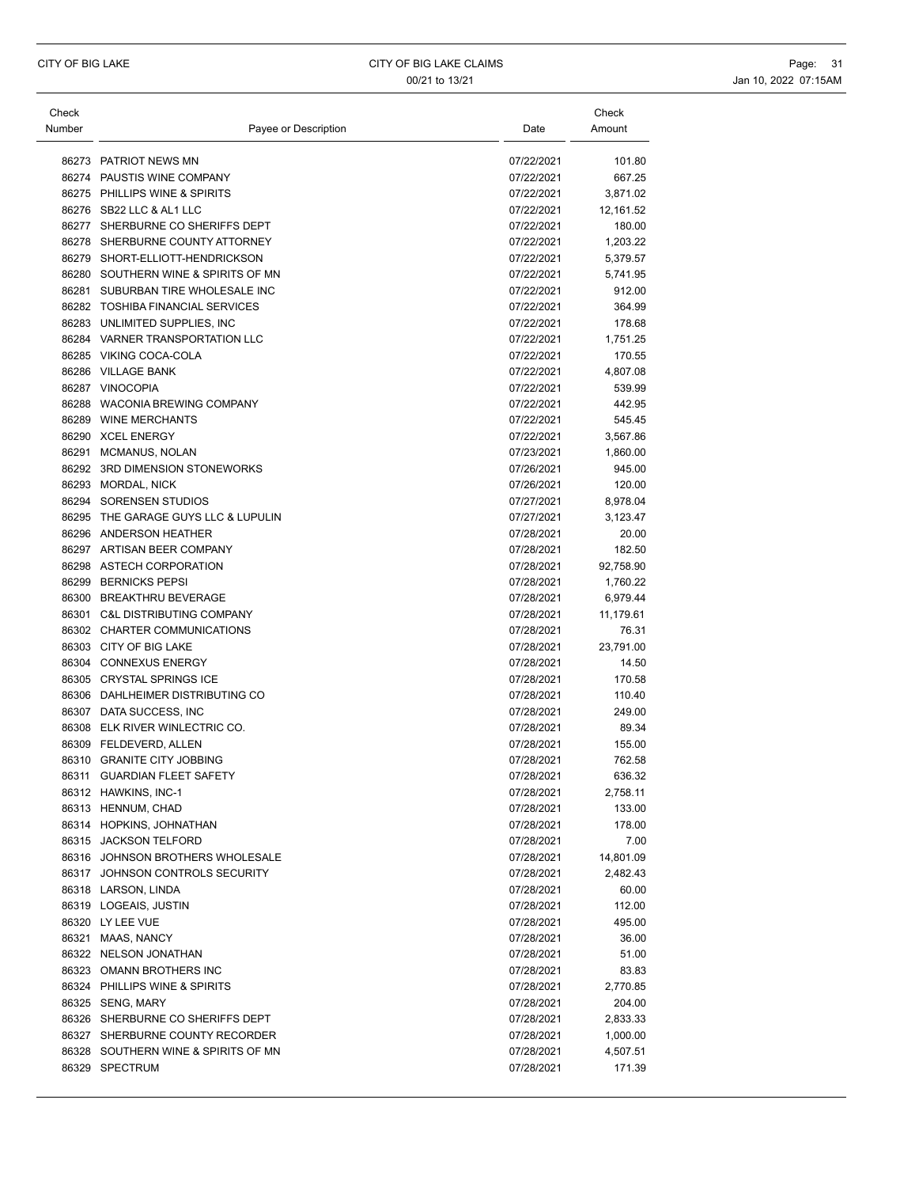| 86273 PATRIOT NEWS MN<br>07/22/2021<br>86274 PAUSTIS WINE COMPANY<br>07/22/2021<br>86275 PHILLIPS WINE & SPIRITS<br>07/22/2021<br>86276 SB22 LLC & AL1 LLC<br>07/22/2021<br>86277 SHERBURNE CO SHERIFFS DEPT<br>07/22/2021<br>86278 SHERBURNE COUNTY ATTORNEY<br>07/22/2021<br>86279 SHORT-ELLIOTT-HENDRICKSON<br>07/22/2021<br>86280 SOUTHERN WINE & SPIRITS OF MN<br>07/22/2021<br>86281 SUBURBAN TIRE WHOLESALE INC<br>07/22/2021<br>86282 TOSHIBA FINANCIAL SERVICES<br>07/22/2021<br>86283 UNLIMITED SUPPLIES, INC<br>07/22/2021<br>86284 VARNER TRANSPORTATION LLC<br>07/22/2021<br>86285 VIKING COCA-COLA<br>07/22/2021<br>86286 VILLAGE BANK<br>07/22/2021<br>86287 VINOCOPIA<br>07/22/2021<br>86288 WACONIA BREWING COMPANY<br>07/22/2021<br>86289 WINE MERCHANTS<br>07/22/2021<br>86290 XCEL ENERGY<br>07/22/2021<br>86291<br><b>MCMANUS, NOLAN</b><br>07/23/2021<br>86292 3RD DIMENSION STONEWORKS<br>07/26/2021<br>86293 MORDAL, NICK<br>07/26/2021<br>86294 SORENSEN STUDIOS<br>07/27/2021<br>86295 THE GARAGE GUYS LLC & LUPULIN<br>07/27/2021<br>86296 ANDERSON HEATHER<br>07/28/2021<br>86297 ARTISAN BEER COMPANY<br>07/28/2021<br>86298 ASTECH CORPORATION<br>07/28/2021<br>86299 BERNICKS PEPSI<br>07/28/2021<br>86300 BREAKTHRU BEVERAGE<br>07/28/2021<br>86301<br><b>C&amp;L DISTRIBUTING COMPANY</b><br>07/28/2021<br>11,179.61<br>86302 CHARTER COMMUNICATIONS<br>07/28/2021<br>86303 CITY OF BIG LAKE<br>07/28/2021<br>23,791.00<br>86304 CONNEXUS ENERGY<br>07/28/2021<br>14.50<br>86305 CRYSTAL SPRINGS ICE<br>07/28/2021<br>170.58<br>86306 DAHLHEIMER DISTRIBUTING CO<br>07/28/2021<br>110.40<br>86307 DATA SUCCESS, INC<br>07/28/2021<br>249.00<br>86308 ELK RIVER WINLECTRIC CO.<br>07/28/2021<br>86309 FELDEVERD, ALLEN<br>07/28/2021<br>86310 GRANITE CITY JOBBING<br>07/28/2021<br>86311 GUARDIAN FLEET SAFETY<br>07/28/2021<br>86312 HAWKINS, INC-1<br>07/28/2021<br>86313 HENNUM, CHAD<br>07/28/2021<br>86314 HOPKINS, JOHNATHAN<br>07/28/2021<br>86315 JACKSON TELFORD<br>07/28/2021<br>86316 JOHNSON BROTHERS WHOLESALE<br>07/28/2021<br>86317 JOHNSON CONTROLS SECURITY<br>07/28/2021<br>86318 LARSON, LINDA<br>07/28/2021<br>86319 LOGEAIS, JUSTIN<br>07/28/2021<br>86320 LY LEE VUE<br>07/28/2021<br>86321 MAAS, NANCY<br>07/28/2021<br>86322 NELSON JONATHAN<br>07/28/2021<br>86323 OMANN BROTHERS INC<br>07/28/2021<br>86324 PHILLIPS WINE & SPIRITS<br>07/28/2021<br>86325 SENG, MARY<br>07/28/2021<br>86326 SHERBURNE CO SHERIFFS DEPT<br>07/28/2021<br>86327 SHERBURNE COUNTY RECORDER<br>07/28/2021<br>86328 SOUTHERN WINE & SPIRITS OF MN<br>07/28/2021<br>86329 SPECTRUM<br>07/28/2021 | Check  |                      |      | Check     |
|----------------------------------------------------------------------------------------------------------------------------------------------------------------------------------------------------------------------------------------------------------------------------------------------------------------------------------------------------------------------------------------------------------------------------------------------------------------------------------------------------------------------------------------------------------------------------------------------------------------------------------------------------------------------------------------------------------------------------------------------------------------------------------------------------------------------------------------------------------------------------------------------------------------------------------------------------------------------------------------------------------------------------------------------------------------------------------------------------------------------------------------------------------------------------------------------------------------------------------------------------------------------------------------------------------------------------------------------------------------------------------------------------------------------------------------------------------------------------------------------------------------------------------------------------------------------------------------------------------------------------------------------------------------------------------------------------------------------------------------------------------------------------------------------------------------------------------------------------------------------------------------------------------------------------------------------------------------------------------------------------------------------------------------------------------------------------------------------------------------------------------------------------------------------------------------------------------------------------------------------------------------------------------------------------------------------------------------------------------------------------------------------------------------------------------------------------------------------------------------------------------------------------------------------------------------------------------------------------------------------------------------|--------|----------------------|------|-----------|
|                                                                                                                                                                                                                                                                                                                                                                                                                                                                                                                                                                                                                                                                                                                                                                                                                                                                                                                                                                                                                                                                                                                                                                                                                                                                                                                                                                                                                                                                                                                                                                                                                                                                                                                                                                                                                                                                                                                                                                                                                                                                                                                                                                                                                                                                                                                                                                                                                                                                                                                                                                                                                                        | Number | Payee or Description | Date | Amount    |
|                                                                                                                                                                                                                                                                                                                                                                                                                                                                                                                                                                                                                                                                                                                                                                                                                                                                                                                                                                                                                                                                                                                                                                                                                                                                                                                                                                                                                                                                                                                                                                                                                                                                                                                                                                                                                                                                                                                                                                                                                                                                                                                                                                                                                                                                                                                                                                                                                                                                                                                                                                                                                                        |        |                      |      | 101.80    |
|                                                                                                                                                                                                                                                                                                                                                                                                                                                                                                                                                                                                                                                                                                                                                                                                                                                                                                                                                                                                                                                                                                                                                                                                                                                                                                                                                                                                                                                                                                                                                                                                                                                                                                                                                                                                                                                                                                                                                                                                                                                                                                                                                                                                                                                                                                                                                                                                                                                                                                                                                                                                                                        |        |                      |      | 667.25    |
|                                                                                                                                                                                                                                                                                                                                                                                                                                                                                                                                                                                                                                                                                                                                                                                                                                                                                                                                                                                                                                                                                                                                                                                                                                                                                                                                                                                                                                                                                                                                                                                                                                                                                                                                                                                                                                                                                                                                                                                                                                                                                                                                                                                                                                                                                                                                                                                                                                                                                                                                                                                                                                        |        |                      |      | 3,871.02  |
|                                                                                                                                                                                                                                                                                                                                                                                                                                                                                                                                                                                                                                                                                                                                                                                                                                                                                                                                                                                                                                                                                                                                                                                                                                                                                                                                                                                                                                                                                                                                                                                                                                                                                                                                                                                                                                                                                                                                                                                                                                                                                                                                                                                                                                                                                                                                                                                                                                                                                                                                                                                                                                        |        |                      |      | 12,161.52 |
|                                                                                                                                                                                                                                                                                                                                                                                                                                                                                                                                                                                                                                                                                                                                                                                                                                                                                                                                                                                                                                                                                                                                                                                                                                                                                                                                                                                                                                                                                                                                                                                                                                                                                                                                                                                                                                                                                                                                                                                                                                                                                                                                                                                                                                                                                                                                                                                                                                                                                                                                                                                                                                        |        |                      |      | 180.00    |
|                                                                                                                                                                                                                                                                                                                                                                                                                                                                                                                                                                                                                                                                                                                                                                                                                                                                                                                                                                                                                                                                                                                                                                                                                                                                                                                                                                                                                                                                                                                                                                                                                                                                                                                                                                                                                                                                                                                                                                                                                                                                                                                                                                                                                                                                                                                                                                                                                                                                                                                                                                                                                                        |        |                      |      | 1,203.22  |
|                                                                                                                                                                                                                                                                                                                                                                                                                                                                                                                                                                                                                                                                                                                                                                                                                                                                                                                                                                                                                                                                                                                                                                                                                                                                                                                                                                                                                                                                                                                                                                                                                                                                                                                                                                                                                                                                                                                                                                                                                                                                                                                                                                                                                                                                                                                                                                                                                                                                                                                                                                                                                                        |        |                      |      | 5,379.57  |
|                                                                                                                                                                                                                                                                                                                                                                                                                                                                                                                                                                                                                                                                                                                                                                                                                                                                                                                                                                                                                                                                                                                                                                                                                                                                                                                                                                                                                                                                                                                                                                                                                                                                                                                                                                                                                                                                                                                                                                                                                                                                                                                                                                                                                                                                                                                                                                                                                                                                                                                                                                                                                                        |        |                      |      | 5,741.95  |
|                                                                                                                                                                                                                                                                                                                                                                                                                                                                                                                                                                                                                                                                                                                                                                                                                                                                                                                                                                                                                                                                                                                                                                                                                                                                                                                                                                                                                                                                                                                                                                                                                                                                                                                                                                                                                                                                                                                                                                                                                                                                                                                                                                                                                                                                                                                                                                                                                                                                                                                                                                                                                                        |        |                      |      | 912.00    |
|                                                                                                                                                                                                                                                                                                                                                                                                                                                                                                                                                                                                                                                                                                                                                                                                                                                                                                                                                                                                                                                                                                                                                                                                                                                                                                                                                                                                                                                                                                                                                                                                                                                                                                                                                                                                                                                                                                                                                                                                                                                                                                                                                                                                                                                                                                                                                                                                                                                                                                                                                                                                                                        |        |                      |      | 364.99    |
|                                                                                                                                                                                                                                                                                                                                                                                                                                                                                                                                                                                                                                                                                                                                                                                                                                                                                                                                                                                                                                                                                                                                                                                                                                                                                                                                                                                                                                                                                                                                                                                                                                                                                                                                                                                                                                                                                                                                                                                                                                                                                                                                                                                                                                                                                                                                                                                                                                                                                                                                                                                                                                        |        |                      |      | 178.68    |
|                                                                                                                                                                                                                                                                                                                                                                                                                                                                                                                                                                                                                                                                                                                                                                                                                                                                                                                                                                                                                                                                                                                                                                                                                                                                                                                                                                                                                                                                                                                                                                                                                                                                                                                                                                                                                                                                                                                                                                                                                                                                                                                                                                                                                                                                                                                                                                                                                                                                                                                                                                                                                                        |        |                      |      | 1,751.25  |
|                                                                                                                                                                                                                                                                                                                                                                                                                                                                                                                                                                                                                                                                                                                                                                                                                                                                                                                                                                                                                                                                                                                                                                                                                                                                                                                                                                                                                                                                                                                                                                                                                                                                                                                                                                                                                                                                                                                                                                                                                                                                                                                                                                                                                                                                                                                                                                                                                                                                                                                                                                                                                                        |        |                      |      | 170.55    |
|                                                                                                                                                                                                                                                                                                                                                                                                                                                                                                                                                                                                                                                                                                                                                                                                                                                                                                                                                                                                                                                                                                                                                                                                                                                                                                                                                                                                                                                                                                                                                                                                                                                                                                                                                                                                                                                                                                                                                                                                                                                                                                                                                                                                                                                                                                                                                                                                                                                                                                                                                                                                                                        |        |                      |      | 4,807.08  |
|                                                                                                                                                                                                                                                                                                                                                                                                                                                                                                                                                                                                                                                                                                                                                                                                                                                                                                                                                                                                                                                                                                                                                                                                                                                                                                                                                                                                                                                                                                                                                                                                                                                                                                                                                                                                                                                                                                                                                                                                                                                                                                                                                                                                                                                                                                                                                                                                                                                                                                                                                                                                                                        |        |                      |      | 539.99    |
|                                                                                                                                                                                                                                                                                                                                                                                                                                                                                                                                                                                                                                                                                                                                                                                                                                                                                                                                                                                                                                                                                                                                                                                                                                                                                                                                                                                                                                                                                                                                                                                                                                                                                                                                                                                                                                                                                                                                                                                                                                                                                                                                                                                                                                                                                                                                                                                                                                                                                                                                                                                                                                        |        |                      |      | 442.95    |
|                                                                                                                                                                                                                                                                                                                                                                                                                                                                                                                                                                                                                                                                                                                                                                                                                                                                                                                                                                                                                                                                                                                                                                                                                                                                                                                                                                                                                                                                                                                                                                                                                                                                                                                                                                                                                                                                                                                                                                                                                                                                                                                                                                                                                                                                                                                                                                                                                                                                                                                                                                                                                                        |        |                      |      | 545.45    |
|                                                                                                                                                                                                                                                                                                                                                                                                                                                                                                                                                                                                                                                                                                                                                                                                                                                                                                                                                                                                                                                                                                                                                                                                                                                                                                                                                                                                                                                                                                                                                                                                                                                                                                                                                                                                                                                                                                                                                                                                                                                                                                                                                                                                                                                                                                                                                                                                                                                                                                                                                                                                                                        |        |                      |      | 3,567.86  |
|                                                                                                                                                                                                                                                                                                                                                                                                                                                                                                                                                                                                                                                                                                                                                                                                                                                                                                                                                                                                                                                                                                                                                                                                                                                                                                                                                                                                                                                                                                                                                                                                                                                                                                                                                                                                                                                                                                                                                                                                                                                                                                                                                                                                                                                                                                                                                                                                                                                                                                                                                                                                                                        |        |                      |      | 1,860.00  |
|                                                                                                                                                                                                                                                                                                                                                                                                                                                                                                                                                                                                                                                                                                                                                                                                                                                                                                                                                                                                                                                                                                                                                                                                                                                                                                                                                                                                                                                                                                                                                                                                                                                                                                                                                                                                                                                                                                                                                                                                                                                                                                                                                                                                                                                                                                                                                                                                                                                                                                                                                                                                                                        |        |                      |      | 945.00    |
|                                                                                                                                                                                                                                                                                                                                                                                                                                                                                                                                                                                                                                                                                                                                                                                                                                                                                                                                                                                                                                                                                                                                                                                                                                                                                                                                                                                                                                                                                                                                                                                                                                                                                                                                                                                                                                                                                                                                                                                                                                                                                                                                                                                                                                                                                                                                                                                                                                                                                                                                                                                                                                        |        |                      |      | 120.00    |
|                                                                                                                                                                                                                                                                                                                                                                                                                                                                                                                                                                                                                                                                                                                                                                                                                                                                                                                                                                                                                                                                                                                                                                                                                                                                                                                                                                                                                                                                                                                                                                                                                                                                                                                                                                                                                                                                                                                                                                                                                                                                                                                                                                                                                                                                                                                                                                                                                                                                                                                                                                                                                                        |        |                      |      | 8,978.04  |
|                                                                                                                                                                                                                                                                                                                                                                                                                                                                                                                                                                                                                                                                                                                                                                                                                                                                                                                                                                                                                                                                                                                                                                                                                                                                                                                                                                                                                                                                                                                                                                                                                                                                                                                                                                                                                                                                                                                                                                                                                                                                                                                                                                                                                                                                                                                                                                                                                                                                                                                                                                                                                                        |        |                      |      | 3,123.47  |
|                                                                                                                                                                                                                                                                                                                                                                                                                                                                                                                                                                                                                                                                                                                                                                                                                                                                                                                                                                                                                                                                                                                                                                                                                                                                                                                                                                                                                                                                                                                                                                                                                                                                                                                                                                                                                                                                                                                                                                                                                                                                                                                                                                                                                                                                                                                                                                                                                                                                                                                                                                                                                                        |        |                      |      | 20.00     |
|                                                                                                                                                                                                                                                                                                                                                                                                                                                                                                                                                                                                                                                                                                                                                                                                                                                                                                                                                                                                                                                                                                                                                                                                                                                                                                                                                                                                                                                                                                                                                                                                                                                                                                                                                                                                                                                                                                                                                                                                                                                                                                                                                                                                                                                                                                                                                                                                                                                                                                                                                                                                                                        |        |                      |      | 182.50    |
|                                                                                                                                                                                                                                                                                                                                                                                                                                                                                                                                                                                                                                                                                                                                                                                                                                                                                                                                                                                                                                                                                                                                                                                                                                                                                                                                                                                                                                                                                                                                                                                                                                                                                                                                                                                                                                                                                                                                                                                                                                                                                                                                                                                                                                                                                                                                                                                                                                                                                                                                                                                                                                        |        |                      |      | 92,758.90 |
|                                                                                                                                                                                                                                                                                                                                                                                                                                                                                                                                                                                                                                                                                                                                                                                                                                                                                                                                                                                                                                                                                                                                                                                                                                                                                                                                                                                                                                                                                                                                                                                                                                                                                                                                                                                                                                                                                                                                                                                                                                                                                                                                                                                                                                                                                                                                                                                                                                                                                                                                                                                                                                        |        |                      |      | 1,760.22  |
|                                                                                                                                                                                                                                                                                                                                                                                                                                                                                                                                                                                                                                                                                                                                                                                                                                                                                                                                                                                                                                                                                                                                                                                                                                                                                                                                                                                                                                                                                                                                                                                                                                                                                                                                                                                                                                                                                                                                                                                                                                                                                                                                                                                                                                                                                                                                                                                                                                                                                                                                                                                                                                        |        |                      |      | 6,979.44  |
|                                                                                                                                                                                                                                                                                                                                                                                                                                                                                                                                                                                                                                                                                                                                                                                                                                                                                                                                                                                                                                                                                                                                                                                                                                                                                                                                                                                                                                                                                                                                                                                                                                                                                                                                                                                                                                                                                                                                                                                                                                                                                                                                                                                                                                                                                                                                                                                                                                                                                                                                                                                                                                        |        |                      |      |           |
|                                                                                                                                                                                                                                                                                                                                                                                                                                                                                                                                                                                                                                                                                                                                                                                                                                                                                                                                                                                                                                                                                                                                                                                                                                                                                                                                                                                                                                                                                                                                                                                                                                                                                                                                                                                                                                                                                                                                                                                                                                                                                                                                                                                                                                                                                                                                                                                                                                                                                                                                                                                                                                        |        |                      |      | 76.31     |
|                                                                                                                                                                                                                                                                                                                                                                                                                                                                                                                                                                                                                                                                                                                                                                                                                                                                                                                                                                                                                                                                                                                                                                                                                                                                                                                                                                                                                                                                                                                                                                                                                                                                                                                                                                                                                                                                                                                                                                                                                                                                                                                                                                                                                                                                                                                                                                                                                                                                                                                                                                                                                                        |        |                      |      |           |
|                                                                                                                                                                                                                                                                                                                                                                                                                                                                                                                                                                                                                                                                                                                                                                                                                                                                                                                                                                                                                                                                                                                                                                                                                                                                                                                                                                                                                                                                                                                                                                                                                                                                                                                                                                                                                                                                                                                                                                                                                                                                                                                                                                                                                                                                                                                                                                                                                                                                                                                                                                                                                                        |        |                      |      |           |
|                                                                                                                                                                                                                                                                                                                                                                                                                                                                                                                                                                                                                                                                                                                                                                                                                                                                                                                                                                                                                                                                                                                                                                                                                                                                                                                                                                                                                                                                                                                                                                                                                                                                                                                                                                                                                                                                                                                                                                                                                                                                                                                                                                                                                                                                                                                                                                                                                                                                                                                                                                                                                                        |        |                      |      |           |
|                                                                                                                                                                                                                                                                                                                                                                                                                                                                                                                                                                                                                                                                                                                                                                                                                                                                                                                                                                                                                                                                                                                                                                                                                                                                                                                                                                                                                                                                                                                                                                                                                                                                                                                                                                                                                                                                                                                                                                                                                                                                                                                                                                                                                                                                                                                                                                                                                                                                                                                                                                                                                                        |        |                      |      |           |
|                                                                                                                                                                                                                                                                                                                                                                                                                                                                                                                                                                                                                                                                                                                                                                                                                                                                                                                                                                                                                                                                                                                                                                                                                                                                                                                                                                                                                                                                                                                                                                                                                                                                                                                                                                                                                                                                                                                                                                                                                                                                                                                                                                                                                                                                                                                                                                                                                                                                                                                                                                                                                                        |        |                      |      | 89.34     |
|                                                                                                                                                                                                                                                                                                                                                                                                                                                                                                                                                                                                                                                                                                                                                                                                                                                                                                                                                                                                                                                                                                                                                                                                                                                                                                                                                                                                                                                                                                                                                                                                                                                                                                                                                                                                                                                                                                                                                                                                                                                                                                                                                                                                                                                                                                                                                                                                                                                                                                                                                                                                                                        |        |                      |      | 155.00    |
|                                                                                                                                                                                                                                                                                                                                                                                                                                                                                                                                                                                                                                                                                                                                                                                                                                                                                                                                                                                                                                                                                                                                                                                                                                                                                                                                                                                                                                                                                                                                                                                                                                                                                                                                                                                                                                                                                                                                                                                                                                                                                                                                                                                                                                                                                                                                                                                                                                                                                                                                                                                                                                        |        |                      |      | 762.58    |
|                                                                                                                                                                                                                                                                                                                                                                                                                                                                                                                                                                                                                                                                                                                                                                                                                                                                                                                                                                                                                                                                                                                                                                                                                                                                                                                                                                                                                                                                                                                                                                                                                                                                                                                                                                                                                                                                                                                                                                                                                                                                                                                                                                                                                                                                                                                                                                                                                                                                                                                                                                                                                                        |        |                      |      | 636.32    |
|                                                                                                                                                                                                                                                                                                                                                                                                                                                                                                                                                                                                                                                                                                                                                                                                                                                                                                                                                                                                                                                                                                                                                                                                                                                                                                                                                                                                                                                                                                                                                                                                                                                                                                                                                                                                                                                                                                                                                                                                                                                                                                                                                                                                                                                                                                                                                                                                                                                                                                                                                                                                                                        |        |                      |      | 2,758.11  |
|                                                                                                                                                                                                                                                                                                                                                                                                                                                                                                                                                                                                                                                                                                                                                                                                                                                                                                                                                                                                                                                                                                                                                                                                                                                                                                                                                                                                                                                                                                                                                                                                                                                                                                                                                                                                                                                                                                                                                                                                                                                                                                                                                                                                                                                                                                                                                                                                                                                                                                                                                                                                                                        |        |                      |      | 133.00    |
|                                                                                                                                                                                                                                                                                                                                                                                                                                                                                                                                                                                                                                                                                                                                                                                                                                                                                                                                                                                                                                                                                                                                                                                                                                                                                                                                                                                                                                                                                                                                                                                                                                                                                                                                                                                                                                                                                                                                                                                                                                                                                                                                                                                                                                                                                                                                                                                                                                                                                                                                                                                                                                        |        |                      |      | 178.00    |
|                                                                                                                                                                                                                                                                                                                                                                                                                                                                                                                                                                                                                                                                                                                                                                                                                                                                                                                                                                                                                                                                                                                                                                                                                                                                                                                                                                                                                                                                                                                                                                                                                                                                                                                                                                                                                                                                                                                                                                                                                                                                                                                                                                                                                                                                                                                                                                                                                                                                                                                                                                                                                                        |        |                      |      | 7.00      |
|                                                                                                                                                                                                                                                                                                                                                                                                                                                                                                                                                                                                                                                                                                                                                                                                                                                                                                                                                                                                                                                                                                                                                                                                                                                                                                                                                                                                                                                                                                                                                                                                                                                                                                                                                                                                                                                                                                                                                                                                                                                                                                                                                                                                                                                                                                                                                                                                                                                                                                                                                                                                                                        |        |                      |      | 14,801.09 |
|                                                                                                                                                                                                                                                                                                                                                                                                                                                                                                                                                                                                                                                                                                                                                                                                                                                                                                                                                                                                                                                                                                                                                                                                                                                                                                                                                                                                                                                                                                                                                                                                                                                                                                                                                                                                                                                                                                                                                                                                                                                                                                                                                                                                                                                                                                                                                                                                                                                                                                                                                                                                                                        |        |                      |      | 2,482.43  |
|                                                                                                                                                                                                                                                                                                                                                                                                                                                                                                                                                                                                                                                                                                                                                                                                                                                                                                                                                                                                                                                                                                                                                                                                                                                                                                                                                                                                                                                                                                                                                                                                                                                                                                                                                                                                                                                                                                                                                                                                                                                                                                                                                                                                                                                                                                                                                                                                                                                                                                                                                                                                                                        |        |                      |      | 60.00     |
|                                                                                                                                                                                                                                                                                                                                                                                                                                                                                                                                                                                                                                                                                                                                                                                                                                                                                                                                                                                                                                                                                                                                                                                                                                                                                                                                                                                                                                                                                                                                                                                                                                                                                                                                                                                                                                                                                                                                                                                                                                                                                                                                                                                                                                                                                                                                                                                                                                                                                                                                                                                                                                        |        |                      |      | 112.00    |
|                                                                                                                                                                                                                                                                                                                                                                                                                                                                                                                                                                                                                                                                                                                                                                                                                                                                                                                                                                                                                                                                                                                                                                                                                                                                                                                                                                                                                                                                                                                                                                                                                                                                                                                                                                                                                                                                                                                                                                                                                                                                                                                                                                                                                                                                                                                                                                                                                                                                                                                                                                                                                                        |        |                      |      | 495.00    |
|                                                                                                                                                                                                                                                                                                                                                                                                                                                                                                                                                                                                                                                                                                                                                                                                                                                                                                                                                                                                                                                                                                                                                                                                                                                                                                                                                                                                                                                                                                                                                                                                                                                                                                                                                                                                                                                                                                                                                                                                                                                                                                                                                                                                                                                                                                                                                                                                                                                                                                                                                                                                                                        |        |                      |      | 36.00     |
|                                                                                                                                                                                                                                                                                                                                                                                                                                                                                                                                                                                                                                                                                                                                                                                                                                                                                                                                                                                                                                                                                                                                                                                                                                                                                                                                                                                                                                                                                                                                                                                                                                                                                                                                                                                                                                                                                                                                                                                                                                                                                                                                                                                                                                                                                                                                                                                                                                                                                                                                                                                                                                        |        |                      |      | 51.00     |
|                                                                                                                                                                                                                                                                                                                                                                                                                                                                                                                                                                                                                                                                                                                                                                                                                                                                                                                                                                                                                                                                                                                                                                                                                                                                                                                                                                                                                                                                                                                                                                                                                                                                                                                                                                                                                                                                                                                                                                                                                                                                                                                                                                                                                                                                                                                                                                                                                                                                                                                                                                                                                                        |        |                      |      | 83.83     |
|                                                                                                                                                                                                                                                                                                                                                                                                                                                                                                                                                                                                                                                                                                                                                                                                                                                                                                                                                                                                                                                                                                                                                                                                                                                                                                                                                                                                                                                                                                                                                                                                                                                                                                                                                                                                                                                                                                                                                                                                                                                                                                                                                                                                                                                                                                                                                                                                                                                                                                                                                                                                                                        |        |                      |      | 2,770.85  |
|                                                                                                                                                                                                                                                                                                                                                                                                                                                                                                                                                                                                                                                                                                                                                                                                                                                                                                                                                                                                                                                                                                                                                                                                                                                                                                                                                                                                                                                                                                                                                                                                                                                                                                                                                                                                                                                                                                                                                                                                                                                                                                                                                                                                                                                                                                                                                                                                                                                                                                                                                                                                                                        |        |                      |      | 204.00    |
|                                                                                                                                                                                                                                                                                                                                                                                                                                                                                                                                                                                                                                                                                                                                                                                                                                                                                                                                                                                                                                                                                                                                                                                                                                                                                                                                                                                                                                                                                                                                                                                                                                                                                                                                                                                                                                                                                                                                                                                                                                                                                                                                                                                                                                                                                                                                                                                                                                                                                                                                                                                                                                        |        |                      |      | 2,833.33  |
|                                                                                                                                                                                                                                                                                                                                                                                                                                                                                                                                                                                                                                                                                                                                                                                                                                                                                                                                                                                                                                                                                                                                                                                                                                                                                                                                                                                                                                                                                                                                                                                                                                                                                                                                                                                                                                                                                                                                                                                                                                                                                                                                                                                                                                                                                                                                                                                                                                                                                                                                                                                                                                        |        |                      |      | 1,000.00  |
|                                                                                                                                                                                                                                                                                                                                                                                                                                                                                                                                                                                                                                                                                                                                                                                                                                                                                                                                                                                                                                                                                                                                                                                                                                                                                                                                                                                                                                                                                                                                                                                                                                                                                                                                                                                                                                                                                                                                                                                                                                                                                                                                                                                                                                                                                                                                                                                                                                                                                                                                                                                                                                        |        |                      |      | 4,507.51  |
|                                                                                                                                                                                                                                                                                                                                                                                                                                                                                                                                                                                                                                                                                                                                                                                                                                                                                                                                                                                                                                                                                                                                                                                                                                                                                                                                                                                                                                                                                                                                                                                                                                                                                                                                                                                                                                                                                                                                                                                                                                                                                                                                                                                                                                                                                                                                                                                                                                                                                                                                                                                                                                        |        |                      |      | 171.39    |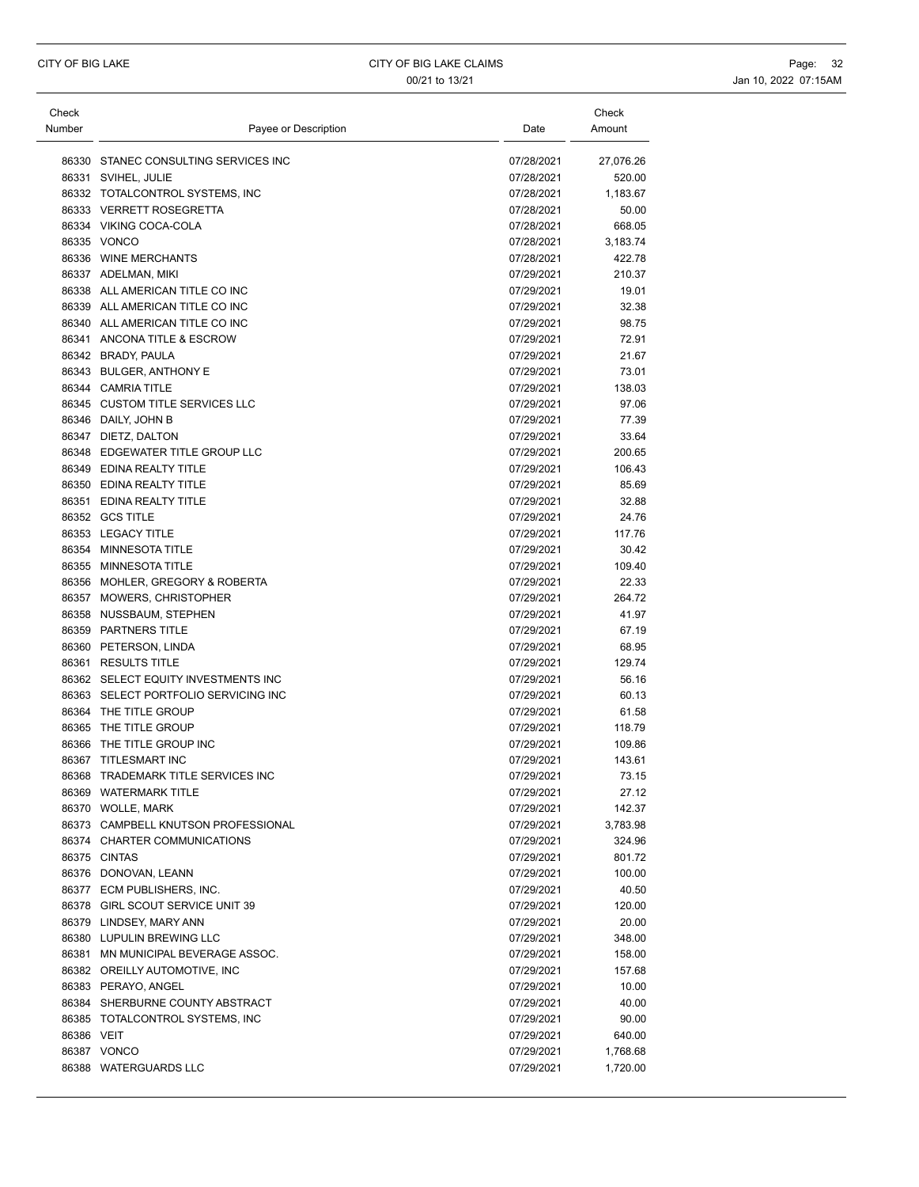| Check      |                                                 |                          | Check           |
|------------|-------------------------------------------------|--------------------------|-----------------|
| Number     | Payee or Description                            | Date                     | Amount          |
|            |                                                 |                          |                 |
|            | 86330 STANEC CONSULTING SERVICES INC            | 07/28/2021               | 27,076.26       |
|            | 86331 SVIHEL, JULIE                             | 07/28/2021               | 520.00          |
|            | 86332 TOTALCONTROL SYSTEMS, INC                 | 07/28/2021               | 1,183.67        |
|            | 86333 VERRETT ROSEGRETTA                        | 07/28/2021               | 50.00           |
|            | 86334 VIKING COCA-COLA                          | 07/28/2021               | 668.05          |
|            | 86335 VONCO                                     | 07/28/2021               | 3,183.74        |
|            | 86336 WINE MERCHANTS                            | 07/28/2021               | 422.78          |
|            | 86337 ADELMAN, MIKI                             | 07/29/2021               | 210.37          |
|            | 86338 ALL AMERICAN TITLE CO INC                 | 07/29/2021               | 19.01           |
|            | 86339 ALL AMERICAN TITLE CO INC                 | 07/29/2021               | 32.38           |
|            | 86340 ALL AMERICAN TITLE CO INC                 | 07/29/2021               | 98.75           |
|            | 86341 ANCONA TITLE & ESCROW                     | 07/29/2021               | 72.91           |
|            | 86342 BRADY, PAULA                              | 07/29/2021               | 21.67           |
|            | 86343 BULGER, ANTHONY E                         | 07/29/2021               | 73.01           |
|            | 86344 CAMRIA TITLE                              | 07/29/2021               | 138.03          |
|            | 86345 CUSTOM TITLE SERVICES LLC                 | 07/29/2021               | 97.06           |
|            | 86346 DAILY, JOHN B                             | 07/29/2021               | 77.39           |
|            | 86347 DIETZ, DALTON                             | 07/29/2021               | 33.64           |
|            | 86348 EDGEWATER TITLE GROUP LLC                 | 07/29/2021               | 200.65          |
|            | 86349 EDINA REALTY TITLE                        | 07/29/2021               | 106.43          |
|            | 86350 EDINA REALTY TITLE                        | 07/29/2021               | 85.69           |
|            | 86351 EDINA REALTY TITLE                        | 07/29/2021               | 32.88           |
|            | 86352 GCS TITLE                                 | 07/29/2021               | 24.76           |
|            | 86353 LEGACY TITLE                              | 07/29/2021               | 117.76          |
|            | 86354 MINNESOTA TITLE                           | 07/29/2021               | 30.42           |
|            | 86355 MINNESOTA TITLE                           | 07/29/2021               | 109.40          |
|            | 86356 MOHLER, GREGORY & ROBERTA                 | 07/29/2021               | 22.33           |
|            | 86357 MOWERS, CHRISTOPHER                       | 07/29/2021<br>07/29/2021 | 264.72<br>41.97 |
|            | 86358 NUSSBAUM, STEPHEN<br>86359 PARTNERS TITLE | 07/29/2021               | 67.19           |
|            | 86360 PETERSON, LINDA                           | 07/29/2021               | 68.95           |
|            | 86361 RESULTS TITLE                             | 07/29/2021               | 129.74          |
|            | 86362 SELECT EQUITY INVESTMENTS INC             | 07/29/2021               | 56.16           |
|            | 86363 SELECT PORTFOLIO SERVICING INC            | 07/29/2021               | 60.13           |
|            | 86364 THE TITLE GROUP                           | 07/29/2021               | 61.58           |
|            | 86365 THE TITLE GROUP                           | 07/29/2021               | 118.79          |
|            | 86366 THE TITLE GROUP INC                       | 07/29/2021               | 109.86          |
|            | 86367 TITLESMART INC                            | 07/29/2021               | 143.61          |
|            | 86368 TRADEMARK TITLE SERVICES INC              | 07/29/2021               | 73.15           |
|            | 86369 WATERMARK TITLE                           | 07/29/2021               | 27.12           |
|            | 86370 WOLLE, MARK                               | 07/29/2021               | 142.37          |
|            | 86373 CAMPBELL KNUTSON PROFESSIONAL             | 07/29/2021               | 3,783.98        |
|            | 86374 CHARTER COMMUNICATIONS                    | 07/29/2021               | 324.96          |
|            | 86375 CINTAS                                    | 07/29/2021               | 801.72          |
|            | 86376 DONOVAN, LEANN                            | 07/29/2021               | 100.00          |
|            | 86377 ECM PUBLISHERS, INC.                      | 07/29/2021               | 40.50           |
|            | 86378 GIRL SCOUT SERVICE UNIT 39                | 07/29/2021               | 120.00          |
|            | 86379 LINDSEY, MARY ANN                         | 07/29/2021               | 20.00           |
|            | 86380 LUPULIN BREWING LLC                       | 07/29/2021               | 348.00          |
|            | 86381 MN MUNICIPAL BEVERAGE ASSOC.              | 07/29/2021               | 158.00          |
|            | 86382 OREILLY AUTOMOTIVE, INC                   | 07/29/2021               | 157.68          |
|            | 86383 PERAYO, ANGEL                             | 07/29/2021               | 10.00           |
|            | 86384 SHERBURNE COUNTY ABSTRACT                 | 07/29/2021               | 40.00           |
|            | 86385 TOTALCONTROL SYSTEMS, INC                 | 07/29/2021               | 90.00           |
| 86386 VEIT |                                                 | 07/29/2021               | 640.00          |
|            | 86387 VONCO                                     | 07/29/2021               | 1,768.68        |
|            | 86388 WATERGUARDS LLC                           | 07/29/2021               | 1,720.00        |
|            |                                                 |                          |                 |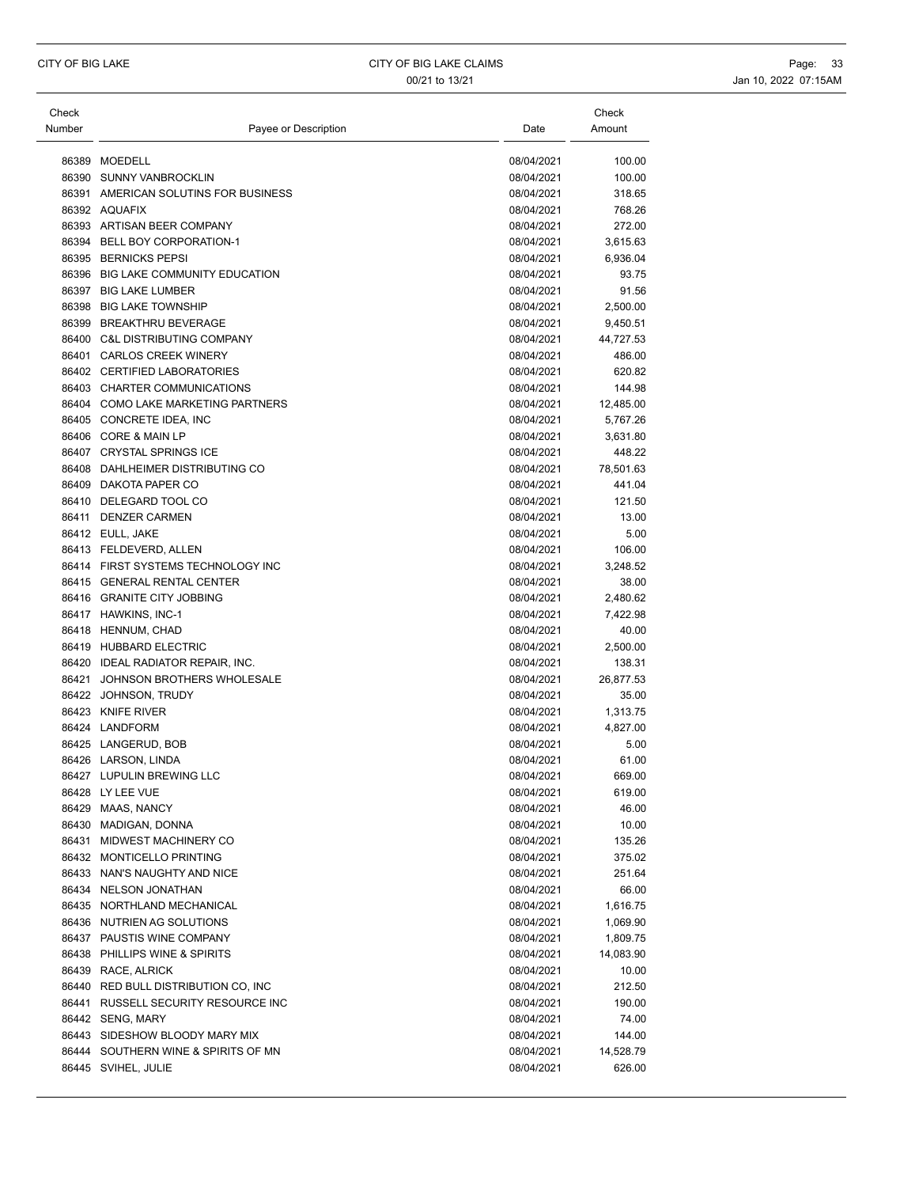| Check<br>Number | Payee or Description                 | Date       | Check<br>Amount |
|-----------------|--------------------------------------|------------|-----------------|
|                 |                                      |            |                 |
|                 | 86389 MOEDELL                        | 08/04/2021 | 100.00          |
|                 | 86390 SUNNY VANBROCKLIN              | 08/04/2021 | 100.00          |
|                 | 86391 AMERICAN SOLUTINS FOR BUSINESS | 08/04/2021 | 318.65          |
|                 | 86392 AQUAFIX                        | 08/04/2021 | 768.26          |
|                 | 86393 ARTISAN BEER COMPANY           | 08/04/2021 | 272.00          |
|                 | 86394 BELL BOY CORPORATION-1         | 08/04/2021 | 3,615.63        |
|                 | 86395 BERNICKS PEPSI                 | 08/04/2021 | 6,936.04        |
|                 | 86396 BIG LAKE COMMUNITY EDUCATION   | 08/04/2021 | 93.75           |
|                 | 86397 BIG LAKE LUMBER                | 08/04/2021 | 91.56           |
|                 | 86398 BIG LAKE TOWNSHIP              | 08/04/2021 | 2,500.00        |
|                 | 86399 BREAKTHRU BEVERAGE             | 08/04/2021 | 9,450.51        |
|                 | 86400 C&L DISTRIBUTING COMPANY       | 08/04/2021 | 44,727.53       |
|                 | 86401 CARLOS CREEK WINERY            | 08/04/2021 | 486.00          |
|                 | 86402 CERTIFIED LABORATORIES         | 08/04/2021 | 620.82          |
|                 | 86403 CHARTER COMMUNICATIONS         | 08/04/2021 | 144.98          |
|                 | 86404 COMO LAKE MARKETING PARTNERS   | 08/04/2021 | 12,485.00       |
|                 | 86405 CONCRETE IDEA, INC             | 08/04/2021 | 5,767.26        |
|                 | 86406 CORE & MAIN LP                 | 08/04/2021 | 3,631.80        |
|                 | 86407 CRYSTAL SPRINGS ICE            | 08/04/2021 | 448.22          |
|                 | 86408 DAHLHEIMER DISTRIBUTING CO     | 08/04/2021 | 78,501.63       |
|                 | 86409 DAKOTA PAPER CO                | 08/04/2021 | 441.04          |
|                 | 86410 DELEGARD TOOL CO               | 08/04/2021 | 121.50          |
|                 | 86411 DENZER CARMEN                  | 08/04/2021 | 13.00           |
|                 | 86412 EULL, JAKE                     | 08/04/2021 | 5.00            |
|                 | 86413 FELDEVERD, ALLEN               | 08/04/2021 | 106.00          |
|                 | 86414 FIRST SYSTEMS TECHNOLOGY INC   | 08/04/2021 | 3,248.52        |
|                 | 86415 GENERAL RENTAL CENTER          | 08/04/2021 | 38.00           |
|                 | 86416 GRANITE CITY JOBBING           | 08/04/2021 | 2,480.62        |
|                 | 86417 HAWKINS, INC-1                 | 08/04/2021 | 7,422.98        |
|                 | 86418 HENNUM, CHAD                   | 08/04/2021 | 40.00           |
|                 | 86419 HUBBARD ELECTRIC               | 08/04/2021 | 2,500.00        |
|                 | 86420 IDEAL RADIATOR REPAIR, INC.    | 08/04/2021 | 138.31          |
|                 | 86421 JOHNSON BROTHERS WHOLESALE     | 08/04/2021 | 26,877.53       |
|                 | 86422 JOHNSON, TRUDY                 | 08/04/2021 | 35.00           |
|                 | 86423 KNIFE RIVER                    | 08/04/2021 | 1,313.75        |
|                 | 86424 LANDFORM                       | 08/04/2021 | 4,827.00        |
|                 | 86425 LANGERUD, BOB                  | 08/04/2021 | 5.00            |
|                 | 86426 LARSON, LINDA                  | 08/04/2021 | 61.00           |
|                 | 86427 LUPULIN BREWING LLC            | 08/04/2021 | 669.00          |
|                 | 86428 LY LEE VUE                     | 08/04/2021 | 619.00          |
|                 | 86429 MAAS, NANCY                    | 08/04/2021 | 46.00           |
|                 | 86430 MADIGAN, DONNA                 | 08/04/2021 | 10.00           |
|                 | 86431 MIDWEST MACHINERY CO           | 08/04/2021 | 135.26          |
|                 | 86432 MONTICELLO PRINTING            | 08/04/2021 | 375.02          |
|                 | 86433 NAN'S NAUGHTY AND NICE         | 08/04/2021 | 251.64          |
|                 | 86434 NELSON JONATHAN                | 08/04/2021 | 66.00           |
|                 | 86435 NORTHLAND MECHANICAL           | 08/04/2021 | 1,616.75        |
|                 | 86436 NUTRIEN AG SOLUTIONS           | 08/04/2021 | 1,069.90        |
|                 | 86437 PAUSTIS WINE COMPANY           | 08/04/2021 | 1,809.75        |
|                 | 86438 PHILLIPS WINE & SPIRITS        | 08/04/2021 | 14,083.90       |
|                 | 86439 RACE, ALRICK                   | 08/04/2021 | 10.00           |
|                 | 86440 RED BULL DISTRIBUTION CO, INC  | 08/04/2021 | 212.50          |
|                 | 86441 RUSSELL SECURITY RESOURCE INC  | 08/04/2021 | 190.00          |
|                 | 86442 SENG, MARY                     | 08/04/2021 | 74.00           |
|                 | 86443 SIDESHOW BLOODY MARY MIX       | 08/04/2021 | 144.00          |
|                 | 86444 SOUTHERN WINE & SPIRITS OF MN  | 08/04/2021 | 14,528.79       |
|                 | 86445 SVIHEL, JULIE                  | 08/04/2021 | 626.00          |
|                 |                                      |            |                 |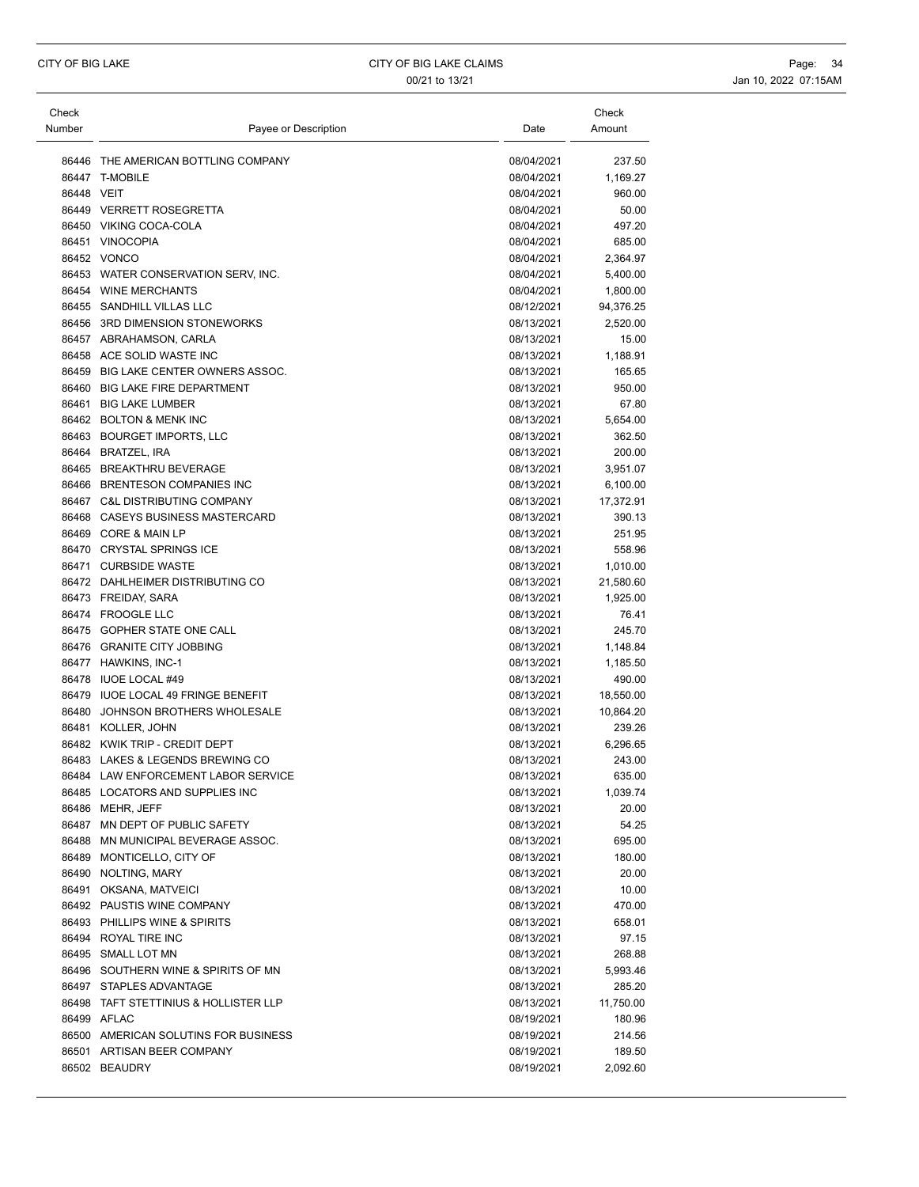| Check<br>Number | Payee or Description                  | Date       | Check<br>Amount |
|-----------------|---------------------------------------|------------|-----------------|
| 86446           | THE AMERICAN BOTTLING COMPANY         | 08/04/2021 | 237.50          |
|                 | 86447 T-MOBILE                        | 08/04/2021 | 1,169.27        |
| 86448 VEIT      |                                       | 08/04/2021 | 960.00          |
|                 | 86449 VERRETT ROSEGRETTA              | 08/04/2021 | 50.00           |
|                 | 86450 VIKING COCA-COLA                | 08/04/2021 | 497.20          |
|                 | 86451 VINOCOPIA                       | 08/04/2021 | 685.00          |
|                 | 86452 VONCO                           | 08/04/2021 | 2,364.97        |
|                 | 86453 WATER CONSERVATION SERV, INC.   | 08/04/2021 | 5,400.00        |
|                 | 86454 WINE MERCHANTS                  | 08/04/2021 | 1,800.00        |
|                 | 86455 SANDHILL VILLAS LLC             | 08/12/2021 | 94,376.25       |
|                 | 86456 3RD DIMENSION STONEWORKS        | 08/13/2021 | 2,520.00        |
|                 | 86457 ABRAHAMSON, CARLA               | 08/13/2021 | 15.00           |
|                 | 86458 ACE SOLID WASTE INC             | 08/13/2021 | 1,188.91        |
|                 | 86459 BIG LAKE CENTER OWNERS ASSOC.   | 08/13/2021 | 165.65          |
|                 | 86460 BIG LAKE FIRE DEPARTMENT        | 08/13/2021 | 950.00          |
|                 | 86461 BIG LAKE LUMBER                 | 08/13/2021 | 67.80           |
|                 | 86462 BOLTON & MENK INC               | 08/13/2021 | 5,654.00        |
|                 | 86463 BOURGET IMPORTS, LLC            | 08/13/2021 | 362.50          |
|                 | 86464 BRATZEL, IRA                    | 08/13/2021 | 200.00          |
|                 | 86465 BREAKTHRU BEVERAGE              | 08/13/2021 | 3,951.07        |
|                 | 86466 BRENTESON COMPANIES INC         | 08/13/2021 | 6,100.00        |
|                 | 86467 C&L DISTRIBUTING COMPANY        | 08/13/2021 | 17,372.91       |
|                 | 86468 CASEYS BUSINESS MASTERCARD      | 08/13/2021 | 390.13          |
|                 | 86469 CORE & MAIN LP                  | 08/13/2021 | 251.95          |
|                 | 86470 CRYSTAL SPRINGS ICE             | 08/13/2021 | 558.96          |
|                 | 86471 CURBSIDE WASTE                  | 08/13/2021 | 1,010.00        |
|                 | 86472 DAHLHEIMER DISTRIBUTING CO      | 08/13/2021 | 21,580.60       |
|                 | 86473 FREIDAY, SARA                   | 08/13/2021 | 1,925.00        |
|                 | 86474 FROOGLE LLC                     | 08/13/2021 | 76.41           |
|                 | 86475 GOPHER STATE ONE CALL           | 08/13/2021 | 245.70          |
|                 | 86476 GRANITE CITY JOBBING            | 08/13/2021 | 1,148.84        |
|                 | 86477 HAWKINS, INC-1                  | 08/13/2021 | 1,185.50        |
|                 | 86478 IUOE LOCAL #49                  | 08/13/2021 | 490.00          |
|                 | 86479 IUOE LOCAL 49 FRINGE BENEFIT    | 08/13/2021 | 18,550.00       |
|                 | 86480 JOHNSON BROTHERS WHOLESALE      | 08/13/2021 | 10,864.20       |
|                 | 86481 KOLLER, JOHN                    | 08/13/2021 | 239.26          |
|                 | 86482 KWIK TRIP - CREDIT DEPT         | 08/13/2021 | 6,296.65        |
|                 | 86483 LAKES & LEGENDS BREWING CO      | 08/13/2021 | 243.00          |
|                 | 86484 LAW ENFORCEMENT LABOR SERVICE   | 08/13/2021 | 635.00          |
|                 | 86485 LOCATORS AND SUPPLIES INC       | 08/13/2021 | 1,039.74        |
|                 | 86486 MEHR, JEFF                      | 08/13/2021 | 20.00           |
|                 | 86487 MN DEPT OF PUBLIC SAFETY        | 08/13/2021 | 54.25           |
|                 | 86488 MN MUNICIPAL BEVERAGE ASSOC.    | 08/13/2021 | 695.00          |
|                 | 86489 MONTICELLO, CITY OF             | 08/13/2021 | 180.00          |
|                 | 86490 NOLTING, MARY                   | 08/13/2021 | 20.00           |
|                 | 86491 OKSANA, MATVEICI                | 08/13/2021 | 10.00           |
|                 | 86492 PAUSTIS WINE COMPANY            | 08/13/2021 | 470.00          |
|                 | 86493 PHILLIPS WINE & SPIRITS         | 08/13/2021 | 658.01          |
|                 | 86494 ROYAL TIRE INC                  | 08/13/2021 | 97.15           |
|                 | 86495 SMALL LOT MN                    | 08/13/2021 | 268.88          |
|                 | 86496 SOUTHERN WINE & SPIRITS OF MN   | 08/13/2021 | 5,993.46        |
|                 | 86497 STAPLES ADVANTAGE               | 08/13/2021 | 285.20          |
|                 | 86498 TAFT STETTINIUS & HOLLISTER LLP | 08/13/2021 | 11,750.00       |
|                 | 86499 AFLAC                           | 08/19/2021 | 180.96          |
|                 | 86500 AMERICAN SOLUTINS FOR BUSINESS  | 08/19/2021 | 214.56          |
|                 | 86501 ARTISAN BEER COMPANY            | 08/19/2021 | 189.50          |
|                 | 86502 BEAUDRY                         | 08/19/2021 | 2,092.60        |
|                 |                                       |            |                 |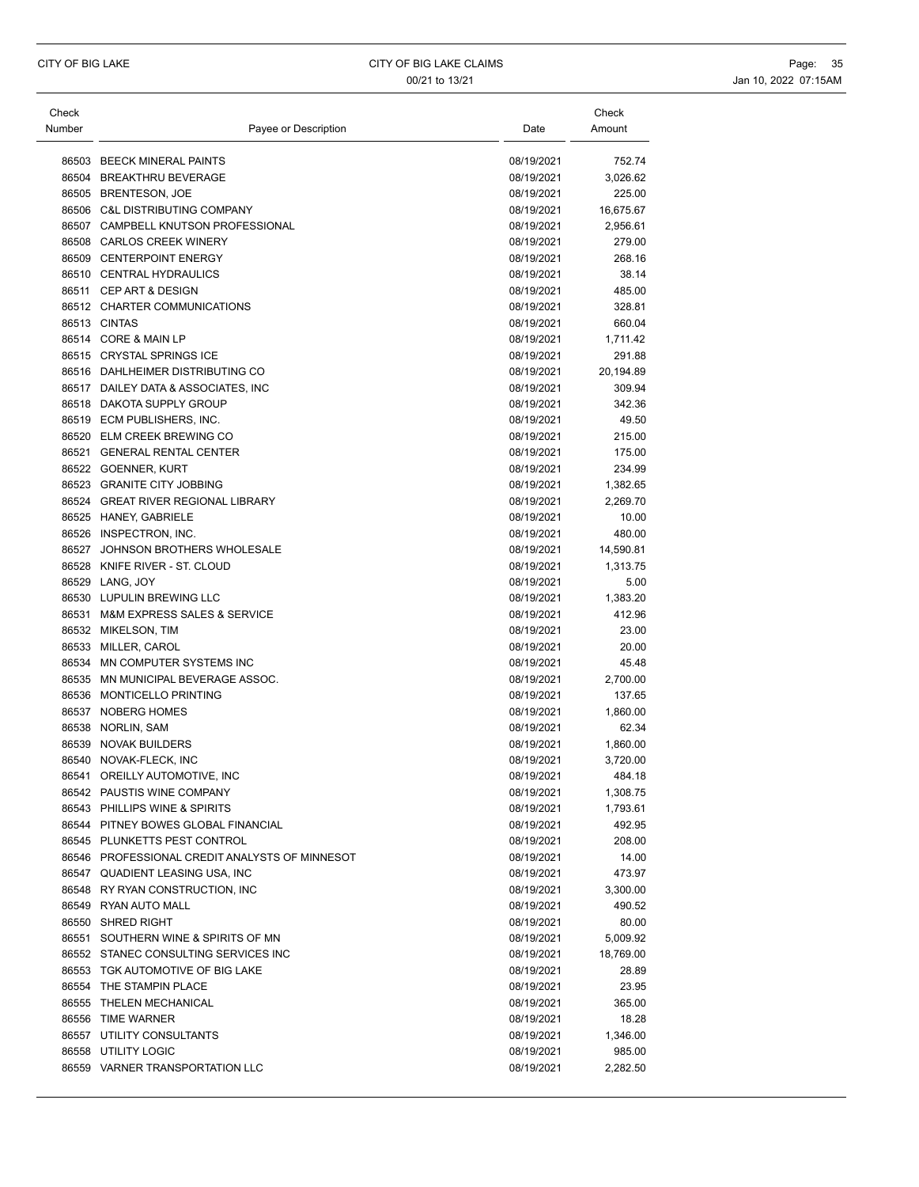| Check<br>Number | Payee or Description                                                     | Date                     | Check<br>Amount     |
|-----------------|--------------------------------------------------------------------------|--------------------------|---------------------|
|                 | 86503 BEECK MINERAL PAINTS                                               | 08/19/2021               | 752.74              |
|                 | 86504 BREAKTHRU BEVERAGE                                                 | 08/19/2021               | 3,026.62            |
|                 | 86505 BRENTESON, JOE                                                     | 08/19/2021               | 225.00              |
|                 | 86506 C&L DISTRIBUTING COMPANY                                           | 08/19/2021               | 16,675.67           |
|                 | 86507 CAMPBELL KNUTSON PROFESSIONAL                                      | 08/19/2021               | 2,956.61            |
|                 | 86508 CARLOS CREEK WINERY                                                | 08/19/2021               | 279.00              |
|                 | 86509 CENTERPOINT ENERGY                                                 | 08/19/2021               | 268.16              |
|                 | 86510 CENTRAL HYDRAULICS                                                 |                          | 38.14               |
|                 |                                                                          | 08/19/2021               |                     |
|                 | 86511 CEP ART & DESIGN                                                   | 08/19/2021               | 485.00<br>328.81    |
|                 | 86512 CHARTER COMMUNICATIONS<br>86513 CINTAS                             | 08/19/2021<br>08/19/2021 | 660.04              |
|                 | 86514 CORE & MAIN LP                                                     |                          |                     |
|                 | 86515 CRYSTAL SPRINGS ICE                                                | 08/19/2021<br>08/19/2021 | 1,711.42<br>291.88  |
|                 | 86516 DAHLHEIMER DISTRIBUTING CO                                         | 08/19/2021               |                     |
|                 | 86517 DAILEY DATA & ASSOCIATES, INC                                      | 08/19/2021               | 20,194.89<br>309.94 |
|                 | 86518 DAKOTA SUPPLY GROUP                                                | 08/19/2021               | 342.36              |
|                 | 86519 ECM PUBLISHERS, INC.                                               | 08/19/2021               | 49.50               |
|                 | 86520 ELM CREEK BREWING CO                                               | 08/19/2021               |                     |
|                 |                                                                          |                          | 215.00              |
|                 | 86521 GENERAL RENTAL CENTER                                              | 08/19/2021               | 175.00              |
|                 | 86522 GOENNER, KURT                                                      | 08/19/2021               | 234.99              |
|                 | 86523 GRANITE CITY JOBBING                                               | 08/19/2021               | 1,382.65            |
|                 | 86524 GREAT RIVER REGIONAL LIBRARY                                       | 08/19/2021               | 2,269.70            |
|                 | 86525 HANEY, GABRIELE                                                    | 08/19/2021               | 10.00               |
|                 | 86526 INSPECTRON, INC.                                                   | 08/19/2021               | 480.00              |
|                 | 86527 JOHNSON BROTHERS WHOLESALE                                         | 08/19/2021               | 14,590.81           |
|                 | 86528 KNIFE RIVER - ST. CLOUD                                            | 08/19/2021               | 1,313.75            |
|                 | 86529 LANG, JOY                                                          | 08/19/2021               | 5.00                |
|                 | 86530 LUPULIN BREWING LLC                                                | 08/19/2021               | 1,383.20            |
|                 | 86531 M&M EXPRESS SALES & SERVICE                                        | 08/19/2021               | 412.96              |
|                 | 86532 MIKELSON, TIM                                                      | 08/19/2021               | 23.00               |
|                 | 86533 MILLER, CAROL                                                      | 08/19/2021               | 20.00               |
|                 | 86534 MN COMPUTER SYSTEMS INC                                            | 08/19/2021               | 45.48               |
|                 | 86535 MN MUNICIPAL BEVERAGE ASSOC.                                       | 08/19/2021               | 2,700.00            |
|                 | 86536 MONTICELLO PRINTING                                                | 08/19/2021               | 137.65              |
|                 | 86537 NOBERG HOMES                                                       | 08/19/2021               | 1,860.00            |
|                 | 86538 NORLIN, SAM                                                        | 08/19/2021               | 62.34               |
|                 | 86539 NOVAK BUILDERS                                                     | 08/19/2021               | 1,860.00            |
|                 | 86540 NOVAK-FLECK, INC                                                   | 08/19/2021               | 3,720.00            |
|                 | 86541 OREILLY AUTOMOTIVE, INC                                            | 08/19/2021               | 484.18              |
|                 | 86542 PAUSTIS WINE COMPANY                                               | 08/19/2021               | 1,308.75            |
|                 | 86543 PHILLIPS WINE & SPIRITS                                            | 08/19/2021               | 1,793.61            |
|                 | 86544 PITNEY BOWES GLOBAL FINANCIAL                                      | 08/19/2021               | 492.95              |
|                 | 86545 PLUNKETTS PEST CONTROL                                             | 08/19/2021               | 208.00              |
|                 | 86546 PROFESSIONAL CREDIT ANALYSTS OF MINNESOT                           | 08/19/2021               | 14.00               |
|                 | 86547 QUADIENT LEASING USA, INC                                          | 08/19/2021               | 473.97              |
|                 | 86548 RY RYAN CONSTRUCTION, INC                                          | 08/19/2021               | 3,300.00            |
|                 | 86549 RYAN AUTO MALL                                                     | 08/19/2021               | 490.52              |
|                 | 86550 SHRED RIGHT                                                        | 08/19/2021               | 80.00               |
|                 | 86551 SOUTHERN WINE & SPIRITS OF MN                                      | 08/19/2021               | 5,009.92            |
|                 | 86552 STANEC CONSULTING SERVICES INC<br>86553 TGK AUTOMOTIVE OF BIG LAKE | 08/19/2021               | 18,769.00           |
|                 |                                                                          | 08/19/2021               | 28.89               |
|                 | 86554 THE STAMPIN PLACE                                                  | 08/19/2021               | 23.95               |
|                 | 86555 THELEN MECHANICAL                                                  | 08/19/2021               | 365.00              |
|                 | 86556 TIME WARNER                                                        | 08/19/2021               | 18.28               |
|                 | 86557 UTILITY CONSULTANTS                                                | 08/19/2021               | 1,346.00            |
|                 | 86558 UTILITY LOGIC<br>86559 VARNER TRANSPORTATION LLC                   | 08/19/2021               | 985.00              |
|                 |                                                                          | 08/19/2021               | 2,282.50            |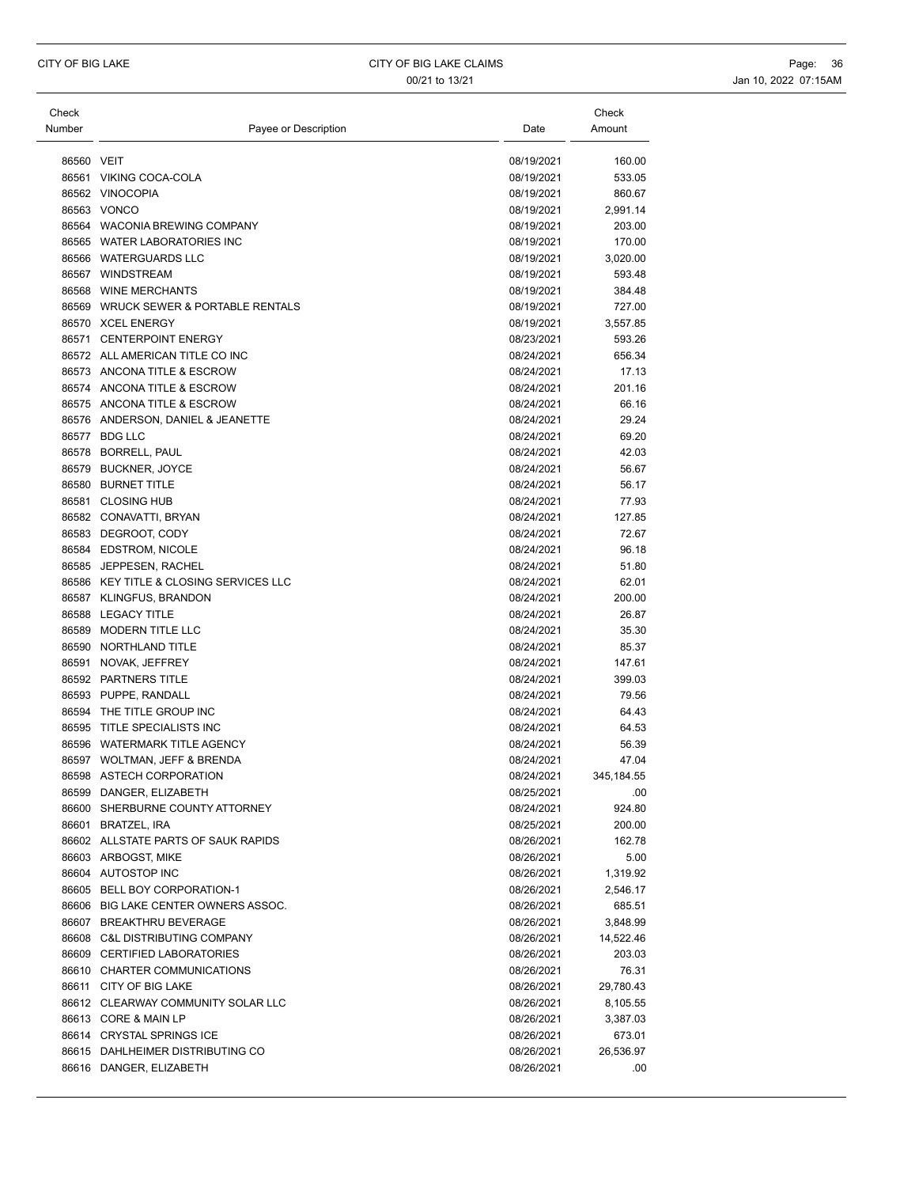| Check      |                                        |            | Check                |
|------------|----------------------------------------|------------|----------------------|
| Number     | Payee or Description                   | Date       | Amount               |
|            |                                        |            |                      |
| 86560 VEIT |                                        | 08/19/2021 | 160.00               |
|            | 86561 VIKING COCA-COLA                 | 08/19/2021 | 533.05               |
|            | 86562 VINOCOPIA                        | 08/19/2021 | 860.67               |
|            | 86563 VONCO                            | 08/19/2021 | 2,991.14             |
|            | 86564 WACONIA BREWING COMPANY          | 08/19/2021 | 203.00               |
|            | 86565 WATER LABORATORIES INC           | 08/19/2021 | 170.00               |
|            | 86566 WATERGUARDS LLC                  | 08/19/2021 | 3,020.00             |
|            | 86567 WINDSTREAM                       | 08/19/2021 | 593.48               |
|            | 86568 WINE MERCHANTS                   | 08/19/2021 | 384.48               |
|            | 86569 WRUCK SEWER & PORTABLE RENTALS   | 08/19/2021 | 727.00               |
|            | 86570 XCEL ENERGY                      | 08/19/2021 | 3,557.85             |
|            | 86571 CENTERPOINT ENERGY               | 08/23/2021 | 593.26               |
|            | 86572 ALL AMERICAN TITLE CO INC        | 08/24/2021 | 656.34               |
|            | 86573 ANCONA TITLE & ESCROW            | 08/24/2021 | 17.13                |
|            | 86574 ANCONA TITLE & ESCROW            | 08/24/2021 | 201.16               |
|            | 86575 ANCONA TITLE & ESCROW            | 08/24/2021 | 66.16                |
|            | 86576 ANDERSON, DANIEL & JEANETTE      | 08/24/2021 | 29.24                |
|            | 86577 BDG LLC                          | 08/24/2021 | 69.20                |
|            | 86578 BORRELL, PAUL                    | 08/24/2021 | 42.03                |
|            | 86579 BUCKNER, JOYCE                   | 08/24/2021 | 56.67                |
|            | 86580 BURNET TITLE                     | 08/24/2021 | 56.17                |
|            | 86581 CLOSING HUB                      | 08/24/2021 | 77.93                |
|            | 86582 CONAVATTI, BRYAN                 | 08/24/2021 | 127.85               |
|            | 86583 DEGROOT, CODY                    | 08/24/2021 | 72.67                |
|            | 86584 EDSTROM, NICOLE                  | 08/24/2021 | 96.18                |
|            | 86585 JEPPESEN, RACHEL                 | 08/24/2021 | 51.80                |
|            | 86586 KEY TITLE & CLOSING SERVICES LLC | 08/24/2021 | 62.01                |
|            | 86587 KLINGFUS, BRANDON                | 08/24/2021 | 200.00               |
|            | 86588 LEGACY TITLE                     | 08/24/2021 | 26.87                |
|            | 86589 MODERN TITLE LLC                 | 08/24/2021 | 35.30                |
|            | 86590 NORTHLAND TITLE                  | 08/24/2021 | 85.37                |
|            | 86591 NOVAK, JEFFREY                   | 08/24/2021 | 147.61               |
|            | 86592 PARTNERS TITLE                   | 08/24/2021 | 399.03               |
|            | 86593 PUPPE, RANDALL                   | 08/24/2021 | 79.56                |
|            | 86594 THE TITLE GROUP INC              | 08/24/2021 | 64.43                |
|            | 86595 TITLE SPECIALISTS INC            | 08/24/2021 | 64.53                |
|            | 86596 WATERMARK TITLE AGENCY           | 08/24/2021 | 56.39                |
|            | 86597 WOLTMAN, JEFF & BRENDA           | 08/24/2021 | 47.04                |
|            | 86598 ASTECH CORPORATION               | 08/24/2021 | 345, 184.55          |
|            | 86599 DANGER, ELIZABETH                | 08/25/2021 | .00                  |
|            | 86600 SHERBURNE COUNTY ATTORNEY        | 08/24/2021 | 924.80               |
|            | 86601 BRATZEL, IRA                     | 08/25/2021 | 200.00               |
|            | 86602 ALLSTATE PARTS OF SAUK RAPIDS    | 08/26/2021 | 162.78               |
|            | 86603 ARBOGST, MIKE                    | 08/26/2021 | 5.00                 |
|            | 86604 AUTOSTOP INC                     | 08/26/2021 |                      |
|            | 86605 BELL BOY CORPORATION-1           | 08/26/2021 | 1,319.92<br>2,546.17 |
|            | 86606 BIG LAKE CENTER OWNERS ASSOC.    | 08/26/2021 |                      |
|            | 86607 BREAKTHRU BEVERAGE               | 08/26/2021 | 685.51               |
|            |                                        |            | 3,848.99             |
|            | 86608 C&L DISTRIBUTING COMPANY         | 08/26/2021 | 14,522.46            |
|            | 86609 CERTIFIED LABORATORIES           | 08/26/2021 | 203.03               |
|            | 86610 CHARTER COMMUNICATIONS           | 08/26/2021 | 76.31                |
|            | 86611 CITY OF BIG LAKE                 | 08/26/2021 | 29,780.43            |
|            | 86612 CLEARWAY COMMUNITY SOLAR LLC     | 08/26/2021 | 8,105.55             |
|            | 86613 CORE & MAIN LP                   | 08/26/2021 | 3,387.03             |
|            | 86614 CRYSTAL SPRINGS ICE              | 08/26/2021 | 673.01               |
|            | 86615 DAHLHEIMER DISTRIBUTING CO       | 08/26/2021 | 26,536.97            |
|            | 86616 DANGER, ELIZABETH                | 08/26/2021 | .00                  |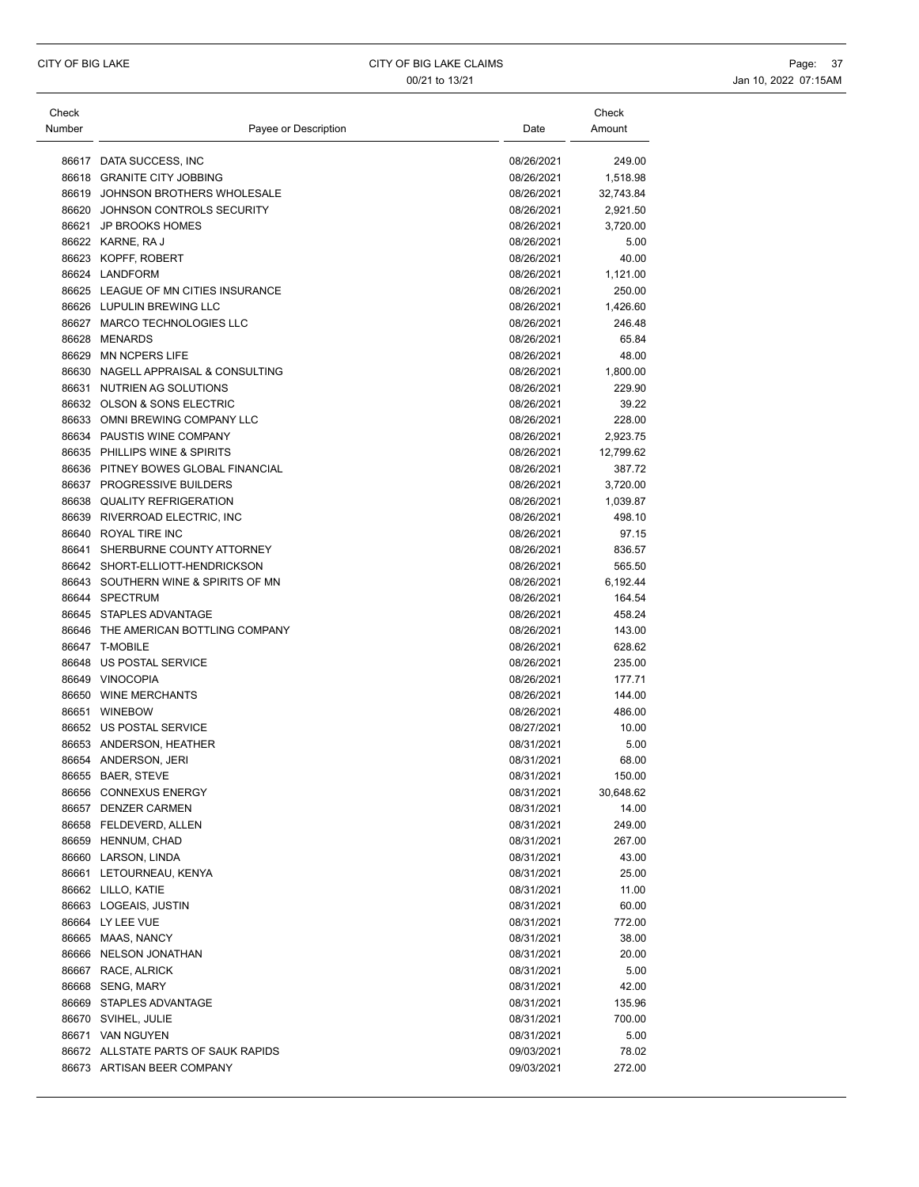| Check  |                                     |            | Check     |
|--------|-------------------------------------|------------|-----------|
| Number | Payee or Description                | Date       | Amount    |
|        |                                     |            |           |
|        | 86617 DATA SUCCESS, INC             | 08/26/2021 | 249.00    |
|        | 86618 GRANITE CITY JOBBING          | 08/26/2021 | 1,518.98  |
|        | 86619 JOHNSON BROTHERS WHOLESALE    | 08/26/2021 | 32,743.84 |
| 86620  | JOHNSON CONTROLS SECURITY           | 08/26/2021 | 2,921.50  |
|        | 86621 JP BROOKS HOMES               | 08/26/2021 | 3,720.00  |
|        | 86622 KARNE, RAJ                    | 08/26/2021 | 5.00      |
|        | 86623 KOPFF, ROBERT                 | 08/26/2021 | 40.00     |
|        | 86624 LANDFORM                      | 08/26/2021 | 1,121.00  |
|        | 86625 LEAGUE OF MN CITIES INSURANCE | 08/26/2021 | 250.00    |
|        | 86626 LUPULIN BREWING LLC           | 08/26/2021 | 1,426.60  |
|        | 86627 MARCO TECHNOLOGIES LLC        | 08/26/2021 | 246.48    |
|        | 86628 MENARDS                       | 08/26/2021 | 65.84     |
|        | 86629 MN NCPERS LIFE                | 08/26/2021 | 48.00     |
|        | 86630 NAGELL APPRAISAL & CONSULTING | 08/26/2021 | 1,800.00  |
|        | 86631 NUTRIEN AG SOLUTIONS          | 08/26/2021 | 229.90    |
|        | 86632 OLSON & SONS ELECTRIC         | 08/26/2021 | 39.22     |
|        | 86633 OMNI BREWING COMPANY LLC      | 08/26/2021 | 228.00    |
|        | 86634 PAUSTIS WINE COMPANY          | 08/26/2021 | 2,923.75  |
|        |                                     |            |           |
|        | 86635 PHILLIPS WINE & SPIRITS       | 08/26/2021 | 12,799.62 |
|        | 86636 PITNEY BOWES GLOBAL FINANCIAL | 08/26/2021 | 387.72    |
|        | 86637 PROGRESSIVE BUILDERS          | 08/26/2021 | 3,720.00  |
|        | 86638 QUALITY REFRIGERATION         | 08/26/2021 | 1,039.87  |
|        | 86639 RIVERROAD ELECTRIC, INC       | 08/26/2021 | 498.10    |
|        | 86640 ROYAL TIRE INC                | 08/26/2021 | 97.15     |
|        | 86641 SHERBURNE COUNTY ATTORNEY     | 08/26/2021 | 836.57    |
|        | 86642 SHORT-ELLIOTT-HENDRICKSON     | 08/26/2021 | 565.50    |
|        | 86643 SOUTHERN WINE & SPIRITS OF MN | 08/26/2021 | 6,192.44  |
|        | 86644 SPECTRUM                      | 08/26/2021 | 164.54    |
|        | 86645 STAPLES ADVANTAGE             | 08/26/2021 | 458.24    |
|        | 86646 THE AMERICAN BOTTLING COMPANY | 08/26/2021 | 143.00    |
|        | 86647 T-MOBILE                      | 08/26/2021 | 628.62    |
|        | 86648 US POSTAL SERVICE             | 08/26/2021 | 235.00    |
|        | 86649 VINOCOPIA                     | 08/26/2021 | 177.71    |
|        | 86650 WINE MERCHANTS                | 08/26/2021 | 144.00    |
|        | 86651 WINEBOW                       | 08/26/2021 | 486.00    |
|        | 86652 US POSTAL SERVICE             | 08/27/2021 | 10.00     |
|        | 86653 ANDERSON, HEATHER             | 08/31/2021 | 5.00      |
|        | 86654 ANDERSON, JERI                | 08/31/2021 | 68.00     |
|        | 86655 BAER, STEVE                   | 08/31/2021 | 150.00    |
|        | 86656 CONNEXUS ENERGY               | 08/31/2021 | 30,648.62 |
|        | 86657 DENZER CARMEN                 | 08/31/2021 | 14.00     |
|        | 86658 FELDEVERD, ALLEN              | 08/31/2021 | 249.00    |
|        | 86659 HENNUM, CHAD                  | 08/31/2021 | 267.00    |
|        | 86660 LARSON, LINDA                 | 08/31/2021 | 43.00     |
|        | 86661 LETOURNEAU, KENYA             | 08/31/2021 | 25.00     |
|        | 86662 LILLO, KATIE                  | 08/31/2021 | 11.00     |
|        | 86663 LOGEAIS, JUSTIN               | 08/31/2021 | 60.00     |
|        | 86664 LY LEE VUE                    | 08/31/2021 | 772.00    |
|        | 86665 MAAS, NANCY                   | 08/31/2021 | 38.00     |
|        | 86666 NELSON JONATHAN               | 08/31/2021 | 20.00     |
|        | 86667 RACE, ALRICK                  | 08/31/2021 | 5.00      |
|        | 86668 SENG, MARY                    | 08/31/2021 | 42.00     |
|        | 86669 STAPLES ADVANTAGE             | 08/31/2021 | 135.96    |
|        | 86670 SVIHEL, JULIE                 |            | 700.00    |
|        |                                     | 08/31/2021 |           |
|        | 86671 VAN NGUYEN                    | 08/31/2021 | 5.00      |
|        | 86672 ALLSTATE PARTS OF SAUK RAPIDS | 09/03/2021 | 78.02     |
|        | 86673 ARTISAN BEER COMPANY          | 09/03/2021 | 272.00    |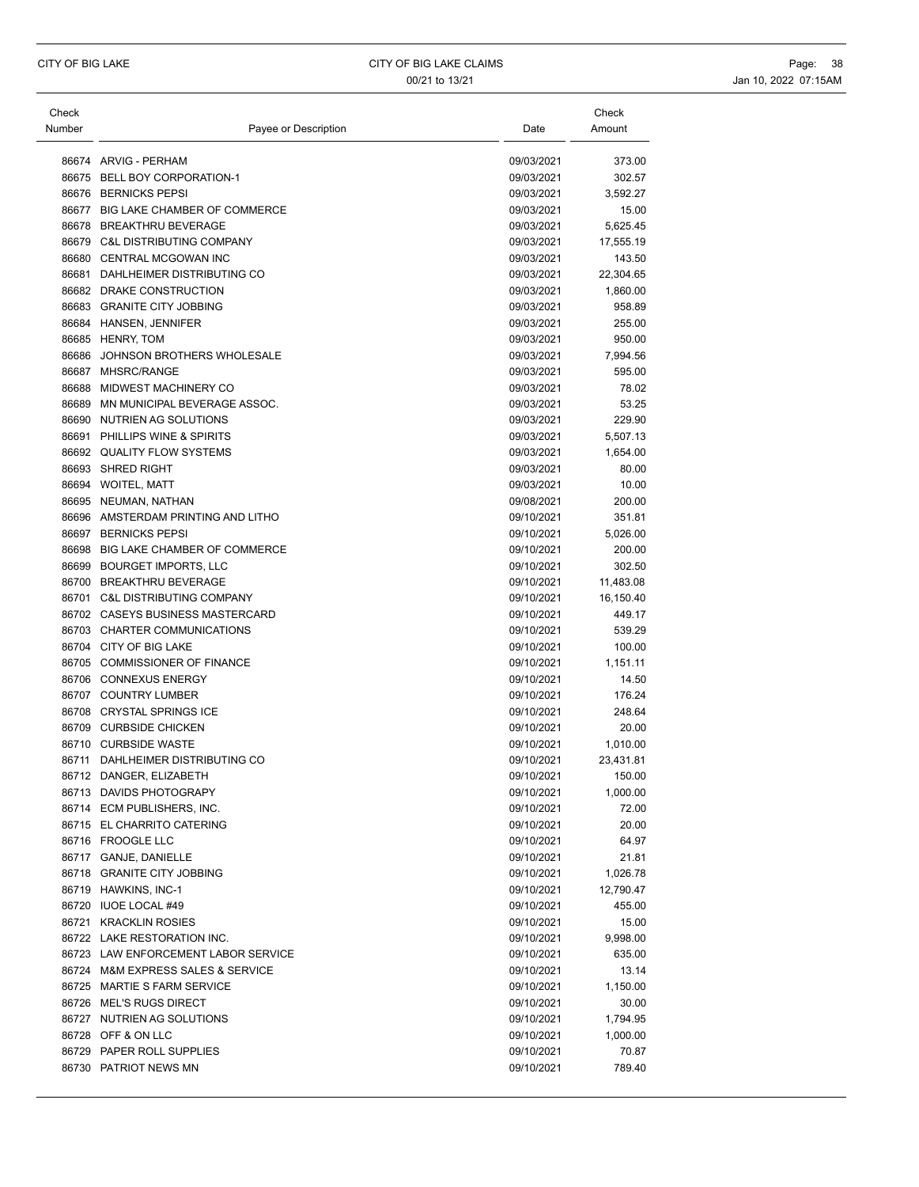| Check  |                                     |            | Check     |
|--------|-------------------------------------|------------|-----------|
| Number | Payee or Description                | Date       | Amount    |
|        | 86674 ARVIG - PERHAM                | 09/03/2021 | 373.00    |
|        | 86675 BELL BOY CORPORATION-1        | 09/03/2021 | 302.57    |
|        | 86676 BERNICKS PEPSI                | 09/03/2021 | 3,592.27  |
|        | 86677 BIG LAKE CHAMBER OF COMMERCE  | 09/03/2021 | 15.00     |
| 86678  | <b>BREAKTHRU BEVERAGE</b>           | 09/03/2021 | 5,625.45  |
|        | 86679 C&L DISTRIBUTING COMPANY      | 09/03/2021 | 17,555.19 |
|        | 86680 CENTRAL MCGOWAN INC           | 09/03/2021 | 143.50    |
|        | 86681 DAHLHEIMER DISTRIBUTING CO    | 09/03/2021 | 22,304.65 |
|        | 86682 DRAKE CONSTRUCTION            | 09/03/2021 | 1,860.00  |
|        | 86683 GRANITE CITY JOBBING          | 09/03/2021 | 958.89    |
|        | 86684 HANSEN, JENNIFER              | 09/03/2021 | 255.00    |
|        | 86685 HENRY, TOM                    | 09/03/2021 | 950.00    |
|        | 86686 JOHNSON BROTHERS WHOLESALE    | 09/03/2021 | 7,994.56  |
|        | 86687 MHSRC/RANGE                   | 09/03/2021 | 595.00    |
| 86688  | MIDWEST MACHINERY CO                | 09/03/2021 | 78.02     |
| 86689  | MN MUNICIPAL BEVERAGE ASSOC.        | 09/03/2021 | 53.25     |
|        | 86690 NUTRIEN AG SOLUTIONS          | 09/03/2021 | 229.90    |
|        | 86691 PHILLIPS WINE & SPIRITS       | 09/03/2021 | 5,507.13  |
|        | 86692 QUALITY FLOW SYSTEMS          | 09/03/2021 | 1,654.00  |
|        | 86693 SHRED RIGHT                   | 09/03/2021 | 80.00     |
|        | 86694 WOITEL, MATT                  | 09/03/2021 | 10.00     |
|        | 86695 NEUMAN, NATHAN                | 09/08/2021 | 200.00    |
|        | 86696 AMSTERDAM PRINTING AND LITHO  | 09/10/2021 | 351.81    |
|        | 86697 BERNICKS PEPSI                | 09/10/2021 | 5,026.00  |
| 86698  | BIG LAKE CHAMBER OF COMMERCE        | 09/10/2021 | 200.00    |
|        | 86699 BOURGET IMPORTS, LLC          | 09/10/2021 | 302.50    |
|        | 86700 BREAKTHRU BEVERAGE            | 09/10/2021 | 11,483.08 |
|        | 86701 C&L DISTRIBUTING COMPANY      | 09/10/2021 | 16,150.40 |
|        | 86702 CASEYS BUSINESS MASTERCARD    | 09/10/2021 | 449.17    |
|        | 86703 CHARTER COMMUNICATIONS        | 09/10/2021 | 539.29    |
|        | 86704 CITY OF BIG LAKE              | 09/10/2021 | 100.00    |
|        | 86705 COMMISSIONER OF FINANCE       | 09/10/2021 | 1,151.11  |
|        | 86706 CONNEXUS ENERGY               | 09/10/2021 | 14.50     |
|        | 86707 COUNTRY LUMBER                | 09/10/2021 | 176.24    |
|        | 86708 CRYSTAL SPRINGS ICE           | 09/10/2021 | 248.64    |
|        | 86709 CURBSIDE CHICKEN              | 09/10/2021 | 20.00     |
|        | 86710 CURBSIDE WASTE                | 09/10/2021 | 1,010.00  |
|        | 86711 DAHLHEIMER DISTRIBUTING CO    | 09/10/2021 | 23,431.81 |
|        | 86712 DANGER, ELIZABETH             | 09/10/2021 | 150.00    |
|        | 86713 DAVIDS PHOTOGRAPY             | 09/10/2021 | 1,000.00  |
|        | 86714 ECM PUBLISHERS, INC.          | 09/10/2021 | 72.00     |
|        | 86715 EL CHARRITO CATERING          | 09/10/2021 | 20.00     |
|        | 86716 FROOGLE LLC                   | 09/10/2021 | 64.97     |
|        | 86717 GANJE, DANIELLE               | 09/10/2021 | 21.81     |
|        | 86718 GRANITE CITY JOBBING          | 09/10/2021 | 1,026.78  |
|        | 86719 HAWKINS, INC-1                | 09/10/2021 | 12,790.47 |
|        | 86720 IUOE LOCAL #49                | 09/10/2021 | 455.00    |
|        | 86721 KRACKLIN ROSIES               | 09/10/2021 | 15.00     |
|        | 86722 LAKE RESTORATION INC.         | 09/10/2021 | 9,998.00  |
|        | 86723 LAW ENFORCEMENT LABOR SERVICE | 09/10/2021 | 635.00    |
|        | 86724 M&M EXPRESS SALES & SERVICE   | 09/10/2021 | 13.14     |
|        | 86725 MARTIE S FARM SERVICE         | 09/10/2021 | 1,150.00  |
|        | 86726 MEL'S RUGS DIRECT             | 09/10/2021 | 30.00     |
|        | 86727 NUTRIEN AG SOLUTIONS          | 09/10/2021 | 1,794.95  |
|        | 86728 OFF & ON LLC                  | 09/10/2021 | 1,000.00  |
|        | 86729 PAPER ROLL SUPPLIES           | 09/10/2021 | 70.87     |
|        | 86730 PATRIOT NEWS MN               | 09/10/2021 | 789.40    |
|        |                                     |            |           |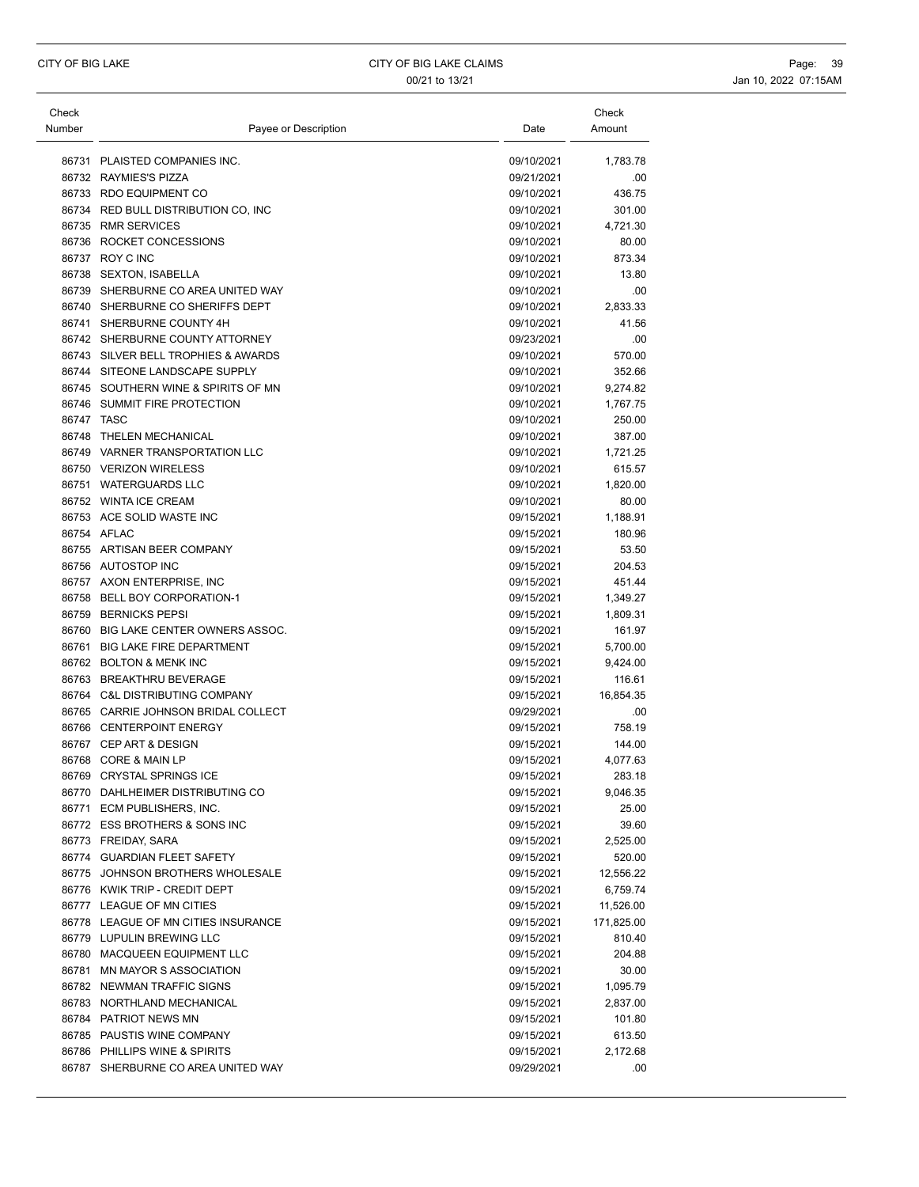| Check      |                                     |            | Check      |
|------------|-------------------------------------|------------|------------|
| Number     | Payee or Description                | Date       | Amount     |
|            | 86731 PLAISTED COMPANIES INC.       | 09/10/2021 | 1,783.78   |
|            | 86732 RAYMIES'S PIZZA               | 09/21/2021 | .00        |
|            | 86733 RDO EQUIPMENT CO              | 09/10/2021 | 436.75     |
| 86734      | RED BULL DISTRIBUTION CO, INC       | 09/10/2021 | 301.00     |
|            | 86735 RMR SERVICES                  | 09/10/2021 | 4,721.30   |
|            | 86736 ROCKET CONCESSIONS            | 09/10/2021 | 80.00      |
|            | 86737 ROY C INC                     | 09/10/2021 | 873.34     |
|            | 86738 SEXTON, ISABELLA              | 09/10/2021 | 13.80      |
|            | 86739 SHERBURNE CO AREA UNITED WAY  | 09/10/2021 | .00        |
|            | 86740 SHERBURNE CO SHERIFFS DEPT    | 09/10/2021 | 2,833.33   |
|            | 86741 SHERBURNE COUNTY 4H           | 09/10/2021 | 41.56      |
|            | 86742 SHERBURNE COUNTY ATTORNEY     | 09/23/2021 | .00        |
|            | 86743 SILVER BELL TROPHIES & AWARDS | 09/10/2021 | 570.00     |
|            | 86744 SITEONE LANDSCAPE SUPPLY      | 09/10/2021 | 352.66     |
|            | 86745 SOUTHERN WINE & SPIRITS OF MN | 09/10/2021 | 9,274.82   |
|            | 86746 SUMMIT FIRE PROTECTION        | 09/10/2021 | 1,767.75   |
| 86747 TASC |                                     | 09/10/2021 | 250.00     |
|            | 86748 THELEN MECHANICAL             | 09/10/2021 | 387.00     |
|            | 86749 VARNER TRANSPORTATION LLC     | 09/10/2021 | 1,721.25   |
|            | 86750 VERIZON WIRELESS              | 09/10/2021 | 615.57     |
|            | 86751 WATERGUARDS LLC               | 09/10/2021 | 1,820.00   |
|            | 86752 WINTA ICE CREAM               | 09/10/2021 | 80.00      |
|            | 86753 ACE SOLID WASTE INC           | 09/15/2021 | 1,188.91   |
|            | 86754 AFLAC                         | 09/15/2021 | 180.96     |
|            | 86755 ARTISAN BEER COMPANY          | 09/15/2021 | 53.50      |
|            | 86756 AUTOSTOP INC                  | 09/15/2021 | 204.53     |
|            | 86757 AXON ENTERPRISE, INC          | 09/15/2021 | 451.44     |
|            | 86758 BELL BOY CORPORATION-1        | 09/15/2021 | 1,349.27   |
| 86759      | <b>BERNICKS PEPSI</b>               | 09/15/2021 | 1,809.31   |
|            | 86760 BIG LAKE CENTER OWNERS ASSOC. | 09/15/2021 | 161.97     |
| 86761      | <b>BIG LAKE FIRE DEPARTMENT</b>     | 09/15/2021 | 5,700.00   |
|            | 86762 BOLTON & MENK INC             | 09/15/2021 | 9,424.00   |
|            | 86763 BREAKTHRU BEVERAGE            | 09/15/2021 | 116.61     |
| 86764      | <b>C&amp;L DISTRIBUTING COMPANY</b> | 09/15/2021 | 16,854.35  |
|            | 86765 CARRIE JOHNSON BRIDAL COLLECT | 09/29/2021 | .00        |
|            | 86766 CENTERPOINT ENERGY            | 09/15/2021 | 758.19     |
|            | 86767 CEP ART & DESIGN              | 09/15/2021 | 144.00     |
|            | 86768 CORE & MAIN LP                | 09/15/2021 | 4,077.63   |
|            | 86769 CRYSTAL SPRINGS ICE           | 09/15/2021 | 283.18     |
|            | 86770 DAHLHEIMER DISTRIBUTING CO    | 09/15/2021 | 9,046.35   |
|            | 86771 ECM PUBLISHERS, INC.          | 09/15/2021 | 25.00      |
|            | 86772 ESS BROTHERS & SONS INC       | 09/15/2021 | 39.60      |
|            | 86773 FREIDAY, SARA                 | 09/15/2021 | 2,525.00   |
|            | 86774 GUARDIAN FLEET SAFETY         | 09/15/2021 | 520.00     |
|            | 86775 JOHNSON BROTHERS WHOLESALE    | 09/15/2021 | 12,556.22  |
|            | 86776 KWIK TRIP - CREDIT DEPT       | 09/15/2021 | 6,759.74   |
|            | 86777 LEAGUE OF MN CITIES           | 09/15/2021 | 11,526.00  |
|            | 86778 LEAGUE OF MN CITIES INSURANCE | 09/15/2021 | 171,825.00 |
|            | 86779 LUPULIN BREWING LLC           | 09/15/2021 | 810.40     |
|            | 86780 MACQUEEN EQUIPMENT LLC        | 09/15/2021 | 204.88     |
|            | 86781 MN MAYOR S ASSOCIATION        | 09/15/2021 | 30.00      |
|            | 86782 NEWMAN TRAFFIC SIGNS          | 09/15/2021 | 1,095.79   |
|            | 86783 NORTHLAND MECHANICAL          | 09/15/2021 | 2,837.00   |
|            | 86784 PATRIOT NEWS MN               | 09/15/2021 | 101.80     |
|            | 86785 PAUSTIS WINE COMPANY          | 09/15/2021 | 613.50     |
|            | 86786 PHILLIPS WINE & SPIRITS       | 09/15/2021 | 2,172.68   |
|            | 86787 SHERBURNE CO AREA UNITED WAY  | 09/29/2021 | .00        |
|            |                                     |            |            |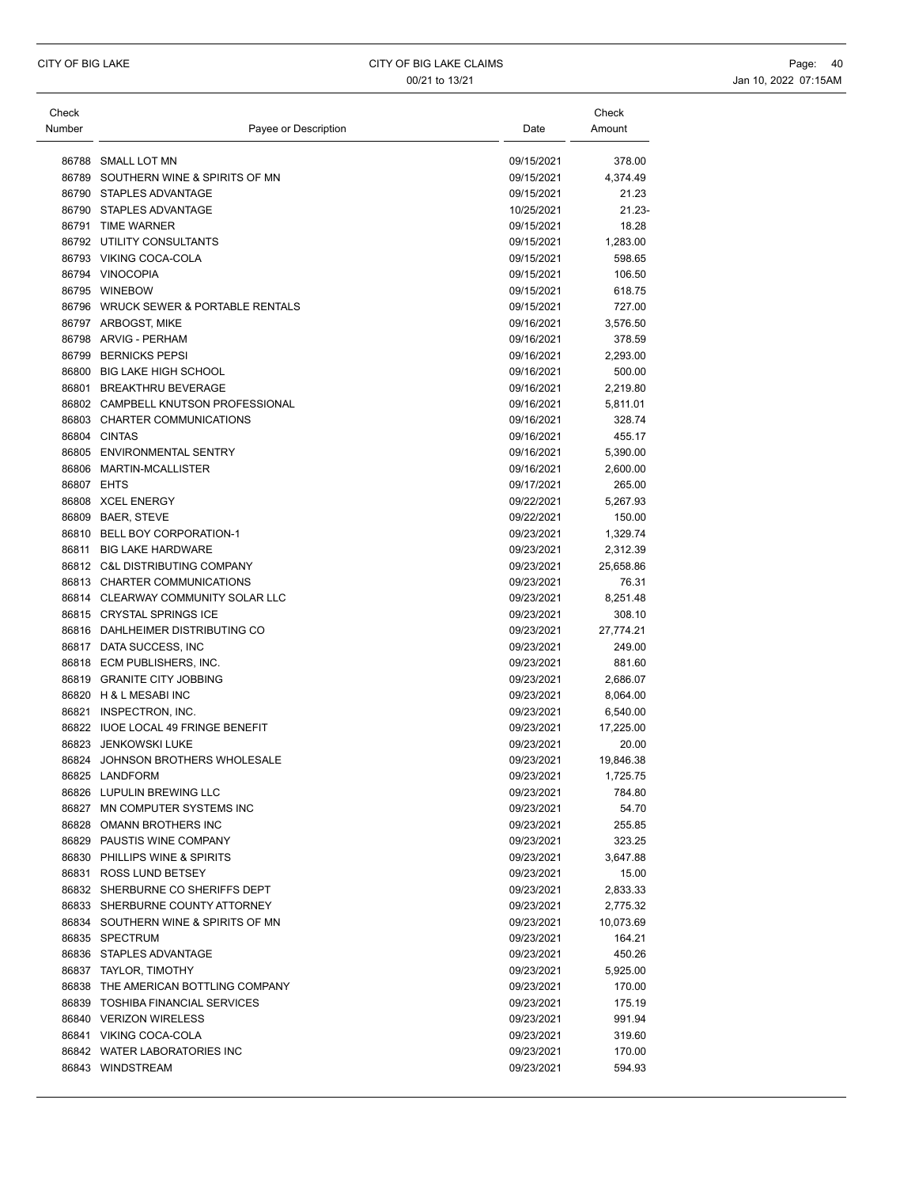| Check      |                                      |            | Check     |
|------------|--------------------------------------|------------|-----------|
| Number     | Payee or Description                 | Date       | Amount    |
|            |                                      |            |           |
|            | 86788 SMALL LOT MN                   | 09/15/2021 | 378.00    |
|            | 86789 SOUTHERN WINE & SPIRITS OF MN  | 09/15/2021 | 4,374.49  |
|            | 86790 STAPLES ADVANTAGE              | 09/15/2021 | 21.23     |
|            | 86790 STAPLES ADVANTAGE              | 10/25/2021 | $21.23 -$ |
|            | 86791 TIME WARNER                    | 09/15/2021 | 18.28     |
|            | 86792 UTILITY CONSULTANTS            | 09/15/2021 | 1,283.00  |
|            | 86793 VIKING COCA-COLA               | 09/15/2021 | 598.65    |
|            | 86794 VINOCOPIA                      | 09/15/2021 | 106.50    |
|            | 86795 WINEBOW                        | 09/15/2021 | 618.75    |
|            | 86796 WRUCK SEWER & PORTABLE RENTALS | 09/15/2021 | 727.00    |
|            | 86797 ARBOGST, MIKE                  | 09/16/2021 | 3,576.50  |
|            | 86798 ARVIG - PERHAM                 | 09/16/2021 | 378.59    |
|            | 86799 BERNICKS PEPSI                 | 09/16/2021 | 2,293.00  |
|            | 86800 BIG LAKE HIGH SCHOOL           | 09/16/2021 | 500.00    |
|            | 86801 BREAKTHRU BEVERAGE             | 09/16/2021 | 2,219.80  |
|            | 86802 CAMPBELL KNUTSON PROFESSIONAL  | 09/16/2021 | 5,811.01  |
|            | 86803 CHARTER COMMUNICATIONS         | 09/16/2021 | 328.74    |
|            | 86804 CINTAS                         | 09/16/2021 | 455.17    |
|            | 86805 ENVIRONMENTAL SENTRY           | 09/16/2021 | 5,390.00  |
|            | 86806 MARTIN-MCALLISTER              | 09/16/2021 | 2,600.00  |
| 86807 EHTS |                                      | 09/17/2021 | 265.00    |
|            | 86808 XCEL ENERGY                    | 09/22/2021 | 5,267.93  |
|            | 86809 BAER, STEVE                    | 09/22/2021 | 150.00    |
|            | 86810 BELL BOY CORPORATION-1         | 09/23/2021 | 1,329.74  |
|            | 86811 BIG LAKE HARDWARE              | 09/23/2021 | 2,312.39  |
|            | 86812 C&L DISTRIBUTING COMPANY       | 09/23/2021 | 25,658.86 |
|            | 86813 CHARTER COMMUNICATIONS         | 09/23/2021 | 76.31     |
|            | 86814 CLEARWAY COMMUNITY SOLAR LLC   | 09/23/2021 | 8,251.48  |
|            | 86815 CRYSTAL SPRINGS ICE            | 09/23/2021 | 308.10    |
|            | 86816 DAHLHEIMER DISTRIBUTING CO     | 09/23/2021 | 27,774.21 |
|            | 86817 DATA SUCCESS, INC              | 09/23/2021 | 249.00    |
|            | 86818 ECM PUBLISHERS, INC.           | 09/23/2021 | 881.60    |
|            | 86819 GRANITE CITY JOBBING           | 09/23/2021 | 2,686.07  |
|            | 86820 H & L MESABI INC               | 09/23/2021 | 8,064.00  |
|            | 86821 INSPECTRON, INC.               | 09/23/2021 | 6,540.00  |
|            | 86822 IUOE LOCAL 49 FRINGE BENEFIT   | 09/23/2021 | 17,225.00 |
|            | 86823 JENKOWSKI LUKE                 | 09/23/2021 | 20.00     |
|            | 86824 JOHNSON BROTHERS WHOLESALE     | 09/23/2021 | 19,846.38 |
|            | 86825 LANDFORM                       | 09/23/2021 | 1.725.75  |
|            | 86826 LUPULIN BREWING LLC            | 09/23/2021 | 784.80    |
|            | 86827 MN COMPUTER SYSTEMS INC        | 09/23/2021 | 54.70     |
|            | 86828 OMANN BROTHERS INC             | 09/23/2021 | 255.85    |
|            | 86829 PAUSTIS WINE COMPANY           | 09/23/2021 | 323.25    |
|            | 86830 PHILLIPS WINE & SPIRITS        | 09/23/2021 | 3,647.88  |
|            | 86831 ROSS LUND BETSEY               | 09/23/2021 | 15.00     |
|            | 86832 SHERBURNE CO SHERIFFS DEPT     | 09/23/2021 | 2,833.33  |
|            | 86833 SHERBURNE COUNTY ATTORNEY      | 09/23/2021 | 2,775.32  |
|            | 86834 SOUTHERN WINE & SPIRITS OF MN  | 09/23/2021 | 10,073.69 |
|            | 86835 SPECTRUM                       | 09/23/2021 | 164.21    |
|            | 86836 STAPLES ADVANTAGE              | 09/23/2021 | 450.26    |
|            | 86837 TAYLOR, TIMOTHY                | 09/23/2021 | 5,925.00  |
|            | 86838 THE AMERICAN BOTTLING COMPANY  | 09/23/2021 | 170.00    |
|            | 86839 TOSHIBA FINANCIAL SERVICES     | 09/23/2021 | 175.19    |
|            | 86840 VERIZON WIRELESS               | 09/23/2021 | 991.94    |
|            | 86841 VIKING COCA-COLA               | 09/23/2021 | 319.60    |
|            | 86842 WATER LABORATORIES INC         | 09/23/2021 | 170.00    |
|            | 86843 WINDSTREAM                     | 09/23/2021 | 594.93    |
|            |                                      |            |           |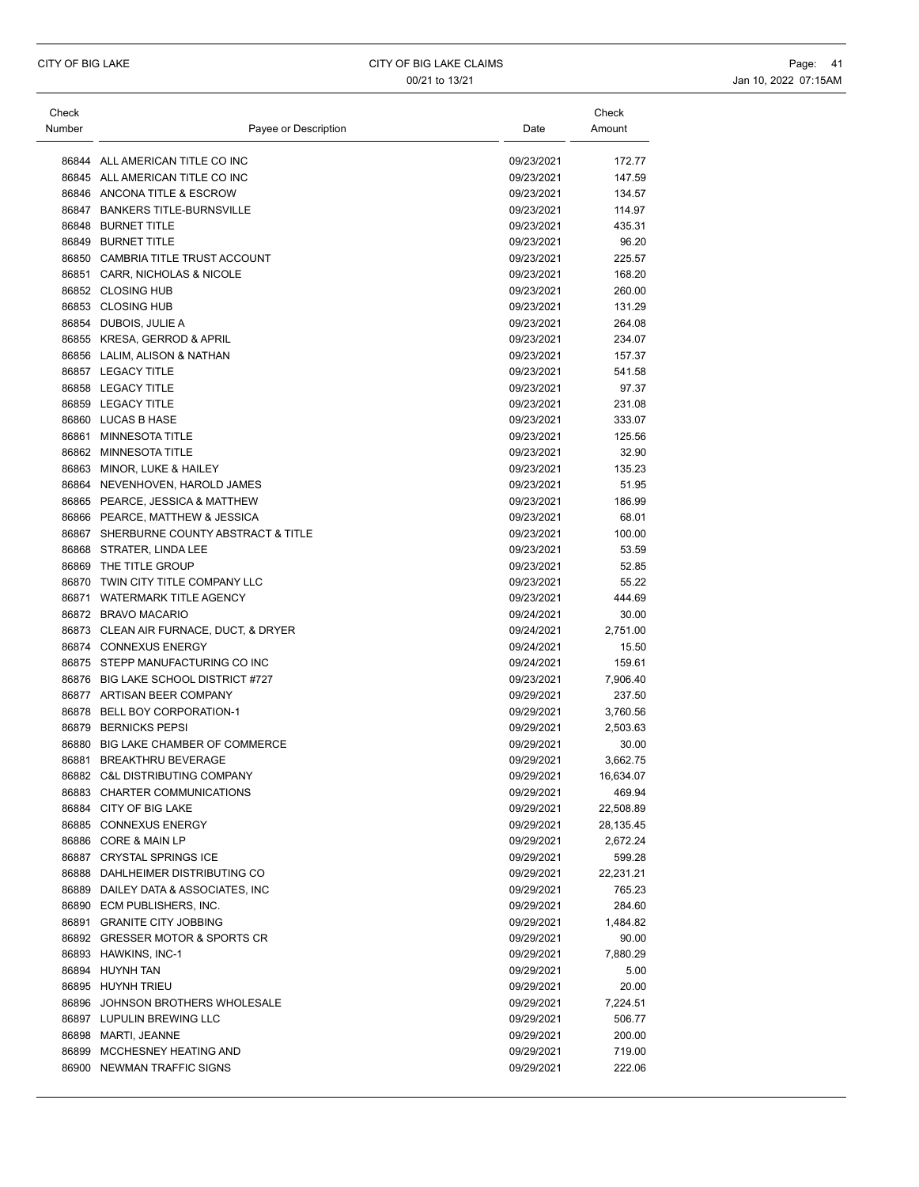| Check<br>Number | Payee or Description                    | Date       | Check<br>Amount |
|-----------------|-----------------------------------------|------------|-----------------|
|                 |                                         |            |                 |
|                 | 86844 ALL AMERICAN TITLE CO INC         | 09/23/2021 | 172.77          |
|                 | 86845 ALL AMERICAN TITLE CO INC         | 09/23/2021 | 147.59          |
|                 | 86846 ANCONA TITLE & ESCROW             | 09/23/2021 | 134.57          |
|                 | 86847 BANKERS TITLE-BURNSVILLE          | 09/23/2021 | 114.97          |
|                 | 86848 BURNET TITLE                      | 09/23/2021 | 435.31          |
|                 | 86849 BURNET TITLE                      | 09/23/2021 | 96.20           |
|                 | 86850 CAMBRIA TITLE TRUST ACCOUNT       | 09/23/2021 | 225.57          |
|                 | 86851 CARR, NICHOLAS & NICOLE           | 09/23/2021 | 168.20          |
|                 | 86852 CLOSING HUB                       | 09/23/2021 | 260.00          |
|                 | 86853 CLOSING HUB                       | 09/23/2021 | 131.29          |
|                 | 86854 DUBOIS, JULIE A                   | 09/23/2021 | 264.08          |
|                 | 86855 KRESA, GERROD & APRIL             | 09/23/2021 | 234.07          |
|                 | 86856 LALIM, ALISON & NATHAN            | 09/23/2021 | 157.37          |
|                 | 86857 LEGACY TITLE                      | 09/23/2021 | 541.58          |
|                 | 86858 LEGACY TITLE                      | 09/23/2021 | 97.37           |
|                 | 86859 LEGACY TITLE                      | 09/23/2021 | 231.08          |
|                 | 86860 LUCAS B HASE                      | 09/23/2021 | 333.07          |
|                 | 86861 MINNESOTA TITLE                   | 09/23/2021 | 125.56          |
|                 | 86862 MINNESOTA TITLE                   | 09/23/2021 | 32.90           |
|                 | 86863 MINOR, LUKE & HAILEY              | 09/23/2021 | 135.23          |
|                 | 86864 NEVENHOVEN, HAROLD JAMES          | 09/23/2021 | 51.95           |
|                 | 86865 PEARCE, JESSICA & MATTHEW         | 09/23/2021 | 186.99          |
|                 | 86866 PEARCE, MATTHEW & JESSICA         | 09/23/2021 | 68.01           |
|                 | 86867 SHERBURNE COUNTY ABSTRACT & TITLE | 09/23/2021 | 100.00          |
| 86868           | STRATER, LINDA LEE                      | 09/23/2021 | 53.59           |
|                 | 86869 THE TITLE GROUP                   | 09/23/2021 | 52.85           |
|                 | 86870 TWIN CITY TITLE COMPANY LLC       | 09/23/2021 | 55.22           |
|                 | 86871 WATERMARK TITLE AGENCY            | 09/23/2021 | 444.69          |
|                 | 86872 BRAVO MACARIO                     | 09/24/2021 | 30.00           |
|                 | 86873 CLEAN AIR FURNACE, DUCT, & DRYER  | 09/24/2021 | 2,751.00        |
|                 | 86874 CONNEXUS ENERGY                   | 09/24/2021 | 15.50           |
|                 | 86875 STEPP MANUFACTURING CO INC        | 09/24/2021 | 159.61          |
|                 | 86876 BIG LAKE SCHOOL DISTRICT #727     | 09/23/2021 | 7,906.40        |
|                 | 86877 ARTISAN BEER COMPANY              | 09/29/2021 | 237.50          |
|                 | 86878 BELL BOY CORPORATION-1            | 09/29/2021 | 3,760.56        |
|                 | 86879 BERNICKS PEPSI                    | 09/29/2021 | 2,503.63        |
|                 | 86880 BIG LAKE CHAMBER OF COMMERCE      | 09/29/2021 | 30.00           |
|                 | 86881 BREAKTHRU BEVERAGE                | 09/29/2021 | 3,662.75        |
|                 | 86882 C&L DISTRIBUTING COMPANY          | 09/29/2021 | 16,634.07       |
|                 | 86883 CHARTER COMMUNICATIONS            | 09/29/2021 | 469.94          |
|                 | 86884 CITY OF BIG LAKE                  | 09/29/2021 | 22,508.89       |
|                 | 86885 CONNEXUS ENERGY                   | 09/29/2021 | 28,135.45       |
|                 | 86886 CORE & MAIN LP                    | 09/29/2021 | 2,672.24        |
|                 | 86887 CRYSTAL SPRINGS ICE               | 09/29/2021 | 599.28          |
|                 | 86888 DAHLHEIMER DISTRIBUTING CO        | 09/29/2021 | 22,231.21       |
|                 | 86889 DAILEY DATA & ASSOCIATES, INC     | 09/29/2021 | 765.23          |
|                 | 86890 ECM PUBLISHERS, INC.              | 09/29/2021 | 284.60          |
|                 | 86891 GRANITE CITY JOBBING              | 09/29/2021 | 1,484.82        |
|                 | 86892 GRESSER MOTOR & SPORTS CR         | 09/29/2021 | 90.00           |
|                 | 86893 HAWKINS, INC-1                    | 09/29/2021 | 7,880.29        |
|                 | 86894 HUYNH TAN                         | 09/29/2021 | 5.00            |
|                 | 86895 HUYNH TRIEU                       | 09/29/2021 | 20.00           |
|                 | 86896 JOHNSON BROTHERS WHOLESALE        | 09/29/2021 | 7,224.51        |
|                 | 86897 LUPULIN BREWING LLC               | 09/29/2021 | 506.77          |
|                 | 86898 MARTI, JEANNE                     | 09/29/2021 | 200.00          |
|                 | 86899 MCCHESNEY HEATING AND             | 09/29/2021 | 719.00          |
|                 | 86900 NEWMAN TRAFFIC SIGNS              | 09/29/2021 | 222.06          |
|                 |                                         |            |                 |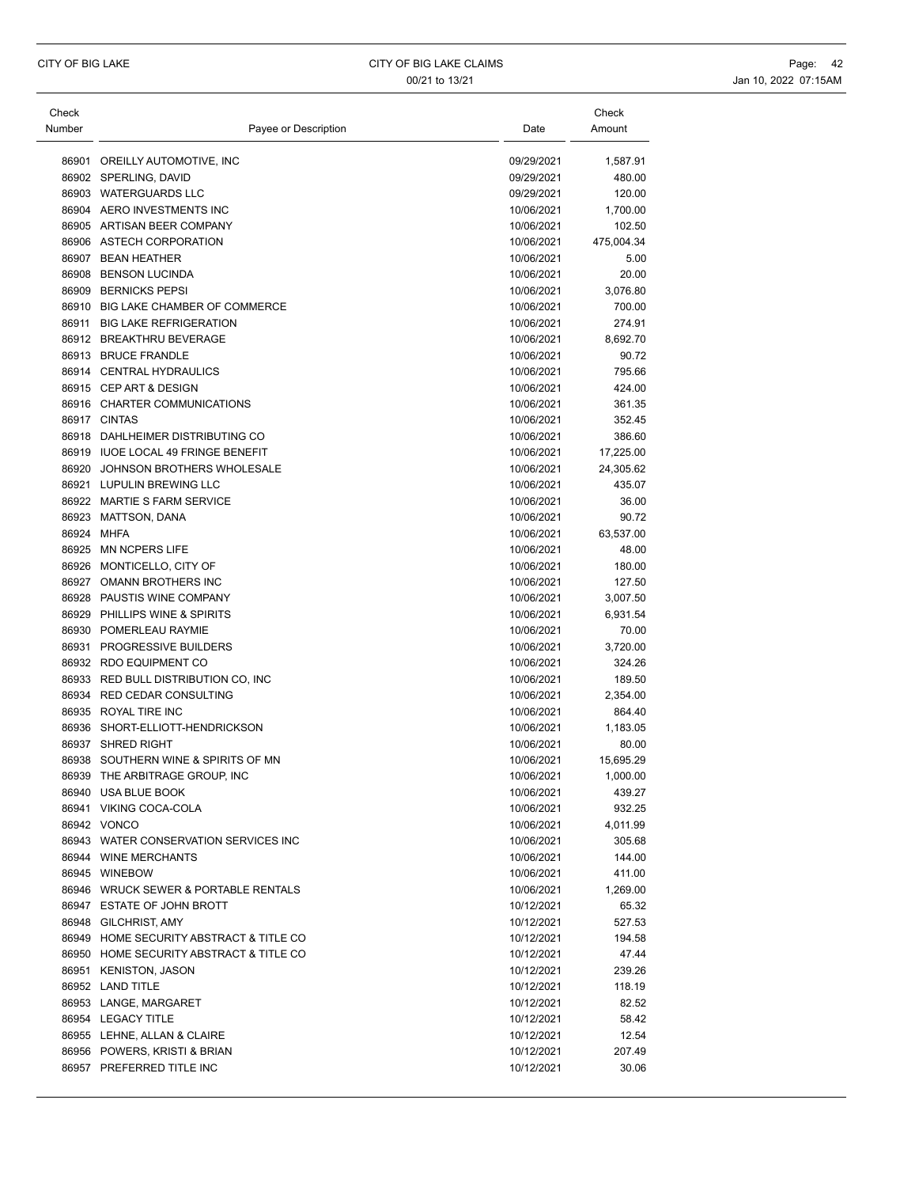| Check      |                                         |            | Check      |
|------------|-----------------------------------------|------------|------------|
| Number     | Payee or Description                    | Date       | Amount     |
|            |                                         |            |            |
|            | 86901 OREILLY AUTOMOTIVE, INC           | 09/29/2021 | 1,587.91   |
|            | 86902 SPERLING, DAVID                   | 09/29/2021 | 480.00     |
|            | 86903 WATERGUARDS LLC                   | 09/29/2021 | 120.00     |
|            | 86904 AERO INVESTMENTS INC              | 10/06/2021 | 1,700.00   |
|            | 86905 ARTISAN BEER COMPANY              | 10/06/2021 | 102.50     |
|            | 86906 ASTECH CORPORATION                | 10/06/2021 | 475,004.34 |
|            | 86907 BEAN HEATHER                      | 10/06/2021 | 5.00       |
|            | 86908 BENSON LUCINDA                    | 10/06/2021 | 20.00      |
|            | 86909 BERNICKS PEPSI                    | 10/06/2021 | 3,076.80   |
|            | 86910 BIG LAKE CHAMBER OF COMMERCE      | 10/06/2021 | 700.00     |
|            | 86911 BIG LAKE REFRIGERATION            | 10/06/2021 | 274.91     |
|            | 86912 BREAKTHRU BEVERAGE                | 10/06/2021 | 8,692.70   |
|            | 86913 BRUCE FRANDLE                     | 10/06/2021 | 90.72      |
|            | 86914 CENTRAL HYDRAULICS                | 10/06/2021 | 795.66     |
|            | 86915 CEP ART & DESIGN                  | 10/06/2021 | 424.00     |
|            | 86916 CHARTER COMMUNICATIONS            | 10/06/2021 | 361.35     |
|            | 86917 CINTAS                            | 10/06/2021 | 352.45     |
|            | 86918 DAHLHEIMER DISTRIBUTING CO        | 10/06/2021 | 386.60     |
|            | 86919 IUOE LOCAL 49 FRINGE BENEFIT      | 10/06/2021 | 17,225.00  |
| 86920      | JOHNSON BROTHERS WHOLESALE              | 10/06/2021 | 24,305.62  |
|            | 86921 LUPULIN BREWING LLC               | 10/06/2021 | 435.07     |
|            | 86922 MARTIE S FARM SERVICE             | 10/06/2021 | 36.00      |
|            | 86923 MATTSON, DANA                     | 10/06/2021 | 90.72      |
| 86924 MHFA |                                         | 10/06/2021 | 63,537.00  |
|            | 86925 MN NCPERS LIFE                    | 10/06/2021 | 48.00      |
|            | 86926 MONTICELLO, CITY OF               | 10/06/2021 | 180.00     |
|            | 86927 OMANN BROTHERS INC                | 10/06/2021 | 127.50     |
|            | 86928 PAUSTIS WINE COMPANY              | 10/06/2021 | 3,007.50   |
|            | 86929 PHILLIPS WINE & SPIRITS           | 10/06/2021 | 6,931.54   |
|            | 86930 POMERLEAU RAYMIE                  | 10/06/2021 | 70.00      |
|            | 86931 PROGRESSIVE BUILDERS              | 10/06/2021 | 3,720.00   |
|            | 86932 RDO EQUIPMENT CO                  | 10/06/2021 | 324.26     |
|            | 86933 RED BULL DISTRIBUTION CO, INC     | 10/06/2021 | 189.50     |
|            | 86934 RED CEDAR CONSULTING              | 10/06/2021 | 2,354.00   |
|            | 86935 ROYAL TIRE INC                    | 10/06/2021 | 864.40     |
|            | 86936 SHORT-ELLIOTT-HENDRICKSON         | 10/06/2021 | 1,183.05   |
|            | 86937 SHRED RIGHT                       | 10/06/2021 | 80.00      |
|            | 86938 SOUTHERN WINE & SPIRITS OF MN     | 10/06/2021 | 15,695.29  |
|            | 86939 THE ARBITRAGE GROUP, INC          | 10/06/2021 | 1,000.00   |
|            | 86940 USA BLUE BOOK                     | 10/06/2021 | 439.27     |
|            | 86941 VIKING COCA-COLA                  | 10/06/2021 | 932.25     |
|            | 86942 VONCO                             | 10/06/2021 | 4,011.99   |
|            | 86943 WATER CONSERVATION SERVICES INC   | 10/06/2021 | 305.68     |
|            | 86944 WINE MERCHANTS                    | 10/06/2021 | 144.00     |
|            | 86945 WINEBOW                           | 10/06/2021 | 411.00     |
|            | 86946 WRUCK SEWER & PORTABLE RENTALS    | 10/06/2021 | 1,269.00   |
|            | 86947 ESTATE OF JOHN BROTT              | 10/12/2021 | 65.32      |
|            | 86948 GILCHRIST, AMY                    | 10/12/2021 | 527.53     |
|            | 86949 HOME SECURITY ABSTRACT & TITLE CO | 10/12/2021 | 194.58     |
|            | 86950 HOME SECURITY ABSTRACT & TITLE CO | 10/12/2021 | 47.44      |
|            | 86951 KENISTON, JASON                   | 10/12/2021 | 239.26     |
|            | 86952 LAND TITLE                        | 10/12/2021 | 118.19     |
|            | 86953 LANGE, MARGARET                   | 10/12/2021 | 82.52      |
|            | 86954 LEGACY TITLE                      | 10/12/2021 | 58.42      |
|            | 86955 LEHNE, ALLAN & CLAIRE             | 10/12/2021 | 12.54      |
|            | 86956 POWERS, KRISTI & BRIAN            | 10/12/2021 | 207.49     |
|            | 86957 PREFERRED TITLE INC               | 10/12/2021 | 30.06      |
|            |                                         |            |            |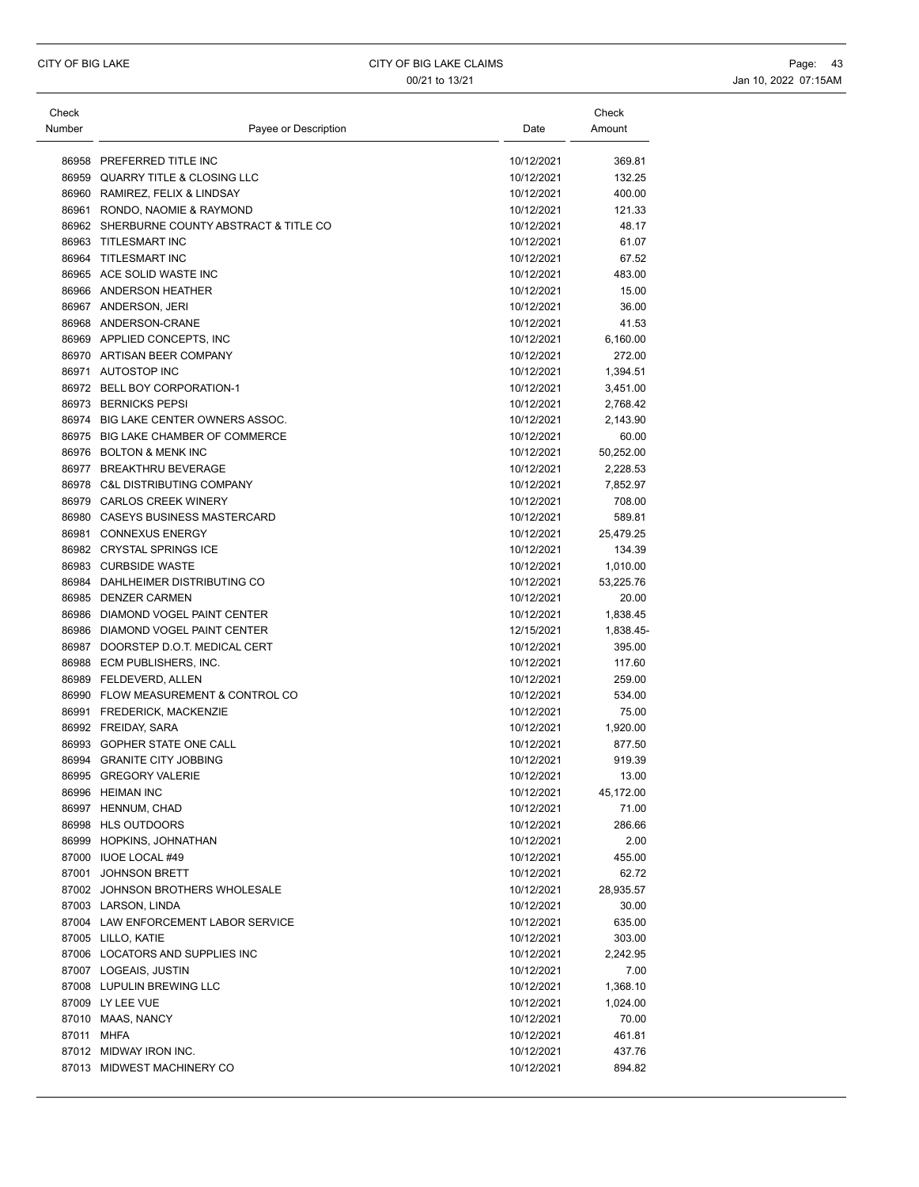| Check<br>Number | Payee or Description                       | Date       | Check<br>Amount |
|-----------------|--------------------------------------------|------------|-----------------|
|                 |                                            |            |                 |
|                 | 86958 PREFERRED TITLE INC                  | 10/12/2021 | 369.81          |
|                 | 86959 QUARRY TITLE & CLOSING LLC           | 10/12/2021 | 132.25          |
|                 | 86960 RAMIREZ, FELIX & LINDSAY             | 10/12/2021 | 400.00          |
|                 | 86961 RONDO, NAOMIE & RAYMOND              | 10/12/2021 | 121.33          |
|                 | 86962 SHERBURNE COUNTY ABSTRACT & TITLE CO | 10/12/2021 | 48.17           |
|                 | 86963 TITLESMART INC                       | 10/12/2021 | 61.07           |
|                 | 86964 TITLESMART INC                       | 10/12/2021 | 67.52           |
|                 | 86965 ACE SOLID WASTE INC                  | 10/12/2021 | 483.00          |
|                 | 86966 ANDERSON HEATHER                     | 10/12/2021 | 15.00           |
|                 | 86967 ANDERSON, JERI                       | 10/12/2021 | 36.00           |
|                 | 86968 ANDERSON-CRANE                       | 10/12/2021 | 41.53           |
|                 | 86969 APPLIED CONCEPTS, INC                | 10/12/2021 | 6,160.00        |
|                 | 86970 ARTISAN BEER COMPANY                 | 10/12/2021 | 272.00          |
|                 | 86971 AUTOSTOP INC                         | 10/12/2021 | 1,394.51        |
|                 | 86972 BELL BOY CORPORATION-1               | 10/12/2021 | 3,451.00        |
|                 | 86973 BERNICKS PEPSI                       | 10/12/2021 | 2,768.42        |
|                 | 86974 BIG LAKE CENTER OWNERS ASSOC.        | 10/12/2021 | 2,143.90        |
|                 | 86975 BIG LAKE CHAMBER OF COMMERCE         | 10/12/2021 | 60.00           |
|                 | 86976 BOLTON & MENK INC                    | 10/12/2021 | 50,252.00       |
|                 | 86977 BREAKTHRU BEVERAGE                   | 10/12/2021 | 2,228.53        |
|                 | 86978 C&L DISTRIBUTING COMPANY             | 10/12/2021 | 7,852.97        |
|                 | 86979 CARLOS CREEK WINERY                  | 10/12/2021 | 708.00          |
|                 | 86980 CASEYS BUSINESS MASTERCARD           | 10/12/2021 | 589.81          |
|                 | 86981 CONNEXUS ENERGY                      | 10/12/2021 | 25,479.25       |
|                 | 86982 CRYSTAL SPRINGS ICE                  | 10/12/2021 | 134.39          |
|                 | 86983 CURBSIDE WASTE                       | 10/12/2021 | 1,010.00        |
|                 | 86984 DAHLHEIMER DISTRIBUTING CO           | 10/12/2021 | 53,225.76       |
|                 | 86985 DENZER CARMEN                        | 10/12/2021 | 20.00           |
|                 | 86986 DIAMOND VOGEL PAINT CENTER           | 10/12/2021 | 1,838.45        |
|                 | 86986 DIAMOND VOGEL PAINT CENTER           | 12/15/2021 | 1,838.45-       |
|                 | 86987 DOORSTEP D.O.T. MEDICAL CERT         | 10/12/2021 | 395.00          |
|                 | 86988 ECM PUBLISHERS, INC.                 | 10/12/2021 | 117.60          |
|                 | 86989 FELDEVERD, ALLEN                     | 10/12/2021 | 259.00          |
|                 | 86990 FLOW MEASUREMENT & CONTROL CO        | 10/12/2021 | 534.00          |
|                 | 86991 FREDERICK, MACKENZIE                 | 10/12/2021 | 75.00           |
|                 | 86992 FREIDAY, SARA                        | 10/12/2021 | 1,920.00        |
|                 | 86993 GOPHER STATE ONE CALL                | 10/12/2021 | 877.50          |
|                 | 86994 GRANITE CITY JOBBING                 | 10/12/2021 | 919.39          |
|                 | 86995 GREGORY VALERIE                      | 10/12/2021 | 13.00           |
|                 | 86996 HEIMAN INC                           | 10/12/2021 | 45,172.00       |
|                 | 86997 HENNUM, CHAD                         | 10/12/2021 | 71.00           |
|                 | 86998 HLS OUTDOORS                         | 10/12/2021 | 286.66          |
|                 | 86999 HOPKINS, JOHNATHAN                   | 10/12/2021 | 2.00            |
|                 | 87000 IUOE LOCAL #49                       | 10/12/2021 | 455.00          |
|                 | 87001 JOHNSON BRETT                        | 10/12/2021 | 62.72           |
|                 | 87002 JOHNSON BROTHERS WHOLESALE           | 10/12/2021 | 28,935.57       |
|                 | 87003 LARSON, LINDA                        | 10/12/2021 | 30.00           |
|                 | 87004 LAW ENFORCEMENT LABOR SERVICE        | 10/12/2021 | 635.00          |
|                 | 87005 LILLO, KATIE                         | 10/12/2021 | 303.00          |
|                 | 87006 LOCATORS AND SUPPLIES INC            | 10/12/2021 | 2,242.95        |
|                 | 87007 LOGEAIS, JUSTIN                      | 10/12/2021 | 7.00            |
|                 | 87008 LUPULIN BREWING LLC                  | 10/12/2021 | 1,368.10        |
|                 | 87009 LY LEE VUE                           | 10/12/2021 | 1,024.00        |
|                 | 87010 MAAS, NANCY                          | 10/12/2021 | 70.00           |
| 87011 MHFA      |                                            | 10/12/2021 | 461.81          |
|                 | 87012 MIDWAY IRON INC.                     | 10/12/2021 | 437.76          |
|                 | 87013 MIDWEST MACHINERY CO                 | 10/12/2021 | 894.82          |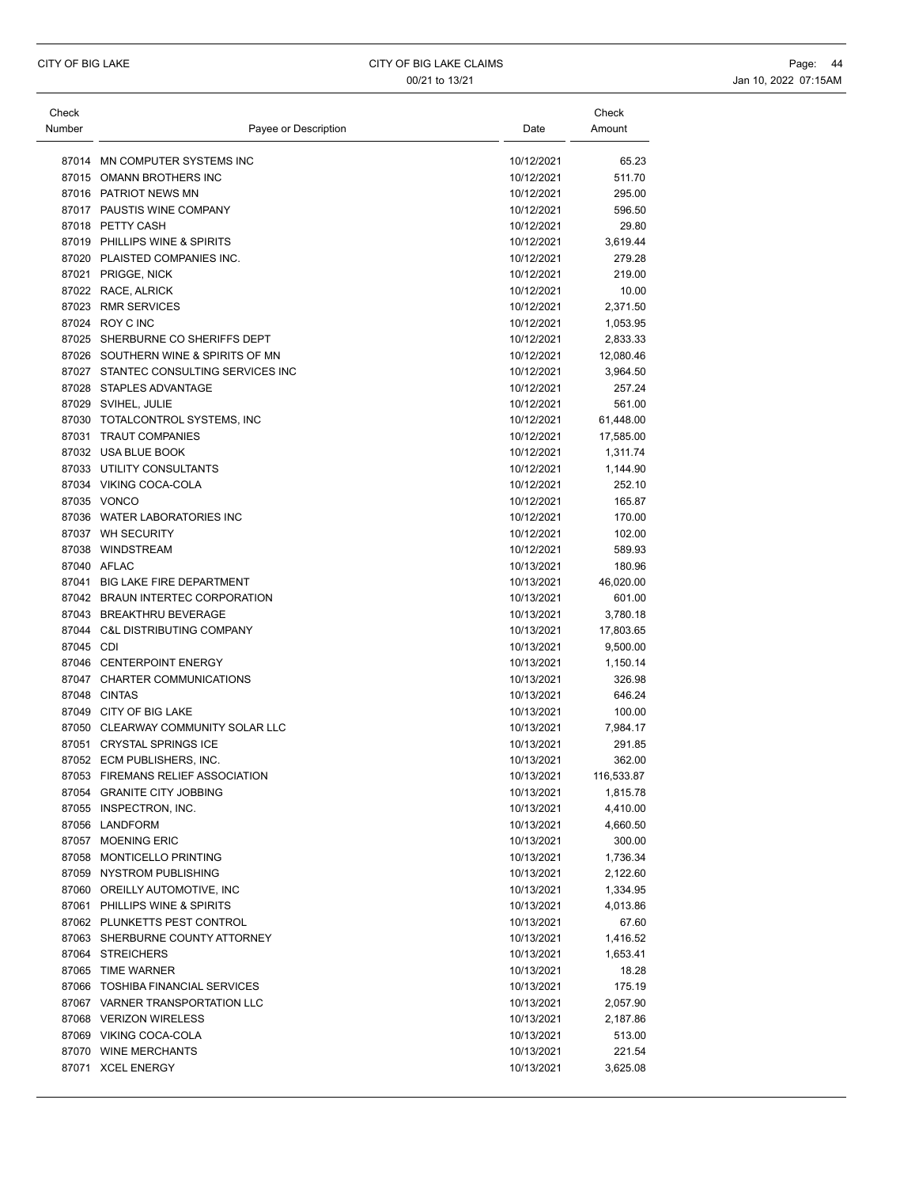| Check<br>Number | Payee or Description                  | Date       | Check<br>Amount |
|-----------------|---------------------------------------|------------|-----------------|
|                 | 87014 MN COMPUTER SYSTEMS INC         | 10/12/2021 | 65.23           |
|                 | 87015 OMANN BROTHERS INC              | 10/12/2021 | 511.70          |
|                 | 87016 PATRIOT NEWS MN                 | 10/12/2021 | 295.00          |
|                 | 87017 PAUSTIS WINE COMPANY            | 10/12/2021 | 596.50          |
|                 | 87018 PETTY CASH                      | 10/12/2021 | 29.80           |
|                 | 87019 PHILLIPS WINE & SPIRITS         | 10/12/2021 | 3,619.44        |
|                 | 87020 PLAISTED COMPANIES INC.         | 10/12/2021 | 279.28          |
|                 | 87021 PRIGGE, NICK                    | 10/12/2021 | 219.00          |
|                 | 87022 RACE, ALRICK                    | 10/12/2021 | 10.00           |
|                 | 87023 RMR SERVICES                    | 10/12/2021 | 2,371.50        |
|                 | 87024 ROY C INC                       | 10/12/2021 | 1,053.95        |
|                 | 87025 SHERBURNE CO SHERIFFS DEPT      | 10/12/2021 | 2,833.33        |
|                 | 87026 SOUTHERN WINE & SPIRITS OF MN   | 10/12/2021 | 12,080.46       |
|                 | 87027 STANTEC CONSULTING SERVICES INC | 10/12/2021 | 3,964.50        |
|                 | 87028 STAPLES ADVANTAGE               | 10/12/2021 | 257.24          |
|                 | 87029 SVIHEL, JULIE                   | 10/12/2021 | 561.00          |
|                 | 87030 TOTALCONTROL SYSTEMS, INC       | 10/12/2021 | 61,448.00       |
|                 | 87031 TRAUT COMPANIES                 | 10/12/2021 | 17,585.00       |
|                 | 87032 USA BLUE BOOK                   | 10/12/2021 | 1,311.74        |
|                 | 87033 UTILITY CONSULTANTS             | 10/12/2021 | 1,144.90        |
|                 | 87034 VIKING COCA-COLA                | 10/12/2021 | 252.10          |
|                 | 87035 VONCO                           | 10/12/2021 | 165.87          |
|                 | 87036 WATER LABORATORIES INC          | 10/12/2021 | 170.00          |
|                 | 87037 WH SECURITY                     | 10/12/2021 | 102.00          |
|                 | 87038 WINDSTREAM                      | 10/12/2021 | 589.93          |
|                 | 87040 AFLAC                           | 10/13/2021 | 180.96          |
|                 | 87041 BIG LAKE FIRE DEPARTMENT        | 10/13/2021 | 46,020.00       |
|                 | 87042 BRAUN INTERTEC CORPORATION      | 10/13/2021 | 601.00          |
|                 | 87043 BREAKTHRU BEVERAGE              | 10/13/2021 | 3,780.18        |
|                 | 87044 C&L DISTRIBUTING COMPANY        | 10/13/2021 | 17,803.65       |
| 87045 CDI       |                                       | 10/13/2021 | 9,500.00        |
|                 | 87046 CENTERPOINT ENERGY              | 10/13/2021 | 1,150.14        |
|                 | 87047 CHARTER COMMUNICATIONS          | 10/13/2021 | 326.98          |
|                 | 87048 CINTAS                          | 10/13/2021 | 646.24          |
|                 | 87049 CITY OF BIG LAKE                | 10/13/2021 | 100.00          |
|                 | 87050 CLEARWAY COMMUNITY SOLAR LLC    | 10/13/2021 | 7,984.17        |
|                 | 87051 CRYSTAL SPRINGS ICE             | 10/13/2021 | 291.85          |
|                 | 87052 ECM PUBLISHERS, INC.            | 10/13/2021 | 362.00          |
|                 | 87053 FIREMANS RELIEF ASSOCIATION     | 10/13/2021 | 116,533.87      |
|                 | 87054 GRANITE CITY JOBBING            | 10/13/2021 | 1,815.78        |
|                 | 87055 INSPECTRON, INC.                | 10/13/2021 | 4,410.00        |
|                 | 87056 LANDFORM                        | 10/13/2021 | 4,660.50        |
|                 | 87057 MOENING ERIC                    | 10/13/2021 | 300.00          |
|                 | 87058 MONTICELLO PRINTING             | 10/13/2021 | 1,736.34        |
|                 | 87059 NYSTROM PUBLISHING              | 10/13/2021 | 2,122.60        |
|                 | 87060 OREILLY AUTOMOTIVE, INC         | 10/13/2021 | 1,334.95        |
|                 | 87061 PHILLIPS WINE & SPIRITS         | 10/13/2021 | 4,013.86        |
|                 | 87062 PLUNKETTS PEST CONTROL          | 10/13/2021 | 67.60           |
|                 | 87063 SHERBURNE COUNTY ATTORNEY       | 10/13/2021 | 1,416.52        |
|                 | 87064 STREICHERS                      | 10/13/2021 | 1,653.41        |
|                 | 87065 TIME WARNER                     | 10/13/2021 | 18.28           |
|                 | 87066 TOSHIBA FINANCIAL SERVICES      | 10/13/2021 | 175.19          |
|                 | 87067 VARNER TRANSPORTATION LLC       | 10/13/2021 | 2,057.90        |
|                 | 87068 VERIZON WIRELESS                | 10/13/2021 | 2,187.86        |
|                 | 87069 VIKING COCA-COLA                | 10/13/2021 | 513.00          |
|                 | 87070 WINE MERCHANTS                  | 10/13/2021 | 221.54          |
|                 | 87071 XCEL ENERGY                     | 10/13/2021 | 3,625.08        |
|                 |                                       |            |                 |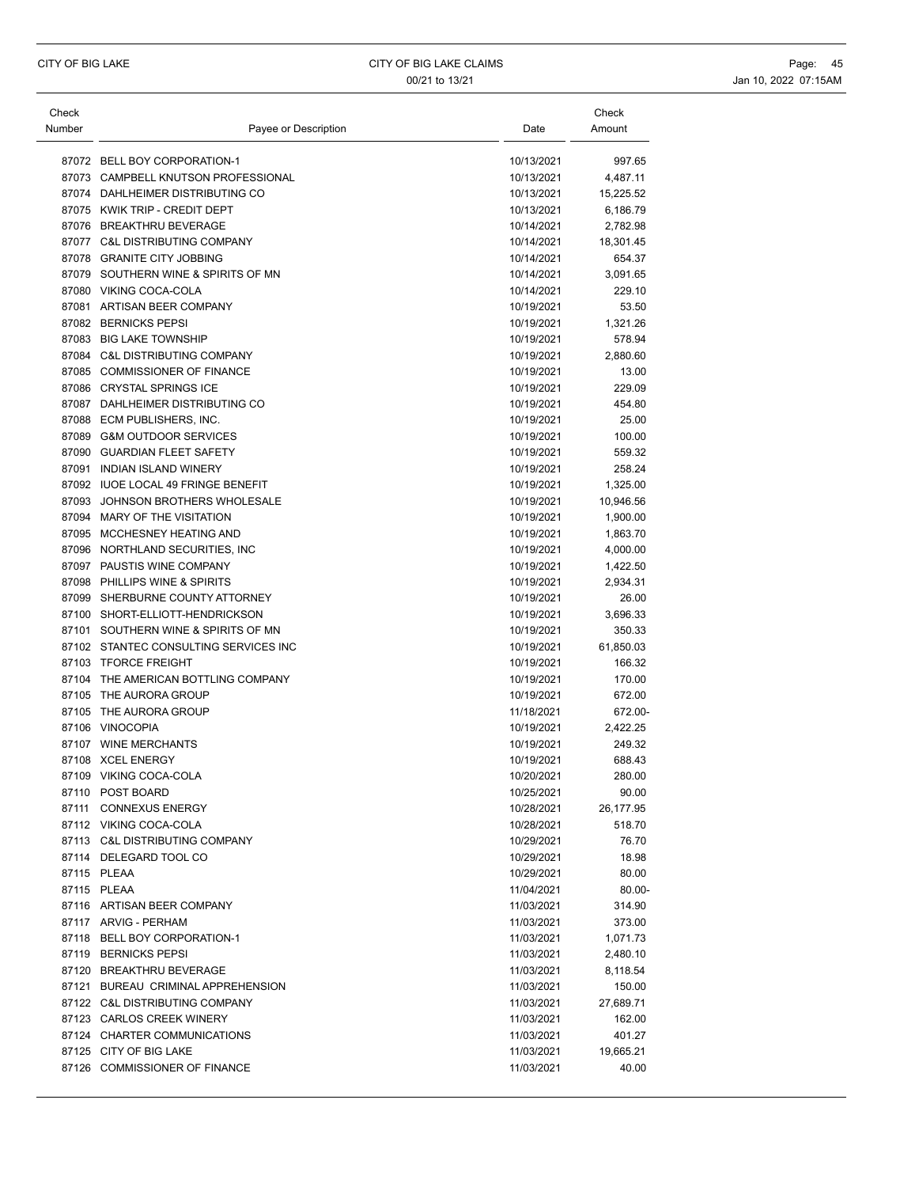| Check  |                                       |            | Check     |
|--------|---------------------------------------|------------|-----------|
| Number | Payee or Description                  | Date       | Amount    |
|        |                                       |            |           |
|        | 87072 BELL BOY CORPORATION-1          | 10/13/2021 | 997.65    |
|        | 87073 CAMPBELL KNUTSON PROFESSIONAL   | 10/13/2021 | 4,487.11  |
|        | 87074 DAHLHEIMER DISTRIBUTING CO      | 10/13/2021 | 15,225.52 |
|        | 87075 KWIK TRIP - CREDIT DEPT         | 10/13/2021 | 6,186.79  |
|        | 87076 BREAKTHRU BEVERAGE              | 10/14/2021 | 2,782.98  |
|        | 87077 C&L DISTRIBUTING COMPANY        | 10/14/2021 | 18,301.45 |
|        | 87078 GRANITE CITY JOBBING            | 10/14/2021 | 654.37    |
|        | 87079 SOUTHERN WINE & SPIRITS OF MN   | 10/14/2021 | 3,091.65  |
|        | 87080 VIKING COCA-COLA                | 10/14/2021 | 229.10    |
|        | 87081 ARTISAN BEER COMPANY            | 10/19/2021 | 53.50     |
|        | 87082 BERNICKS PEPSI                  | 10/19/2021 | 1,321.26  |
|        | 87083 BIG LAKE TOWNSHIP               | 10/19/2021 | 578.94    |
|        | 87084 C&L DISTRIBUTING COMPANY        | 10/19/2021 | 2,880.60  |
|        | 87085 COMMISSIONER OF FINANCE         | 10/19/2021 | 13.00     |
|        | 87086 CRYSTAL SPRINGS ICE             | 10/19/2021 | 229.09    |
|        | 87087 DAHLHEIMER DISTRIBUTING CO      | 10/19/2021 | 454.80    |
|        | 87088 ECM PUBLISHERS, INC.            | 10/19/2021 | 25.00     |
|        | 87089 G&M OUTDOOR SERVICES            | 10/19/2021 | 100.00    |
|        | 87090 GUARDIAN FLEET SAFETY           | 10/19/2021 | 559.32    |
|        | 87091 INDIAN ISLAND WINERY            | 10/19/2021 | 258.24    |
|        | 87092 IUOE LOCAL 49 FRINGE BENEFIT    | 10/19/2021 | 1,325.00  |
|        | 87093 JOHNSON BROTHERS WHOLESALE      | 10/19/2021 | 10,946.56 |
|        | 87094 MARY OF THE VISITATION          | 10/19/2021 | 1,900.00  |
|        | 87095 MCCHESNEY HEATING AND           | 10/19/2021 | 1,863.70  |
|        | 87096 NORTHLAND SECURITIES, INC       | 10/19/2021 | 4,000.00  |
|        | 87097 PAUSTIS WINE COMPANY            | 10/19/2021 | 1,422.50  |
|        | 87098 PHILLIPS WINE & SPIRITS         | 10/19/2021 | 2,934.31  |
| 87099  | SHERBURNE COUNTY ATTORNEY             | 10/19/2021 | 26.00     |
|        | 87100 SHORT-ELLIOTT-HENDRICKSON       | 10/19/2021 | 3,696.33  |
|        | 87101 SOUTHERN WINE & SPIRITS OF MN   | 10/19/2021 | 350.33    |
|        | 87102 STANTEC CONSULTING SERVICES INC | 10/19/2021 | 61,850.03 |
|        | 87103 TFORCE FREIGHT                  | 10/19/2021 | 166.32    |
|        | 87104 THE AMERICAN BOTTLING COMPANY   | 10/19/2021 | 170.00    |
|        | 87105 THE AURORA GROUP                | 10/19/2021 | 672.00    |
|        | 87105 THE AURORA GROUP                | 11/18/2021 | 672.00-   |
|        | 87106 VINOCOPIA                       | 10/19/2021 | 2,422.25  |
|        | 87107 WINE MERCHANTS                  | 10/19/2021 | 249.32    |
|        | 87108 XCEL ENERGY                     | 10/19/2021 | 688.43    |
|        | 87109 VIKING COCA-COLA                | 10/20/2021 | 280.00    |
|        | 87110 POST BOARD                      | 10/25/2021 | 90.00     |
| 87111  | <b>CONNEXUS ENERGY</b>                | 10/28/2021 | 26,177.95 |
|        | 87112 VIKING COCA-COLA                | 10/28/2021 | 518.70    |
|        | 87113 C&L DISTRIBUTING COMPANY        | 10/29/2021 | 76.70     |
|        | 87114 DELEGARD TOOL CO                | 10/29/2021 | 18.98     |
|        | 87115 PLEAA                           | 10/29/2021 | 80.00     |
|        | 87115 PLEAA                           | 11/04/2021 | 80.00-    |
|        | 87116 ARTISAN BEER COMPANY            | 11/03/2021 | 314.90    |
|        | 87117 ARVIG - PERHAM                  | 11/03/2021 | 373.00    |
|        | 87118 BELL BOY CORPORATION-1          | 11/03/2021 | 1,071.73  |
|        | 87119 BERNICKS PEPSI                  | 11/03/2021 | 2,480.10  |
|        | 87120 BREAKTHRU BEVERAGE              | 11/03/2021 | 8,118.54  |
|        | 87121 BUREAU CRIMINAL APPREHENSION    | 11/03/2021 | 150.00    |
|        | 87122 C&L DISTRIBUTING COMPANY        | 11/03/2021 | 27,689.71 |
|        | 87123 CARLOS CREEK WINERY             | 11/03/2021 | 162.00    |
|        | 87124 CHARTER COMMUNICATIONS          | 11/03/2021 | 401.27    |
|        | 87125 CITY OF BIG LAKE                | 11/03/2021 | 19,665.21 |
|        | 87126 COMMISSIONER OF FINANCE         | 11/03/2021 | 40.00     |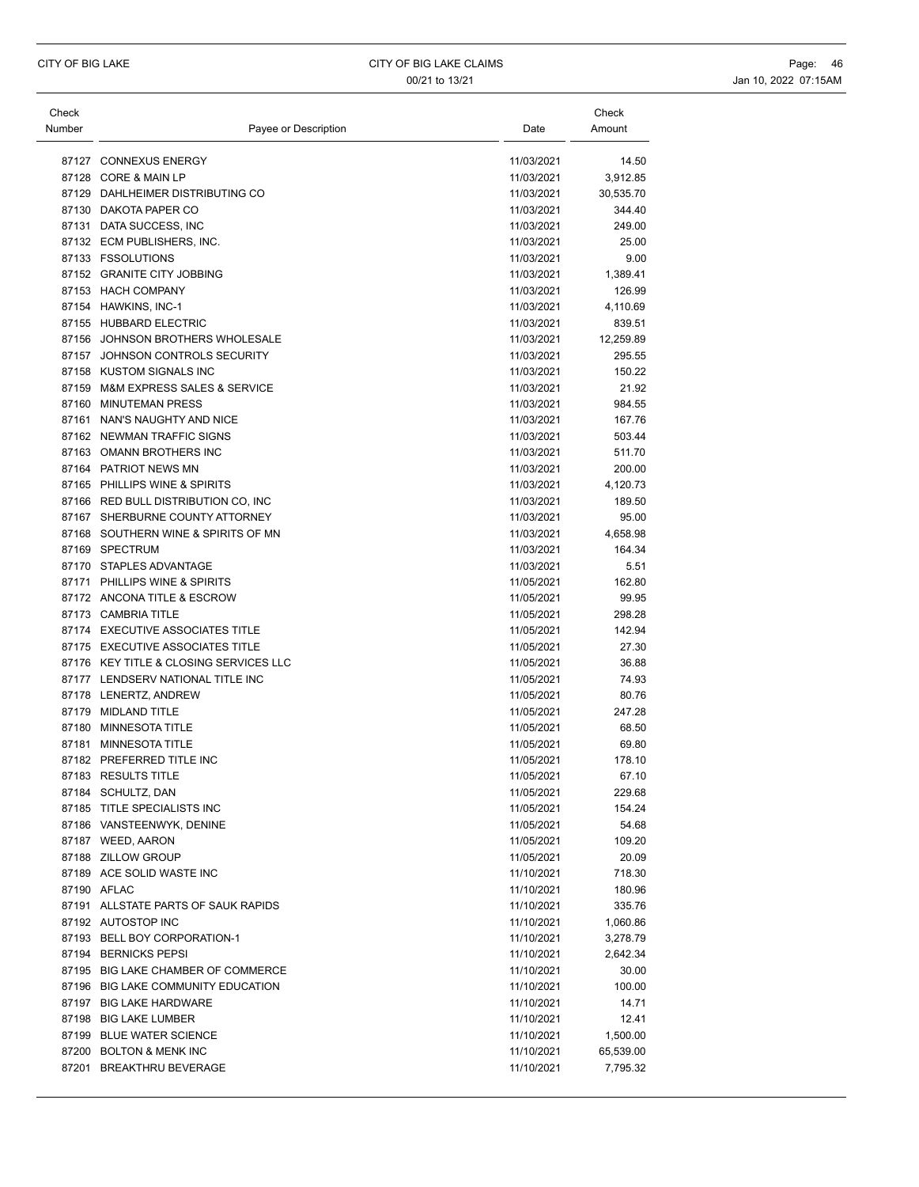| Check  |                                        |            | Check     |
|--------|----------------------------------------|------------|-----------|
| Number | Payee or Description                   | Date       | Amount    |
|        |                                        |            |           |
|        | 87127 CONNEXUS ENERGY                  | 11/03/2021 | 14.50     |
|        | 87128 CORE & MAIN LP                   | 11/03/2021 | 3,912.85  |
|        | 87129 DAHLHEIMER DISTRIBUTING CO       | 11/03/2021 | 30,535.70 |
|        | 87130 DAKOTA PAPER CO                  | 11/03/2021 | 344.40    |
|        | 87131 DATA SUCCESS, INC                | 11/03/2021 | 249.00    |
|        | 87132 ECM PUBLISHERS, INC.             | 11/03/2021 | 25.00     |
|        | 87133 FSSOLUTIONS                      | 11/03/2021 | 9.00      |
|        | 87152 GRANITE CITY JOBBING             | 11/03/2021 | 1,389.41  |
|        | 87153 HACH COMPANY                     | 11/03/2021 | 126.99    |
|        | 87154 HAWKINS, INC-1                   | 11/03/2021 | 4,110.69  |
|        | 87155 HUBBARD ELECTRIC                 | 11/03/2021 | 839.51    |
|        | 87156 JOHNSON BROTHERS WHOLESALE       | 11/03/2021 | 12,259.89 |
|        | 87157 JOHNSON CONTROLS SECURITY        | 11/03/2021 | 295.55    |
|        | 87158 KUSTOM SIGNALS INC               | 11/03/2021 | 150.22    |
|        | 87159 M&M EXPRESS SALES & SERVICE      | 11/03/2021 | 21.92     |
|        | 87160 MINUTEMAN PRESS                  | 11/03/2021 | 984.55    |
|        | 87161 NAN'S NAUGHTY AND NICE           | 11/03/2021 | 167.76    |
|        | 87162 NEWMAN TRAFFIC SIGNS             | 11/03/2021 | 503.44    |
|        | 87163 OMANN BROTHERS INC               | 11/03/2021 | 511.70    |
|        | 87164 PATRIOT NEWS MN                  | 11/03/2021 | 200.00    |
|        | 87165 PHILLIPS WINE & SPIRITS          | 11/03/2021 | 4,120.73  |
|        | 87166 RED BULL DISTRIBUTION CO, INC    | 11/03/2021 | 189.50    |
|        | 87167 SHERBURNE COUNTY ATTORNEY        | 11/03/2021 | 95.00     |
|        | 87168 SOUTHERN WINE & SPIRITS OF MN    | 11/03/2021 | 4,658.98  |
|        | 87169 SPECTRUM                         | 11/03/2021 | 164.34    |
|        | 87170 STAPLES ADVANTAGE                | 11/03/2021 | 5.51      |
|        | 87171 PHILLIPS WINE & SPIRITS          | 11/05/2021 | 162.80    |
|        | 87172 ANCONA TITLE & ESCROW            | 11/05/2021 | 99.95     |
|        | 87173 CAMBRIA TITLE                    | 11/05/2021 | 298.28    |
|        | 87174 EXECUTIVE ASSOCIATES TITLE       | 11/05/2021 | 142.94    |
|        | 87175 EXECUTIVE ASSOCIATES TITLE       | 11/05/2021 | 27.30     |
|        | 87176 KEY TITLE & CLOSING SERVICES LLC | 11/05/2021 | 36.88     |
|        | 87177 LENDSERV NATIONAL TITLE INC      | 11/05/2021 | 74.93     |
|        | 87178 LENERTZ, ANDREW                  | 11/05/2021 | 80.76     |
|        | 87179 MIDLAND TITLE                    | 11/05/2021 | 247.28    |
|        | 87180 MINNESOTA TITLE                  | 11/05/2021 | 68.50     |
|        | 87181 MINNESOTA TITLE                  | 11/05/2021 | 69.80     |
|        | 87182 PREFERRED TITLE INC              | 11/05/2021 | 178.10    |
|        | 87183 RESULTS TITLE                    | 11/05/2021 | 67.10     |
|        | 87184 SCHULTZ, DAN                     | 11/05/2021 | 229.68    |
|        | 87185 TITLE SPECIALISTS INC            | 11/05/2021 | 154.24    |
|        | 87186 VANSTEENWYK, DENINE              | 11/05/2021 | 54.68     |
|        | 87187 WEED, AARON                      | 11/05/2021 | 109.20    |
|        | 87188 ZILLOW GROUP                     | 11/05/2021 | 20.09     |
|        | 87189 ACE SOLID WASTE INC              | 11/10/2021 | 718.30    |
|        | 87190 AFLAC                            | 11/10/2021 | 180.96    |
|        | 87191 ALLSTATE PARTS OF SAUK RAPIDS    | 11/10/2021 | 335.76    |
|        | 87192 AUTOSTOP INC                     | 11/10/2021 | 1,060.86  |
|        | 87193 BELL BOY CORPORATION-1           | 11/10/2021 | 3,278.79  |
|        | 87194 BERNICKS PEPSI                   | 11/10/2021 | 2,642.34  |
|        | 87195 BIG LAKE CHAMBER OF COMMERCE     | 11/10/2021 | 30.00     |
|        | 87196 BIG LAKE COMMUNITY EDUCATION     | 11/10/2021 | 100.00    |
|        | 87197 BIG LAKE HARDWARE                | 11/10/2021 | 14.71     |
|        | 87198 BIG LAKE LUMBER                  | 11/10/2021 | 12.41     |
|        | 87199 BLUE WATER SCIENCE               | 11/10/2021 | 1,500.00  |
|        | 87200 BOLTON & MENK INC                | 11/10/2021 | 65,539.00 |
|        | 87201 BREAKTHRU BEVERAGE               | 11/10/2021 | 7,795.32  |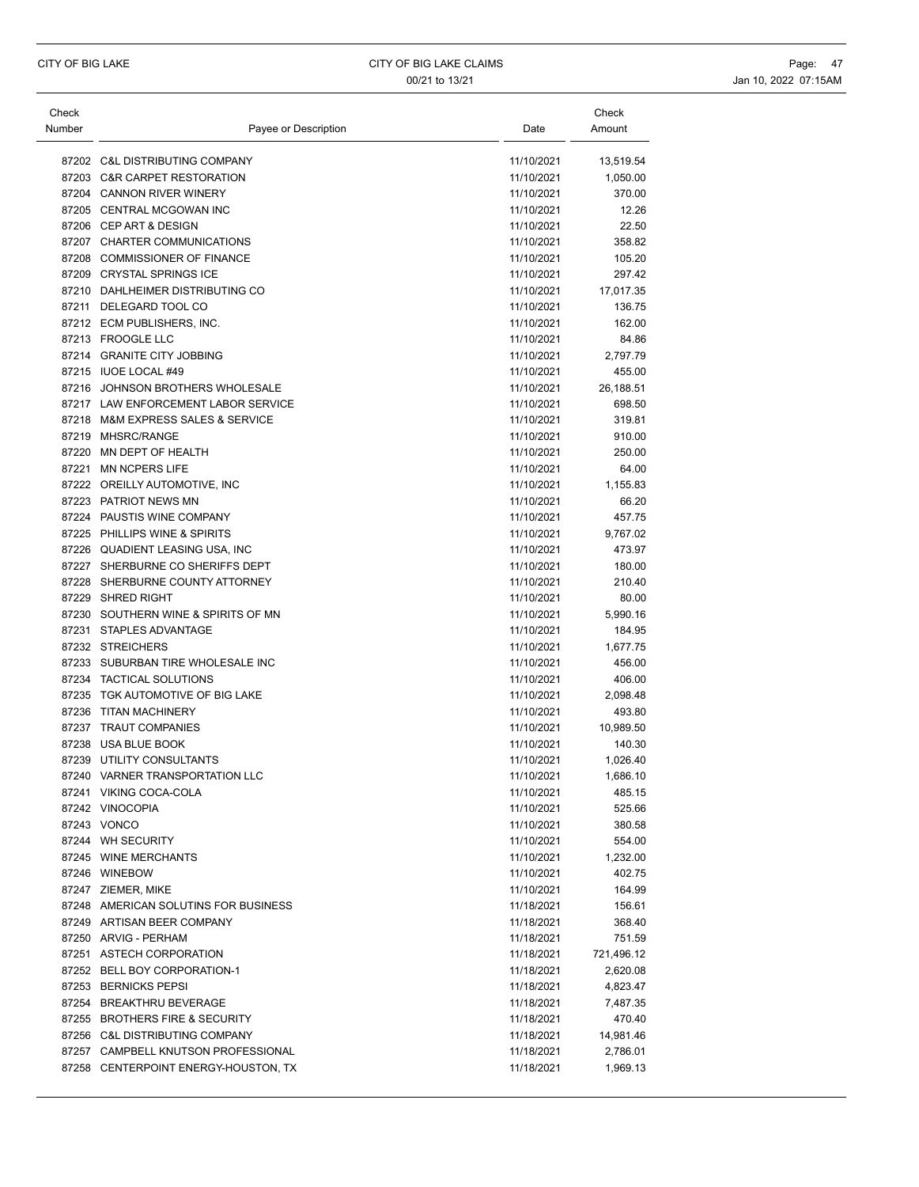| Check  |                                      |            | Check      |
|--------|--------------------------------------|------------|------------|
| Number | Payee or Description                 | Date       | Amount     |
|        |                                      |            |            |
|        | 87202 C&L DISTRIBUTING COMPANY       | 11/10/2021 | 13,519.54  |
|        | 87203 C&R CARPET RESTORATION         | 11/10/2021 | 1,050.00   |
|        | 87204 CANNON RIVER WINERY            | 11/10/2021 | 370.00     |
|        | 87205 CENTRAL MCGOWAN INC            | 11/10/2021 | 12.26      |
|        | 87206 CEP ART & DESIGN               | 11/10/2021 | 22.50      |
|        | 87207 CHARTER COMMUNICATIONS         | 11/10/2021 | 358.82     |
|        | 87208 COMMISSIONER OF FINANCE        | 11/10/2021 | 105.20     |
|        | 87209 CRYSTAL SPRINGS ICE            | 11/10/2021 | 297.42     |
|        | 87210 DAHLHEIMER DISTRIBUTING CO     | 11/10/2021 | 17,017.35  |
|        | 87211 DELEGARD TOOL CO               | 11/10/2021 | 136.75     |
|        | 87212 ECM PUBLISHERS, INC.           | 11/10/2021 | 162.00     |
|        | 87213 FROOGLE LLC                    | 11/10/2021 | 84.86      |
|        | 87214 GRANITE CITY JOBBING           | 11/10/2021 | 2,797.79   |
|        | 87215 IUOE LOCAL #49                 | 11/10/2021 | 455.00     |
|        | 87216 JOHNSON BROTHERS WHOLESALE     | 11/10/2021 | 26,188.51  |
|        | 87217 LAW ENFORCEMENT LABOR SERVICE  | 11/10/2021 | 698.50     |
|        | 87218 M&M EXPRESS SALES & SERVICE    | 11/10/2021 | 319.81     |
| 87219  | MHSRC/RANGE                          | 11/10/2021 | 910.00     |
|        | 87220 MN DEPT OF HEALTH              | 11/10/2021 | 250.00     |
|        | 87221 MN NCPERS LIFE                 | 11/10/2021 | 64.00      |
|        | 87222 OREILLY AUTOMOTIVE, INC        | 11/10/2021 | 1,155.83   |
|        | 87223 PATRIOT NEWS MN                | 11/10/2021 | 66.20      |
|        | 87224 PAUSTIS WINE COMPANY           | 11/10/2021 | 457.75     |
|        | 87225 PHILLIPS WINE & SPIRITS        | 11/10/2021 | 9,767.02   |
|        | 87226 QUADIENT LEASING USA, INC      | 11/10/2021 | 473.97     |
|        | 87227 SHERBURNE CO SHERIFFS DEPT     | 11/10/2021 | 180.00     |
|        | 87228 SHERBURNE COUNTY ATTORNEY      | 11/10/2021 | 210.40     |
|        | 87229 SHRED RIGHT                    | 11/10/2021 | 80.00      |
|        | 87230 SOUTHERN WINE & SPIRITS OF MN  | 11/10/2021 | 5,990.16   |
|        | 87231 STAPLES ADVANTAGE              | 11/10/2021 | 184.95     |
|        | 87232 STREICHERS                     | 11/10/2021 | 1,677.75   |
|        | 87233 SUBURBAN TIRE WHOLESALE INC    | 11/10/2021 | 456.00     |
|        | 87234 TACTICAL SOLUTIONS             | 11/10/2021 | 406.00     |
|        | 87235 TGK AUTOMOTIVE OF BIG LAKE     | 11/10/2021 | 2,098.48   |
|        | 87236 TITAN MACHINERY                | 11/10/2021 | 493.80     |
|        | 87237 TRAUT COMPANIES                | 11/10/2021 | 10,989.50  |
|        | 87238 USA BLUE BOOK                  | 11/10/2021 | 140.30     |
|        | 87239 UTILITY CONSULTANTS            | 11/10/2021 | 1,026.40   |
|        | 87240 VARNER TRANSPORTATION LLC      | 11/10/2021 | 1,686.10   |
|        | 87241 VIKING COCA-COLA               | 11/10/2021 | 485.15     |
|        | 87242 VINOCOPIA                      | 11/10/2021 | 525.66     |
|        | 87243 VONCO                          | 11/10/2021 | 380.58     |
|        | 87244 WH SECURITY                    | 11/10/2021 | 554.00     |
|        | 87245 WINE MERCHANTS                 | 11/10/2021 | 1,232.00   |
|        | 87246 WINEBOW                        | 11/10/2021 | 402.75     |
|        | 87247 ZIEMER, MIKE                   | 11/10/2021 | 164.99     |
|        | 87248 AMERICAN SOLUTINS FOR BUSINESS | 11/18/2021 | 156.61     |
|        | 87249 ARTISAN BEER COMPANY           | 11/18/2021 | 368.40     |
|        | 87250 ARVIG - PERHAM                 | 11/18/2021 | 751.59     |
|        | 87251 ASTECH CORPORATION             | 11/18/2021 | 721,496.12 |
|        | 87252 BELL BOY CORPORATION-1         | 11/18/2021 | 2,620.08   |
|        | 87253 BERNICKS PEPSI                 | 11/18/2021 | 4,823.47   |
|        | 87254 BREAKTHRU BEVERAGE             | 11/18/2021 | 7,487.35   |
|        | 87255 BROTHERS FIRE & SECURITY       | 11/18/2021 | 470.40     |
|        | 87256 C&L DISTRIBUTING COMPANY       | 11/18/2021 | 14,981.46  |
|        | 87257 CAMPBELL KNUTSON PROFESSIONAL  | 11/18/2021 | 2,786.01   |
|        | 87258 CENTERPOINT ENERGY-HOUSTON, TX | 11/18/2021 | 1,969.13   |
|        |                                      |            |            |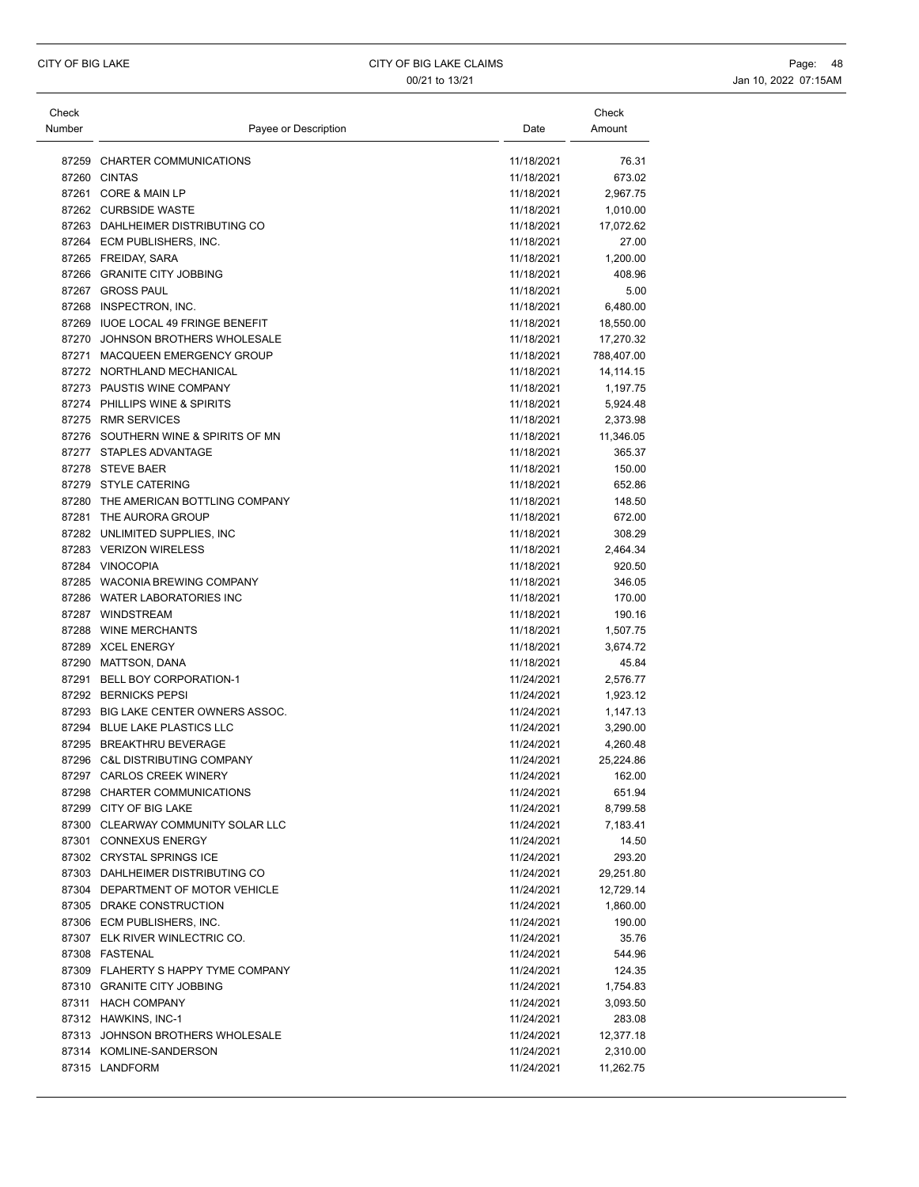| Check<br>Number | Payee or Description                                | Date                     | Check<br>Amount   |
|-----------------|-----------------------------------------------------|--------------------------|-------------------|
|                 | 87259 CHARTER COMMUNICATIONS                        | 11/18/2021               | 76.31             |
|                 | 87260 CINTAS                                        | 11/18/2021               | 673.02            |
|                 | 87261 CORE & MAIN LP                                | 11/18/2021               | 2,967.75          |
|                 | 87262 CURBSIDE WASTE                                | 11/18/2021               | 1,010.00          |
|                 | 87263 DAHLHEIMER DISTRIBUTING CO                    | 11/18/2021               | 17,072.62         |
|                 | 87264 ECM PUBLISHERS, INC.                          | 11/18/2021               | 27.00             |
|                 | 87265 FREIDAY, SARA                                 | 11/18/2021               | 1,200.00          |
|                 | 87266 GRANITE CITY JOBBING                          | 11/18/2021               | 408.96            |
|                 | 87267 GROSS PAUL                                    | 11/18/2021               | 5.00              |
|                 | 87268 INSPECTRON, INC.                              | 11/18/2021               | 6,480.00          |
|                 | 87269 IUOE LOCAL 49 FRINGE BENEFIT                  | 11/18/2021               | 18,550.00         |
|                 | 87270 JOHNSON BROTHERS WHOLESALE                    | 11/18/2021               | 17,270.32         |
|                 | 87271 MACQUEEN EMERGENCY GROUP                      | 11/18/2021               | 788,407.00        |
|                 | 87272 NORTHLAND MECHANICAL                          | 11/18/2021               | 14, 114. 15       |
|                 | 87273 PAUSTIS WINE COMPANY                          | 11/18/2021               | 1,197.75          |
|                 | 87274 PHILLIPS WINE & SPIRITS                       | 11/18/2021               | 5,924.48          |
|                 | 87275 RMR SERVICES                                  | 11/18/2021               | 2,373.98          |
|                 | 87276 SOUTHERN WINE & SPIRITS OF MN                 | 11/18/2021               | 11,346.05         |
|                 | 87277 STAPLES ADVANTAGE                             | 11/18/2021               | 365.37            |
|                 | 87278 STEVE BAER                                    | 11/18/2021               | 150.00            |
|                 | 87279 STYLE CATERING                                | 11/18/2021               | 652.86            |
|                 | 87280 THE AMERICAN BOTTLING COMPANY                 | 11/18/2021               | 148.50            |
|                 | 87281 THE AURORA GROUP                              | 11/18/2021               | 672.00            |
|                 | 87282 UNLIMITED SUPPLIES, INC                       | 11/18/2021               | 308.29            |
|                 | 87283 VERIZON WIRELESS                              | 11/18/2021               | 2,464.34          |
|                 | 87284 VINOCOPIA                                     | 11/18/2021               | 920.50            |
|                 | 87285 WACONIA BREWING COMPANY                       | 11/18/2021               | 346.05            |
|                 | 87286 WATER LABORATORIES INC                        | 11/18/2021               | 170.00            |
|                 | 87287 WINDSTREAM                                    | 11/18/2021               | 190.16            |
|                 | 87288 WINE MERCHANTS                                | 11/18/2021               | 1,507.75          |
|                 | 87289 XCEL ENERGY                                   | 11/18/2021               | 3,674.72          |
|                 | 87290 MATTSON, DANA<br>87291 BELL BOY CORPORATION-1 | 11/18/2021<br>11/24/2021 | 45.84<br>2,576.77 |
|                 | 87292 BERNICKS PEPSI                                | 11/24/2021               | 1,923.12          |
|                 | 87293 BIG LAKE CENTER OWNERS ASSOC.                 | 11/24/2021               | 1,147.13          |
|                 | 87294 BLUE LAKE PLASTICS LLC                        | 11/24/2021               | 3,290.00          |
|                 | 87295 BREAKTHRU BEVERAGE                            | 11/24/2021               | 4,260.48          |
|                 | 87296 C&L DISTRIBUTING COMPANY                      | 11/24/2021               | 25,224.86         |
|                 | 87297 CARLOS CREEK WINERY                           | 11/24/2021               | 162.00            |
|                 | 87298 CHARTER COMMUNICATIONS                        | 11/24/2021               | 651.94            |
|                 | 87299 CITY OF BIG LAKE                              | 11/24/2021               | 8,799.58          |
|                 | 87300 CLEARWAY COMMUNITY SOLAR LLC                  | 11/24/2021               | 7,183.41          |
|                 | 87301 CONNEXUS ENERGY                               | 11/24/2021               | 14.50             |
|                 | 87302 CRYSTAL SPRINGS ICE                           | 11/24/2021               | 293.20            |
|                 | 87303 DAHLHEIMER DISTRIBUTING CO                    | 11/24/2021               | 29,251.80         |
|                 | 87304 DEPARTMENT OF MOTOR VEHICLE                   | 11/24/2021               | 12,729.14         |
|                 | 87305 DRAKE CONSTRUCTION                            | 11/24/2021               | 1,860.00          |
|                 | 87306 ECM PUBLISHERS, INC.                          | 11/24/2021               | 190.00            |
|                 | 87307 ELK RIVER WINLECTRIC CO.                      | 11/24/2021               | 35.76             |
|                 | 87308 FASTENAL                                      | 11/24/2021               | 544.96            |
|                 | 87309 FLAHERTY S HAPPY TYME COMPANY                 | 11/24/2021               | 124.35            |
|                 | 87310 GRANITE CITY JOBBING                          | 11/24/2021               | 1,754.83          |
|                 | 87311 HACH COMPANY                                  | 11/24/2021               | 3,093.50          |
|                 | 87312 HAWKINS, INC-1                                | 11/24/2021               | 283.08            |
|                 | 87313 JOHNSON BROTHERS WHOLESALE                    | 11/24/2021               | 12,377.18         |
|                 | 87314 KOMLINE-SANDERSON                             | 11/24/2021               | 2,310.00          |
|                 | 87315 LANDFORM                                      | 11/24/2021               | 11,262.75         |
|                 |                                                     |                          |                   |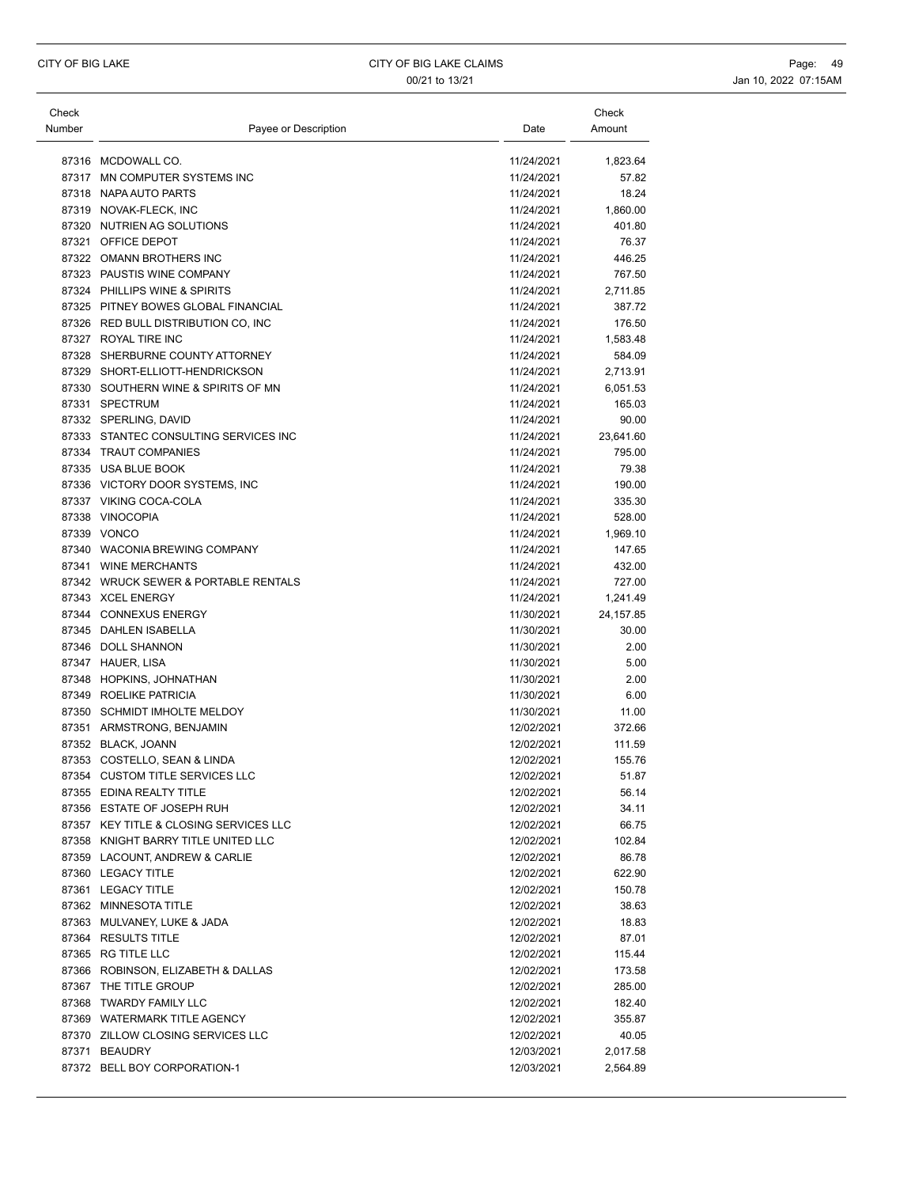| Check<br>Number | Payee or Description                                        | Date                     | Check<br>Amount  |
|-----------------|-------------------------------------------------------------|--------------------------|------------------|
|                 |                                                             |                          |                  |
|                 | 87316 MCDOWALL CO.                                          | 11/24/2021               | 1,823.64         |
|                 | 87317 MN COMPUTER SYSTEMS INC                               | 11/24/2021               | 57.82            |
|                 | 87318 NAPA AUTO PARTS                                       | 11/24/2021               | 18.24            |
|                 | 87319 NOVAK-FLECK, INC                                      | 11/24/2021               | 1,860.00         |
|                 | 87320 NUTRIEN AG SOLUTIONS                                  | 11/24/2021               | 401.80           |
|                 | 87321 OFFICE DEPOT                                          | 11/24/2021               | 76.37            |
|                 | 87322 OMANN BROTHERS INC                                    | 11/24/2021               | 446.25           |
|                 | 87323 PAUSTIS WINE COMPANY<br>87324 PHILLIPS WINE & SPIRITS | 11/24/2021               | 767.50           |
|                 |                                                             | 11/24/2021<br>11/24/2021 | 2,711.85         |
|                 | 87325 PITNEY BOWES GLOBAL FINANCIAL                         |                          | 387.72           |
|                 | 87326 RED BULL DISTRIBUTION CO, INC                         | 11/24/2021               | 176.50           |
|                 | 87327 ROYAL TIRE INC                                        | 11/24/2021               | 1,583.48         |
|                 | 87328 SHERBURNE COUNTY ATTORNEY                             | 11/24/2021               | 584.09           |
|                 | 87329 SHORT-ELLIOTT-HENDRICKSON                             | 11/24/2021               | 2,713.91         |
|                 | 87330 SOUTHERN WINE & SPIRITS OF MN                         | 11/24/2021               | 6,051.53         |
|                 | 87331 SPECTRUM                                              | 11/24/2021               | 165.03           |
|                 | 87332 SPERLING, DAVID                                       | 11/24/2021               | 90.00            |
|                 | 87333 STANTEC CONSULTING SERVICES INC                       | 11/24/2021               | 23,641.60        |
|                 | 87334 TRAUT COMPANIES                                       | 11/24/2021               | 795.00           |
|                 | 87335 USA BLUE BOOK                                         | 11/24/2021               | 79.38            |
|                 | 87336 VICTORY DOOR SYSTEMS. INC                             | 11/24/2021<br>11/24/2021 | 190.00<br>335.30 |
|                 | 87337 VIKING COCA-COLA<br>87338 VINOCOPIA                   | 11/24/2021               | 528.00           |
|                 |                                                             | 11/24/2021               |                  |
|                 | 87339 VONCO                                                 |                          | 1,969.10         |
|                 | 87340 WACONIA BREWING COMPANY<br>87341 WINE MERCHANTS       | 11/24/2021<br>11/24/2021 | 147.65           |
|                 | 87342 WRUCK SEWER & PORTABLE RENTALS                        | 11/24/2021               | 432.00<br>727.00 |
|                 | 87343 XCEL ENERGY                                           | 11/24/2021               |                  |
|                 |                                                             |                          | 1,241.49         |
|                 | 87344 CONNEXUS ENERGY<br>87345 DAHLEN ISABELLA              | 11/30/2021               | 24,157.85        |
|                 | 87346 DOLL SHANNON                                          | 11/30/2021<br>11/30/2021 | 30.00<br>2.00    |
|                 | 87347 HAUER, LISA                                           | 11/30/2021               | 5.00             |
|                 |                                                             |                          | 2.00             |
|                 | 87348 HOPKINS, JOHNATHAN<br>87349 ROELIKE PATRICIA          | 11/30/2021<br>11/30/2021 | 6.00             |
|                 | 87350 SCHMIDT IMHOLTE MELDOY                                | 11/30/2021               | 11.00            |
|                 | 87351 ARMSTRONG, BENJAMIN                                   | 12/02/2021               | 372.66           |
|                 | 87352 BLACK, JOANN                                          | 12/02/2021               |                  |
|                 | 87353 COSTELLO, SEAN & LINDA                                | 12/02/2021               | 111.59<br>155.76 |
|                 | 87354 CUSTOM TITLE SERVICES LLC                             | 12/02/2021               | 51.87            |
|                 | 87355 EDINA REALTY TITLE                                    | 12/02/2021               | 56.14            |
|                 | 87356 ESTATE OF JOSEPH RUH                                  | 12/02/2021               | 34.11            |
|                 | 87357 KEY TITLE & CLOSING SERVICES LLC                      | 12/02/2021               | 66.75            |
|                 | 87358 KNIGHT BARRY TITLE UNITED LLC                         | 12/02/2021               | 102.84           |
|                 | 87359 LACOUNT, ANDREW & CARLIE                              | 12/02/2021               | 86.78            |
|                 | 87360 LEGACY TITLE                                          |                          | 622.90           |
|                 | 87361 LEGACY TITLE                                          | 12/02/2021<br>12/02/2021 | 150.78           |
|                 | 87362 MINNESOTA TITLE                                       | 12/02/2021               | 38.63            |
|                 | 87363 MULVANEY, LUKE & JADA                                 | 12/02/2021               | 18.83            |
|                 | 87364 RESULTS TITLE                                         | 12/02/2021               | 87.01            |
|                 | 87365 RG TITLE LLC                                          | 12/02/2021               | 115.44           |
|                 | 87366 ROBINSON, ELIZABETH & DALLAS                          | 12/02/2021               | 173.58           |
|                 | 87367 THE TITLE GROUP                                       | 12/02/2021               | 285.00           |
|                 | 87368 TWARDY FAMILY LLC                                     | 12/02/2021               | 182.40           |
|                 | 87369 WATERMARK TITLE AGENCY                                | 12/02/2021               | 355.87           |
|                 | 87370 ZILLOW CLOSING SERVICES LLC                           | 12/02/2021               | 40.05            |
|                 | 87371 BEAUDRY                                               | 12/03/2021               | 2,017.58         |
|                 | 87372 BELL BOY CORPORATION-1                                | 12/03/2021               | 2,564.89         |
|                 |                                                             |                          |                  |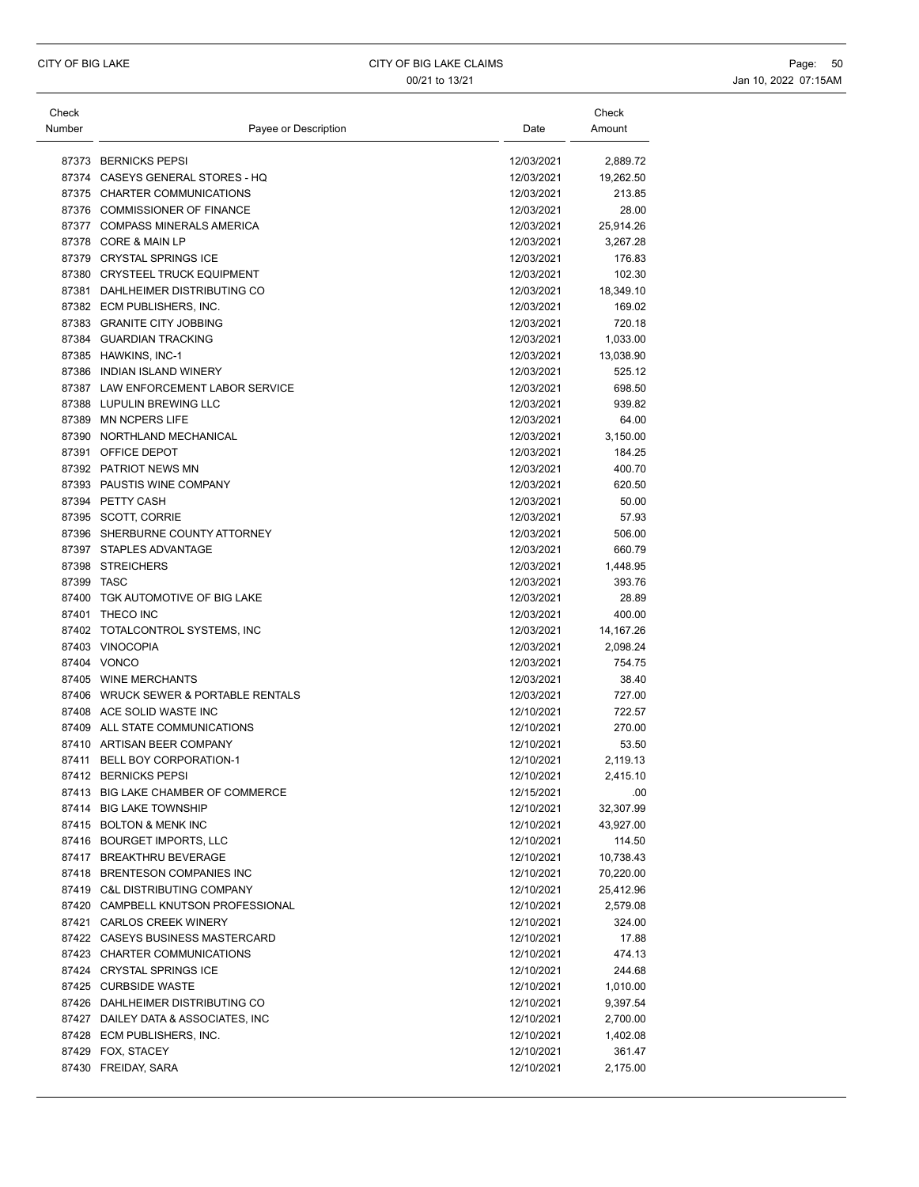| Check      |                                      |            | Check     |
|------------|--------------------------------------|------------|-----------|
| Number     | Payee or Description                 | Date       | Amount    |
|            |                                      |            |           |
|            | 87373 BERNICKS PEPSI                 | 12/03/2021 | 2,889.72  |
|            | 87374 CASEYS GENERAL STORES - HQ     | 12/03/2021 | 19,262.50 |
|            | 87375 CHARTER COMMUNICATIONS         | 12/03/2021 | 213.85    |
|            | 87376 COMMISSIONER OF FINANCE        | 12/03/2021 | 28.00     |
|            | 87377 COMPASS MINERALS AMERICA       | 12/03/2021 | 25,914.26 |
|            | 87378 CORE & MAIN LP                 | 12/03/2021 | 3,267.28  |
|            | 87379 CRYSTAL SPRINGS ICE            | 12/03/2021 | 176.83    |
|            | 87380 CRYSTEEL TRUCK EQUIPMENT       | 12/03/2021 | 102.30    |
|            | 87381 DAHLHEIMER DISTRIBUTING CO     | 12/03/2021 | 18,349.10 |
|            | 87382 ECM PUBLISHERS, INC.           | 12/03/2021 | 169.02    |
|            | 87383 GRANITE CITY JOBBING           | 12/03/2021 | 720.18    |
|            | 87384 GUARDIAN TRACKING              | 12/03/2021 | 1,033.00  |
|            | 87385 HAWKINS, INC-1                 | 12/03/2021 | 13,038.90 |
|            | 87386 INDIAN ISLAND WINERY           | 12/03/2021 | 525.12    |
|            | 87387 LAW ENFORCEMENT LABOR SERVICE  | 12/03/2021 | 698.50    |
|            | 87388 LUPULIN BREWING LLC            | 12/03/2021 | 939.82    |
|            | 87389 MN NCPERS LIFE                 | 12/03/2021 | 64.00     |
|            | 87390 NORTHLAND MECHANICAL           | 12/03/2021 | 3,150.00  |
|            | 87391 OFFICE DEPOT                   | 12/03/2021 | 184.25    |
|            | 87392 PATRIOT NEWS MN                | 12/03/2021 | 400.70    |
|            | 87393 PAUSTIS WINE COMPANY           | 12/03/2021 | 620.50    |
|            | 87394 PETTY CASH                     | 12/03/2021 | 50.00     |
|            | 87395 SCOTT, CORRIE                  | 12/03/2021 | 57.93     |
|            | 87396 SHERBURNE COUNTY ATTORNEY      | 12/03/2021 | 506.00    |
|            | 87397 STAPLES ADVANTAGE              | 12/03/2021 | 660.79    |
|            | 87398 STREICHERS                     | 12/03/2021 | 1,448.95  |
| 87399 TASC |                                      | 12/03/2021 | 393.76    |
|            | 87400 TGK AUTOMOTIVE OF BIG LAKE     | 12/03/2021 | 28.89     |
|            | 87401 THECO INC                      | 12/03/2021 | 400.00    |
|            | 87402 TOTALCONTROL SYSTEMS, INC      | 12/03/2021 | 14,167.26 |
|            | 87403 VINOCOPIA                      | 12/03/2021 | 2,098.24  |
|            | 87404 VONCO                          | 12/03/2021 | 754.75    |
|            | 87405 WINE MERCHANTS                 | 12/03/2021 | 38.40     |
|            | 87406 WRUCK SEWER & PORTABLE RENTALS | 12/03/2021 | 727.00    |
|            | 87408 ACE SOLID WASTE INC            | 12/10/2021 | 722.57    |
|            | 87409 ALL STATE COMMUNICATIONS       | 12/10/2021 | 270.00    |
|            | 87410 ARTISAN BEER COMPANY           | 12/10/2021 | 53.50     |
|            | 87411 BELL BOY CORPORATION-1         | 12/10/2021 | 2,119.13  |
|            | 87412 BERNICKS PEPSI                 | 12/10/2021 | 2,415.10  |
|            | 87413 BIG LAKE CHAMBER OF COMMERCE   | 12/15/2021 | .00       |
|            | 87414 BIG LAKE TOWNSHIP              | 12/10/2021 | 32,307.99 |
|            | 87415 BOLTON & MENK INC              | 12/10/2021 | 43,927.00 |
|            | 87416 BOURGET IMPORTS, LLC           | 12/10/2021 | 114.50    |
|            | 87417 BREAKTHRU BEVERAGE             | 12/10/2021 | 10,738.43 |
|            | 87418 BRENTESON COMPANIES INC        | 12/10/2021 | 70,220.00 |
|            | 87419 C&L DISTRIBUTING COMPANY       | 12/10/2021 | 25,412.96 |
|            | 87420 CAMPBELL KNUTSON PROFESSIONAL  | 12/10/2021 | 2,579.08  |
|            | 87421 CARLOS CREEK WINERY            | 12/10/2021 | 324.00    |
|            | 87422 CASEYS BUSINESS MASTERCARD     | 12/10/2021 | 17.88     |
|            | 87423 CHARTER COMMUNICATIONS         | 12/10/2021 | 474.13    |
|            | 87424 CRYSTAL SPRINGS ICE            | 12/10/2021 | 244.68    |
|            | 87425 CURBSIDE WASTE                 | 12/10/2021 | 1,010.00  |
|            | 87426 DAHLHEIMER DISTRIBUTING CO     | 12/10/2021 | 9,397.54  |
|            | 87427 DAILEY DATA & ASSOCIATES, INC  | 12/10/2021 | 2,700.00  |
|            | 87428 ECM PUBLISHERS, INC.           | 12/10/2021 | 1,402.08  |
|            | 87429 FOX, STACEY                    | 12/10/2021 | 361.47    |
|            | 87430 FREIDAY, SARA                  | 12/10/2021 |           |
|            |                                      |            | 2,175.00  |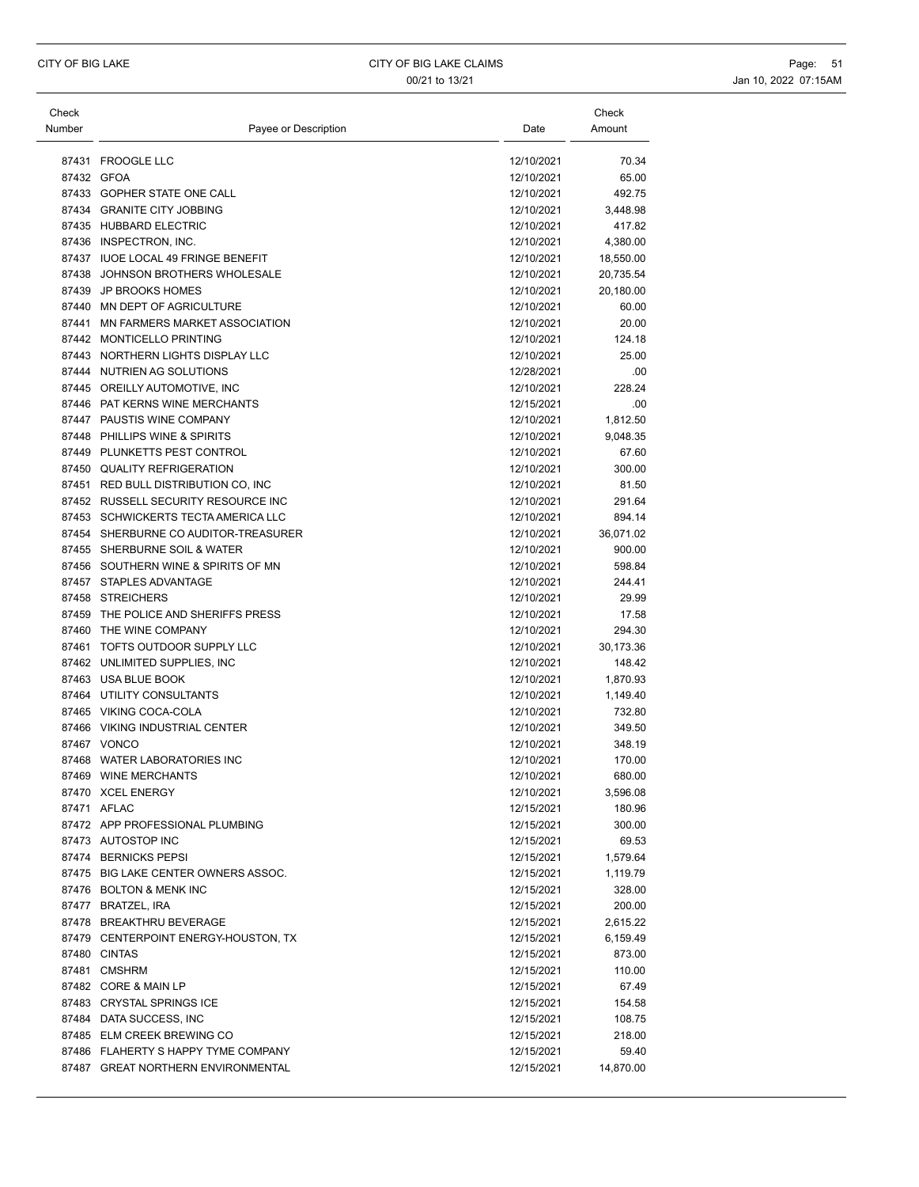| Check<br>Number | Payee or Description                                                 | Date                     | Check<br>Amount  |
|-----------------|----------------------------------------------------------------------|--------------------------|------------------|
|                 | 87431 FROOGLE LLC                                                    | 12/10/2021               | 70.34            |
|                 | 87432 GFOA                                                           | 12/10/2021               | 65.00            |
|                 | 87433 GOPHER STATE ONE CALL                                          | 12/10/2021               | 492.75           |
|                 | 87434 GRANITE CITY JOBBING                                           | 12/10/2021               | 3.448.98         |
|                 | 87435 HUBBARD ELECTRIC                                               | 12/10/2021               | 417.82           |
|                 | 87436 INSPECTRON, INC.                                               | 12/10/2021               | 4,380.00         |
|                 | 87437 IUOE LOCAL 49 FRINGE BENEFIT                                   | 12/10/2021               | 18,550.00        |
|                 | 87438 JOHNSON BROTHERS WHOLESALE                                     | 12/10/2021               | 20,735.54        |
|                 | 87439 JP BROOKS HOMES                                                | 12/10/2021               | 20,180.00        |
|                 | 87440 MN DEPT OF AGRICULTURE                                         | 12/10/2021               | 60.00            |
|                 | 87441 MN FARMERS MARKET ASSOCIATION                                  | 12/10/2021               | 20.00            |
|                 | 87442 MONTICELLO PRINTING                                            | 12/10/2021               | 124.18           |
|                 | 87443 NORTHERN LIGHTS DISPLAY LLC                                    | 12/10/2021               | 25.00            |
|                 | 87444 NUTRIEN AG SOLUTIONS                                           | 12/28/2021               | .00              |
|                 | 87445 OREILLY AUTOMOTIVE, INC                                        | 12/10/2021               | 228.24           |
|                 | 87446 PAT KERNS WINE MERCHANTS                                       | 12/15/2021               | .00              |
|                 | 87447 PAUSTIS WINE COMPANY                                           | 12/10/2021               | 1,812.50         |
|                 | 87448 PHILLIPS WINE & SPIRITS                                        | 12/10/2021               | 9,048.35         |
|                 | 87449 PLUNKETTS PEST CONTROL                                         | 12/10/2021               | 67.60            |
|                 | 87450 QUALITY REFRIGERATION                                          | 12/10/2021               | 300.00           |
|                 | 87451 RED BULL DISTRIBUTION CO, INC                                  | 12/10/2021               | 81.50            |
|                 | 87452 RUSSELL SECURITY RESOURCE INC                                  | 12/10/2021               | 291.64           |
|                 | 87453 SCHWICKERTS TECTA AMERICA LLC                                  | 12/10/2021               | 894.14           |
|                 | 87454 SHERBURNE CO AUDITOR-TREASURER<br>87455 SHERBURNE SOIL & WATER | 12/10/2021               | 36,071.02        |
|                 | 87456 SOUTHERN WINE & SPIRITS OF MN                                  | 12/10/2021<br>12/10/2021 | 900.00<br>598.84 |
|                 | 87457 STAPLES ADVANTAGE                                              | 12/10/2021               | 244.41           |
|                 | 87458 STREICHERS                                                     | 12/10/2021               | 29.99            |
| 87459           | THE POLICE AND SHERIFFS PRESS                                        | 12/10/2021               | 17.58            |
|                 | 87460 THE WINE COMPANY                                               | 12/10/2021               | 294.30           |
|                 | 87461 TOFTS OUTDOOR SUPPLY LLC                                       | 12/10/2021               | 30,173.36        |
|                 | 87462 UNLIMITED SUPPLIES, INC                                        | 12/10/2021               | 148.42           |
|                 | 87463 USA BLUE BOOK                                                  | 12/10/2021               | 1,870.93         |
|                 | 87464 UTILITY CONSULTANTS                                            | 12/10/2021               | 1,149.40         |
|                 | 87465 VIKING COCA-COLA                                               | 12/10/2021               | 732.80           |
|                 | 87466 VIKING INDUSTRIAL CENTER                                       | 12/10/2021               | 349.50           |
|                 | 87467 VONCO                                                          | 12/10/2021               | 348.19           |
|                 | 87468 WATER LABORATORIES INC                                         | 12/10/2021               | 170.00           |
|                 | 87469 WINE MERCHANTS                                                 | 12/10/2021               | 680.00           |
|                 | 87470 XCEL ENERGY                                                    | 12/10/2021               | 3,596.08         |
|                 | 87471 AFLAC                                                          | 12/15/2021               | 180.96           |
|                 | 87472 APP PROFESSIONAL PLUMBING                                      | 12/15/2021               | 300.00           |
|                 | 87473 AUTOSTOP INC                                                   | 12/15/2021               | 69.53            |
|                 | 87474 BERNICKS PEPSI                                                 | 12/15/2021               | 1,579.64         |
|                 | 87475 BIG LAKE CENTER OWNERS ASSOC.                                  | 12/15/2021               | 1,119.79         |
|                 | 87476 BOLTON & MENK INC                                              | 12/15/2021               | 328.00           |
|                 | 87477 BRATZEL, IRA                                                   | 12/15/2021               | 200.00           |
|                 | 87478 BREAKTHRU BEVERAGE                                             | 12/15/2021               | 2,615.22         |
|                 | 87479 CENTERPOINT ENERGY-HOUSTON, TX                                 | 12/15/2021               | 6,159.49         |
|                 | 87480 CINTAS                                                         | 12/15/2021               | 873.00           |
|                 | 87481 CMSHRM                                                         | 12/15/2021               | 110.00           |
|                 | 87482 CORE & MAIN LP                                                 | 12/15/2021               | 67.49            |
|                 | 87483 CRYSTAL SPRINGS ICE                                            | 12/15/2021               | 154.58           |
|                 | 87484 DATA SUCCESS, INC                                              | 12/15/2021               | 108.75           |
|                 | 87485 ELM CREEK BREWING CO                                           | 12/15/2021               | 218.00           |
|                 | 87486 FLAHERTY S HAPPY TYME COMPANY                                  | 12/15/2021               | 59.40            |
|                 | 87487 GREAT NORTHERN ENVIRONMENTAL                                   | 12/15/2021               | 14,870.00        |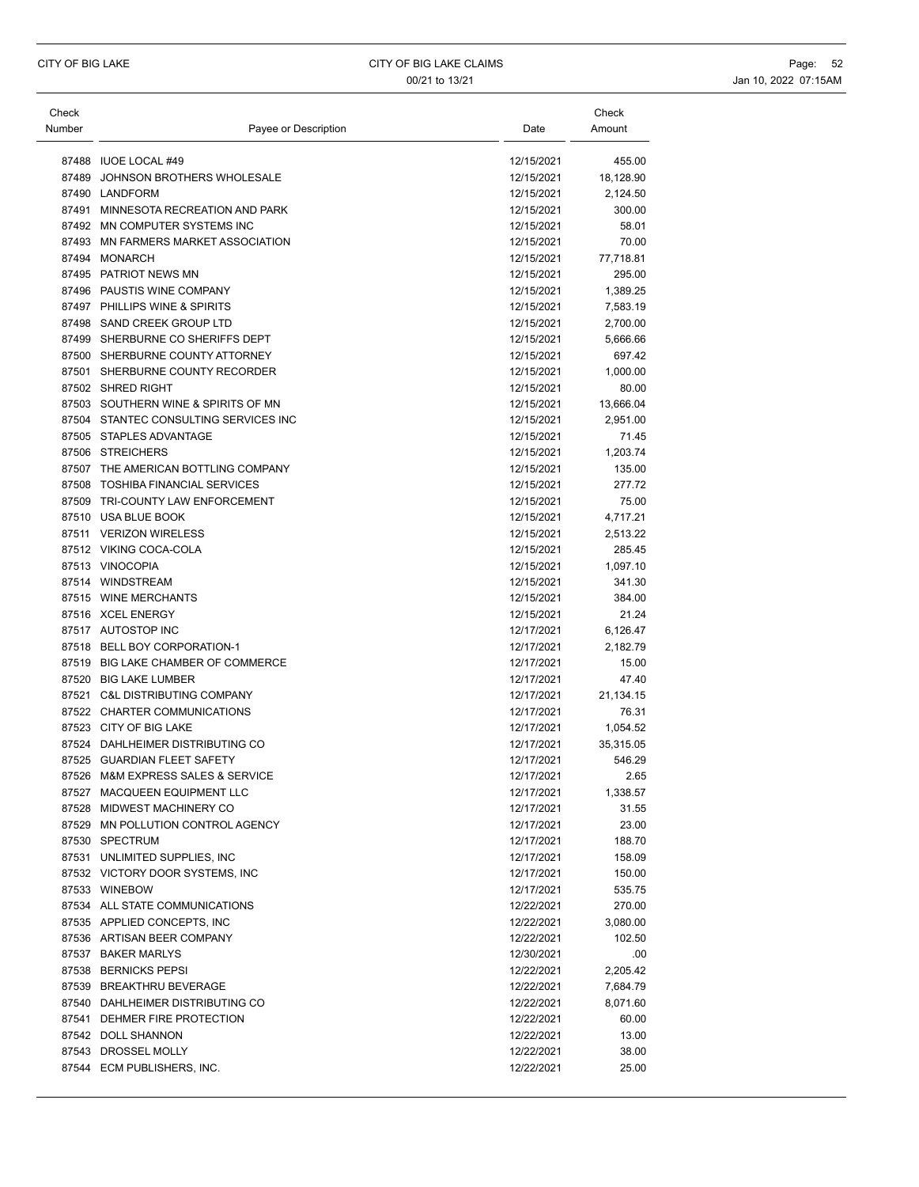| Check<br>Number | Payee or Description                  | Date       | Check<br>Amount |
|-----------------|---------------------------------------|------------|-----------------|
|                 |                                       |            |                 |
|                 | 87488 IUOE LOCAL #49                  | 12/15/2021 | 455.00          |
| 87489           | JOHNSON BROTHERS WHOLESALE            | 12/15/2021 | 18,128.90       |
|                 | 87490 LANDFORM                        | 12/15/2021 | 2,124.50        |
|                 | 87491 MINNESOTA RECREATION AND PARK   | 12/15/2021 | 300.00          |
|                 | 87492 MN COMPUTER SYSTEMS INC         | 12/15/2021 | 58.01           |
|                 | 87493 MN FARMERS MARKET ASSOCIATION   | 12/15/2021 | 70.00           |
| 87494           | <b>MONARCH</b>                        | 12/15/2021 | 77,718.81       |
|                 | 87495 PATRIOT NEWS MN                 | 12/15/2021 | 295.00          |
|                 | 87496 PAUSTIS WINE COMPANY            | 12/15/2021 | 1,389.25        |
|                 | 87497 PHILLIPS WINE & SPIRITS         | 12/15/2021 | 7,583.19        |
|                 | 87498 SAND CREEK GROUP LTD            | 12/15/2021 | 2,700.00        |
|                 | 87499 SHERBURNE CO SHERIFFS DEPT      | 12/15/2021 | 5,666.66        |
|                 | 87500 SHERBURNE COUNTY ATTORNEY       | 12/15/2021 | 697.42          |
|                 | 87501 SHERBURNE COUNTY RECORDER       | 12/15/2021 | 1,000.00        |
|                 | 87502 SHRED RIGHT                     | 12/15/2021 | 80.00           |
|                 | 87503 SOUTHERN WINE & SPIRITS OF MN   | 12/15/2021 | 13,666.04       |
|                 | 87504 STANTEC CONSULTING SERVICES INC | 12/15/2021 | 2,951.00        |
|                 | 87505 STAPLES ADVANTAGE               | 12/15/2021 | 71.45           |
|                 | 87506 STREICHERS                      | 12/15/2021 | 1,203.74        |
|                 | 87507 THE AMERICAN BOTTLING COMPANY   | 12/15/2021 | 135.00          |
|                 | 87508 TOSHIBA FINANCIAL SERVICES      | 12/15/2021 | 277.72          |
|                 | 87509 TRI-COUNTY LAW ENFORCEMENT      | 12/15/2021 | 75.00           |
|                 | 87510 USA BLUE BOOK                   | 12/15/2021 | 4,717.21        |
|                 | 87511 VERIZON WIRELESS                | 12/15/2021 | 2,513.22        |
|                 | 87512 VIKING COCA-COLA                | 12/15/2021 | 285.45          |
|                 | 87513 VINOCOPIA                       | 12/15/2021 | 1,097.10        |
|                 | 87514 WINDSTREAM                      | 12/15/2021 | 341.30          |
|                 | 87515 WINE MERCHANTS                  | 12/15/2021 | 384.00          |
|                 | 87516 XCEL ENERGY                     | 12/15/2021 | 21.24           |
|                 | 87517 AUTOSTOP INC                    | 12/17/2021 | 6,126.47        |
|                 | 87518 BELL BOY CORPORATION-1          | 12/17/2021 | 2,182.79        |
| 87519           | BIG LAKE CHAMBER OF COMMERCE          | 12/17/2021 | 15.00           |
|                 | 87520 BIG LAKE LUMBER                 | 12/17/2021 | 47.40           |
| 87521           | <b>C&amp;L DISTRIBUTING COMPANY</b>   | 12/17/2021 | 21,134.15       |
|                 | 87522 CHARTER COMMUNICATIONS          | 12/17/2021 | 76.31           |
|                 | 87523 CITY OF BIG LAKE                | 12/17/2021 | 1,054.52        |
|                 | 87524 DAHLHEIMER DISTRIBUTING CO      | 12/17/2021 | 35,315.05       |
|                 | 87525 GUARDIAN FLEET SAFETY           | 12/17/2021 | 546.29          |
|                 | 87526 M&M EXPRESS SALES & SERVICE     | 12/17/2021 | 2.65            |
|                 | 87527 MACQUEEN EQUIPMENT LLC          | 12/17/2021 | 1,338.57        |
|                 | 87528 MIDWEST MACHINERY CO            | 12/17/2021 | 31.55           |
|                 | 87529 MN POLLUTION CONTROL AGENCY     | 12/17/2021 | 23.00           |
|                 | 87530 SPECTRUM                        | 12/17/2021 | 188.70          |
|                 | 87531 UNLIMITED SUPPLIES, INC         | 12/17/2021 | 158.09          |
|                 | 87532 VICTORY DOOR SYSTEMS, INC       | 12/17/2021 | 150.00          |
|                 | 87533 WINEBOW                         | 12/17/2021 | 535.75          |
|                 | 87534 ALL STATE COMMUNICATIONS        | 12/22/2021 | 270.00          |
|                 | 87535 APPLIED CONCEPTS, INC           | 12/22/2021 | 3,080.00        |
|                 | 87536 ARTISAN BEER COMPANY            | 12/22/2021 | 102.50          |
|                 | 87537 BAKER MARLYS                    | 12/30/2021 | .00             |
|                 | 87538 BERNICKS PEPSI                  | 12/22/2021 | 2,205.42        |
|                 | 87539 BREAKTHRU BEVERAGE              | 12/22/2021 | 7,684.79        |
|                 | 87540 DAHLHEIMER DISTRIBUTING CO      | 12/22/2021 | 8,071.60        |
|                 | 87541 DEHMER FIRE PROTECTION          | 12/22/2021 | 60.00           |
|                 | 87542 DOLL SHANNON                    | 12/22/2021 | 13.00           |
|                 | 87543 DROSSEL MOLLY                   | 12/22/2021 | 38.00           |
|                 | 87544 ECM PUBLISHERS, INC.            | 12/22/2021 | 25.00           |
|                 |                                       |            |                 |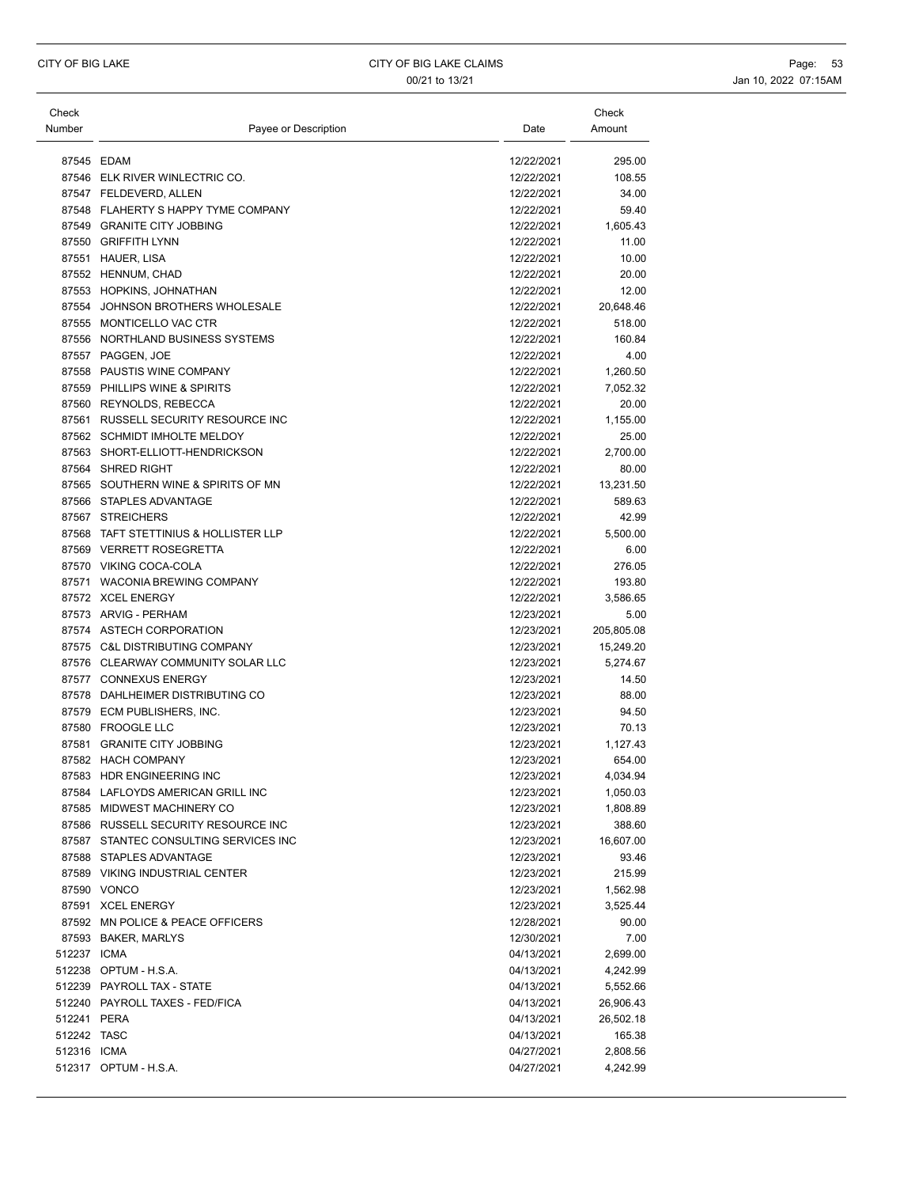| Check       |                                       |            | Check      |
|-------------|---------------------------------------|------------|------------|
| Number      | Payee or Description                  | Date       | Amount     |
|             |                                       |            |            |
|             | 87545 EDAM                            | 12/22/2021 | 295.00     |
|             | 87546 ELK RIVER WINLECTRIC CO.        | 12/22/2021 | 108.55     |
|             | 87547 FELDEVERD, ALLEN                | 12/22/2021 | 34.00      |
|             | 87548 FLAHERTY S HAPPY TYME COMPANY   | 12/22/2021 | 59.40      |
|             | 87549 GRANITE CITY JOBBING            | 12/22/2021 | 1,605.43   |
|             | 87550 GRIFFITH LYNN                   | 12/22/2021 | 11.00      |
|             | 87551 HAUER, LISA                     | 12/22/2021 | 10.00      |
|             | 87552 HENNUM, CHAD                    | 12/22/2021 | 20.00      |
|             | 87553 HOPKINS, JOHNATHAN              | 12/22/2021 | 12.00      |
|             | 87554 JOHNSON BROTHERS WHOLESALE      | 12/22/2021 | 20,648.46  |
|             | 87555 MONTICELLO VAC CTR              | 12/22/2021 | 518.00     |
|             | 87556 NORTHLAND BUSINESS SYSTEMS      | 12/22/2021 | 160.84     |
|             | 87557 PAGGEN, JOE                     | 12/22/2021 | 4.00       |
|             | 87558 PAUSTIS WINE COMPANY            | 12/22/2021 | 1,260.50   |
|             | 87559 PHILLIPS WINE & SPIRITS         | 12/22/2021 | 7,052.32   |
|             | 87560 REYNOLDS, REBECCA               | 12/22/2021 | 20.00      |
|             | 87561 RUSSELL SECURITY RESOURCE INC   | 12/22/2021 | 1,155.00   |
|             | 87562 SCHMIDT IMHOLTE MELDOY          | 12/22/2021 | 25.00      |
|             | 87563 SHORT-ELLIOTT-HENDRICKSON       | 12/22/2021 | 2,700.00   |
|             | 87564 SHRED RIGHT                     | 12/22/2021 | 80.00      |
|             | 87565 SOUTHERN WINE & SPIRITS OF MN   | 12/22/2021 | 13,231.50  |
|             | 87566 STAPLES ADVANTAGE               | 12/22/2021 | 589.63     |
|             | 87567 STREICHERS                      | 12/22/2021 | 42.99      |
|             | 87568 TAFT STETTINIUS & HOLLISTER LLP | 12/22/2021 | 5,500.00   |
|             | 87569 VERRETT ROSEGRETTA              | 12/22/2021 | 6.00       |
|             | 87570 VIKING COCA-COLA                | 12/22/2021 | 276.05     |
|             | 87571 WACONIA BREWING COMPANY         | 12/22/2021 | 193.80     |
|             | 87572 XCEL ENERGY                     | 12/22/2021 | 3,586.65   |
|             | 87573 ARVIG - PERHAM                  | 12/23/2021 | 5.00       |
|             | 87574 ASTECH CORPORATION              | 12/23/2021 | 205,805.08 |
|             | 87575 C&L DISTRIBUTING COMPANY        | 12/23/2021 | 15,249.20  |
|             | 87576 CLEARWAY COMMUNITY SOLAR LLC    | 12/23/2021 | 5,274.67   |
|             | 87577 CONNEXUS ENERGY                 | 12/23/2021 | 14.50      |
|             | 87578 DAHLHEIMER DISTRIBUTING CO      | 12/23/2021 | 88.00      |
|             | 87579 ECM PUBLISHERS, INC.            | 12/23/2021 | 94.50      |
|             | 87580 FROOGLE LLC                     | 12/23/2021 | 70.13      |
|             | 87581 GRANITE CITY JOBBING            | 12/23/2021 | 1,127.43   |
|             | 87582 HACH COMPANY                    | 12/23/2021 | 654.00     |
|             | 87583 HDR ENGINEERING INC             | 12/23/2021 | 4,034.94   |
|             | 87584 LAFLOYDS AMERICAN GRILL INC     | 12/23/2021 | 1,050.03   |
|             | 87585 MIDWEST MACHINERY CO            | 12/23/2021 | 1,808.89   |
|             | 87586 RUSSELL SECURITY RESOURCE INC   | 12/23/2021 | 388.60     |
|             | 87587 STANTEC CONSULTING SERVICES INC | 12/23/2021 | 16,607.00  |
|             | 87588 STAPLES ADVANTAGE               | 12/23/2021 | 93.46      |
|             | 87589 VIKING INDUSTRIAL CENTER        | 12/23/2021 | 215.99     |
|             | 87590 VONCO                           | 12/23/2021 | 1,562.98   |
|             | 87591 XCEL ENERGY                     | 12/23/2021 | 3,525.44   |
|             | 87592 MN POLICE & PEACE OFFICERS      | 12/28/2021 | 90.00      |
|             | 87593 BAKER, MARLYS                   | 12/30/2021 | 7.00       |
| 512237 ICMA |                                       | 04/13/2021 | 2,699.00   |
|             | 512238 OPTUM - H.S.A.                 | 04/13/2021 | 4,242.99   |
|             | 512239 PAYROLL TAX - STATE            | 04/13/2021 | 5,552.66   |
|             | 512240 PAYROLL TAXES - FED/FICA       | 04/13/2021 | 26,906.43  |
| 512241 PERA |                                       | 04/13/2021 | 26,502.18  |
| 512242 TASC |                                       | 04/13/2021 | 165.38     |
| 512316 ICMA |                                       | 04/27/2021 | 2,808.56   |
|             | 512317 OPTUM - H.S.A.                 | 04/27/2021 | 4,242.99   |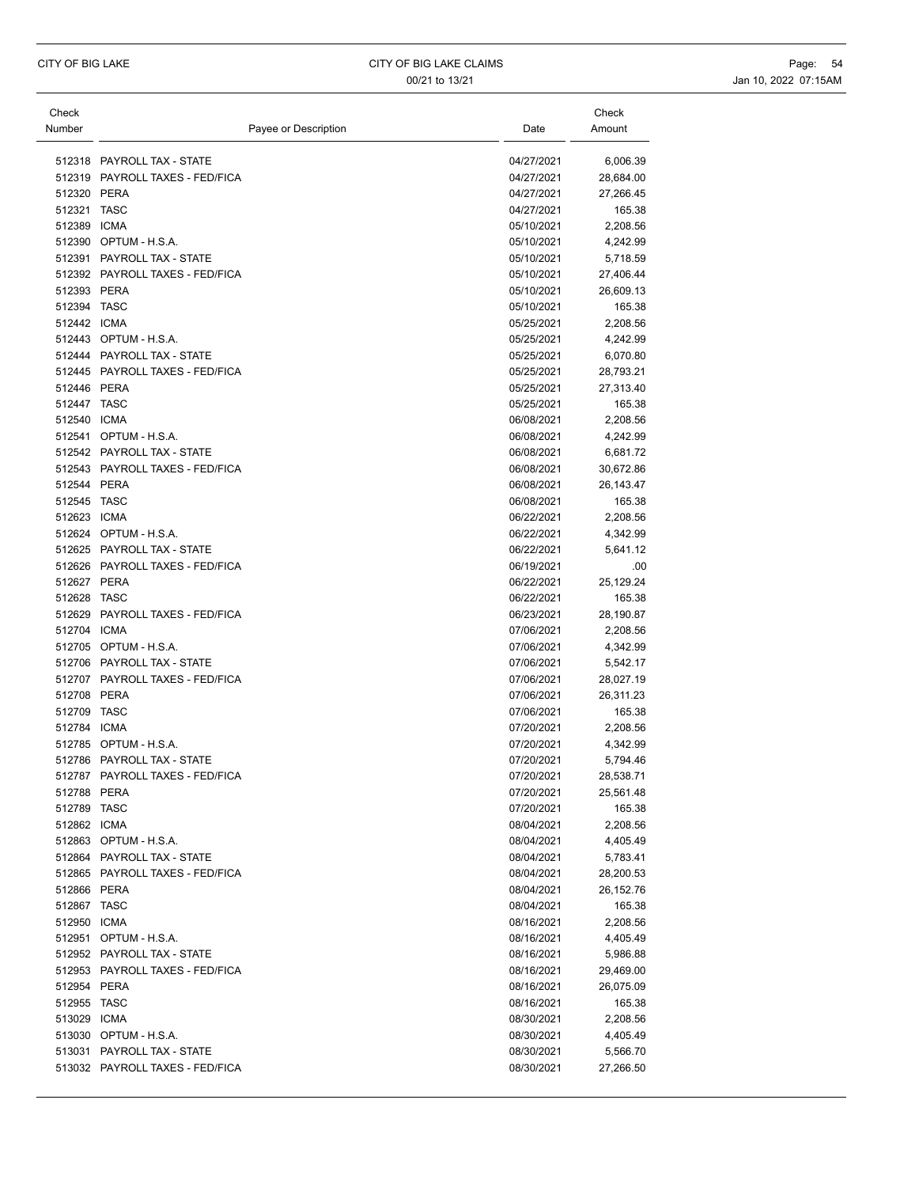| Check       |                                                               |                          | Check                 |
|-------------|---------------------------------------------------------------|--------------------------|-----------------------|
| Number      | Payee or Description                                          | Date                     | Amount                |
|             |                                                               |                          |                       |
|             | 512318 PAYROLL TAX - STATE<br>512319 PAYROLL TAXES - FED/FICA | 04/27/2021<br>04/27/2021 | 6,006.39<br>28,684.00 |
| 512320 PERA |                                                               | 04/27/2021               | 27,266.45             |
| 512321 TASC |                                                               | 04/27/2021               | 165.38                |
| 512389 ICMA |                                                               | 05/10/2021               | 2,208.56              |
|             | 512390 OPTUM - H.S.A.                                         | 05/10/2021               | 4,242.99              |
|             | 512391 PAYROLL TAX - STATE                                    | 05/10/2021               | 5,718.59              |
|             | 512392 PAYROLL TAXES - FED/FICA                               | 05/10/2021               | 27,406.44             |
| 512393 PERA |                                                               | 05/10/2021               | 26,609.13             |
| 512394 TASC |                                                               | 05/10/2021               | 165.38                |
| 512442 ICMA |                                                               | 05/25/2021               | 2,208.56              |
|             | 512443 OPTUM - H.S.A.                                         | 05/25/2021               | 4,242.99              |
|             | 512444 PAYROLL TAX - STATE                                    | 05/25/2021               | 6,070.80              |
|             | 512445 PAYROLL TAXES - FED/FICA                               | 05/25/2021               | 28,793.21             |
| 512446 PERA |                                                               | 05/25/2021               | 27,313.40             |
| 512447 TASC |                                                               | 05/25/2021               | 165.38                |
| 512540 ICMA |                                                               | 06/08/2021               | 2,208.56              |
|             | 512541 OPTUM - H.S.A.                                         | 06/08/2021               | 4,242.99              |
|             | 512542 PAYROLL TAX - STATE                                    | 06/08/2021               | 6,681.72              |
|             | 512543 PAYROLL TAXES - FED/FICA                               | 06/08/2021               | 30,672.86             |
| 512544 PERA |                                                               | 06/08/2021               | 26,143.47             |
| 512545 TASC |                                                               | 06/08/2021               | 165.38                |
| 512623 ICMA |                                                               | 06/22/2021               | 2,208.56              |
|             | 512624 OPTUM - H.S.A.                                         | 06/22/2021               | 4,342.99              |
|             | 512625 PAYROLL TAX - STATE                                    | 06/22/2021               | 5,641.12              |
|             | 512626 PAYROLL TAXES - FED/FICA                               | 06/19/2021               | .00                   |
| 512627 PERA |                                                               | 06/22/2021               | 25,129.24             |
| 512628 TASC |                                                               | 06/22/2021               | 165.38                |
|             | 512629 PAYROLL TAXES - FED/FICA                               | 06/23/2021               | 28,190.87             |
| 512704 ICMA | 512705 OPTUM - H.S.A.                                         | 07/06/2021<br>07/06/2021 | 2,208.56<br>4,342.99  |
|             | 512706 PAYROLL TAX - STATE                                    | 07/06/2021               | 5,542.17              |
|             | 512707 PAYROLL TAXES - FED/FICA                               | 07/06/2021               | 28,027.19             |
| 512708 PERA |                                                               | 07/06/2021               | 26,311.23             |
| 512709 TASC |                                                               | 07/06/2021               | 165.38                |
| 512784 ICMA |                                                               | 07/20/2021               | 2,208.56              |
|             | 512785 OPTUM - H.S.A.                                         | 07/20/2021               | 4,342.99              |
|             | 512786 PAYROLL TAX - STATE                                    | 07/20/2021               | 5,794.46              |
|             | 512787 PAYROLL TAXES - FED/FICA                               | 07/20/2021               | 28,538.71             |
| 512788 PERA |                                                               | 07/20/2021               | 25,561.48             |
| 512789 TASC |                                                               | 07/20/2021               | 165.38                |
| 512862 ICMA |                                                               | 08/04/2021               | 2,208.56              |
|             | 512863 OPTUM - H.S.A.                                         | 08/04/2021               | 4,405.49              |
|             | 512864 PAYROLL TAX - STATE                                    | 08/04/2021               | 5,783.41              |
|             | 512865 PAYROLL TAXES - FED/FICA                               | 08/04/2021               | 28,200.53             |
| 512866 PERA |                                                               | 08/04/2021               | 26,152.76             |
| 512867 TASC |                                                               | 08/04/2021               | 165.38                |
| 512950 ICMA |                                                               | 08/16/2021               | 2,208.56              |
|             | 512951 OPTUM - H.S.A.                                         | 08/16/2021               | 4,405.49              |
|             | 512952 PAYROLL TAX - STATE                                    | 08/16/2021               | 5,986.88              |
|             | 512953 PAYROLL TAXES - FED/FICA                               | 08/16/2021               | 29,469.00             |
| 512954 PERA |                                                               | 08/16/2021               | 26,075.09             |
| 512955 TASC |                                                               | 08/16/2021               | 165.38                |
| 513029 ICMA |                                                               | 08/30/2021               | 2,208.56              |
|             | 513030 OPTUM - H.S.A.                                         | 08/30/2021               | 4,405.49              |
|             | 513031 PAYROLL TAX - STATE                                    | 08/30/2021               | 5,566.70              |
|             | 513032 PAYROLL TAXES - FED/FICA                               | 08/30/2021               | 27,266.50             |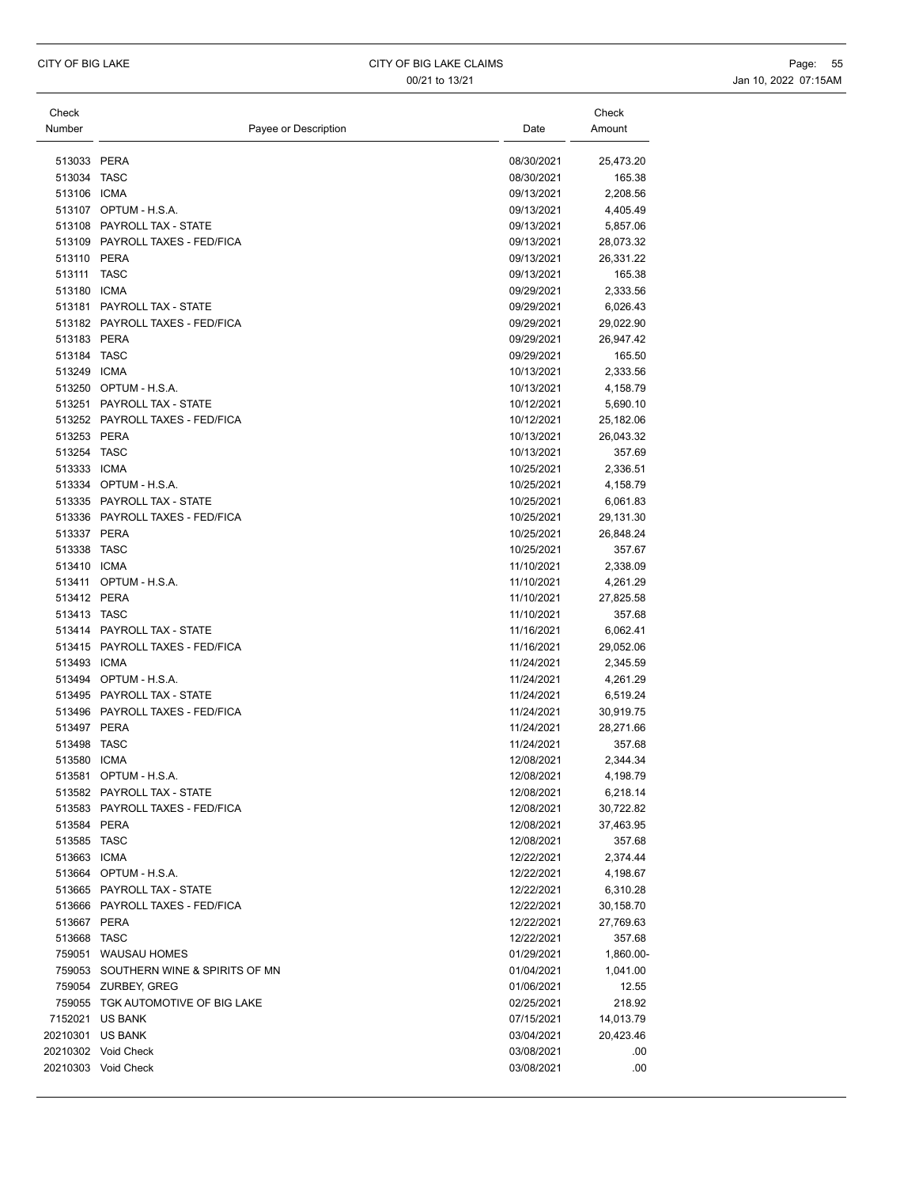| Check                 |                                      |                          | Check                |
|-----------------------|--------------------------------------|--------------------------|----------------------|
| Number                | Payee or Description                 | Date                     | Amount               |
|                       |                                      |                          |                      |
| 513033 PERA           |                                      | 08/30/2021               | 25,473.20            |
| 513034 TASC           |                                      | 08/30/2021               | 165.38               |
| 513106 ICMA           |                                      | 09/13/2021               | 2,208.56             |
|                       | 513107 OPTUM - H.S.A.                | 09/13/2021               | 4,405.49             |
|                       | 513108 PAYROLL TAX - STATE           | 09/13/2021               | 5,857.06             |
|                       | 513109 PAYROLL TAXES - FED/FICA      | 09/13/2021               | 28,073.32            |
| 513110 PERA           |                                      | 09/13/2021               | 26,331.22            |
| 513111<br>513180 ICMA | TASC                                 | 09/13/2021<br>09/29/2021 | 165.38               |
|                       | 513181 PAYROLL TAX - STATE           |                          | 2,333.56<br>6,026.43 |
|                       | 513182 PAYROLL TAXES - FED/FICA      | 09/29/2021<br>09/29/2021 | 29,022.90            |
| 513183 PERA           |                                      | 09/29/2021               | 26,947.42            |
| 513184 TASC           |                                      | 09/29/2021               | 165.50               |
| 513249 ICMA           |                                      | 10/13/2021               | 2,333.56             |
|                       | 513250 OPTUM - H.S.A.                | 10/13/2021               | 4,158.79             |
|                       | 513251 PAYROLL TAX - STATE           | 10/12/2021               | 5,690.10             |
|                       | 513252 PAYROLL TAXES - FED/FICA      | 10/12/2021               | 25,182.06            |
| 513253 PERA           |                                      | 10/13/2021               | 26,043.32            |
| 513254 TASC           |                                      | 10/13/2021               | 357.69               |
| 513333 ICMA           |                                      | 10/25/2021               | 2,336.51             |
|                       | 513334 OPTUM - H.S.A.                | 10/25/2021               | 4,158.79             |
|                       | 513335 PAYROLL TAX - STATE           | 10/25/2021               | 6,061.83             |
|                       | 513336 PAYROLL TAXES - FED/FICA      | 10/25/2021               | 29,131.30            |
| 513337 PERA           |                                      | 10/25/2021               | 26,848.24            |
| 513338 TASC           |                                      | 10/25/2021               | 357.67               |
| 513410 ICMA           |                                      | 11/10/2021               | 2,338.09             |
|                       | 513411 OPTUM - H.S.A.                | 11/10/2021               | 4,261.29             |
| 513412 PERA           |                                      | 11/10/2021               | 27,825.58            |
| 513413 TASC           |                                      | 11/10/2021               | 357.68               |
|                       | 513414 PAYROLL TAX - STATE           | 11/16/2021               | 6,062.41             |
|                       | 513415 PAYROLL TAXES - FED/FICA      | 11/16/2021               | 29,052.06            |
| 513493 ICMA           |                                      | 11/24/2021               | 2,345.59             |
|                       | 513494 OPTUM - H.S.A.                | 11/24/2021               | 4,261.29             |
|                       | 513495 PAYROLL TAX - STATE           | 11/24/2021               | 6,519.24             |
|                       | 513496 PAYROLL TAXES - FED/FICA      | 11/24/2021               | 30,919.75            |
| 513497 PERA           |                                      | 11/24/2021               | 28,271.66            |
| 513498 TASC           |                                      | 11/24/2021               | 357.68               |
| 513580 ICMA           |                                      | 12/08/2021               | 2,344.34             |
|                       | 513581 OPTUM - H.S.A.                | 12/08/2021               | 4,198.79             |
|                       | 513582 PAYROLL TAX - STATE           | 12/08/2021               | 6,218.14             |
|                       | 513583 PAYROLL TAXES - FED/FICA      | 12/08/2021               | 30,722.82            |
| 513584 PERA           |                                      | 12/08/2021               | 37,463.95            |
| 513585 TASC           |                                      | 12/08/2021               | 357.68               |
| 513663 ICMA           |                                      | 12/22/2021               | 2,374.44             |
|                       | 513664 OPTUM - H.S.A.                | 12/22/2021               | 4,198.67             |
|                       | 513665 PAYROLL TAX - STATE           | 12/22/2021               | 6,310.28             |
|                       | 513666 PAYROLL TAXES - FED/FICA      | 12/22/2021               | 30,158.70            |
| 513667 PERA           |                                      | 12/22/2021               | 27,769.63            |
| 513668 TASC           |                                      | 12/22/2021               | 357.68               |
|                       | 759051 WAUSAU HOMES                  | 01/29/2021               | 1,860.00-            |
|                       | 759053 SOUTHERN WINE & SPIRITS OF MN | 01/04/2021               | 1,041.00             |
|                       | 759054 ZURBEY, GREG                  | 01/06/2021               | 12.55                |
|                       | 759055 TGK AUTOMOTIVE OF BIG LAKE    | 02/25/2021               | 218.92               |
|                       | 7152021 US BANK                      | 07/15/2021               | 14,013.79            |
| 20210301 US BANK      |                                      | 03/04/2021               | 20,423.46            |
|                       | 20210302 Void Check                  | 03/08/2021               | .00                  |
|                       | 20210303 Void Check                  | 03/08/2021               | .00                  |